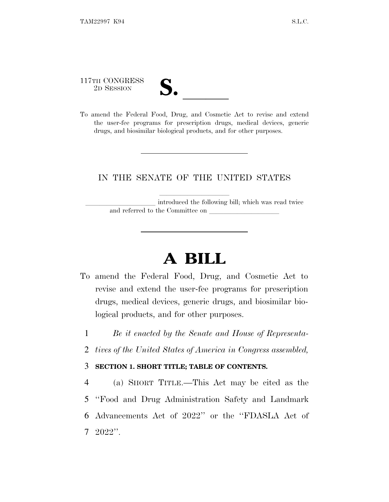117TH CONGRESS

| ◥<br>$\boldsymbol{\mathsf{\omega}}\boldsymbol{\cdot}$ |  |
|-------------------------------------------------------|--|
|                                                       |  |
|                                                       |  |

117TH CONGRESS<br>
2D SESSION<br>
To amend the Federal Food, Drug, and Cosmetic Act to revise and extend the user-fee programs for prescription drugs, medical devices, generic drugs, and biosimilar biological products, and for other purposes.

# IN THE SENATE OF THE UNITED STATES

introduced the following bill; which was read twice and referred to the Committee on

# **A BILL**

- To amend the Federal Food, Drug, and Cosmetic Act to revise and extend the user-fee programs for prescription drugs, medical devices, generic drugs, and biosimilar biological products, and for other purposes.
	- 1 *Be it enacted by the Senate and House of Representa-*
	- 2 *tives of the United States of America in Congress assembled,*

# 3 **SECTION 1. SHORT TITLE; TABLE OF CONTENTS.**

 (a) SHORT TITLE.—This Act may be cited as the ''Food and Drug Administration Safety and Landmark Advancements Act of 2022'' or the ''FDASLA Act of 7 2022''.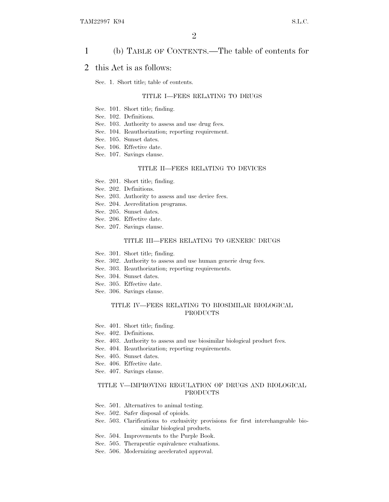## 1 (b) TABLE OF CONTENTS.—The table of contents for

## 2 this Act is as follows:

Sec. 1. Short title; table of contents.

## TITLE I—FEES RELATING TO DRUGS

- Sec. 101. Short title; finding.
- Sec. 102. Definitions.
- Sec. 103. Authority to assess and use drug fees.
- Sec. 104. Reauthorization; reporting requirement.
- Sec. 105. Sunset dates.
- Sec. 106. Effective date.
- Sec. 107. Savings clause.

### TITLE II—FEES RELATING TO DEVICES

- Sec. 201. Short title; finding.
- Sec. 202. Definitions.
- Sec. 203. Authority to assess and use device fees.
- Sec. 204. Accreditation programs.
- Sec. 205. Sunset dates.
- Sec. 206. Effective date.
- Sec. 207. Savings clause.

### TITLE III—FEES RELATING TO GENERIC DRUGS

- Sec. 301. Short title; finding.
- Sec. 302. Authority to assess and use human generic drug fees.
- Sec. 303. Reauthorization; reporting requirements.
- Sec. 304. Sunset dates.
- Sec. 305. Effective date.
- Sec. 306. Savings clause.

## TITLE IV—FEES RELATING TO BIOSIMILAR BIOLOGICAL PRODUCTS

- Sec. 401. Short title; finding.
- Sec. 402. Definitions.
- Sec. 403. Authority to assess and use biosimilar biological product fees.
- Sec. 404. Reauthorization; reporting requirements.
- Sec. 405. Sunset dates.
- Sec. 406. Effective date.
- Sec. 407. Savings clause.

## TITLE V—IMPROVING REGULATION OF DRUGS AND BIOLOGICAL PRODUCTS

- Sec. 501. Alternatives to animal testing.
- Sec. 502. Safer disposal of opioids.
- Sec. 503. Clarifications to exclusivity provisions for first interchangeable biosimilar biological products.
- Sec. 504. Improvements to the Purple Book.
- Sec. 505. Therapeutic equivalence evaluations.
- Sec. 506. Modernizing accelerated approval.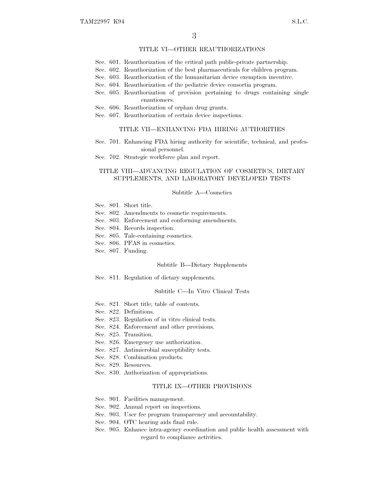## TITLE VI—OTHER REAUTHORIZATIONS

- Sec. 601. Reauthorization of the critical path public-private partnership.
- Sec. 602. Reauthorization of the best pharmaceuticals for children program.
- Sec. 603. Reauthorization of the humanitarian device exemption incentive.
- Sec. 604. Reauthorization of the pediatric device consortia program.
- Sec. 605. Reauthorization of provision pertaining to drugs containing single enantiomers.
- Sec. 606. Reauthorization of orphan drug grants.
- Sec. 607. Reauthorization of certain device inspections.

### TITLE VII—ENHANCING FDA HIRING AUTHORITIES

- Sec. 701. Enhancing FDA hiring authority for scientific, technical, and professional personnel.
- Sec. 702. Strategic workforce plan and report.

## TITLE VIII—ADVANCING REGULATION OF COSMETICS, DIETARY SUPPLEMENTS, AND LABORATORY DEVELOPED TESTS

#### Subtitle A—Cosmetics

- Sec. 801. Short title.
- Sec. 802. Amendments to cosmetic requirements.
- Sec. 803. Enforcement and conforming amendments.
- Sec. 804. Records inspection.
- Sec. 805. Talc-containing cosmetics.
- Sec. 806. PFAS in cosmetics.
- Sec. 807. Funding.

## Subtitle B—Dietary Supplements

Sec. 811. Regulation of dietary supplements.

#### Subtitle C—In Vitro Clinical Tests

- Sec. 821. Short title; table of contents.
- Sec. 822. Definitions.
- Sec. 823. Regulation of in vitro clinical tests.
- Sec. 824. Enforcement and other provisions.
- Sec. 825. Transition.
- Sec. 826. Emergency use authorization.
- Sec. 827. Antimicrobial susceptibility tests.
- Sec. 828. Combination products.
- Sec. 829. Resources.
- Sec. 830. Authorization of appropriations.

### TITLE IX—OTHER PROVISIONS

- Sec. 901. Facilities management.
- Sec. 902. Annual report on inspections.
- Sec. 903. User fee program transparency and accountability.
- Sec. 904. OTC hearing aids final rule.
- Sec. 905. Enhance intra-agency coordination and public health assessment with regard to compliance activities.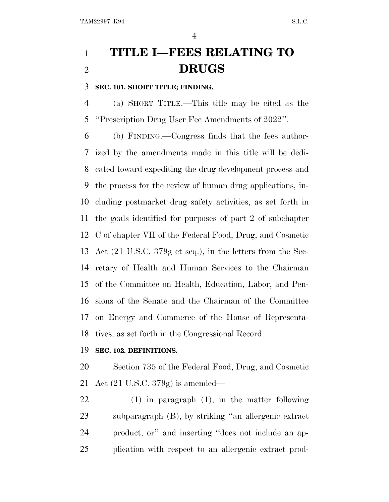# **TITLE I—FEES RELATING TO DRUGS**

**SEC. 101. SHORT TITLE; FINDING.**

 (a) SHORT TITLE.—This title may be cited as the ''Prescription Drug User Fee Amendments of 2022''.

 (b) FINDING.—Congress finds that the fees author- ized by the amendments made in this title will be dedi- cated toward expediting the drug development process and the process for the review of human drug applications, in- cluding postmarket drug safety activities, as set forth in the goals identified for purposes of part 2 of subchapter C of chapter VII of the Federal Food, Drug, and Cosmetic Act (21 U.S.C. 379g et seq.), in the letters from the Sec- retary of Health and Human Services to the Chairman of the Committee on Health, Education, Labor, and Pen- sions of the Senate and the Chairman of the Committee on Energy and Commerce of the House of Representa-tives, as set forth in the Congressional Record.

# **SEC. 102. DEFINITIONS.**

 Section 735 of the Federal Food, Drug, and Cosmetic Act (21 U.S.C. 379g) is amended—

 (1) in paragraph (1), in the matter following subparagraph (B), by striking ''an allergenic extract product, or'' and inserting ''does not include an ap-plication with respect to an allergenic extract prod-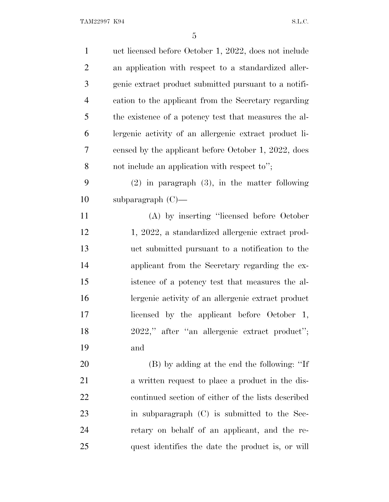| $\mathbf{1}$   | uct licensed before October 1, 2022, does not include  |
|----------------|--------------------------------------------------------|
| $\overline{2}$ | an application with respect to a standardized aller-   |
| 3              | genic extract product submitted pursuant to a notifi-  |
| $\overline{4}$ | cation to the applicant from the Secretary regarding   |
| 5              | the existence of a potency test that measures the al-  |
| 6              | lergenic activity of an allergenic extract product li- |
| 7              | censed by the applicant before October 1, 2022, does   |
| 8              | not include an application with respect to";           |
| 9              | $(2)$ in paragraph $(3)$ , in the matter following     |
| 10             | subparagraph $(C)$ —                                   |
| 11             | (A) by inserting "licensed before October              |
| 12             | 1, 2022, a standardized allergenic extract prod-       |
| 13             | uct submitted pursuant to a notification to the        |
| 14             | applicant from the Secretary regarding the ex-         |
| 15             | istence of a potency test that measures the al-        |
| 16             | lergenic activity of an allergenic extract product     |
| 17             | licensed by the applicant before October 1,            |
| 18             | 2022," after "an allergenic extract product";          |
| 19             | and                                                    |
| 20             | (B) by adding at the end the following: "If            |
| 21             | a written request to place a product in the dis-       |
| 22             | continued section of either of the lists described     |
| 23             | in subparagraph (C) is submitted to the Sec-           |
| 24             | retary on behalf of an applicant, and the re-          |
| 25             | quest identifies the date the product is, or will      |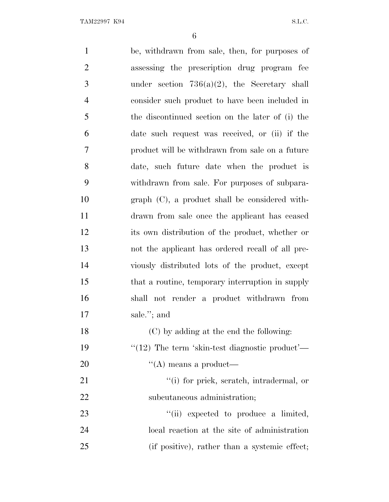| $\mathbf{1}$   | be, withdrawn from sale, then, for purposes of         |
|----------------|--------------------------------------------------------|
|                |                                                        |
| $\overline{2}$ | assessing the prescription drug program fee            |
| 3              | under section $736(a)(2)$ , the Secretary shall        |
| $\overline{4}$ | consider such product to have been included in         |
| 5              | the discontinued section on the later of (i) the       |
| 6              | date such request was received, or (ii) if the         |
| 7              | product will be withdrawn from sale on a future        |
| 8              | date, such future date when the product is             |
| 9              | withdrawn from sale. For purposes of subpara-          |
| 10             | $graph$ $(C)$ , a product shall be considered with-    |
| 11             | drawn from sale once the applicant has ceased          |
| 12             | its own distribution of the product, whether or        |
| 13             | not the applicant has ordered recall of all pre-       |
| 14             | viously distributed lots of the product, except        |
| 15             | that a routine, temporary interruption in supply       |
| 16             | shall not render a product withdrawn from              |
| 17             | sale."; and                                            |
| 18             | (C) by adding at the end the following:                |
| 19             | " $(12)$ The term 'skin-test diagnostic product'—      |
| 20             | $\lq\lq$ means a product—                              |
| 21             | "(i) for prick, scratch, intradermal, or               |
| 22             | subcutaneous administration;                           |
| 23             | $\lq$ <sup>"</sup> (ii) expected to produce a limited, |
| 24             | local reaction at the site of administration           |
| 25             | (if positive), rather than a systemic effect;          |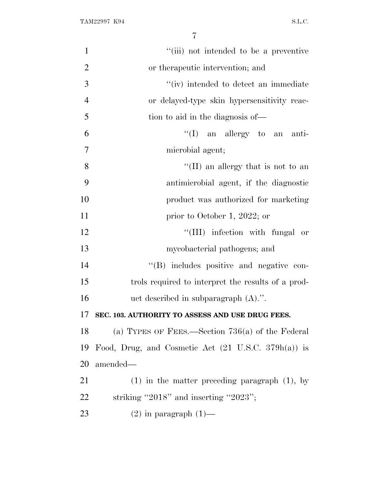| $\mathbf{1}$   | "(iii) not intended to be a preventive                         |
|----------------|----------------------------------------------------------------|
| $\overline{2}$ | or therapeutic intervention; and                               |
| 3              | "(iv) intended to detect an immediate                          |
| $\overline{4}$ | or delayed-type skin hypersensitivity reac-                    |
| 5              | tion to aid in the diagnosis of—                               |
| 6              | $\lq\lq$ (I) an allergy to an anti-                            |
| $\overline{7}$ | microbial agent;                                               |
| 8              | "(II) an allergy that is not to an                             |
| 9              | antimicrobial agent, if the diagnostic                         |
| 10             | product was authorized for marketing                           |
| 11             | prior to October 1, 2022; or                                   |
| 12             | "(III) infection with fungal or                                |
| 13             | mycobacterial pathogens; and                                   |
| 14             | "(B) includes positive and negative con-                       |
| 15             | trols required to interpret the results of a prod-             |
| 16             | uct described in subparagraph $(A)$ .".                        |
| 17             | SEC. 103. AUTHORITY TO ASSESS AND USE DRUG FEES.               |
| 18             | (a) TYPES OF FEES.—Section $736(a)$ of the Federal             |
| 19             | Food, Drug, and Cosmetic Act $(21 \text{ U.S.C. } 379h(a))$ is |
| 20             | amended—                                                       |
| 21             | $(1)$ in the matter preceding paragraph $(1)$ , by             |
| <u>22</u>      | striking "2018" and inserting "2023";                          |
| 23             | $(2)$ in paragraph $(1)$ —                                     |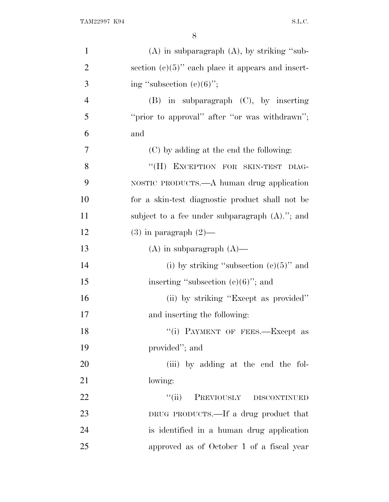| $\mathbf{1}$   | $(A)$ in subparagraph $(A)$ , by striking "sub-      |
|----------------|------------------------------------------------------|
| $\overline{2}$ | section $(c)(5)$ " each place it appears and insert- |
| 3              | ing "subsection $(c)(6)$ ";                          |
| $\overline{4}$ | $(B)$ in subparagraph $(C)$ , by inserting           |
| 5              | "prior to approval" after "or was withdrawn";        |
| 6              | and                                                  |
| 7              | (C) by adding at the end the following:              |
| 8              | "(H) EXCEPTION FOR SKIN-TEST<br>DIAG-                |
| 9              | NOSTIC PRODUCTS.—A human drug application            |
| 10             | for a skin-test diagnostic product shall not be      |
| 11             | subject to a fee under subparagraph $(A)$ ."; and    |
| 12             | $(3)$ in paragraph $(2)$ —                           |
| 13             | $(A)$ in subparagraph $(A)$ —                        |
| 14             | (i) by striking "subsection $(e)(5)$ " and           |
| 15             | inserting "subsection $(c)(6)$ "; and                |
| 16             | (ii) by striking "Except as provided"                |
| 17             | and inserting the following:                         |
| 18             | "(i) PAYMENT OF FEES.—Except as                      |
| 19             | provided"; and                                       |
| 20             | (iii) by adding at the end the fol-                  |
| 21             | lowing:                                              |
| 22             | PREVIOUSLY DISCONTINUED<br>``(ii)                    |
| 23             | DRUG PRODUCTS.—If a drug product that                |
| 24             | is identified in a human drug application            |
| 25             | approved as of October 1 of a fiscal year            |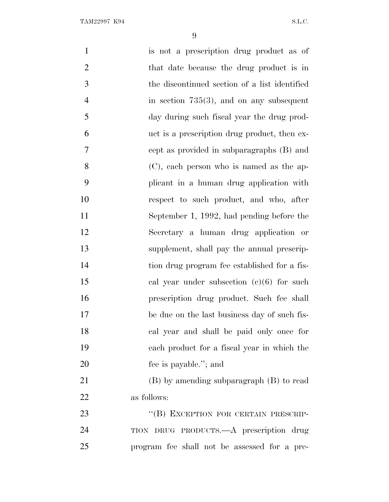| $\mathbf{1}$   | is not a prescription drug product as of      |
|----------------|-----------------------------------------------|
| $\overline{2}$ | that date because the drug product is in      |
| 3              | the discontinued section of a list identified |
| $\overline{4}$ | in section $735(3)$ , and on any subsequent   |
| 5              | day during such fiscal year the drug prod-    |
| 6              | uct is a prescription drug product, then ex-  |
| $\overline{7}$ | cept as provided in subparagraphs (B) and     |
| 8              | (C), each person who is named as the ap-      |
| 9              | plicant in a human drug application with      |
| 10             | respect to such product, and who, after       |
| 11             | September 1, 1992, had pending before the     |
| 12             | Secretary a human drug application or         |
| 13             | supplement, shall pay the annual prescrip-    |
| 14             | tion drug program fee established for a fis-  |
| 15             | cal year under subsection $(e)(6)$ for such   |
| 16             | prescription drug product. Such fee shall     |
| 17             | be due on the last business day of such fis-  |
| 18             | cal year and shall be paid only once for      |
| 19             | each product for a fiscal year in which the   |
| 20             | fee is payable."; and                         |
| 21             | $(B)$ by amending subparagraph $(B)$ to read  |
| 22             | as follows:                                   |
| 23             | "(B) EXCEPTION FOR CERTAIN PRESCRIP-          |
| 24             | TION DRUG PRODUCTS.—A prescription drug       |
| 25             | program fee shall not be assessed for a pre-  |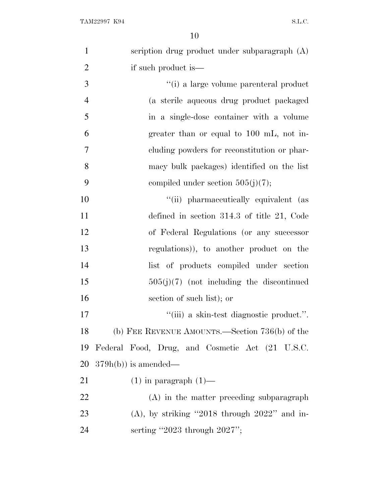| $\mathbf{1}$   | scription drug product under subparagraph (A)   |
|----------------|-------------------------------------------------|
| $\overline{2}$ | if such product is—                             |
| 3              | "(i) a large volume parenteral product          |
| $\overline{4}$ | (a sterile aqueous drug product packaged        |
| 5              | in a single-dose container with a volume        |
| 6              | greater than or equal to 100 mL, not in-        |
| 7              | eluding powders for reconstitution or phar-     |
| 8              | macy bulk packages) identified on the list      |
| 9              | compiled under section $505(j)(7)$ ;            |
| 10             | "(ii) pharmaceutically equivalent (as           |
| 11             | defined in section $314.3$ of title 21, Code    |
| 12             | of Federal Regulations (or any successor        |
| 13             | regulations)), to another product on the        |
| 14             | list of products compiled under section         |
| 15             | $505(j)(7)$ (not including the discontinued     |
| 16             | section of such list); or                       |
| 17             | "(iii) a skin-test diagnostic product.".        |
| 18             | (b) FEE REVENUE AMOUNTS.—Section 736(b) of the  |
| 19             | Federal Food, Drug, and Cosmetic Act (21 U.S.C. |
| 20             | $379h(b)$ is amended—                           |
| 21             | $(1)$ in paragraph $(1)$ —                      |
| 22             | (A) in the matter preceding subparagraph        |
| 23             | $(A)$ , by striking "2018 through 2022" and in- |
| 24             | serting "2023 through $2027$ ";                 |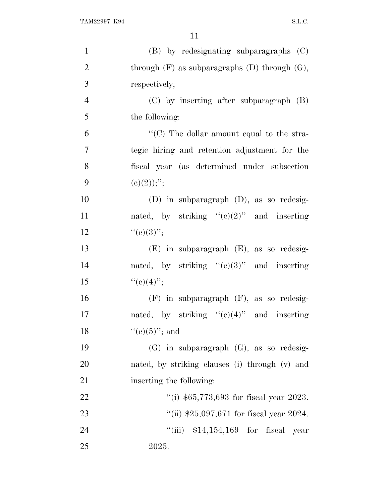| $\mathbf{1}$   | (B) by redesignating subparagraphs (C)               |
|----------------|------------------------------------------------------|
| $\overline{2}$ | through $(F)$ as subparagraphs $(D)$ through $(G)$ , |
| 3              | respectively;                                        |
| $\overline{4}$ | $(C)$ by inserting after subparagraph $(B)$          |
| 5              | the following:                                       |
| 6              | "(C) The dollar amount equal to the stra-            |
| $\overline{7}$ | tegic hiring and retention adjustment for the        |
| 8              | fiscal year (as determined under subsection          |
| 9              | (c)(2));'';                                          |
| 10             | $(D)$ in subparagraph $(D)$ , as so redesig-         |
| 11             | nated, by striking " $(e)(2)$ " and inserting        |
| 12             | ``(e)(3)'';                                          |
| 13             | $(E)$ in subparagraph $(E)$ , as so redesig-         |
| 14             | nated, by striking " $(e)(3)$ " and inserting        |
| 15             | ``(e)(4)'';                                          |
| 16             | $(F)$ in subparagraph $(F)$ , as so redesig-         |
| 17             | nated, by striking " $(e)(4)$ " and inserting        |
| 18             | " $(e)(5)$ "; and                                    |
| 19             | $(G)$ in subparagraph $(G)$ , as so redesig-         |
| 20             | nated, by striking clauses (i) through (v) and       |
| 21             | inserting the following:                             |
| 22             | "(i) $$65,773,693$ for fiscal year 2023.             |
| 23             | "(ii) $$25,097,671$ for fiscal year 2024.            |
| 24             | "(iii) $$14,154,169$ for fiscal year                 |
| 25             | 2025.                                                |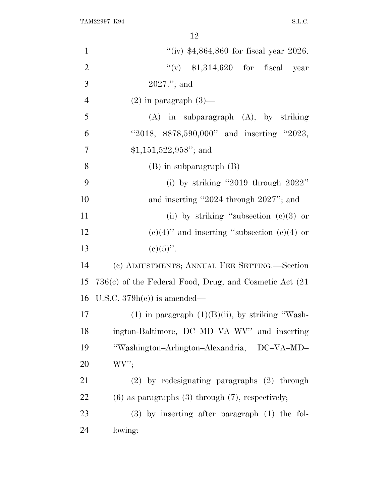| $\mathbf{1}$   | "(iv) $$4,864,860$ for fiscal year 2026.                    |
|----------------|-------------------------------------------------------------|
| $\overline{2}$ | "(v) $$1,314,620$ for fiscal year                           |
| 3              | $2027."$ ; and                                              |
| $\overline{4}$ | $(2)$ in paragraph $(3)$ —                                  |
| 5              | $(A)$ in subparagraph $(A)$ , by striking                   |
| 6              | "2018, $$878,590,000"$ and inserting "2023,                 |
| 7              | $$1,151,522,958"$ ; and                                     |
| 8              | $(B)$ in subparagraph $(B)$ —                               |
| 9              | (i) by striking "2019 through $2022$ "                      |
| 10             | and inserting "2024 through 2027"; and                      |
| 11             | (ii) by striking "subsection $(e)(3)$ or                    |
| 12             | $(e)(4)$ " and inserting "subsection $(e)(4)$ or            |
| 13             | $(c)(5)$ ".                                                 |
| 14             | (c) ADJUSTMENTS; ANNUAL FEE SETTING.—Section                |
| 15             | $736(c)$ of the Federal Food, Drug, and Cosmetic Act $(21)$ |
| 16             | U.S.C. $379h(c)$ is amended—                                |
| 17             | $(1)$ in paragraph $(1)(B)(ii)$ , by striking "Wash-        |
| 18             | ington-Baltimore, DC-MD-VA-WV" and inserting                |
| 19             | "Washington-Arlington-Alexandria, DC-VA-MD-                 |
| 20             | WV'                                                         |
| 21             | $(2)$ by redesignating paragraphs $(2)$ through             |
| 22             | $(6)$ as paragraphs $(3)$ through $(7)$ , respectively;     |
| 23             | $(3)$ by inserting after paragraph $(1)$ the fol-           |
| 24             | lowing:                                                     |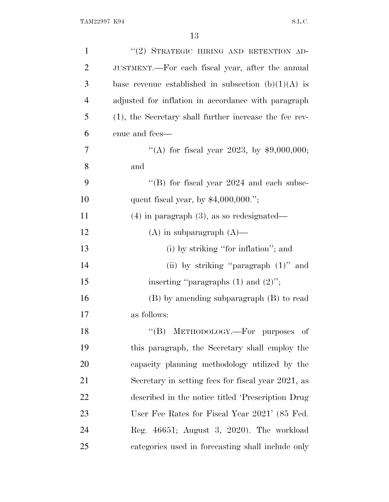| $\mathbf{1}$   | "(2) STRATEGIC HIRING AND RETENTION AD-                |
|----------------|--------------------------------------------------------|
| $\overline{2}$ | JUSTMENT.—For each fiscal year, after the annual       |
| 3              | base revenue established in subsection $(b)(1)(A)$ is  |
| $\overline{4}$ | adjusted for inflation in accordance with paragraph    |
| 5              | (1), the Secretary shall further increase the fee rev- |
| 6              | enue and fees—                                         |
| 7              | "(A) for fiscal year 2023, by $$9,000,000;$            |
| 8              | and                                                    |
| 9              | "(B) for fiscal year $2024$ and each subse-            |
| 10             | quent fiscal year, by $$4,000,000."$ ;                 |
| 11             | $(4)$ in paragraph $(3)$ , as so redesignated—         |
| 12             | $(A)$ in subparagraph $(A)$ —                          |
| 13             | (i) by striking "for inflation"; and                   |
| 14             | (ii) by striking "paragraph $(1)$ " and                |
| 15             | inserting "paragraphs $(1)$ and $(2)$ ";               |
| 16             | (B) by amending subparagraph (B) to read               |
| 17             | as follows:                                            |
| 18             | "(B) METHODOLOGY.—For purposes of                      |
| 19             | this paragraph, the Secretary shall employ the         |
| 20             | capacity planning methodology utilized by the          |
| 21             | Secretary in setting fees for fiscal year 2021, as     |
| 22             | described in the notice titled 'Prescription Drug      |
| 23             | User Fee Rates for Fiscal Year 2021' (85 Fed.          |
| 24             | Reg. 46651; August 3, 2020). The workload              |
| 25             | categories used in forecasting shall include only      |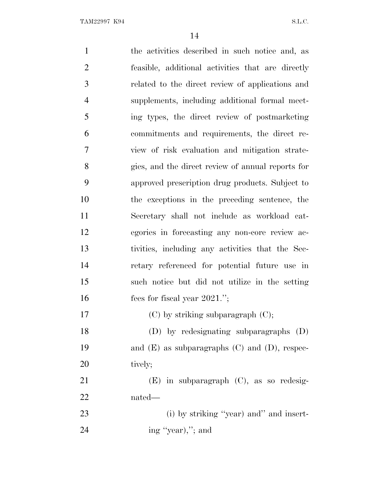the activities described in such notice and, as feasible, additional activities that are directly related to the direct review of applications and supplements, including additional formal meet- ing types, the direct review of postmarketing commitments and requirements, the direct re- view of risk evaluation and mitigation strate- gies, and the direct review of annual reports for approved prescription drug products. Subject to the exceptions in the preceding sentence, the Secretary shall not include as workload cat- egories in forecasting any non-core review ac- tivities, including any activities that the Sec- retary referenced for potential future use in such notice but did not utilize in the setting 16 fees for fiscal year 2021."; 17 (C) by striking subparagraph (C); (D) by redesignating subparagraphs (D) and (E) as subparagraphs (C) and (D), respec-20 tively; (E) in subparagraph (C), as so redesig- nated— 23 (i) by striking "year) and" and insert-24 ing "year),"; and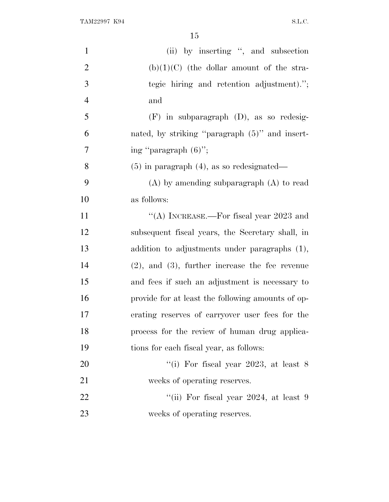| $\mathbf{1}$   | (ii) by inserting ", and subsection                  |
|----------------|------------------------------------------------------|
| $\overline{2}$ | $(b)(1)(C)$ (the dollar amount of the stra-          |
| 3              | tegic hiring and retention adjustment).";            |
| $\overline{4}$ | and                                                  |
| 5              | $(F)$ in subparagraph $(D)$ , as so redesig-         |
| 6              | nated, by striking "paragraph (5)" and insert-       |
| 7              | ing "paragraph $(6)$ ";                              |
| 8              | $(5)$ in paragraph $(4)$ , as so redesignated—       |
| 9              | $(A)$ by amending subparagraph $(A)$ to read         |
| 10             | as follows:                                          |
| 11             | "(A) INCREASE.—For fiscal year $2023$ and            |
| 12             | subsequent fiscal years, the Secretary shall, in     |
| 13             | addition to adjustments under paragraphs (1),        |
| 14             | $(2)$ , and $(3)$ , further increase the fee revenue |
| 15             | and fees if such an adjustment is necessary to       |
| 16             | provide for at least the following amounts of op-    |
| 17             | erating reserves of carryover user fees for the      |
| 18             | process for the review of human drug applica-        |
| 19             | tions for each fiscal year, as follows:              |
| 20             | "(i) For fiscal year 2023, at least $8$              |
| 21             | weeks of operating reserves.                         |
| 22             | "(ii) For fiscal year $2024$ , at least 9            |
| 23             | weeks of operating reserves.                         |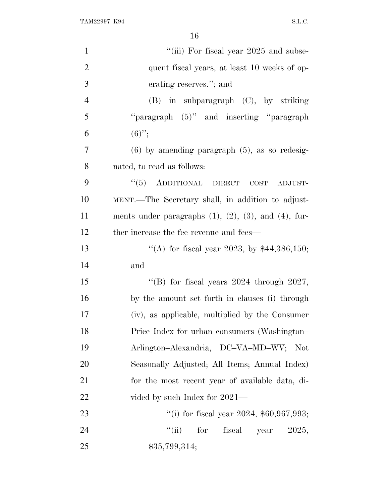TAM22997 K94 S.L.C.

| $\mathbf{1}$   | "(iii) For fiscal year 2025 and subse-                          |
|----------------|-----------------------------------------------------------------|
| $\overline{2}$ | quent fiscal years, at least 10 weeks of op-                    |
| 3              | erating reserves."; and                                         |
| $\overline{4}$ | $(B)$ in subparagraph $(C)$ , by striking                       |
| 5              | "paragraph (5)" and inserting "paragraph                        |
| 6              | $(6)$ ";                                                        |
| 7              | $(6)$ by amending paragraph $(5)$ , as so redesig-              |
| 8              | nated, to read as follows:                                      |
| 9              | $``(5)$ ADDITIONAL DIRECT<br>$\cos$<br>ADJUST-                  |
| 10             | MENT.—The Secretary shall, in addition to adjust-               |
| 11             | ments under paragraphs $(1)$ , $(2)$ , $(3)$ , and $(4)$ , fur- |
| 12             | ther increase the fee revenue and fees—                         |
| 13             | "(A) for fiscal year 2023, by $$44,386,150$ ;                   |
| 14             | and                                                             |
| 15             | "(B) for fiscal years $2024$ through $2027$ ,                   |
| 16             | by the amount set forth in clauses (i) through                  |
| 17             | (iv), as applicable, multiplied by the Consumer                 |
| 18             | Price Index for urban consumers (Washington-                    |
| 19             | Arlington-Alexandria, DC-VA-MD-WV; Not                          |
| 20             | Seasonally Adjusted; All Items; Annual Index)                   |
| 21             | for the most recent year of available data, di-                 |
| 22             | vided by such Index for 2021—                                   |
| 23             | "(i) for fiscal year 2024, $$60,967,993;$                       |
| 24             | $\lq(\mathbf{ii})$<br>for<br>fiscal<br>2025,<br>year            |
| 25             | \$35,799,314;                                                   |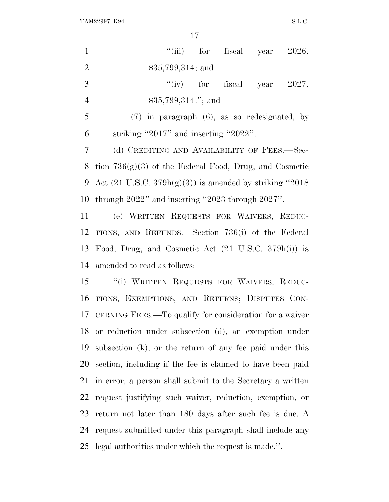TAM22997 K94 S.L.C.

| $\mathbf{1}$   | "(iii) for fiscal year $2026$ ,                                     |
|----------------|---------------------------------------------------------------------|
| $\overline{2}$ | $$35,799,314$ ; and                                                 |
| 3              | "(iv) for fiscal year $2027$ ,                                      |
| $\overline{4}$ | $$35,799,314."$ ; and                                               |
| 5              | $(7)$ in paragraph $(6)$ , as so redesignated, by                   |
| 6              | striking "2017" and inserting "2022".                               |
| 7              | (d) CREDITING AND AVAILABILITY OF FEES.-Sec-                        |
| 8              | tion $736(g)(3)$ of the Federal Food, Drug, and Cosmetic            |
| 9              | Act $(21 \text{ U.S.C. } 379h(g)(3))$ is amended by striking "2018" |
| 10             | through $2022$ " and inserting "2023 through $2027$ ".              |
| 11             | (e) WRITTEN REQUESTS FOR WAIVERS, REDUC-                            |
| 12             | TIONS, AND REFUNDS.—Section 736(i) of the Federal                   |
| 13             | Food, Drug, and Cosmetic Act (21 U.S.C. 379h(i)) is                 |
| 14             | amended to read as follows:                                         |
| 15             | "(i) WRITTEN REQUESTS FOR WAIVERS, REDUC-                           |
| 16             | TIONS, EXEMPTIONS, AND RETURNS; DISPUTES CON-                       |
|                | 17 CERNING FEES.—To qualify for consideration for a waiver          |
| 18             | or reduction under subsection (d), an exemption under               |
| 19             | subsection (k), or the return of any fee paid under this            |
| 20             | section, including if the fee is claimed to have been paid          |
| 21             | in error, a person shall submit to the Secretary a written          |
| 22             | request justifying such waiver, reduction, exemption, or            |
| 23             | return not later than 180 days after such fee is due. A             |
| 24             | request submitted under this paragraph shall include any            |
| 25             | legal authorities under which the request is made.".                |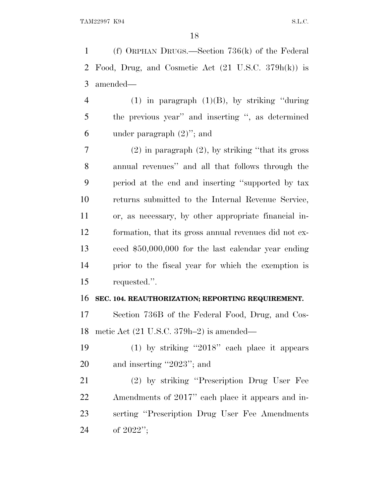(f) ORPHAN DRUGS.—Section 736(k) of the Federal Food, Drug, and Cosmetic Act (21 U.S.C. 379h(k)) is amended—

4 (1) in paragraph  $(1)(B)$ , by striking "during" the previous year'' and inserting '', as determined under paragraph (2)''; and

 (2) in paragraph (2), by striking "that its gross" annual revenues'' and all that follows through the period at the end and inserting ''supported by tax returns submitted to the Internal Revenue Service, or, as necessary, by other appropriate financial in- formation, that its gross annual revenues did not ex- ceed \$50,000,000 for the last calendar year ending prior to the fiscal year for which the exemption is requested.''.

## **SEC. 104. REAUTHORIZATION; REPORTING REQUIREMENT.**

 Section 736B of the Federal Food, Drug, and Cos-metic Act (21 U.S.C. 379h–2) is amended—

 (1) by striking ''2018'' each place it appears and inserting ''2023''; and

 (2) by striking ''Prescription Drug User Fee Amendments of 2017'' each place it appears and in- serting ''Prescription Drug User Fee Amendments of 2022'';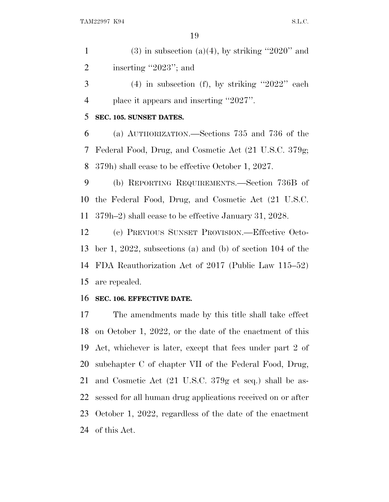1 (3) in subsection (a)(4), by striking "2020" and 2 inserting "2023"; and  $3 \qquad (4)$  in subsection (f), by striking "2022" each place it appears and inserting ''2027''. **SEC. 105. SUNSET DATES.** (a) AUTHORIZATION.—Sections 735 and 736 of the Federal Food, Drug, and Cosmetic Act (21 U.S.C. 379g; 379h) shall cease to be effective October 1, 2027. (b) REPORTING REQUIREMENTS.—Section 736B of the Federal Food, Drug, and Cosmetic Act (21 U.S.C. 379h–2) shall cease to be effective January 31, 2028. (c) PREVIOUS SUNSET PROVISION.—Effective Octo- ber 1, 2022, subsections (a) and (b) of section 104 of the FDA Reauthorization Act of 2017 (Public Law 115–52) are repealed. **SEC. 106. EFFECTIVE DATE.** The amendments made by this title shall take effect

 on October 1, 2022, or the date of the enactment of this Act, whichever is later, except that fees under part 2 of subchapter C of chapter VII of the Federal Food, Drug, and Cosmetic Act (21 U.S.C. 379g et seq.) shall be as- sessed for all human drug applications received on or after October 1, 2022, regardless of the date of the enactment of this Act.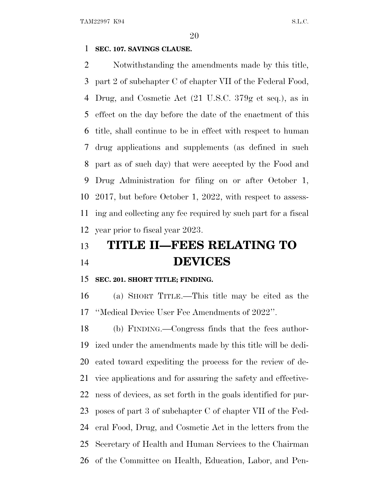## **SEC. 107. SAVINGS CLAUSE.**

 Notwithstanding the amendments made by this title, part 2 of subchapter C of chapter VII of the Federal Food, Drug, and Cosmetic Act (21 U.S.C. 379g et seq.), as in effect on the day before the date of the enactment of this title, shall continue to be in effect with respect to human drug applications and supplements (as defined in such part as of such day) that were accepted by the Food and Drug Administration for filing on or after October 1, 2017, but before October 1, 2022, with respect to assess- ing and collecting any fee required by such part for a fiscal year prior to fiscal year 2023.

# **TITLE II—FEES RELATING TO DEVICES**

## **SEC. 201. SHORT TITLE; FINDING.**

 (a) SHORT TITLE.—This title may be cited as the ''Medical Device User Fee Amendments of 2022''.

 (b) FINDING.—Congress finds that the fees author- ized under the amendments made by this title will be dedi- cated toward expediting the process for the review of de- vice applications and for assuring the safety and effective- ness of devices, as set forth in the goals identified for pur- poses of part 3 of subchapter C of chapter VII of the Fed- eral Food, Drug, and Cosmetic Act in the letters from the Secretary of Health and Human Services to the Chairman of the Committee on Health, Education, Labor, and Pen-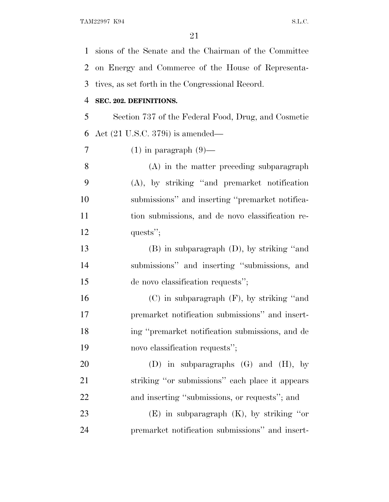sions of the Senate and the Chairman of the Committee on Energy and Commerce of the House of Representa- tives, as set forth in the Congressional Record. **SEC. 202. DEFINITIONS.** Section 737 of the Federal Food, Drug, and Cosmetic Act (21 U.S.C. 379i) is amended— 7 (1) in paragraph  $(9)$ — (A) in the matter preceding subparagraph (A), by striking ''and premarket notification submissions'' and inserting ''premarket notifica- tion submissions, and de novo classification re-12 quests"; (B) in subparagraph (D), by striking ''and submissions'' and inserting ''submissions, and de novo classification requests''; (C) in subparagraph (F), by striking ''and premarket notification submissions'' and insert- ing ''premarket notification submissions, and de novo classification requests''; (D) in subparagraphs (G) and (H), by striking ''or submissions'' each place it appears and inserting ''submissions, or requests''; and (E) in subparagraph (K), by striking ''or premarket notification submissions'' and insert-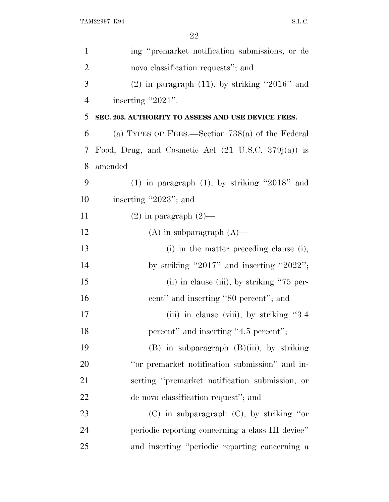| $\mathbf{1}$   | ing "premarket notification submissions, or de                 |
|----------------|----------------------------------------------------------------|
| $\overline{2}$ | novo classification requests"; and                             |
| 3              | $(2)$ in paragraph $(11)$ , by striking "2016" and             |
| $\overline{4}$ | inserting "2021".                                              |
| 5              | SEC. 203. AUTHORITY TO ASSESS AND USE DEVICE FEES.             |
| 6              | (a) TYPES OF FEES.—Section $738(a)$ of the Federal             |
| 7              | Food, Drug, and Cosmetic Act $(21 \text{ U.S.C. } 379j(a))$ is |
| 8              | amended—                                                       |
| 9              | $(1)$ in paragraph $(1)$ , by striking "2018" and              |
| 10             | inserting "2023"; and                                          |
| 11             | $(2)$ in paragraph $(2)$ —                                     |
| 12             | $(A)$ in subparagraph $(A)$ —                                  |
| 13             | (i) in the matter preceding clause (i),                        |
| 14             | by striking "2017" and inserting "2022";                       |
| 15             | $(ii)$ in clause $(iii)$ , by striking "75 per-                |
| 16             | cent" and inserting "80 percent"; and                          |
| 17             | (iii) in clause (viii), by striking "3.4                       |
| 18             | percent" and inserting "4.5 percent";                          |
| 19             | $(B)$ in subparagraph $(B)(iii)$ , by striking                 |
| 20             | "or premarket notification submission" and in-                 |
| 21             | serting "premarket notification submission, or                 |
| 22             | de novo classification request"; and                           |
| 23             | $(C)$ in subparagraph $(C)$ , by striking "or                  |
| 24             | periodic reporting concerning a class III device"              |
| 25             | and inserting "periodic reporting concerning a                 |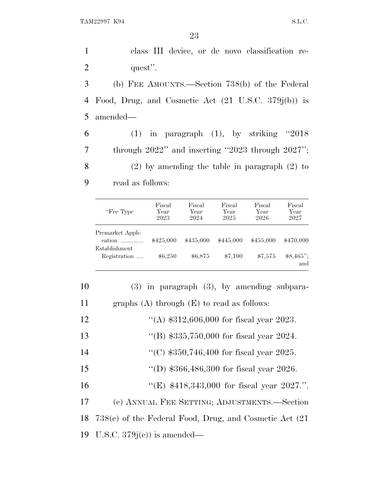class III device, or de novo classification re-2 quest''. (b) FEE AMOUNTS.—Section 738(b) of the Federal Food, Drug, and Cosmetic Act (21 U.S.C. 379j(b)) is 5 amended— (1) in paragraph (1), by striking ''2018 through 2022'' and inserting ''2023 through 2027''; (2) by amending the table in paragraph (2) to read as follows:

| "Fee Type"                    | Fiscal<br>Year<br>2023 | Fiscal<br>Year<br>2024 | Fiscal<br>Year<br>2025 | Fiscal<br>Year<br>2026 | Fiscal<br>Year<br>2027 |
|-------------------------------|------------------------|------------------------|------------------------|------------------------|------------------------|
| Premarket Appli-<br>cation    | \$425,000              | \$435,000              | \$445,000              | \$455,000              | \$470,000              |
| Establishment<br>Registration | \$6,250                | \$6,875                | \$7,100                | \$7,575                | $$8,465$ ";<br>and     |

| 10 | $(3)$ in paragraph $(3)$ , by amending subpara-             |
|----|-------------------------------------------------------------|
| 11 | graphs $(A)$ through $(E)$ to read as follows:              |
| 12 | "(A) $$312,606,000$ for fiscal year 2023.                   |
| 13 | "(B) $$335,750,000$ for fiscal year 2024.                   |
| 14 | "(C) $$350,746,400$ for fiscal year 2025.                   |
| 15 | "(D) $$366,486,300$ for fiscal year 2026.                   |
| 16 | "(E) $$418,343,000$ for fiscal year 2027.".                 |
| 17 | (c) ANNUAL FEE SETTING; ADJUSTMENTS.—Section                |
| 18 | $738(e)$ of the Federal Food, Drug, and Cosmetic Act $(21)$ |
|    | 19 U.S.C. $379j(e)$ is amended—                             |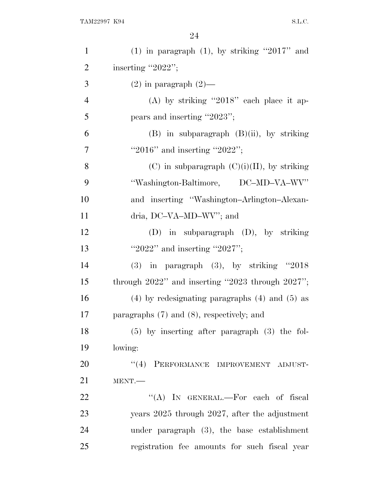| $\mathbf{1}$   | (1) in paragraph (1), by striking "2017" and           |
|----------------|--------------------------------------------------------|
| $\mathfrak{2}$ | inserting "2022";                                      |
| 3              | $(2)$ in paragraph $(2)$ —                             |
| $\overline{4}$ | (A) by striking "2018" each place it ap-               |
| 5              | pears and inserting "2023";                            |
| 6              | $(B)$ in subparagraph $(B)(ii)$ , by striking          |
| $\overline{7}$ | "2016" and inserting "2022";                           |
| 8              | $(C)$ in subparagraph $(C)(i)(II)$ , by striking       |
| 9              | "Washington-Baltimore, DC-MD-VA-WV"                    |
| 10             | and inserting "Washington-Arlington-Alexan-            |
| 11             | dria, DC-VA-MD-WV"; and                                |
| 12             | $(D)$ in subparagraph $(D)$ , by striking              |
| 13             | "2022" and inserting "2027";                           |
| 14             | $(3)$ in paragraph $(3)$ , by striking "2018           |
| 15             | through $2022$ " and inserting "2023 through $2027$ "; |
| 16             | $(4)$ by redesignating paragraphs $(4)$ and $(5)$ as   |
| 17             | paragraphs $(7)$ and $(8)$ , respectively; and         |
| 18             | $(5)$ by inserting after paragraph $(3)$ the fol-      |
| 19             | lowing:                                                |
| 20             | "(4) PERFORMANCE IMPROVEMENT ADJUST-                   |
| 21             | MENT.                                                  |
| 22             | "(A) IN GENERAL.—For each of fiscal                    |
| 23             | years 2025 through 2027, after the adjustment          |
| 24             | under paragraph $(3)$ , the base establishment         |
| 25             | registration fee amounts for such fiscal year          |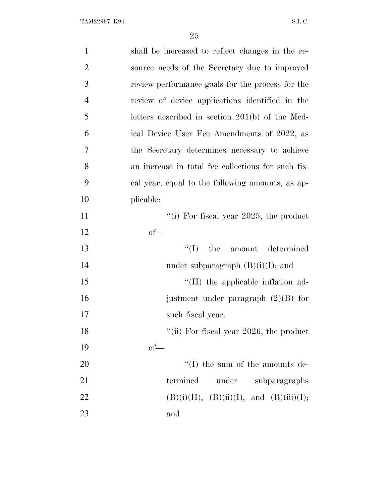| $\mathbf{1}$   | shall be increased to reflect changes in the re-   |
|----------------|----------------------------------------------------|
| $\overline{2}$ | source needs of the Secretary due to improved      |
| 3              | review performance goals for the process for the   |
| $\overline{4}$ | review of device applications identified in the    |
| 5              | letters described in section 201(b) of the Med-    |
| 6              | ical Device User Fee Amendments of 2022, as        |
| 7              | the Secretary determines necessary to achieve      |
| 8              | an increase in total fee collections for such fis- |
| 9              | cal year, equal to the following amounts, as ap-   |
| 10             | plicable:                                          |
| 11             | "(i) For fiscal year 2025, the product             |
| 12             | $of$ —                                             |
| 13             | ``(I)<br>the<br>amount determined                  |
| 14             | under subparagraph $(B)(i)(I)$ ; and               |
| 15             | $\lq$ (II) the applicable inflation ad-            |
| 16             | justment under paragraph $(2)(B)$ for              |
| 17             | such fiscal year.                                  |
| 18             | "(ii) For fiscal year $2026$ , the product         |
| 19             | $of$ —                                             |
| 20             | $\lq\lq$ (I) the sum of the amounts de-            |
| 21             | termined<br>under<br>subparagraphs                 |
| 22             | $(B)(i)(II), (B)(ii)(I), and (B)(iii)(I);$         |
| 23             | and                                                |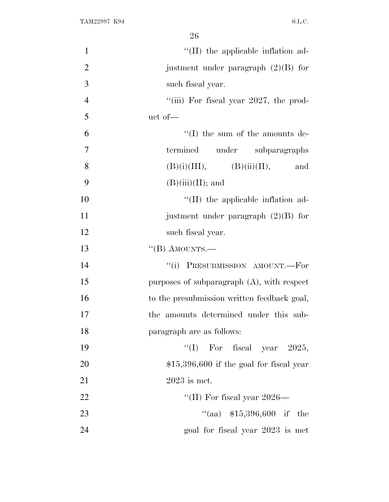| $\mathbf{1}$   | "(II) the applicable inflation ad-            |
|----------------|-----------------------------------------------|
| $\overline{2}$ | justment under paragraph $(2)(B)$ for         |
| 3              | such fiscal year.                             |
| $\overline{4}$ | "(iii) For fiscal year $2027$ , the prod-     |
| 5              | uct of-                                       |
| 6              | $\lq\lq$ (I) the sum of the amounts de-       |
| $\overline{7}$ | termined under subparagraphs                  |
| 8              | $(B)(i)(III), \qquad (B)(ii)(II),$<br>and     |
| 9              | $(B)(iii)(II);$ and                           |
| 10             | $\lq$ (II) the applicable inflation ad-       |
| 11             | justment under paragraph $(2)(B)$ for         |
| 12             | such fiscal year.                             |
| 13             | $\lq$ (B) AMOUNTS.—                           |
| 14             | "(i) PRESUBMISSION AMOUNT.—For                |
| 15             | purposes of subparagraph $(A)$ , with respect |
| 16             | to the presubmission written feedback goal,   |
| 17             | the amounts determined under this sub-        |
| 18             | paragraph are as follows:                     |
| 19             | "(I) For fiscal year $2025$ ,                 |
| 20             | $$15,396,600$ if the goal for fiscal year     |
| 21             | $2023$ is met.                                |
| 22             | "(II) For fiscal year $2026-$                 |
| 23             | "(aa) $$15,396,600$ if the                    |
| 24             | goal for fiscal year 2023 is met              |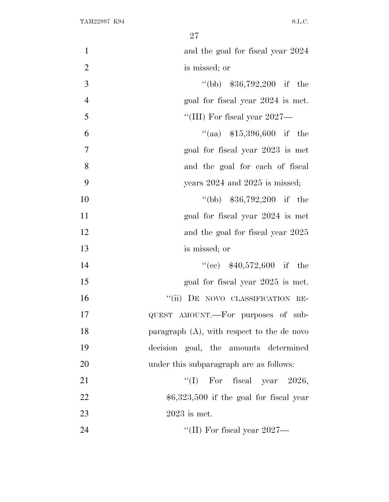| $\mathbf{1}$   | and the goal for fiscal year 2024             |
|----------------|-----------------------------------------------|
| $\overline{2}$ | is missed; or                                 |
| 3              | "(bb) $$36,792,200$ if the                    |
| $\overline{4}$ | goal for fiscal year 2024 is met.             |
| 5              | "(III) For fiscal year $2027$ —               |
| 6              | "(aa) $$15,396,600$ if the                    |
| 7              | goal for fiscal year 2023 is met              |
| 8              | and the goal for each of fiscal               |
| 9              | years $2024$ and $2025$ is missed;            |
| 10             | "(bb) $$36,792,200$ if the                    |
| 11             | goal for fiscal year 2024 is met              |
| 12             | and the goal for fiscal year 2025             |
| 13             | is missed; or                                 |
| 14             | "(cc) $$40,572,600$ if the                    |
| 15             | goal for fiscal year 2025 is met.             |
| 16             | "(ii) DE NOVO CLASSIFICATION RE-              |
| 17             | QUEST AMOUNT.—For purposes of sub-            |
| 18             | paragraph $(A)$ , with respect to the de novo |
| 19             | decision goal, the amounts determined         |
| 20             | under this subparagraph are as follows:       |
| 21             | "(I) For fiscal year $2026$ ,                 |
| 22             | $$6,323,500$ if the goal for fiscal year      |
| 23             | $2023$ is met.                                |
| 24             | "(II) For fiscal year 2027—                   |
|                |                                               |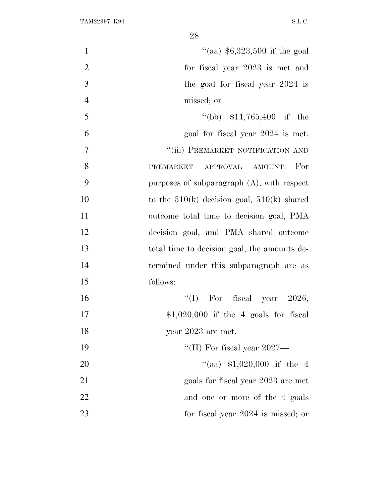| "(aa) $$6,323,500$ if the goal<br>$\mathbf{1}$     |    |
|----------------------------------------------------|----|
| $\overline{2}$<br>for fiscal year 2023 is met and  |    |
| 3<br>the goal for fiscal year 2024 is              |    |
| $\overline{4}$<br>missed; or                       |    |
| 5<br>$\text{``(bb)}$ \$11,765,400 if the           |    |
| 6<br>goal for fiscal year 2024 is met.             |    |
| "(iii) PREMARKET NOTIFICATION AND<br>7             |    |
| 8<br>PREMARKET APPROVAL AMOUNT.-For                |    |
| 9<br>purposes of subparagraph $(A)$ , with respect |    |
| to the $510(k)$ decision goal, $510(k)$ shared     | 10 |
| outcome total time to decision goal, PMA           | 11 |
| decision goal, and PMA shared outcome              | 12 |
| total time to decision goal, the amounts de-       | 13 |
| termined under this subparagraph are as            | 14 |
| follows:                                           | 15 |
| "(I) For fiscal year $2026$ ,                      | 16 |
| $$1,020,000$ if the 4 goals for fiscal             | 17 |
| year $2023$ are met.                               | 18 |
| "(II) For fiscal year $2027$ —                     | 19 |
| "(aa) $$1,020,000$ if the 4                        | 20 |
| goals for fiscal year 2023 are met                 | 21 |
| and one or more of the 4 goals                     | 22 |
| for fiscal year 2024 is missed; or                 | 23 |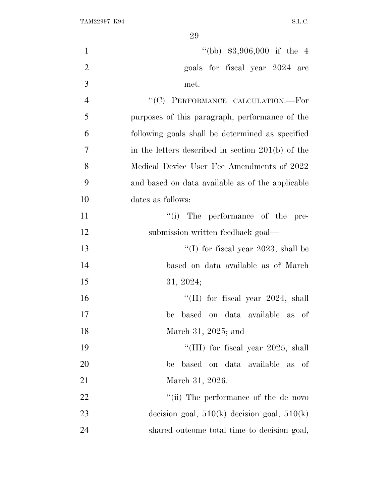| $\mathbf{1}$   | "(bb) $$3,906,000$ if the 4                       |
|----------------|---------------------------------------------------|
| $\overline{2}$ | goals for fiscal year 2024 are                    |
| 3              | met.                                              |
| $\overline{4}$ | "(C) PERFORMANCE CALCULATION.-For                 |
| 5              | purposes of this paragraph, performance of the    |
| 6              | following goals shall be determined as specified  |
| 7              | in the letters described in section 201(b) of the |
| 8              | Medical Device User Fee Amendments of 2022        |
| 9              | and based on data available as of the applicable  |
| 10             | dates as follows:                                 |
| 11             | "(i) The performance of the pre-                  |
| 12             | submission written feedback goal—                 |
| 13             | "(I) for fiscal year 2023, shall be               |
| 14             | based on data available as of March               |
| 15             | 31, 2024;                                         |
| 16             | "(II) for fiscal year $2024$ , shall              |
| 17             | based on data available as of<br>be               |
| 18             | March 31, 2025; and                               |
| 19             | "(III) for fiscal year 2025, shall                |
| <b>20</b>      | based on data available as<br>be<br>- of          |
| 21             | March 31, 2026.                                   |
| 22             | "(ii) The performance of the de novo              |
| 23             | decision goal, $510(k)$ decision goal, $510(k)$   |
| 24             | shared outcome total time to decision goal,       |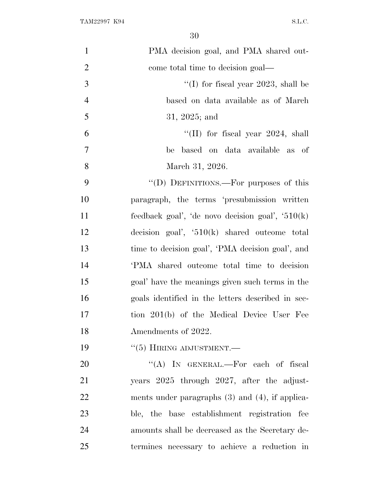| $\mathbf{1}$   | PMA decision goal, and PMA shared out-               |
|----------------|------------------------------------------------------|
| $\overline{2}$ | come total time to decision goal—                    |
| 3              | "(I) for fiscal year 2023, shall be                  |
| $\overline{4}$ | based on data available as of March                  |
| 5              | 31, 2025; and                                        |
| 6              | "(II) for fiscal year $2024$ , shall                 |
| $\overline{7}$ | based on data available as of<br>be                  |
| 8              | March 31, 2026.                                      |
| 9              | "(D) DEFINITIONS.—For purposes of this               |
| 10             | paragraph, the terms 'presubmission written          |
| 11             | feedback goal', 'de novo decision goal', $510(k)$    |
| 12             | decision goal', $510(k)$ shared outcome total        |
| 13             | time to decision goal', 'PMA decision goal', and     |
| 14             | PMA shared outcome total time to decision            |
| 15             | goal' have the meanings given such terms in the      |
| 16             | goals identified in the letters described in sec-    |
| 17             | tion 201(b) of the Medical Device User Fee           |
| 18             | Amendments of 2022.                                  |
| 19             | $\cdot\cdot$ (5) HIRING ADJUSTMENT.—                 |
| 20             | "(A) IN GENERAL.—For each of fiscal                  |
| 21             | years 2025 through 2027, after the adjust-           |
| 22             | ments under paragraphs $(3)$ and $(4)$ , if applica- |
| 23             | ble, the base establishment registration fee         |
| 24             | amounts shall be decreased as the Secretary de-      |
| 25             | termines necessary to achieve a reduction in         |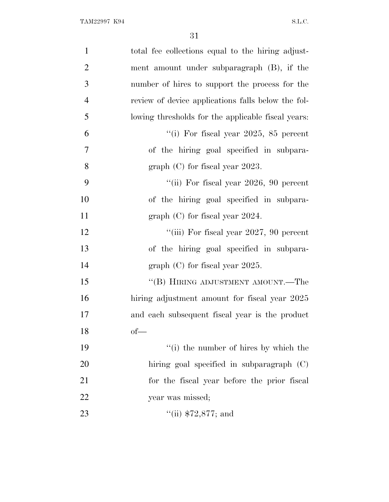| $\mathbf{1}$   | total fee collections equal to the hiring adjust-  |
|----------------|----------------------------------------------------|
| $\overline{2}$ | ment amount under subparagraph (B), if the         |
| 3              | number of hires to support the process for the     |
| $\overline{4}$ | review of device applications falls below the fol- |
| 5              | lowing thresholds for the applicable fiscal years: |
| 6              | "(i) For fiscal year 2025, 85 percent              |
| 7              | of the hiring goal specified in subpara-           |
| 8              | graph $(C)$ for fiscal year 2023.                  |
| 9              | "(ii) For fiscal year $2026$ , 90 percent          |
| 10             | of the hiring goal specified in subpara-           |
| 11             | graph $(C)$ for fiscal year 2024.                  |
| 12             | "(iii) For fiscal year $2027$ , 90 percent         |
| 13             | of the hiring goal specified in subpara-           |
| 14             | graph $(C)$ for fiscal year 2025.                  |
| 15             | "(B) HIRING ADJUSTMENT AMOUNT.—The                 |
| 16             | hiring adjustment amount for fiscal year 2025      |
| 17             | and each subsequent fiscal year is the product     |
| 18             | $of$ —                                             |
| 19             | "(i) the number of hires by which the              |
| 20             | hiring goal specified in subparagraph (C)          |
| 21             | for the fiscal year before the prior fiscal        |
| 22             | year was missed;                                   |
| 23             | $``$ (ii) \$72,877; and                            |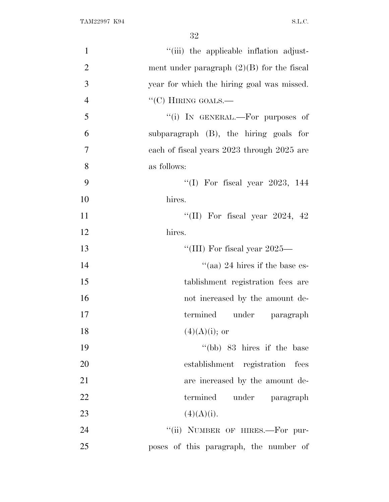| $\mathbf{1}$   | "(iii) the applicable inflation adjust-      |
|----------------|----------------------------------------------|
| $\overline{2}$ | ment under paragraph $(2)(B)$ for the fiscal |
| 3              | year for which the hiring goal was missed.   |
| $\overline{4}$ | $\lq\lq$ (C) HIRING GOALS.—                  |
| 5              | "(i) IN GENERAL.—For purposes of             |
| 6              | subparagraph $(B)$ , the hiring goals for    |
| $\tau$         | each of fiscal years 2023 through 2025 are   |
| 8              | as follows:                                  |
| 9              | "(I) For fiscal year $2023$ , 144            |
| 10             | hires.                                       |
| 11             | "(II) For fiscal year 2024, 42               |
| 12             | hires.                                       |
| 13             | "(III) For fiscal year $2025-$               |
| 14             | "(aa) 24 hires if the base es-               |
| 15             | tablishment registration fees are            |
| 16             | not increased by the amount de-              |
| 17             | termined under paragraph                     |
| 18             | $(4)(A)(i);$ or                              |
| 19             | $\degree$ (bb) 83 hires if the base          |
| 20             | establishment registration<br>fees           |
| 21             | are increased by the amount de-              |
| 22             | termined under paragraph                     |
| 23             | (4)(A)(i).                                   |
| 24             | "(ii) NUMBER OF HIRES.-For pur-              |
| 25             | poses of this paragraph, the number of       |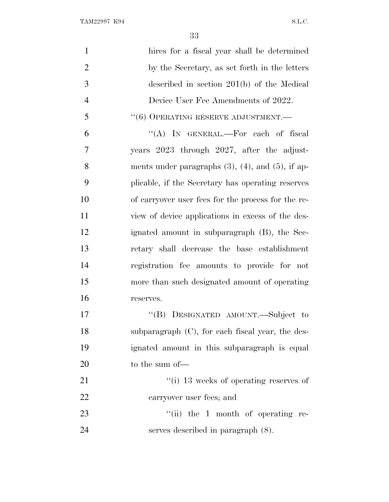TAM22997 K94 S.L.C.

| $\mathbf{1}$   | hires for a fiscal year shall be determined               |
|----------------|-----------------------------------------------------------|
| $\overline{2}$ | by the Secretary, as set forth in the letters             |
| 3              | described in section $201(b)$ of the Medical              |
| $\overline{4}$ | Device User Fee Amendments of 2022.                       |
| 5              | $``(6)$ OPERATING RESERVE ADJUSTMENT.—                    |
| 6              | "(A) IN GENERAL.—For each of fiscal                       |
| 7              | years 2023 through 2027, after the adjust-                |
| 8              | ments under paragraphs $(3)$ , $(4)$ , and $(5)$ , if ap- |
| 9              | plicable, if the Secretary has operating reserves         |
| 10             | of carryover user fees for the process for the re-        |
| 11             | view of device applications in excess of the des-         |
| 12             | ignated amount in subparagraph (B), the Sec-              |
| 13             | retary shall decrease the base establishment              |
| 14             | registration fee amounts to provide for not               |
| 15             | more than such designated amount of operating             |
| 16             | reserves.                                                 |
| 17             | "(B) DESIGNATED AMOUNT.—Subject to                        |
| 18             | subparagraph (C), for each fiscal year, the des-          |
| 19             | ignated amount in this subparagraph is equal              |
| 20             | to the sum of-                                            |
| 21             | $\lq\lq$ (i) 13 weeks of operating reserves of            |
| 22             | carryover user fees; and                                  |
| 23             | $``(ii)$ the 1 month of operating re-                     |
| 24             | serves described in paragraph $(8)$ .                     |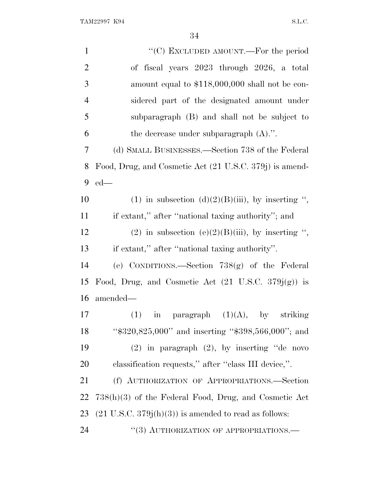| $\mathbf{1}$   | "(C) EXCLUDED AMOUNT.—For the period                             |
|----------------|------------------------------------------------------------------|
| $\overline{2}$ | of fiscal years 2023 through 2026, a total                       |
| 3              | amount equal to \$118,000,000 shall not be con-                  |
| $\overline{4}$ | sidered part of the designated amount under                      |
| 5              | subparagraph (B) and shall not be subject to                     |
| 6              | the decrease under subparagraph $(A)$ .".                        |
| 7              | (d) SMALL BUSINESSES.—Section 738 of the Federal                 |
| 8              | Food, Drug, and Cosmetic Act (21 U.S.C. 379j) is amend-          |
| 9              | $ed$ —                                                           |
| 10             | (1) in subsection (d)(2)(B)(iii), by inserting ",                |
| 11             | if extant," after "national taxing authority"; and               |
| 12             | (2) in subsection (e)(2)(B)(iii), by inserting ",                |
| 13             | if extant," after "national taxing authority".                   |
| 14             | (e) CONDITIONS.—Section 738(g) of the Federal                    |
| 15             | Food, Drug, and Cosmetic Act $(21 \text{ U.S.C. } 379j(g))$ is   |
| 16             | amended-                                                         |
| 17             | paragraph $(1)(A)$ , by striking<br>(1)<br>in                    |
| 18             | " $\$320,825,000"$ and inserting " $\$398,566,000"$ ; and        |
| 19             | $(2)$ in paragraph $(2)$ , by inserting "de novo                 |
| 20             | classification requests," after "class III device,".             |
| 21             | (f) AUTHORIZATION OF APPROPRIATIONS.-Section                     |
| 22             | $738(h)(3)$ of the Federal Food, Drug, and Cosmetic Act          |
| 23             | $(21 \text{ U.S.C. } 379j(h)(3))$ is amended to read as follows: |
| 24             | "(3) AUTHORIZATION OF APPROPRIATIONS.-                           |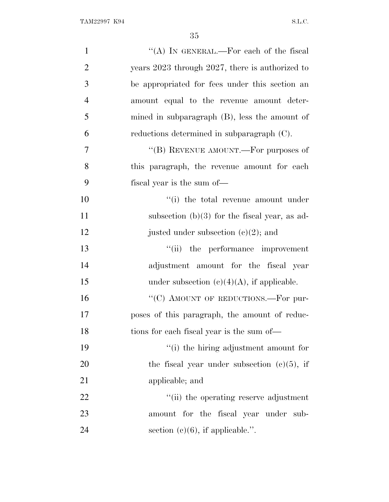| $\mathbf{1}$   | "(A) IN GENERAL.—For each of the fiscal          |
|----------------|--------------------------------------------------|
| $\mathfrak{2}$ | years 2023 through 2027, there is authorized to  |
| 3              | be appropriated for fees under this section an   |
| $\overline{4}$ | amount equal to the revenue amount deter-        |
| 5              | mined in subparagraph $(B)$ , less the amount of |
| 6              | reductions determined in subparagraph (C).       |
| $\tau$         | "(B) REVENUE AMOUNT.—For purposes of             |
| 8              | this paragraph, the revenue amount for each      |
| 9              | fiscal year is the sum of—                       |
| 10             | "(i) the total revenue amount under              |
| 11             | subsection $(b)(3)$ for the fiscal year, as ad-  |
| 12             | justed under subsection $(c)(2)$ ; and           |
| 13             | "(ii) the performance improvement                |
| 14             | adjustment amount for the fiscal year            |
| 15             | under subsection $(c)(4)(A)$ , if applicable.    |
| 16             | "(C) AMOUNT OF REDUCTIONS.—For pur-              |
| 17             | poses of this paragraph, the amount of reduc-    |
| 18             | tions for each fiscal year is the sum of—        |
| 19             | "(i) the hiring adjustment amount for            |
| 20             | the fiscal year under subsection $(c)(5)$ , if   |
| 21             | applicable; and                                  |
| 22             | "(ii) the operating reserve adjustment           |
| 23             | amount for the fiscal year under sub-            |
| 24             | section $(c)(6)$ , if applicable.".              |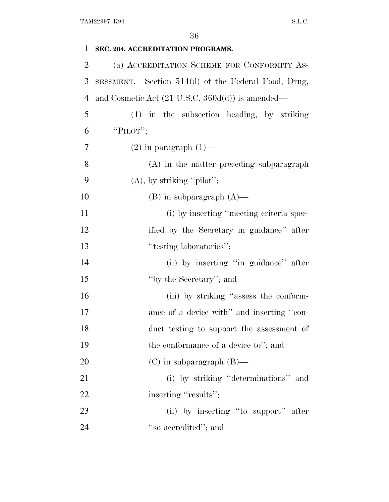| 1              | SEC. 204. ACCREDITATION PROGRAMS.                           |
|----------------|-------------------------------------------------------------|
| $\overline{2}$ | (a) ACCREDITATION SCHEME FOR CONFORMITY AS-                 |
| 3              | SESSMENT.—Section 514(d) of the Federal Food, Drug,         |
| $\overline{4}$ | and Cosmetic Act $(21 \text{ U.S.C. } 360d(d))$ is amended— |
| 5              | (1) in the subsection heading, by striking                  |
| 6              | "PILOT";                                                    |
| 7              | $(2)$ in paragraph $(1)$ —                                  |
| 8              | $(A)$ in the matter preceding subparagraph                  |
| 9              | $(A)$ , by striking "pilot";                                |
| 10             | $(B)$ in subparagraph $(A)$ —                               |
| 11             | (i) by inserting "meeting criteria spec-                    |
| 12             | ified by the Secretary in guidance" after                   |
| 13             | "testing laboratories";                                     |
| 14             | (ii) by inserting "in guidance" after                       |
| 15             | "by the Secretary"; and                                     |
| 16             | (iii) by striking "assess the conform-                      |
| 17             | ance of a device with" and inserting "con-                  |
| 18             | duct testing to support the assessment of                   |
| 19             | the conformance of a device to"; and                        |
| 20             | $(C)$ in subparagraph $(B)$ —                               |
| 21             | (i) by striking "determinations" and                        |
| 22             | inserting "results";                                        |
| 23             | (ii) by inserting "to support" after                        |
| 24             | "so accredited"; and                                        |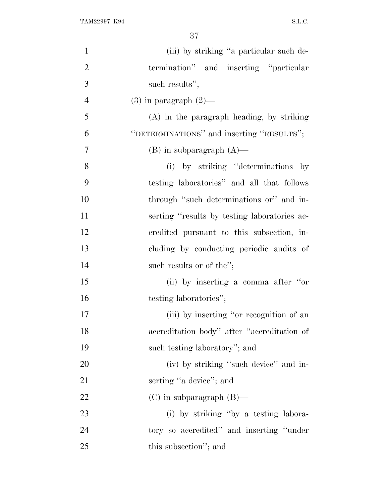| $\mathbf{1}$   | (iii) by striking "a particular such de-     |
|----------------|----------------------------------------------|
| $\overline{2}$ | termination" and inserting "particular       |
| 3              | such results";                               |
| $\overline{4}$ | $(3)$ in paragraph $(2)$ —                   |
| 5              | $(A)$ in the paragraph heading, by striking  |
| 6              | "DETERMINATIONS" and inserting "RESULTS";    |
| 7              | $(B)$ in subparagraph $(A)$ —                |
| 8              | (i) by striking "determinations by           |
| 9              | testing laboratories" and all that follows   |
| 10             | through "such determinations or" and in-     |
| 11             | serting "results by testing laboratories ac- |
| 12             | credited pursuant to this subsection, in-    |
| 13             | cluding by conducting periodic audits of     |
| 14             | such results or of the";                     |
| 15             | (ii) by inserting a comma after "or          |
| 16             | testing laboratories";                       |
| 17             | (iii) by inserting "or recognition of an     |
| 18             | accreditation body" after "accreditation of  |
| 19             | such testing laboratory"; and                |
| 20             | (iv) by striking "such device" and in-       |
| 21             | serting "a device"; and                      |
| 22             | $(C)$ in subparagraph $(B)$ —                |
| 23             | (i) by striking "by a testing labora-        |
| 24             | tory so accredited" and inserting "under"    |
| 25             | this subsection"; and                        |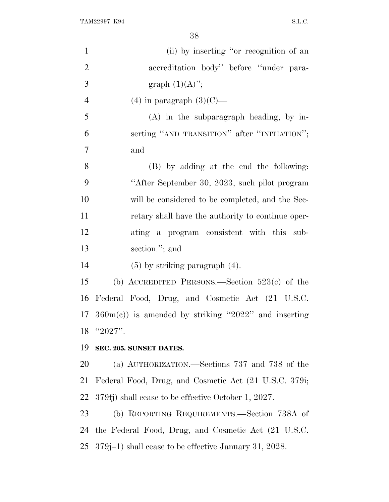| $\mathbf{1}$             | (ii) by inserting "or recognition of an                                |
|--------------------------|------------------------------------------------------------------------|
| $\mathbf{2}$             | accreditation body" before "under para-                                |
| 3                        | graph $(1)(A)$ ";                                                      |
| $\overline{\mathcal{A}}$ | $(4)$ in paragraph $(3)(C)$ —                                          |
| 5                        | $(A)$ in the subparagraph heading, by in-                              |
| 6                        | serting "AND TRANSITION" after "INITIATION";                           |
| $\overline{7}$           | and                                                                    |
| 8                        | (B) by adding at the end the following:                                |
| 9                        | "After September 30, 2023, such pilot program                          |
| 10                       | will be considered to be completed, and the Sec-                       |
| 11                       | retary shall have the authority to continue oper-                      |
| 12                       | ating a program consistent with this sub-                              |
| 13                       | section."; and                                                         |
| 14                       | $(5)$ by striking paragraph $(4)$ .                                    |
| 15                       | (b) ACCREDITED PERSONS.—Section $523(c)$ of the                        |
| 16                       | Federal Food, Drug, and Cosmetic Act (21 U.S.C.                        |
|                          | 17 $360m(e)$ is amended by striking "2022" and inserting               |
| 18                       | " $2027"$ .                                                            |
| 19                       | SEC. 205. SUNSET DATES.                                                |
| <b>20</b>                | (a) AUTHORIZATION.—Sections 737 and 738 of the                         |
| 21                       | Federal Food, Drug, and Cosmetic Act (21 U.S.C. 379i;                  |
| 22                       | 379fj) shall cease to be effective October 1, 2027.                    |
| 23                       | (b) REPORTING REQUIREMENTS.—Section 738A of                            |
| 24                       | the Federal Food, Drug, and Cosmetic Act (21 U.S.C.                    |
|                          | 25 379 j <sup>-1</sup> ) shall cease to be effective January 31, 2028. |
|                          |                                                                        |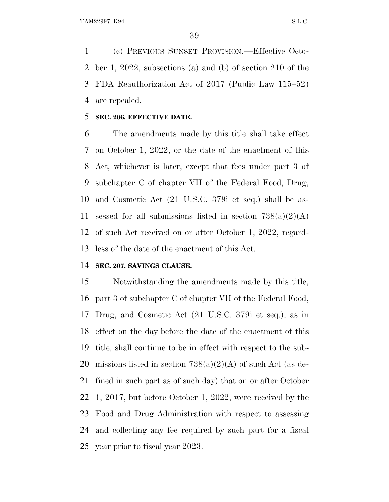(c) PREVIOUS SUNSET PROVISION.—Effective Octo- ber 1, 2022, subsections (a) and (b) of section 210 of the FDA Reauthorization Act of 2017 (Public Law 115–52) are repealed.

#### **SEC. 206. EFFECTIVE DATE.**

 The amendments made by this title shall take effect on October 1, 2022, or the date of the enactment of this Act, whichever is later, except that fees under part 3 of subchapter C of chapter VII of the Federal Food, Drug, and Cosmetic Act (21 U.S.C. 379i et seq.) shall be as-11 sessed for all submissions listed in section  $738(a)(2)(A)$  of such Act received on or after October 1, 2022, regard-less of the date of the enactment of this Act.

### **SEC. 207. SAVINGS CLAUSE.**

 Notwithstanding the amendments made by this title, part 3 of subchapter C of chapter VII of the Federal Food, Drug, and Cosmetic Act (21 U.S.C. 379i et seq.), as in effect on the day before the date of the enactment of this title, shall continue to be in effect with respect to the sub-20 missions listed in section  $738(a)(2)(A)$  of such Act (as de- fined in such part as of such day) that on or after October 1, 2017, but before October 1, 2022, were received by the Food and Drug Administration with respect to assessing and collecting any fee required by such part for a fiscal year prior to fiscal year 2023.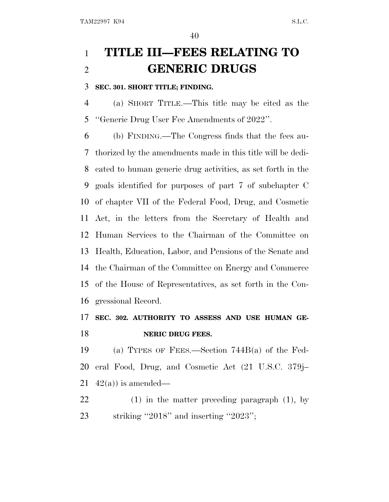# **TITLE III—FEES RELATING TO GENERIC DRUGS**

## **SEC. 301. SHORT TITLE; FINDING.**

 (a) SHORT TITLE.—This title may be cited as the ''Generic Drug User Fee Amendments of 2022''.

 (b) FINDING.—The Congress finds that the fees au- thorized by the amendments made in this title will be dedi- cated to human generic drug activities, as set forth in the goals identified for purposes of part 7 of subchapter C of chapter VII of the Federal Food, Drug, and Cosmetic Act, in the letters from the Secretary of Health and Human Services to the Chairman of the Committee on Health, Education, Labor, and Pensions of the Senate and the Chairman of the Committee on Energy and Commerce of the House of Representatives, as set forth in the Con-gressional Record.

# **SEC. 302. AUTHORITY TO ASSESS AND USE HUMAN GE-NERIC DRUG FEES.**

 (a) TYPES OF FEES.—Section 744B(a) of the Fed- eral Food, Drug, and Cosmetic Act (21 U.S.C. 379j– 21  $42(a)$  is amended—

 (1) in the matter preceding paragraph (1), by 23 striking "2018" and inserting "2023";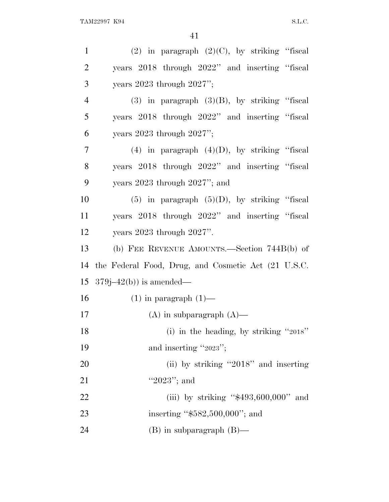| $\mathbf{1}$   | $(2)$ in paragraph $(2)(C)$ , by striking "fiscal   |
|----------------|-----------------------------------------------------|
| $\overline{2}$ | years 2018 through 2022" and inserting "fiscal      |
| 3              | years $2023$ through $2027$ ";                      |
| $\overline{4}$ | $(3)$ in paragraph $(3)(B)$ , by striking "fiscal   |
| 5              | years 2018 through 2022" and inserting "fiscal      |
| 6              | years $2023$ through $2027$ ";                      |
| 7              | $(4)$ in paragraph $(4)(D)$ , by striking "fiscal   |
| 8              | years 2018 through 2022" and inserting "fiscal      |
| 9              | years $2023$ through $2027$ "; and                  |
| 10             | $(5)$ in paragraph $(5)(D)$ , by striking "fiscal   |
| 11             | years 2018 through 2022" and inserting "fiscal      |
| 12             | years $2023$ through $2027$ ".                      |
| 13             | (b) FEE REVENUE AMOUNTS.—Section 744B(b) of         |
| 14             | the Federal Food, Drug, and Cosmetic Act (21 U.S.C. |
| 15             | $379j - 42(b)$ ) is amended—                        |
| 16             | $(1)$ in paragraph $(1)$ —                          |
| 17             | $(A)$ in subparagraph $(A)$ —                       |
| 18             | (i) in the heading, by striking "2018"              |
| 19             |                                                     |
|                | and inserting "2023";                               |
| 20             | (ii) by striking "2018" and inserting               |
| 21             | "2023"; and                                         |
| 22             | (iii) by striking " $$493,600,000"$ and             |
| 23             | inserting " $$582,500,000$ "; and                   |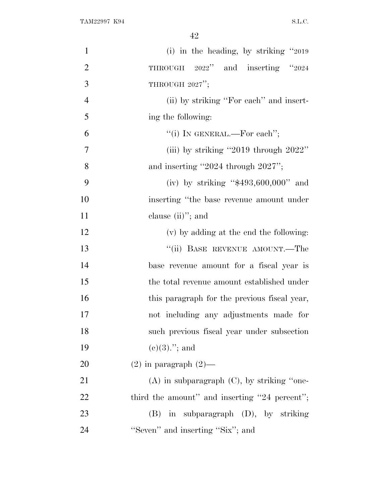| $\mathbf{1}$   | (i) in the heading, by striking $"2019"$        |
|----------------|-------------------------------------------------|
| $\overline{2}$ | THROUGH 2022" and inserting "2024               |
| 3              | THROUGH $2027$ ";                               |
| $\overline{4}$ | (ii) by striking "For each" and insert-         |
| 5              | ing the following:                              |
| 6              | "(i) IN GENERAL.—For each";                     |
| 7              | (iii) by striking "2019 through $2022$ "        |
| 8              | and inserting $"2024$ through $2027"$ ;         |
| 9              | (iv) by striking " $$493,600,000"$ and          |
| 10             | inserting "the base revenue amount under        |
| 11             | clause $(ii)$ "; and                            |
| 12             | (v) by adding at the end the following:         |
| 13             | "(ii) BASE REVENUE AMOUNT.—The                  |
| 14             | base revenue amount for a fiscal year is        |
| 15             | the total revenue amount established under      |
| 16             | this paragraph for the previous fiscal year,    |
| 17             | not including any adjustments made for          |
| 18             | such previous fiscal year under subsection      |
| 19             | $(e)(3)$ ."; and                                |
| 20             | $(2)$ in paragraph $(2)$ —                      |
| 21             | $(A)$ in subparagraph $(C)$ , by striking "one- |
| 22             | third the amount" and inserting "24 percent";   |
| 23             | $(B)$ in subparagraph $(D)$ , by striking       |
| 24             | "Seven" and inserting "Six"; and                |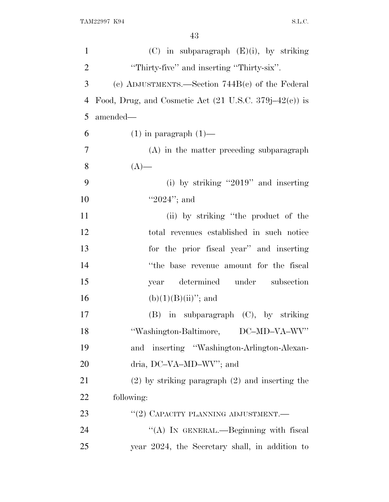| $\mathbf{1}$   | $(C)$ in subparagraph $(E)(i)$ , by striking                      |
|----------------|-------------------------------------------------------------------|
| $\overline{2}$ | "Thirty-five" and inserting "Thirty-six".                         |
| 3              | (c) ADJUSTMENTS.—Section $744B(c)$ of the Federal                 |
| $\overline{4}$ | Food, Drug, and Cosmetic Act $(21 \text{ U.S.C. } 379j-42(c))$ is |
| 5              | amended-                                                          |
| 6              | $(1)$ in paragraph $(1)$ —                                        |
| 7              | (A) in the matter preceding subparagraph                          |
| 8              | $(A)$ —                                                           |
| 9              | (i) by striking "2019" and inserting                              |
| 10             | " $2024$ "; and                                                   |
| 11             | (ii) by striking "the product of the                              |
| 12             | total revenues established in such notice                         |
| 13             | for the prior fiscal year" and inserting                          |
| 14             | "the base revenue amount for the fiscal                           |
| 15             | determined under subsection<br>year                               |
| 16             | $(b)(1)(B)(ii)$ "; and                                            |
| 17             | $(B)$ in subparagraph $(C)$ , by striking                         |
| 18             | "Washington-Baltimore, DC-MD-VA-WV"                               |
| 19             | and inserting "Washington-Arlington-Alexan-                       |
| 20             | dria, DC-VA-MD-WV"; and                                           |
| 21             | $(2)$ by striking paragraph $(2)$ and inserting the               |
| 22             | following:                                                        |
| 23             | "(2) CAPACITY PLANNING ADJUSTMENT.—                               |
| 24             | "(A) IN GENERAL.—Beginning with fiscal                            |
| 25             | year 2024, the Secretary shall, in addition to                    |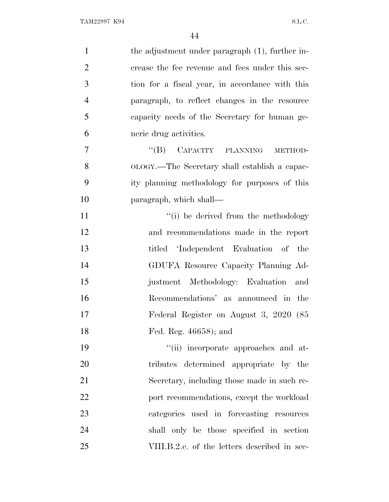| $\mathbf{1}$   | the adjustment under paragraph (1), further in- |
|----------------|-------------------------------------------------|
| $\overline{2}$ | crease the fee revenue and fees under this sec- |
| 3              | tion for a fiscal year, in accordance with this |
| $\overline{4}$ | paragraph, to reflect changes in the resource   |
| 5              | capacity needs of the Secretary for human ge-   |
| 6              | neric drug activities.                          |
| 7              | CAPACITY PLANNING<br>$\lq\lq (B)$<br>METHOD-    |
| 8              | OLOGY.—The Secretary shall establish a capac-   |
| 9              | ity planning methodology for purposes of this   |
| 10             | paragraph, which shall—                         |
| 11             | "(i) be derived from the methodology            |
| 12             | and recommendations made in the report          |
| 13             | titled 'Independent Evaluation of the           |
| 14             | GDUFA Resource Capacity Planning Ad-            |
| 15             | justment Methodology: Evaluation<br>and         |
| 16             | Recommendations' as announced in the            |
| 17             | Federal Register on August 3, 2020 (85          |
| 18             | Fed. Reg. 46658); and                           |
| 19             | "(ii) incorporate approaches and at-            |
| 20             | tributes determined appropriate by the          |
| 21             | Secretary, including those made in such re-     |
| 22             | port recommendations, except the workload       |
| 23             | categories used in forecasting resources        |
| 24             | shall only be those specified in section        |
| 25             | VIII.B.2.e. of the letters described in sec-    |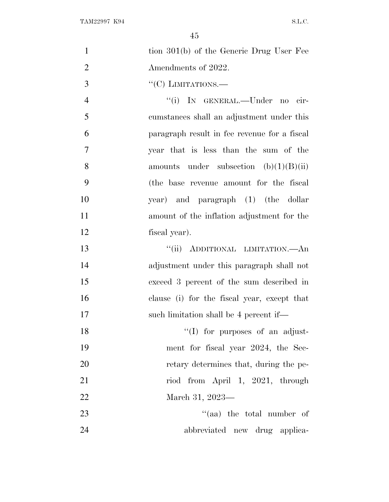| $\mathbf{1}$   | tion 301(b) of the Generic Drug User Fee     |
|----------------|----------------------------------------------|
| $\overline{2}$ | Amendments of 2022.                          |
| 3              | $``(C)$ LIMITATIONS.—                        |
| $\overline{4}$ | "(i) IN GENERAL.—Under no cir-               |
| 5              | cumstances shall an adjustment under this    |
| 6              | paragraph result in fee revenue for a fiscal |
| $\overline{7}$ | year that is less than the sum of the        |
| 8              | amounts under subsection $(b)(1)(B)(ii)$     |
| 9              | (the base revenue amount for the fiscal      |
| 10             | year) and paragraph (1) (the dollar          |
| 11             | amount of the inflation adjustment for the   |
| 12             | fiscal year).                                |
| 13             | "(ii) ADDITIONAL LIMITATION.—An              |
| 14             | adjustment under this paragraph shall not    |
| 15             | exceed 3 percent of the sum described in     |
| 16             | clause (i) for the fiscal year, except that  |
| 17             | such limitation shall be 4 percent if—       |
| 18             | "(I) for purposes of an adjust-              |
| 19             | ment for fiscal year 2024, the Sec-          |
| 20             | retary determines that, during the pe-       |
| 21             | riod from April 1, 2021, through             |
| 22             | March 31, 2023-                              |
| 23             | "(aa) the total number of                    |
| 24             | abbreviated new drug applica-                |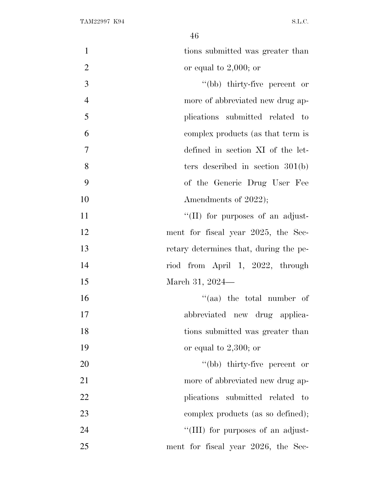| $\mathbf{1}$   | tions submitted was greater than       |
|----------------|----------------------------------------|
| $\overline{2}$ | or equal to $2,000$ ; or               |
| 3              | "(bb) thirty-five percent or           |
| $\overline{4}$ | more of abbreviated new drug ap-       |
| 5              | plications submitted related to        |
| 6              | complex products (as that term is      |
| $\overline{7}$ | defined in section XI of the let-      |
| 8              | ters described in section $301(b)$     |
| 9              | of the Generic Drug User Fee           |
| 10             | Amendments of 2022);                   |
| 11             | "(II) for purposes of an adjust-       |
| 12             | ment for fiscal year 2025, the Sec-    |
| 13             | retary determines that, during the pe- |
| 14             | riod from April 1, 2022, through       |
| 15             | March 31, 2024—                        |
| 16             | "(aa) the total number of              |
| 17             | abbreviated new drug applica-          |
| 18             | tions submitted was greater than       |
| 19             | or equal to $2,300$ ; or               |
| 20             | "(bb) thirty-five percent or           |
| 21             | more of abbreviated new drug ap-       |
| 22             | plications submitted related to        |
| 23             | complex products (as so defined);      |
| 24             | "(III) for purposes of an adjust-      |
| 25             | ment for fiscal year 2026, the Sec-    |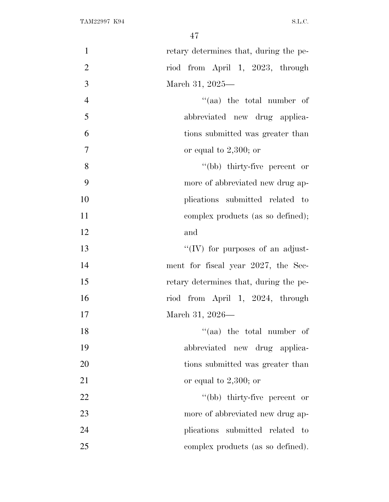| $\mathbf{1}$   | retary determines that, during the pe- |
|----------------|----------------------------------------|
| $\overline{2}$ | riod from April 1, 2023, through       |
| 3              | March 31, 2025—                        |
| $\overline{4}$ | "(aa) the total number of              |
| 5              | abbreviated new drug applica-          |
| 6              | tions submitted was greater than       |
| $\overline{7}$ | or equal to $2,300$ ; or               |
| 8              | "(bb) thirty-five percent or           |
| 9              | more of abbreviated new drug ap-       |
| 10             | plications submitted related to        |
| 11             | complex products (as so defined);      |
| 12             | and                                    |
| 13             | "(IV) for purposes of an adjust-       |
| 14             | ment for fiscal year 2027, the Sec-    |
| 15             | retary determines that, during the pe- |
| 16             | riod from April 1, 2024, through       |
| 17             | March 31, 2026—                        |
| 18             | $\mathcal{L}$ (aa) the total number of |
| 19             | abbreviated new drug applica-          |
| 20             | tions submitted was greater than       |
| 21             | or equal to $2,300$ ; or               |
| 22             | "(bb) thirty-five percent or           |
| 23             | more of abbreviated new drug ap-       |
| 24             | plications submitted related<br>$-$ to |
| 25             | complex products (as so defined).      |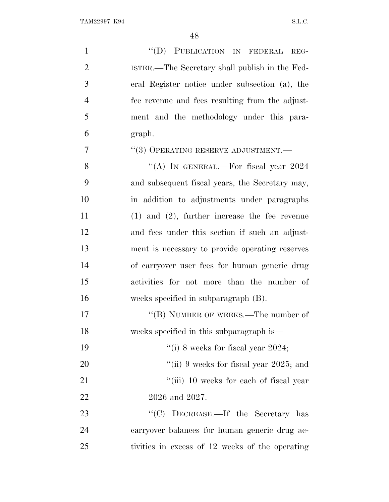| $\mathbf{1}$   | "(D) PUBLICATION IN FEDERAL<br>REG-                |
|----------------|----------------------------------------------------|
| $\overline{2}$ | ISTER.—The Secretary shall publish in the Fed-     |
| 3              | eral Register notice under subsection (a), the     |
| $\overline{4}$ | fee revenue and fees resulting from the adjust-    |
| 5              | ment and the methodology under this para-          |
| 6              | graph.                                             |
| 7              | "(3) OPERATING RESERVE ADJUSTMENT.-                |
| 8              | "(A) IN GENERAL.—For fiscal year 2024              |
| 9              | and subsequent fiscal years, the Secretary may,    |
| 10             | in addition to adjustments under paragraphs        |
| 11             | $(1)$ and $(2)$ , further increase the fee revenue |
| 12             | and fees under this section if such an adjust-     |
| 13             | ment is necessary to provide operating reserves    |
| 14             | of carryover user fees for human generic drug      |
| 15             | activities for not more than the number of         |
| 16             | weeks specified in subparagraph (B).               |
| 17             | "(B) NUMBER OF WEEKS.—The number of                |
| 18             | weeks specified in this subparagraph is—           |
| 19             | "(i) 8 weeks for fiscal year 2024;                 |
| 20             | "(ii) 9 weeks for fiscal year 2025; and            |
| 21             | "(iii) 10 weeks for each of fiscal year            |
| 22             | 2026 and 2027.                                     |
| 23             | ``(C)<br>DECREASE.—If the Secretary has            |
| 24             | carryover balances for human generic drug ac-      |
| 25             | tivities in excess of 12 weeks of the operating    |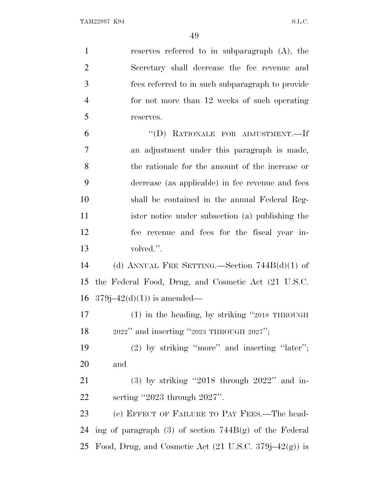reserves referred to in subparagraph (A), the Secretary shall decrease the fee revenue and fees referred to in such subparagraph to provide for not more than 12 weeks of such operating reserves. ''(D) RATIONALE FOR ADJUSTMENT.—If an adjustment under this paragraph is made, the rationale for the amount of the increase or decrease (as applicable) in fee revenue and fees shall be contained in the annual Federal Reg- ister notice under subsection (a) publishing the fee revenue and fees for the fiscal year in- volved.''. (d) ANNUAL FEE SETTING.—Section 744B(d)(1) of the Federal Food, Drug, and Cosmetic Act (21 U.S.C.  $379j-42(d)(1)$  is amended— (1) in the heading, by striking ''2018 THROUGH <sup>2022</sup>'' and inserting ''2023 THROUGH 2027'';

 (2) by striking ''more'' and inserting ''later''; and

 (3) by striking ''2018 through 2022'' and in-serting ''2023 through 2027''.

 (e) EFFECT OF FAILURE TO PAY FEES.—The head- ing of paragraph (3) of section 744B(g) of the Federal 25 Food, Drug, and Cosmetic Act  $(21 \text{ U.S.C. } 379j-42(g))$  is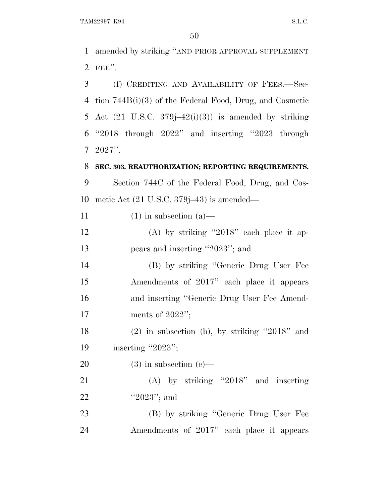TAM22997 K94 S.L.C.

 amended by striking ''AND PRIOR APPROVAL SUPPLEMENT FEE''.

 (f) CREDITING AND AVAILABILITY OF FEES.—Sec- tion 744B(i)(3) of the Federal Food, Drug, and Cosmetic 5 Act  $(21 \text{ U.S.C. } 379j-42(i)(3))$  is amended by striking ''2018 through 2022'' and inserting ''2023 through 2027''.

**SEC. 303. REAUTHORIZATION; REPORTING REQUIREMENTS.**

 Section 744C of the Federal Food, Drug, and Cos-metic Act (21 U.S.C. 379j–43) is amended—

11 (1) in subsection (a)—

 (A) by striking ''2018'' each place it ap-13 pears and inserting "2023"; and

 (B) by striking ''Generic Drug User Fee Amendments of 2017'' each place it appears and inserting ''Generic Drug User Fee Amend-ments of 2022'';

 (2) in subsection (b), by striking ''2018'' and 19 inserting "2023";

20 (3) in subsection  $(c)$ —

 (A) by striking ''2018'' and inserting 22 "'2023"; and

 (B) by striking ''Generic Drug User Fee Amendments of 2017'' each place it appears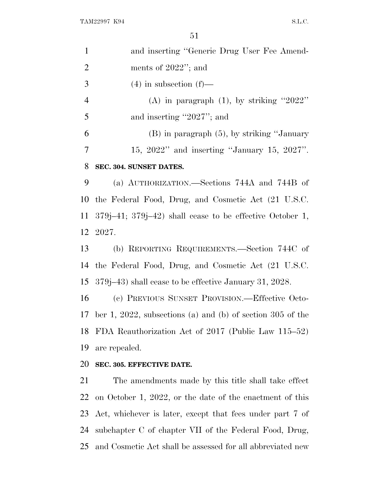|                | DI.                                                            |
|----------------|----------------------------------------------------------------|
| $\mathbf{1}$   | and inserting "Generic Drug User Fee Amend-                    |
| $\overline{2}$ | ments of $2022$ "; and                                         |
| 3              | $(4)$ in subsection $(f)$ —                                    |
| $\overline{4}$ | (A) in paragraph $(1)$ , by striking "2022"                    |
| 5              | and inserting "2027"; and                                      |
| 6              | $(B)$ in paragraph $(5)$ , by striking "January"               |
| $\overline{7}$ | $15, 2022"$ and inserting "January 15, 2027".                  |
| 8              | SEC. 304. SUNSET DATES.                                        |
| 9              | (a) AUTHORIZATION.—Sections 744A and 744B of                   |
| 10             | the Federal Food, Drug, and Cosmetic Act (21 U.S.C.            |
| 11             | $379j-41$ ; $379j-42$ ) shall cease to be effective October 1, |
| 12             | -2027.                                                         |
| 13             | (b) REPORTING REQUIREMENTS.—Section 744C of                    |
| 14             | the Federal Food, Drug, and Cosmetic Act (21 U.S.C.            |
| 15             | 379 (379–43) shall cease to be effective January 31, 2028.     |
| 16             | (c) PREVIOUS SUNSET PROVISION.—Effective Octo-                 |
|                | 17 ber 1, 2022, subsections (a) and (b) of section 305 of the  |
| 18             | FDA Reauthorization Act of 2017 (Public Law 115–52)            |
| 19             | are repealed.                                                  |
| 20             | SEC. 305. EFFECTIVE DATE.                                      |
| 21             | The amendments made by this title shall take effect            |

 The amendments made by this title shall take effect on October 1, 2022, or the date of the enactment of this Act, whichever is later, except that fees under part 7 of subchapter C of chapter VII of the Federal Food, Drug, and Cosmetic Act shall be assessed for all abbreviated new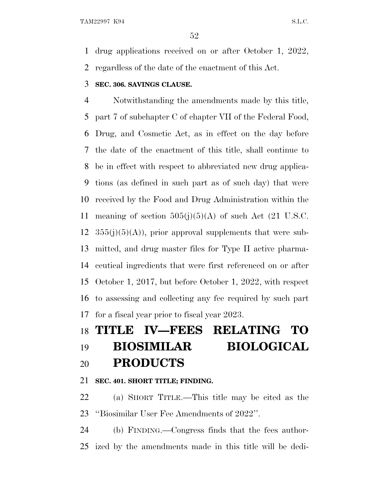drug applications received on or after October 1, 2022, regardless of the date of the enactment of this Act.

# **SEC. 306. SAVINGS CLAUSE.**

 Notwithstanding the amendments made by this title, part 7 of subchapter C of chapter VII of the Federal Food, Drug, and Cosmetic Act, as in effect on the day before the date of the enactment of this title, shall continue to be in effect with respect to abbreviated new drug applica- tions (as defined in such part as of such day) that were received by the Food and Drug Administration within the 11 meaning of section  $505(j)(5)(A)$  of such Act (21 U.S.C.  $355(j)(5)(A)$ , prior approval supplements that were sub- mitted, and drug master files for Type II active pharma- ceutical ingredients that were first referenced on or after October 1, 2017, but before October 1, 2022, with respect to assessing and collecting any fee required by such part for a fiscal year prior to fiscal year 2023.

# **TITLE IV—FEES RELATING TO BIOSIMILAR BIOLOGICAL PRODUCTS**

# **SEC. 401. SHORT TITLE; FINDING.**

 (a) SHORT TITLE.—This title may be cited as the ''Biosimilar User Fee Amendments of 2022''.

 (b) FINDING.—Congress finds that the fees author-ized by the amendments made in this title will be dedi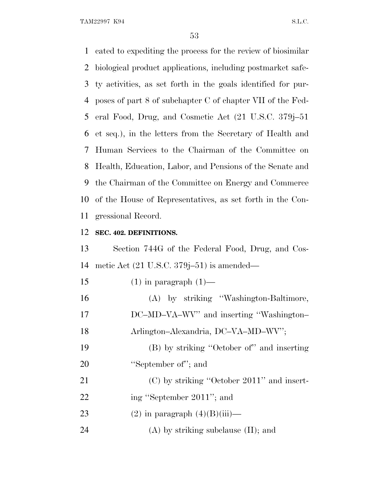TAM22997 K94 S.L.C.

 cated to expediting the process for the review of biosimilar biological product applications, including postmarket safe- ty activities, as set forth in the goals identified for pur- poses of part 8 of subchapter C of chapter VII of the Fed- eral Food, Drug, and Cosmetic Act (21 U.S.C. 379j–51 et seq.), in the letters from the Secretary of Health and Human Services to the Chairman of the Committee on Health, Education, Labor, and Pensions of the Senate and the Chairman of the Committee on Energy and Commerce of the House of Representatives, as set forth in the Con-gressional Record.

### **SEC. 402. DEFINITIONS.**

 Section 744G of the Federal Food, Drug, and Cos-metic Act (21 U.S.C. 379j–51) is amended—

| 15 | $(1)$ in paragraph $(1)$ —                   |
|----|----------------------------------------------|
| 16 | (A) by striking "Washington-Baltimore,       |
| 17 | DC-MD-VA-WV" and inserting "Washington-      |
| 18 | Arlington-Alexandria, DC-VA-MD-WV";          |
| 19 | (B) by striking "October of" and inserting   |
| 20 | "September of"; and                          |
| 21 | $(C)$ by striking "October 2011" and insert- |
| 22 | ing "September 2011"; and                    |
| 23 | $(2)$ in paragraph $(4)(B)(iii)$ —           |
| 24 | $(A)$ by striking subclause $(II)$ ; and     |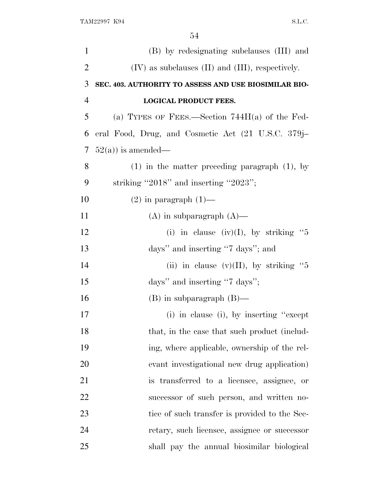| $\mathbf{1}$   | (B) by redesignating subclauses (III) and               |
|----------------|---------------------------------------------------------|
| $\overline{2}$ | $(IV)$ as subclauses $(II)$ and $(III)$ , respectively. |
| 3              | SEC. 403. AUTHORITY TO ASSESS AND USE BIOSIMILAR BIO-   |
| $\overline{4}$ | <b>LOGICAL PRODUCT FEES.</b>                            |
| 5              | (a) TYPES OF FEES.—Section $744H(a)$ of the Fed-        |
| 6              | eral Food, Drug, and Cosmetic Act (21 U.S.C. 379j–      |
| 7              | $52(a)$ ) is amended—                                   |
| 8              | $(1)$ in the matter preceding paragraph $(1)$ , by      |
| 9              | striking "2018" and inserting "2023";                   |
| 10             | $(2)$ in paragraph $(1)$ —                              |
| 11             | $(A)$ in subparagraph $(A)$ —                           |
| 12             | (i) in clause (iv)(I), by striking "5                   |
| 13             | days" and inserting "7 days"; and                       |
| 14             | (ii) in clause $(v)(II)$ , by striking "5               |
| 15             | days" and inserting "7 days";                           |
| 16             | $(B)$ in subparagraph $(B)$ —                           |
| 17             | (i) in clause (i), by inserting "except"                |
| 18             | that, in the case that such product (includ-            |
| 19             | ing, where applicable, ownership of the rel-            |
| 20             | evant investigational new drug application)             |
| 21             | is transferred to a licensee, assignee, or              |
| 22             | successor of such person, and written no-               |
| 23             | tice of such transfer is provided to the Sec-           |
| 24             | retary, such licensee, assignee or successor            |
| 25             | shall pay the annual biosimilar biological              |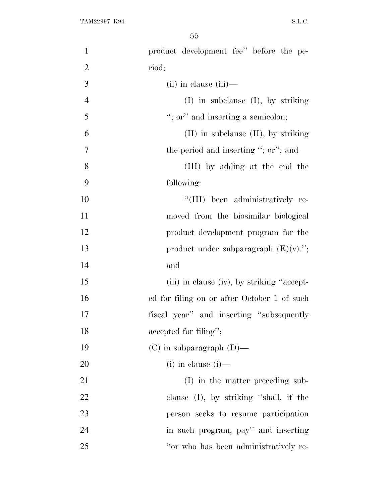| $\mathbf{1}$   | product development fee" before the pe-     |
|----------------|---------------------------------------------|
| $\overline{2}$ | riod;                                       |
| 3              | $(ii)$ in clause $(iii)$ —                  |
| $\overline{4}$ | $(I)$ in subclause $(I)$ , by striking      |
| 5              | "; or" and inserting a semicolon;           |
| 6              | $(II)$ in subclause $(II)$ , by striking    |
| 7              | the period and inserting "; or"; and        |
| 8              | (III) by adding at the end the              |
| 9              | following:                                  |
| 10             | "(III) been administratively re-            |
| 11             | moved from the biosimilar biological        |
| 12             | product development program for the         |
| 13             | product under subparagraph $(E)(v)$ .";     |
| 14             | and                                         |
| 15             | (iii) in clause (iv), by striking "accept-  |
| 16             | ed for filing on or after October 1 of such |
| 17             | fiscal year" and inserting "subsequently    |
| 18             | accepted for filing";                       |
| 19             | $(C)$ in subparagraph $(D)$ —               |
| 20             | $(i)$ in clause $(i)$ —                     |
| 21             | (I) in the matter preceding sub-            |
| 22             | clause (I), by striking "shall, if the      |
| 23             | person seeks to resume participation        |
| 24             | in such program, pay" and inserting         |
| 25             | "or who has been administratively re-       |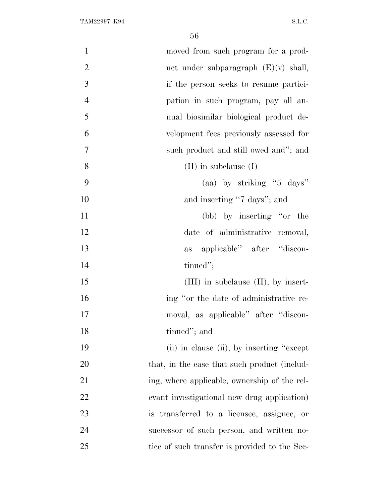| $\mathbf{1}$   | moved from such program for a prod-           |
|----------------|-----------------------------------------------|
| $\overline{2}$ | uct under subparagraph $(E)(v)$ shall,        |
| 3              | if the person seeks to resume partici-        |
| $\overline{4}$ | pation in such program, pay all an-           |
| 5              | nual biosimilar biological product de-        |
| 6              | velopment fees previously assessed for        |
| $\overline{7}$ | such product and still owed and"; and         |
| 8              | (II) in subclause $(I)$ —                     |
| 9              | (aa) by striking " $5$ days"                  |
| 10             | and inserting "7 days"; and                   |
| 11             | (bb) by inserting "or the                     |
| 12             | date of administrative removal,               |
| 13             | applicable" after "discon-<br>as              |
| 14             | tinued";                                      |
| 15             | $(III)$ in subclause $(II)$ , by insert-      |
| 16             | ing "or the date of administrative re-        |
| 17             | moval, as applicable" after "discon-          |
| 18             | tinued"; and                                  |
| 19             | (ii) in clause (ii), by inserting "except"    |
| 20             | that, in the case that such product (includ-  |
| 21             | ing, where applicable, ownership of the rel-  |
| 22             | evant investigational new drug application)   |
| 23             | is transferred to a licensee, assignee, or    |
| 24             | successor of such person, and written no-     |
| 25             | tice of such transfer is provided to the Sec- |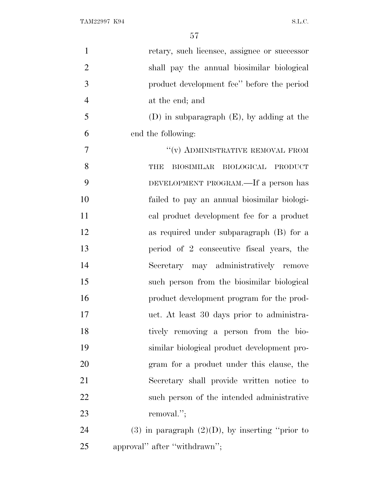| $\mathbf{1}$   | retary, such licensee, assignee or successor         |
|----------------|------------------------------------------------------|
| $\overline{2}$ | shall pay the annual biosimilar biological           |
| 3              | product development fee'' before the period          |
| $\overline{4}$ | at the end; and                                      |
| 5              | $(D)$ in subparagraph $(E)$ , by adding at the       |
| 6              | end the following:                                   |
| 7              | "(v) ADMINISTRATIVE REMOVAL FROM                     |
| 8              | BIOLOGICAL<br><b>BIOSIMILAR</b><br>PRODUCT<br>THE    |
| 9              | DEVELOPMENT PROGRAM.—If a person has                 |
| 10             | failed to pay an annual biosimilar biologi-          |
| 11             | cal product development fee for a product            |
| 12             | as required under subparagraph (B) for a             |
| 13             | period of 2 consecutive fiscal years, the            |
| 14             | Secretary may administratively remove                |
| 15             | such person from the biosimilar biological           |
| 16             | product development program for the prod-            |
| 17             | uct. At least 30 days prior to administra-           |
| 18             | tively removing a person from the bio-               |
| 19             | similar biological product development pro-          |
| 20             | gram for a product under this clause, the            |
| 21             | Secretary shall provide written notice to            |
| 22             | such person of the intended administrative           |
| 23             | removal.";                                           |
| 24             | $(3)$ in paragraph $(2)(D)$ , by inserting "prior to |
| 25             | approval" after "withdrawn";                         |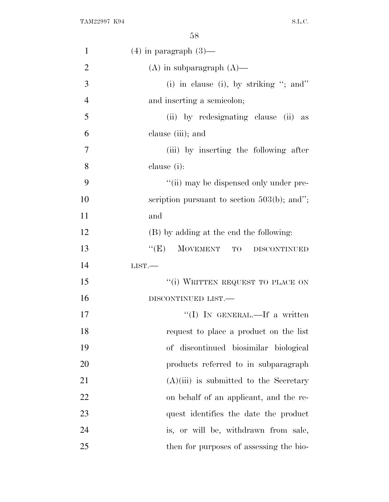| $\mathbf{1}$   | $(4)$ in paragraph $(3)$ —                     |
|----------------|------------------------------------------------|
| $\overline{2}$ | $(A)$ in subparagraph $(A)$ —                  |
| 3              | (i) in clause (i), by striking "; and"         |
| $\overline{4}$ | and inserting a semicolon;                     |
| 5              | (ii) by redesignating clause (ii) as           |
| 6              | clause (iii); and                              |
| 7              | (iii) by inserting the following after         |
| 8              | clause (i):                                    |
| 9              | "(ii) may be dispensed only under pre-         |
| 10             | scription pursuant to section $503(b)$ ; and"; |
| 11             | and                                            |
| 12             | (B) by adding at the end the following:        |
| 13             | ``(E)<br>MOVEMENT TO<br><b>DISCONTINUED</b>    |
| 14             | LIST.                                          |
| 15             | "(i) WRITTEN REQUEST TO PLACE ON               |
| 16             | DISCONTINUED LIST.                             |
| 17             | "(I) IN GENERAL.—If a written                  |
| 18             | request to place a product on the list         |
| 19             | of discontinued biosimilar biological          |
| 20             | products referred to in subparagraph           |
| 21             | $(A)(iii)$ is submitted to the Secretary       |
| 22             | on behalf of an applicant, and the re-         |
| 23             | quest identifies the date the product          |
| 24             | is, or will be, withdrawn from sale,           |
| 25             | then for purposes of assessing the bio-        |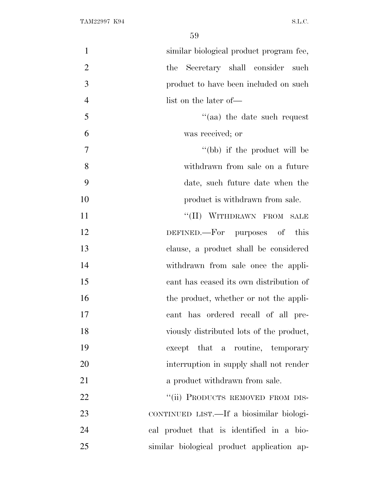| $\mathbf{1}$   | similar biological product program fee,    |
|----------------|--------------------------------------------|
| $\overline{2}$ | Secretary shall consider such<br>the       |
| 3              | product to have been included on such      |
| $\overline{4}$ | list on the later of—                      |
| 5              | "(aa) the date such request                |
| 6              | was received; or                           |
| 7              | "(bb) if the product will be               |
| 8              | withdrawn from sale on a future            |
| 9              | date, such future date when the            |
| 10             | product is withdrawn from sale.            |
| 11             | "(II) WITHDRAWN FROM SALE                  |
| 12             | DEFINED.—For purposes of this              |
| 13             | clause, a product shall be considered      |
| 14             | withdrawn from sale once the appli-        |
| 15             | cant has ceased its own distribution of    |
| 16             | the product, whether or not the appli-     |
| 17             | cant has ordered recall of all pre-        |
| 18             | viously distributed lots of the product,   |
| 19             | except that a routine, temporary           |
| 20             | interruption in supply shall not render    |
| 21             | a product withdrawn from sale.             |
| 22             | "(ii) PRODUCTS REMOVED FROM DIS-           |
| 23             | CONTINUED LIST.—If a biosimilar biologi-   |
| 24             | cal product that is identified in a bio-   |
| 25             | similar biological product application ap- |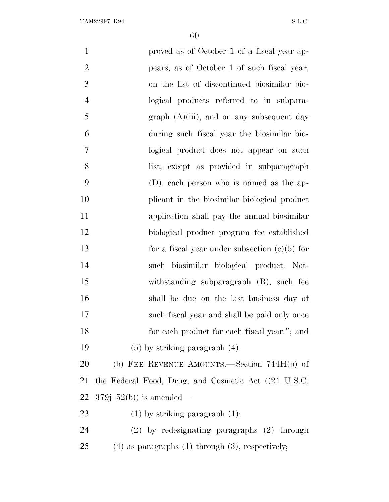| $\mathbf{1}$   | proved as of October 1 of a fiscal year ap-             |
|----------------|---------------------------------------------------------|
| $\overline{2}$ | pears, as of October 1 of such fiscal year,             |
| 3              | on the list of discontinued biosimilar bio-             |
| $\overline{4}$ | logical products referred to in subpara-                |
| 5              | $graph (A)(iii)$ , and on any subsequent day            |
| 6              | during such fiscal year the biosimilar bio-             |
| 7              | logical product does not appear on such                 |
| 8              | list, except as provided in subparagraph                |
| 9              | (D), each person who is named as the ap-                |
| 10             | plicant in the biosimilar biological product            |
| 11             | application shall pay the annual biosimilar             |
| 12             | biological product program fee established              |
| 13             | for a fiscal year under subsection $(c)(5)$ for         |
| 14             | such biosimilar biological product. Not-                |
| 15             | withstanding subparagraph (B), such fee                 |
| 16             | shall be due on the last business day of                |
| 17             | such fiscal year and shall be paid only once            |
| 18             | for each product for each fiscal year."; and            |
| 19             | $(5)$ by striking paragraph $(4)$ .                     |
| 20             | (b) FEE REVENUE AMOUNTS.—Section $744H(b)$ of           |
| 21             | the Federal Food, Drug, and Cosmetic Act ((21 U.S.C.)   |
| 22             | $379j-52(b)$ is amended—                                |
| 23             | $(1)$ by striking paragraph $(1)$ ;                     |
| 24             | $(2)$ by redesignating paragraphs $(2)$ through         |
| 25             | $(4)$ as paragraphs $(1)$ through $(3)$ , respectively; |
|                |                                                         |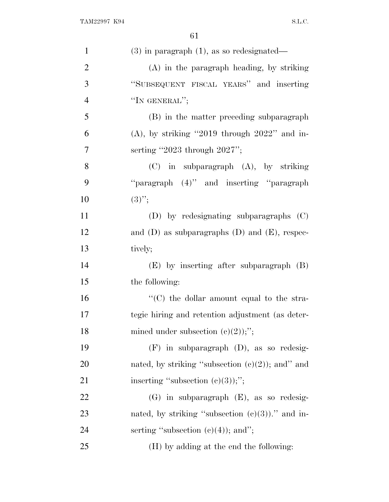| $\mathbf{1}$   | $(3)$ in paragraph $(1)$ , as so redesignated—       |
|----------------|------------------------------------------------------|
| $\overline{2}$ | $(A)$ in the paragraph heading, by striking          |
| 3              | "SUBSEQUENT FISCAL YEARS" and inserting              |
| $\overline{4}$ | "IN GENERAL";                                        |
| 5              | (B) in the matter preceding subparagraph             |
| 6              | $(A)$ , by striking "2019 through 2022" and in-      |
| 7              | serting "2023 through $2027$ ";                      |
| 8              | $(C)$ in subparagraph $(A)$ , by striking            |
| 9              | "paragraph (4)" and inserting "paragraph             |
| 10             | $(3)$ ";                                             |
| 11             | (D) by redesignating subparagraphs (C)               |
| 12             | and $(D)$ as subparagraphs $(D)$ and $(E)$ , respec- |
| 13             | tively;                                              |
| 14             | $(E)$ by inserting after subparagraph $(B)$          |
| 15             | the following:                                       |
| 16             | "(C) the dollar amount equal to the stra-            |
| 17             | tegic hiring and retention adjustment (as deter-     |
| 18             | mined under subsection $(c)(2)$ ;";                  |
| 19             | $(F)$ in subparagraph $(D)$ , as so redesig-         |
| 20             | nated, by striking "subsection $(e)(2)$ ); and" and  |
| 21             | inserting "subsection $(c)(3)$ );";                  |
| 22             | $(G)$ in subparagraph $(E)$ , as so redesig-         |
| 23             | nated, by striking "subsection $(e)(3)$ )." and in-  |
| 24             | serting "subsection $(e)(4)$ ); and";                |
| 25             | (H) by adding at the end the following:              |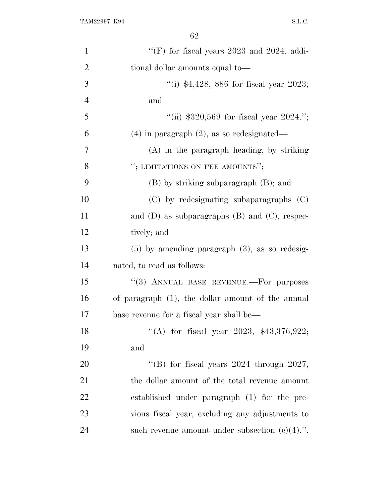| $\mathbf{1}$   | "(F) for fiscal years $2023$ and $2024$ , addi-      |
|----------------|------------------------------------------------------|
| $\overline{2}$ | tional dollar amounts equal to-                      |
| 3              | "(i) $$4,428,886$ for fiscal year 2023;              |
| $\overline{4}$ | and                                                  |
| 5              | "(ii) $$320,569$ for fiscal year $2024$ .";          |
| 6              | $(4)$ in paragraph $(2)$ , as so redesignated—       |
| 7              | $(A)$ in the paragraph heading, by striking          |
| 8              | "; LIMITATIONS ON FEE AMOUNTS";                      |
| 9              | (B) by striking subparagraph (B); and                |
| 10             | $(C)$ by redesignating subaparagraphs $(C)$          |
| 11             | and $(D)$ as subparagraphs $(B)$ and $(C)$ , respec- |
| 12             | tively; and                                          |
| 13             | $(5)$ by amending paragraph $(3)$ , as so redesig-   |
| 14             | nated, to read as follows:                           |
| 15             | "(3) ANNUAL BASE REVENUE.-- For purposes             |
| 16             | of paragraph (1), the dollar amount of the annual    |
| 17             | base revenue for a fiscal year shall be—             |
| 18             | "(A) for fiscal year 2023, $$43,376,922$ ;           |
| 19             | and                                                  |
| 20             | "(B) for fiscal years $2024$ through $2027$ ,        |
| 21             | the dollar amount of the total revenue amount        |
| 22             | established under paragraph (1) for the pre-         |
| 23             | vious fiscal year, excluding any adjustments to      |
| 24             | such revenue amount under subsection $(c)(4)$ .".    |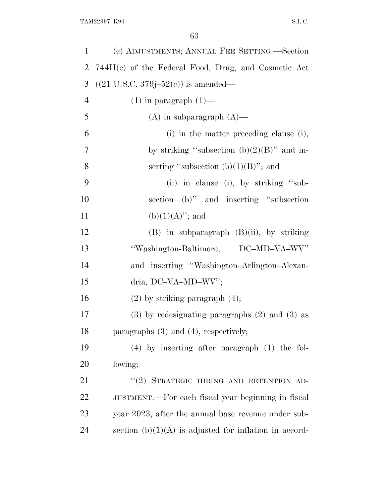| 1              | (c) ADJUSTMENTS; ANNUAL FEE SETTING.—Section              |
|----------------|-----------------------------------------------------------|
| $\overline{2}$ | 744H(c) of the Federal Food, Drug, and Cosmetic Act       |
| 3              | $((21 \text{ U.S.C. } 379j - 52(e)) \text{ is amended}$ — |
| $\overline{4}$ | $(1)$ in paragraph $(1)$ —                                |
| 5              | $(A)$ in subparagraph $(A)$ —                             |
| 6              | (i) in the matter preceding clause (i),                   |
| $\overline{7}$ | by striking "subsection $(b)(2)(B)$ " and in-             |
| 8              | serting "subsection $(b)(1)(B)$ "; and                    |
| 9              | (ii) in clause (i), by striking "sub-                     |
| 10             | section (b)" and inserting "subsection                    |
| 11             | $(b)(1)(A)$ "; and                                        |
| 12             | $(B)$ in subparagraph $(B)(ii)$ , by striking             |
| 13             | "Washington-Baltimore, DC-MD-VA-WV"                       |
|                |                                                           |
| 14             | and inserting "Washington-Arlington-Alexan-               |
| 15             | dria, DC-VA-MD-WV";                                       |
| 16             | $(2)$ by striking paragraph $(4)$ ;                       |
| 17             | $(3)$ by redesignating paragraphs $(2)$ and $(3)$ as      |
|                | paragraphs $(3)$ and $(4)$ , respectively;                |
| 18<br>19       | $(4)$ by inserting after paragraph $(1)$ the fol-         |
| 20             | lowing:                                                   |
| 21             | "(2) STRATEGIC HIRING AND RETENTION AD-                   |
| 22             | JUSTMENT.—For each fiscal year beginning in fiscal        |
| 23             | year 2023, after the annual base revenue under sub-       |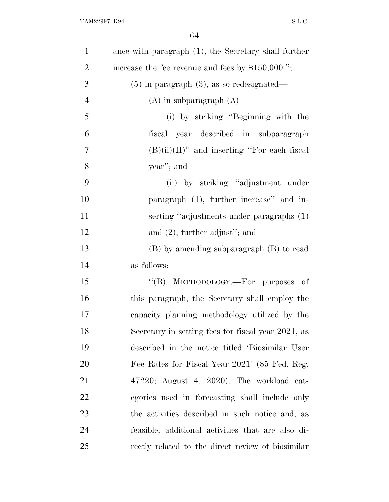| $\mathbf{1}$   | ance with paragraph (1), the Secretary shall further |
|----------------|------------------------------------------------------|
| $\overline{2}$ | increase the fee revenue and fees by $$150,000."$ ;  |
| 3              | $(5)$ in paragraph $(3)$ , as so redesignated—       |
| $\overline{4}$ | $(A)$ in subparagraph $(A)$ —                        |
| 5              | (i) by striking "Beginning with the                  |
| 6              | fiscal year described in subparagraph                |
| 7              | $(B)(ii)(II)$ " and inserting "For each fiscal       |
| 8              | year"; and                                           |
| 9              | (ii) by striking "adjustment under                   |
| 10             | paragraph (1), further increase" and in-             |
| 11             | serting "adjustments under paragraphs (1)            |
| 12             | and $(2)$ , further adjust"; and                     |
| 13             | (B) by amending subparagraph (B) to read             |
| 14             | as follows:                                          |
| 15             | "(B) METHODOLOGY.—For purposes of                    |
| 16             | this paragraph, the Secretary shall employ the       |
| 17             | capacity planning methodology utilized by the        |
| 18             | Secretary in setting fees for fiscal year 2021, as   |
| 19             | described in the notice titled 'Biosimilar User      |
| 20             | Fee Rates for Fiscal Year 2021' (85 Fed. Reg.        |
| 21             | $47220$ ; August 4, 2020). The workload cat-         |
| 22             | egories used in forecasting shall include only       |
| 23             | the activities described in such notice and, as      |
| 24             | feasible, additional activities that are also di-    |
| 25             | rectly related to the direct review of biosimilar    |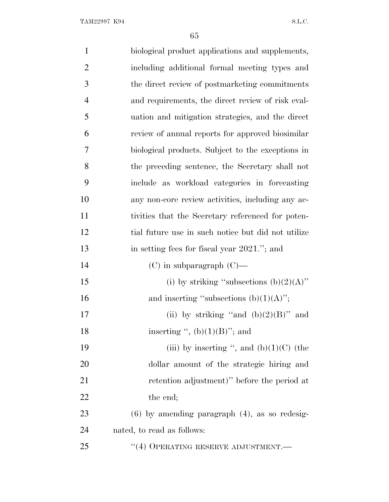| $\mathbf{1}$   | biological product applications and supplements,   |
|----------------|----------------------------------------------------|
| $\overline{2}$ | including additional formal meeting types and      |
| 3              | the direct review of postmarketing commitments     |
| $\overline{4}$ | and requirements, the direct review of risk eval-  |
| 5              | uation and mitigation strategies, and the direct   |
| 6              | review of annual reports for approved biosimilar   |
| 7              | biological products. Subject to the exceptions in  |
| 8              | the preceding sentence, the Secretary shall not    |
| 9              | include as workload categories in forecasting      |
| 10             | any non-core review activities, including any ac-  |
| 11             | tivities that the Secretary referenced for poten-  |
| 12             | tial future use in such notice but did not utilize |
| 13             | in setting fees for fiscal year 2021."; and        |
| 14             | $(C)$ in subparagraph $(C)$ —                      |
| 15             | (i) by striking "subsections $(b)(2)(A)$ "         |
| 16             | and inserting "subsections $(b)(1)(A)$ ";          |
| 17             | (ii) by striking "and $(b)(2)(B)$ " and            |
| 18             | inserting ", $(b)(1)(B)$ "; and                    |
| 19             | (iii) by inserting ", and $(b)(1)(C)$ (the         |
| 20             | dollar amount of the strategic hiring and          |
| 21             | retention adjustment)" before the period at        |
| 22             | the end;                                           |
| 23             | $(6)$ by amending paragraph $(4)$ , as so redesig- |
| 24             | nated, to read as follows:                         |
| 25             | $``(4)$ OPERATING RESERVE ADJUSTMENT.—             |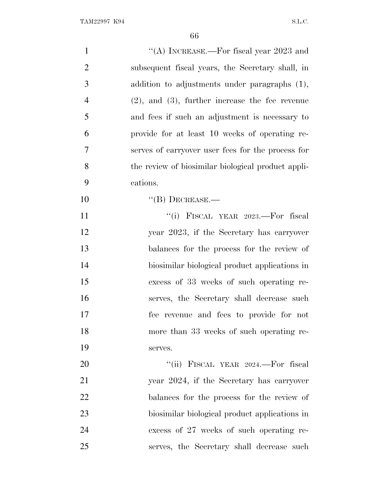| $\mathbf{1}$   | "(A) INCREASE.—For fiscal year $2023$ and            |
|----------------|------------------------------------------------------|
| $\overline{2}$ | subsequent fiscal years, the Secretary shall, in     |
| 3              | addition to adjustments under paragraphs (1),        |
| $\overline{4}$ | $(2)$ , and $(3)$ , further increase the fee revenue |
| 5              | and fees if such an adjustment is necessary to       |
| 6              | provide for at least 10 weeks of operating re-       |
| 7              | serves of carryover user fees for the process for    |
| 8              | the review of biosimilar biological product appli-   |
| 9              | cations.                                             |
| 10             | $\lq\lq (B)$ DECREASE.—                              |
| 11             | "(i) FISCAL YEAR 2023.—For fiscal                    |
| 12             | year 2023, if the Secretary has carryover            |
| 13             | balances for the process for the review of           |
| 14             | biosimilar biological product applications in        |
| 15             | excess of 33 weeks of such operating re-             |
| 16             | serves, the Secretary shall decrease such            |
| 17             | fee revenue and fees to provide for not              |
| 18             | more than 33 weeks of such operating re-             |
| 19             | serves.                                              |
| 20             | "(ii) FISCAL YEAR 2024.—For fiscal                   |
| 21             | year 2024, if the Secretary has carryover            |
| 22             | balances for the process for the review of           |
| 23             | biosimilar biological product applications in        |
| 24             | excess of 27 weeks of such operating re-             |
| 25             | serves, the Secretary shall decrease such            |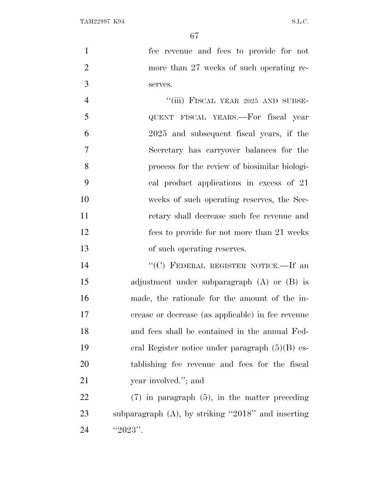fee revenue and fees to provide for not more than 27 weeks of such operating re-serves.

4 "(iii) FISCAL YEAR 2025 AND SUBSE- QUENT FISCAL YEARS.—For fiscal year 2025 and subsequent fiscal years, if the Secretary has carryover balances for the process for the review of biosimilar biologi- cal product applications in excess of 21 weeks of such operating reserves, the Sec- retary shall decrease such fee revenue and fees to provide for not more than 21 weeks of such operating reserves.

14 "'(C) FEDERAL REGISTER NOTICE.—If an adjustment under subparagraph (A) or (B) is made, the rationale for the amount of the in- crease or decrease (as applicable) in fee revenue and fees shall be contained in the annual Fed- eral Register notice under paragraph (5)(B) es- tablishing fee revenue and fees for the fiscal 21 year involved."; and

 (7) in paragraph (5), in the matter preceding subparagraph (A), by striking ''2018'' and inserting 24  $"2023"$ .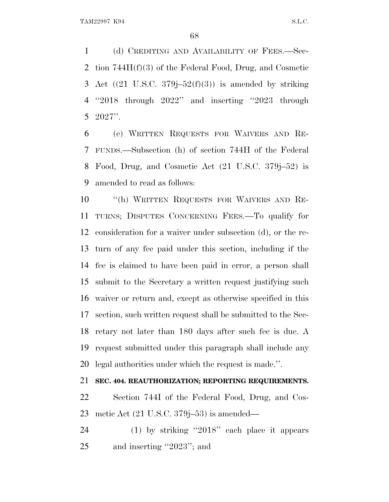(d) CREDITING AND AVAILABILITY OF FEES.—Sec- tion 744H(f)(3) of the Federal Food, Drug, and Cosmetic 3 Act  $((21 \text{ U.S.C. } 379j-52(f)(3))$  is amended by striking ''2018 through 2022'' and inserting ''2023 through 2027''.

 (e) WRITTEN REQUESTS FOR WAIVERS AND RE- FUNDS.—Subsection (h) of section 744H of the Federal Food, Drug, and Cosmetic Act (21 U.S.C. 379j–52) is amended to read as follows:

 ''(h) WRITTEN REQUESTS FOR WAIVERS AND RE- TURNS; DISPUTES CONCERNING FEES.—To qualify for consideration for a waiver under subsection (d), or the re- turn of any fee paid under this section, including if the fee is claimed to have been paid in error, a person shall submit to the Secretary a written request justifying such waiver or return and, except as otherwise specified in this section, such written request shall be submitted to the Sec- retary not later than 180 days after such fee is due. A request submitted under this paragraph shall include any legal authorities under which the request is made.''.

**SEC. 404. REAUTHORIZATION; REPORTING REQUIREMENTS.**

 Section 744I of the Federal Food, Drug, and Cos-metic Act (21 U.S.C. 379j–53) is amended—

 (1) by striking ''2018'' each place it appears and inserting ''2023''; and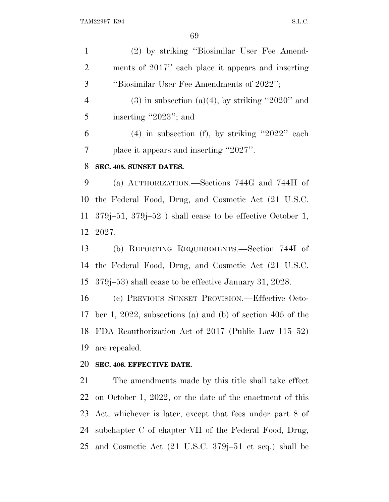| $\mathbf{1}$   | (2) by striking "Biosimilar User Fee Amend-                         |
|----------------|---------------------------------------------------------------------|
| 2              | ments of 2017" each place it appears and inserting                  |
| 3              | "Biosimilar User Fee Amendments of 2022";                           |
| $\overline{4}$ | $(3)$ in subsection $(a)(4)$ , by striking "2020" and               |
| 5              | inserting "2023"; and                                               |
| 6              | $(4)$ in subsection (f), by striking "2022" each                    |
| 7              | place it appears and inserting "2027".                              |
| 8              | SEC. 405. SUNSET DATES.                                             |
| 9              | (a) AUTHORIZATION.—Sections 744G and 744H of                        |
|                | 10 the Federal Food, Drug, and Cosmetic Act (21 U.S.C.              |
|                | 11 379 $j$ –51, 379 $j$ –52) shall cease to be effective October 1, |
|                | 12 2027.                                                            |
| 13             | (b) REPORTING REQUIREMENTS.—Section 744I of                         |

the Federal Food, Drug, and Cosmetic Act (21 U.S.C.

379j–53) shall cease to be effective January 31, 2028.

 (c) PREVIOUS SUNSET PROVISION.—Effective Octo- ber 1, 2022, subsections (a) and (b) of section 405 of the FDA Reauthorization Act of 2017 (Public Law 115–52) are repealed.

# **SEC. 406. EFFECTIVE DATE.**

 The amendments made by this title shall take effect on October 1, 2022, or the date of the enactment of this Act, whichever is later, except that fees under part 8 of subchapter C of chapter VII of the Federal Food, Drug, and Cosmetic Act (21 U.S.C. 379j–51 et seq.) shall be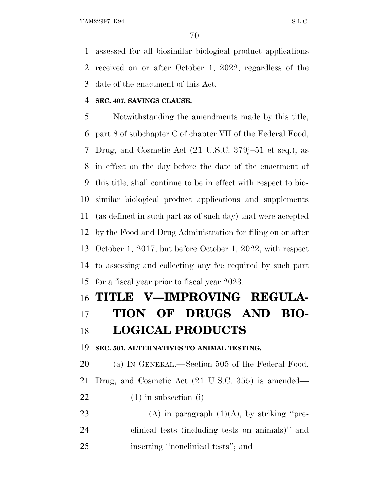assessed for all biosimilar biological product applications received on or after October 1, 2022, regardless of the date of the enactment of this Act.

### **SEC. 407. SAVINGS CLAUSE.**

 Notwithstanding the amendments made by this title, part 8 of subchapter C of chapter VII of the Federal Food, Drug, and Cosmetic Act (21 U.S.C. 379j–51 et seq.), as in effect on the day before the date of the enactment of this title, shall continue to be in effect with respect to bio- similar biological product applications and supplements (as defined in such part as of such day) that were accepted by the Food and Drug Administration for filing on or after October 1, 2017, but before October 1, 2022, with respect to assessing and collecting any fee required by such part for a fiscal year prior to fiscal year 2023.

# **TITLE V—IMPROVING REGULA- TION OF DRUGS AND BIO-LOGICAL PRODUCTS**

**SEC. 501. ALTERNATIVES TO ANIMAL TESTING.**

 (a) I<sup>N</sup> GENERAL.—Section 505 of the Federal Food, Drug, and Cosmetic Act (21 U.S.C. 355) is amended—  $(1)$  in subsection  $(i)$ — 23 (A) in paragraph  $(1)(A)$ , by striking "pre-

 clinical tests (including tests on animals)'' and inserting ''nonclinical tests''; and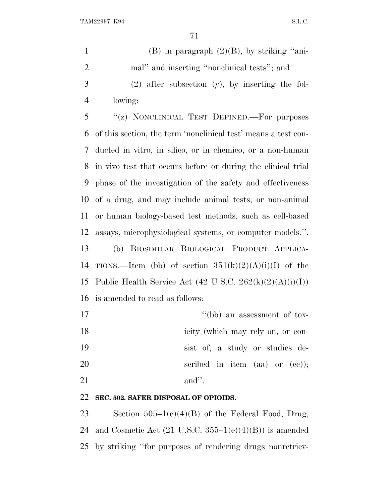| $\mathbf{1}$   | $(B)$ in paragraph $(2)(B)$ , by striking "ani-                |
|----------------|----------------------------------------------------------------|
| $\overline{2}$ | mal" and inserting "nonclinical tests"; and                    |
| 3              | $(2)$ after subsection $(y)$ , by inserting the fol-           |
| $\overline{4}$ | lowing:                                                        |
| 5              | "(z) NONCLINICAL TEST DEFINED. For purposes                    |
| 6              | of this section, the term 'nonclinical test' means a test con- |
| 7              | ducted in vitro, in silico, or in chemico, or a non-human      |
| 8              | in vivo test that occurs before or during the clinical trial   |
| 9              | phase of the investigation of the safety and effectiveness     |
| 10             | of a drug, and may include animal tests, or non-animal         |
| 11             | or human biology-based test methods, such as cell-based        |
| 12             | assays, microphysiological systems, or computer models.".      |
| 13             | (b) BIOSIMILAR BIOLOGICAL PRODUCT APPLICA-                     |
| 14             | TIONS.—Item (bb) of section $351(k)(2)(A)(i)(I)$ of the        |
| 15             | Public Health Service Act (42 U.S.C. 262 $(k)(2)(A)(i)(I))$ )  |
| 16             | is amended to read as follows:                                 |
| 17             | "(bb) an assessment of tox-                                    |

- 
- 18 icity (which may rely on, or con-
- sist of, a study or studies de-
- 20 seribed in item (aa) or (cc));
- 21 and''.

# **SEC. 502. SAFER DISPOSAL OF OPIOIDS.**

 Section 505–1(e)(4)(B) of the Federal Food, Drug, 24 and Cosmetic Act  $(21 \text{ U.S.C. } 355-1(e)(4)(B))$  is amended by striking ''for purposes of rendering drugs nonretriev-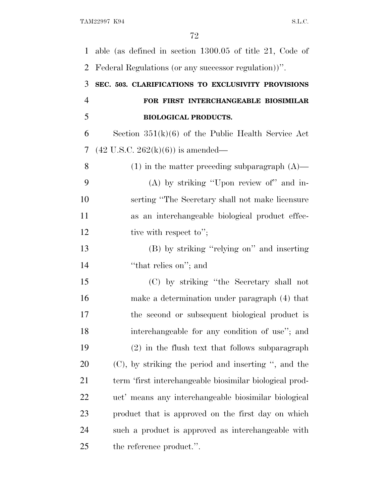able (as defined in section 1300.05 of title 21, Code of Federal Regulations (or any successor regulation))''. **SEC. 503. CLARIFICATIONS TO EXCLUSIVITY PROVISIONS FOR FIRST INTERCHANGEABLE BIOSIMILAR BIOLOGICAL PRODUCTS.** Section 351(k)(6) of the Public Health Service Act (42 U.S.C. 262(k)(6)) is amended— (1) in the matter preceding subparagraph (A)— (A) by striking ''Upon review of'' and in- serting ''The Secretary shall not make licensure as an interchangeable biological product effec-12 tive with respect to"; (B) by striking ''relying on'' and inserting 14 'that relies on"; and (C) by striking ''the Secretary shall not make a determination under paragraph (4) that the second or subsequent biological product is interchangeable for any condition of use''; and (2) in the flush text that follows subparagraph (C), by striking the period and inserting '', and the term 'first interchangeable biosimilar biological prod- uct' means any interchangeable biosimilar biological product that is approved on the first day on which such a product is approved as interchangeable with the reference product.''.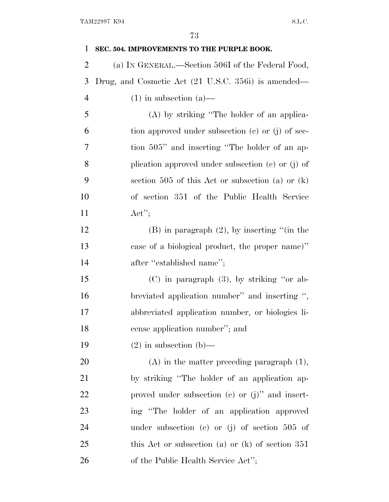| $\mathbf{1}$   | SEC. 504. IMPROVEMENTS TO THE PURPLE BOOK.            |
|----------------|-------------------------------------------------------|
| $\overline{2}$ | (a) IN GENERAL.—Section 506I of the Federal Food,     |
| 3              | Drug, and Cosmetic Act (21 U.S.C. 356i) is amended—   |
| $\overline{4}$ | $(1)$ in subsection $(a)$ —                           |
| 5              | (A) by striking "The holder of an applica-            |
| 6              | tion approved under subsection $(c)$ or $(j)$ of sec- |
| 7              | tion 505" and inserting "The holder of an ap-         |
| 8              | plication approved under subsection (c) or (j) of     |
| 9              | section 505 of this Act or subsection (a) or $(k)$    |
| 10             | of section 351 of the Public Health Service           |
| 11             | $\text{Act}''$                                        |
| 12             | $(B)$ in paragraph $(2)$ , by inserting "(in the      |
| 13             | case of a biological product, the proper name)"       |
| 14             | after "established name";                             |
| 15             | $(C)$ in paragraph $(3)$ , by striking "or ab-        |
| 16             | breviated application number" and inserting ",        |
| 17             | abbreviated application number, or biologics li-      |
| 18             | cense application number"; and                        |
| 19             | $(2)$ in subsection $(b)$ —                           |
| 20             | $(A)$ in the matter preceding paragraph $(1)$ ,       |
| 21             | by striking "The holder of an application ap-         |
| 22             | proved under subsection $(e)$ or $(j)$ " and insert-  |
| 23             | ing "The holder of an application approved            |
| 24             | under subsection (c) or (j) of section $505$ of       |
| 25             | this Act or subsection (a) or $(k)$ of section 351    |
| 26             | of the Public Health Service Act";                    |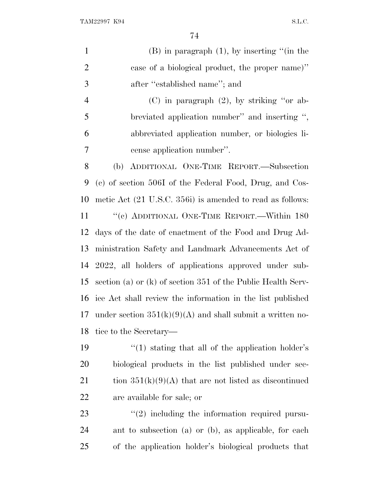| $\mathbf{1}$   | $(B)$ in paragraph $(1)$ , by inserting "(in the               |
|----------------|----------------------------------------------------------------|
| $\overline{2}$ | case of a biological product, the proper name)"                |
| 3              | after "established name"; and                                  |
| $\overline{4}$ | (C) in paragraph $(2)$ , by striking "or ab-                   |
| 5              | breviated application number" and inserting ",                 |
| 6              | abbreviated application number, or biologics li-               |
| 7              | cense application number".                                     |
| $8\,$          | ADDITIONAL ONE-TIME REPORT.—Subsection<br>(b)                  |
| 9              | (c) of section 506I of the Federal Food, Drug, and Cos-        |
| 10             | metic Act (21 U.S.C. 356i) is amended to read as follows:      |
| 11             | "(c) ADDITIONAL ONE-TIME REPORT.—Within 180                    |
| 12             | days of the date of enactment of the Food and Drug Ad-         |
| 13             | ministration Safety and Landmark Advancements Act of           |
|                | 14 2022, all holders of applications approved under sub-       |
| 15             | section (a) or $(k)$ of section 351 of the Public Health Serv- |
| 16             | ice Act shall review the information in the list published     |
| 17             | under section $351(k)(9)(A)$ and shall submit a written no-    |
| 18             | tice to the Secretary—                                         |
| 19             | $\cdot$ (1) stating that all of the application holder's       |
| 20             | biological products in the list published under sec-           |
| 21             | tion $351(k)(9)(A)$ that are not listed as discontinued        |
| 22             | are available for sale; or                                     |
| 23             | $\lq(2)$ including the information required pursu-             |

 ant to subsection (a) or (b), as applicable, for each of the application holder's biological products that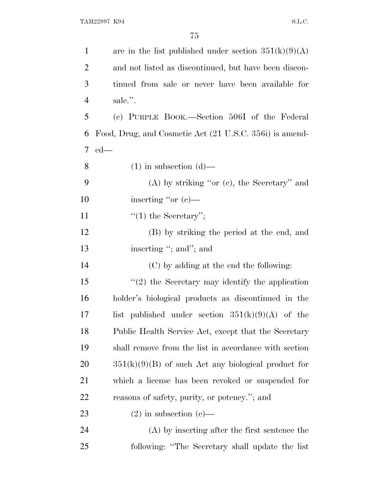| $\mathbf{1}$   | are in the list published under section $351(k)(9)(A)$  |
|----------------|---------------------------------------------------------|
| $\overline{2}$ | and not listed as discontinued, but have been discon-   |
| 3              | tinued from sale or never have been available for       |
| $\overline{4}$ | sale.".                                                 |
| 5              | (c) PURPLE BOOK.—Section 506I of the Federal            |
| 6              | Food, Drug, and Cosmetic Act (21 U.S.C. 356i) is amend- |
| 7              | $ed$ —                                                  |
| 8              | $(1)$ in subsection $(d)$ —                             |
| 9              | $(A)$ by striking "or $(e)$ , the Secretary" and        |
| 10             | inserting "or $(c)$ —                                   |
| 11             | $"(1)$ the Secretary";                                  |
| 12             | (B) by striking the period at the end, and              |
| 13             | inserting "; and"; and                                  |
| 14             | (C) by adding at the end the following:                 |
| 15             | $"(2)$ the Secretary may identify the application       |
| 16             | holder's biological products as discontinued in the     |
| 17             | list published under section $351(k)(9)(A)$ of the      |
| 18             | Public Health Service Act, except that the Secretary    |
| 19             | shall remove from the list in accordance with section   |
| 20             | $351(k)(9)(B)$ of such Act any biological product for   |
| 21             | which a license has been revoked or suspended for       |
| 22             | reasons of safety, purity, or potency."; and            |
| 23             | $(2)$ in subsection $(e)$ —                             |
| 24             | (A) by inserting after the first sentence the           |
| 25             | following: "The Secretary shall update the list"        |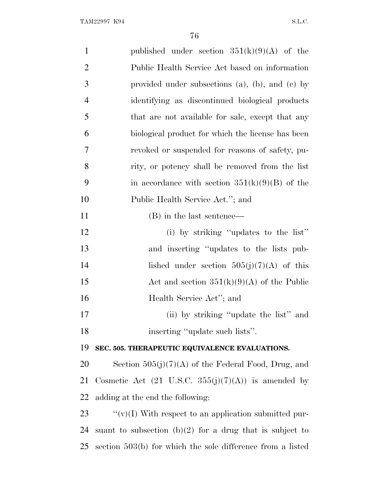| $\mathbf{1}$   | published under section $351(k)(9)(A)$ of the                         |
|----------------|-----------------------------------------------------------------------|
| $\overline{2}$ | Public Health Service Act based on information                        |
| $\mathfrak{Z}$ | provided under subsections $(a)$ , $(b)$ , and $(c)$ by               |
| $\overline{4}$ | identifying as discontinued biological products                       |
| 5              | that are not available for sale, except that any                      |
| 6              | biological product for which the license has been                     |
| 7              | revoked or suspended for reasons of safety, pu-                       |
| 8              | rity, or potency shall be removed from the list                       |
| 9              | in accordance with section $351(k)(9)(B)$ of the                      |
| 10             | Public Health Service Act."; and                                      |
| 11             | (B) in the last sentence—                                             |
| 12             | (i) by striking "updates to the list"                                 |
| 13             | and inserting "updates to the lists pub-                              |
| 14             | lished under section $505(j)(7)(A)$ of this                           |
| 15             | Act and section $351(k)(9)(A)$ of the Public                          |
| 16             | Health Service Act"; and                                              |
| 17             | (ii) by striking "update the list" and                                |
| 18             | inserting "update such lists".                                        |
| 19             | SEC. 505. THERAPEUTIC EQUIVALENCE EVALUATIONS.                        |
| 20             | Section $505(j)(7)(A)$ of the Federal Food, Drug, and                 |
| 21             | Cosmetic Act $(21 \text{ U.S.C. } 355(j)(7)(\text{A}))$ is amended by |
| 22             | adding at the end the following:                                      |
| 23             | " $(v)(I)$ With respect to an application submitted pur-              |
| 24             | suant to subsection $(b)(2)$ for a drug that is subject to            |
| 25             | section 503(b) for which the sole difference from a listed            |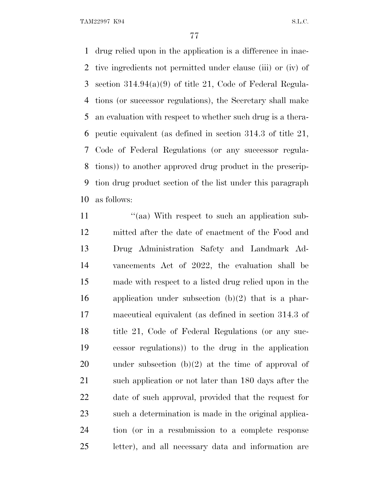drug relied upon in the application is a difference in inac- tive ingredients not permitted under clause (iii) or (iv) of section 314.94(a)(9) of title 21, Code of Federal Regula- tions (or successor regulations), the Secretary shall make an evaluation with respect to whether such drug is a thera- peutic equivalent (as defined in section 314.3 of title 21, Code of Federal Regulations (or any successor regula- tions)) to another approved drug product in the prescrip- tion drug product section of the list under this paragraph as follows:

11 ''(aa) With respect to such an application sub- mitted after the date of enactment of the Food and Drug Administration Safety and Landmark Ad- vancements Act of 2022, the evaluation shall be made with respect to a listed drug relied upon in the 16 application under subsection  $(b)(2)$  that is a phar- maceutical equivalent (as defined in section 314.3 of title 21, Code of Federal Regulations (or any suc- cessor regulations)) to the drug in the application under subsection (b)(2) at the time of approval of 21 such application or not later than 180 days after the date of such approval, provided that the request for such a determination is made in the original applica- tion (or in a resubmission to a complete response letter), and all necessary data and information are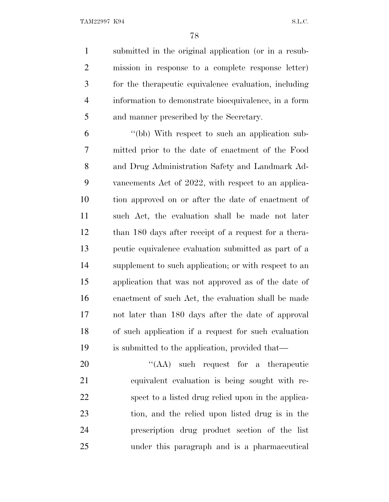submitted in the original application (or in a resub- mission in response to a complete response letter) for the therapeutic equivalence evaluation, including information to demonstrate bioequivalence, in a form and manner prescribed by the Secretary.

 ''(bb) With respect to such an application sub- mitted prior to the date of enactment of the Food and Drug Administration Safety and Landmark Ad- vancements Act of 2022, with respect to an applica- tion approved on or after the date of enactment of such Act, the evaluation shall be made not later than 180 days after receipt of a request for a thera- peutic equivalence evaluation submitted as part of a supplement to such application; or with respect to an application that was not approved as of the date of enactment of such Act, the evaluation shall be made not later than 180 days after the date of approval of such application if a request for such evaluation is submitted to the application, provided that—

20 "(AA) such request for a therapeutic equivalent evaluation is being sought with re- spect to a listed drug relied upon in the applica- tion, and the relied upon listed drug is in the prescription drug product section of the list under this paragraph and is a pharmaceutical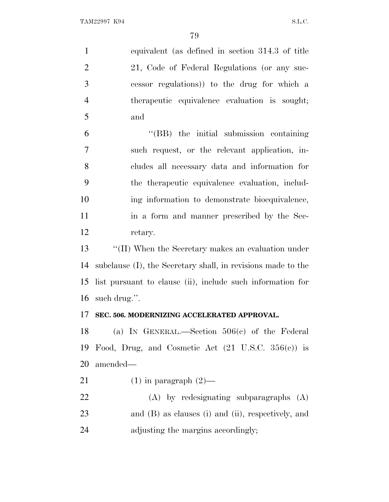equivalent (as defined in section 314.3 of title 2 21, Code of Federal Regulations (or any suc- cessor regulations)) to the drug for which a therapeutic equivalence evaluation is sought; and ''(BB) the initial submission containing such request, or the relevant application, in- cludes all necessary data and information for the therapeutic equivalence evaluation, includ- ing information to demonstrate bioequivalence, in a form and manner prescribed by the Sec- retary. 13 ''(II) When the Secretary makes an evaluation under subclause (I), the Secretary shall, in revisions made to the list pursuant to clause (ii), include such information for such drug.''. **SEC. 506. MODERNIZING ACCELERATED APPROVAL.** (a) I<sup>N</sup> GENERAL.—Section 506(c) of the Federal Food, Drug, and Cosmetic Act (21 U.S.C. 356(c)) is amended— 21 (1) in paragraph  $(2)$ — (A) by redesignating subparagraphs (A) and (B) as clauses (i) and (ii), respectively, and adjusting the margins accordingly;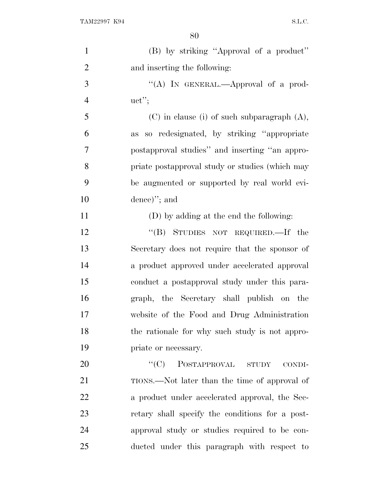| $\mathbf{1}$   | (B) by striking "Approval of a product"          |
|----------------|--------------------------------------------------|
| $\overline{2}$ | and inserting the following:                     |
| 3              | "(A) IN GENERAL.—Approval of a prod-             |
| $\overline{4}$ | uct";                                            |
| 5              | $(C)$ in clause (i) of such subparagraph $(A)$ , |
| 6              | as so redesignated, by striking "appropriate     |
| 7              | postapproval studies" and inserting "an appro-   |
| 8              | priate postapproval study or studies (which may  |
| 9              | be augmented or supported by real world evi-     |
| 10             | $dence$ , and                                    |
| 11             | (D) by adding at the end the following:          |
| 12             | "(B) STUDIES NOT REQUIRED.—If the                |
| 13             | Secretary does not require that the sponsor of   |
| 14             | a product approved under accelerated approval    |
| 15             | conduct a postapproval study under this para-    |
| 16             | graph, the Secretary shall publish on the        |
| 17             | website of the Food and Drug Administration      |
| 18             | the rationale for why such study is not appro-   |
| 19             | priate or necessary.                             |
| 20             | $\lq\lq C$<br>POSTAPPROVAL STUDY<br>CONDI-       |
| 21             | TIONS.—Not later than the time of approval of    |
| 22             | a product under accelerated approval, the Sec-   |
| 23             | retary shall specify the conditions for a post-  |
| 24             | approval study or studies required to be con-    |
| 25             | ducted under this paragraph with respect to      |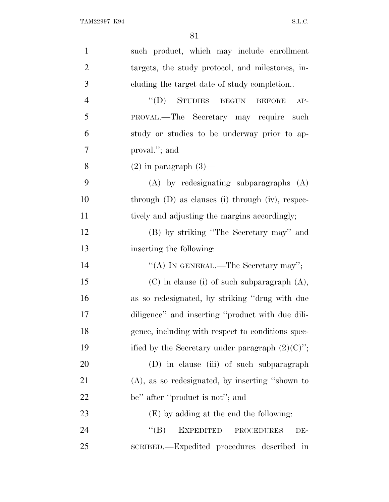| $\mathbf{1}$   | such product, which may include enrollment              |
|----------------|---------------------------------------------------------|
| $\overline{2}$ | targets, the study protocol, and milestones, in-        |
| 3              | eluding the target date of study completion             |
| $\overline{4}$ | "(D) STUDIES BEGUN BEFORE<br>$AP-$                      |
| 5              | PROVAL.—The Secretary may require<br>such               |
| 6              | study or studies to be underway prior to ap-            |
| 7              | proval."; and                                           |
| 8              | $(2)$ in paragraph $(3)$ —                              |
| 9              | $(A)$ by redesignating subparagraphs $(A)$              |
| 10             | through $(D)$ as clauses $(i)$ through $(iv)$ , respec- |
| 11             | tively and adjusting the margins accordingly;           |
| 12             | (B) by striking "The Secretary may" and                 |
| 13             | inserting the following:                                |
| 14             | "(A) IN GENERAL.—The Secretary may";                    |
| 15             | $(C)$ in clause (i) of such subparagraph $(A)$ ,        |
| 16             | as so redesignated, by striking "drug with due          |
| 17             | diligence" and inserting "product with due dili-        |
| 18             | gence, including with respect to conditions spec-       |
| 19             | ified by the Secretary under paragraph $(2)(C)$ ";      |
| 20             | (D) in clause (iii) of such subparagraph                |
| 21             | $(A)$ , as so redesignated, by inserting "shown to      |
| 22             | be" after "product is not"; and                         |
| 23             | (E) by adding at the end the following:                 |
| 24             | <b>EXPEDITED</b><br>``(B)<br><b>PROCEDURES</b><br>DE-   |
| 25             | SCRIBED.—Expedited procedures described in              |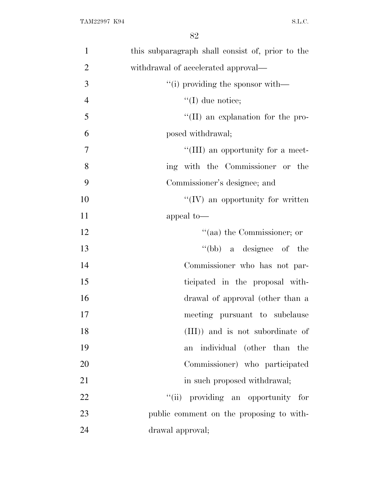| $\mathbf{1}$   | this subparagraph shall consist of, prior to the |
|----------------|--------------------------------------------------|
| $\overline{2}$ | withdrawal of accelerated approval—              |
| 3              | "(i) providing the sponsor with—                 |
| $\overline{4}$ | $\lq (I)$ due notice;                            |
| 5              | $\lq\lq$ (II) an explanation for the pro-        |
| 6              | posed withdrawal;                                |
| $\overline{7}$ | "(III) an opportunity for a meet-                |
| 8              | ing with the Commissioner or the                 |
| 9              | Commissioner's designee; and                     |
| 10             | $\lq\lq$ (IV) an opportunity for written         |
| 11             | appeal to-                                       |
| 12             | "(aa) the Commissioner; or                       |
| 13             | "(bb) a designee of the                          |
| 14             | Commissioner who has not par-                    |
| 15             | ticipated in the proposal with-                  |
| 16             | drawal of approval (other than a                 |
| 17             | meeting pursuant to subclause                    |
| 18             | (III)) and is not subordinate of                 |
| 19             | individual (other than the<br>an                 |
| 20             | Commissioner) who participated                   |
| 21             | in such proposed withdrawal;                     |
| 22             | "(ii) providing an opportunity for               |
| 23             | public comment on the proposing to with-         |
| 24             | drawal approval;                                 |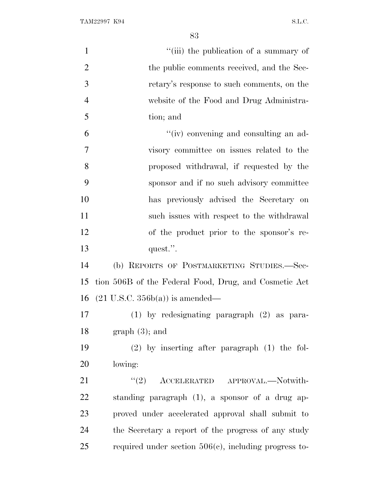| $\mathbf{1}$   | "(iii) the publication of a summary of                   |
|----------------|----------------------------------------------------------|
| $\overline{2}$ | the public comments received, and the Sec-               |
| 3              | retary's response to such comments, on the               |
| $\overline{4}$ | website of the Food and Drug Administra-                 |
| 5              | tion; and                                                |
| 6              | "(iv) convening and consulting an ad-                    |
| $\overline{7}$ | visory committee on issues related to the                |
| 8              | proposed withdrawal, if requested by the                 |
| 9              | sponsor and if no such advisory committee                |
| 10             | has previously advised the Secretary on                  |
| 11             | such issues with respect to the withdrawal               |
| 12             | of the product prior to the sponsor's re-                |
| 13             | quest.".                                                 |
| 14             | (b) REPORTS OF POSTMARKETING STUDIES.-Sec-               |
| 15             | tion 506B of the Federal Food, Drug, and Cosmetic Act    |
| 16             | $(21 \text{ U.S.C. } 356b(a))$ is amended—               |
| 17             | (1) by redesignating paragraph (2) as para-              |
| 18             | $graph(3)$ ; and                                         |
| 19             | $(2)$ by inserting after paragraph $(1)$ the fol-        |
| 20             | lowing:                                                  |
| 21             | ACCELERATED APPROVAL.-Notwith-<br>(2)                    |
| 22             | standing paragraph (1), a sponsor of a drug ap-          |
| 23             | proved under accelerated approval shall submit to        |
| 24             | the Secretary a report of the progress of any study      |
| 25             | required under section $506(c)$ , including progress to- |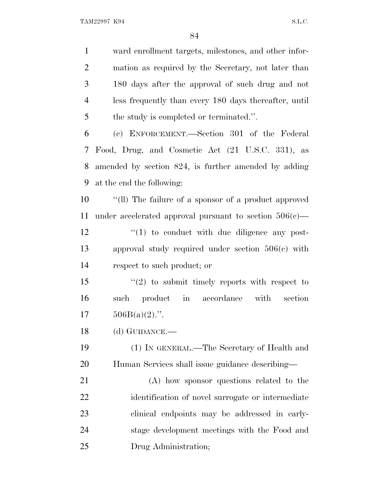ward enrollment targets, milestones, and other infor- mation as required by the Secretary, not later than 180 days after the approval of such drug and not less frequently than every 180 days thereafter, until the study is completed or terminated.''. (c) ENFORCEMENT.—Section 301 of the Federal Food, Drug, and Cosmetic Act (21 U.S.C. 331), as amended by section 824, is further amended by adding at the end the following: ''(ll) The failure of a sponsor of a product approved 11 under accelerated approval pursuant to section  $506(c)$ —  $\frac{1}{2}$  (1) to conduct with due diligence any post- approval study required under section 506(c) with respect to such product; or 15 "(2) to submit timely reports with respect to such product in accordance with section  $17 \qquad 506B(a)(2)$ .". (d) GUIDANCE.— (1) IN GENERAL.—The Secretary of Health and Human Services shall issue guidance describing— (A) how sponsor questions related to the identification of novel surrogate or intermediate clinical endpoints may be addressed in early- stage development meetings with the Food and Drug Administration;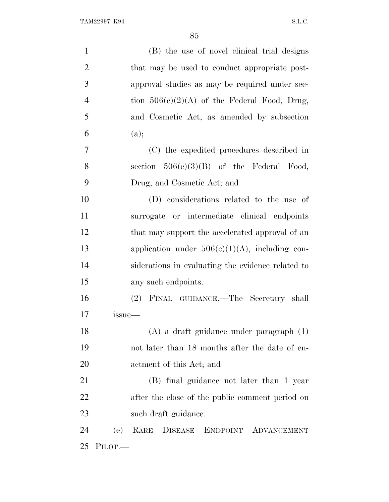| $\mathbf{1}$   | (B) the use of novel clinical trial designs       |
|----------------|---------------------------------------------------|
| $\overline{2}$ | that may be used to conduct appropriate post-     |
| 3              | approval studies as may be required under sec-    |
| $\overline{4}$ | tion $506(c)(2)(A)$ of the Federal Food, Drug,    |
| 5              | and Cosmetic Act, as amended by subsection        |
| 6              | (a);                                              |
| 7              | (C) the expedited procedures described in         |
| 8              | section $506(c)(3)(B)$ of the Federal Food,       |
| 9              | Drug, and Cosmetic Act; and                       |
| 10             | (D) considerations related to the use of          |
| 11             | surrogate or intermediate clinical endpoints      |
| 12             | that may support the accelerated approval of an   |
| 13             | application under $506(c)(1)(A)$ , including con- |
| 14             | siderations in evaluating the evidence related to |
| 15             | any such endpoints.                               |
| 16             | (2) FINAL GUIDANCE.—The Secretary shall           |
| 17             | issue—                                            |
| 18             | $(A)$ a draft guidance under paragraph $(1)$      |
| 19             | not later than 18 months after the date of en-    |
| 20             | actment of this Act; and                          |
| 21             | (B) final guidance not later than 1 year          |
| 22             | after the close of the public comment period on   |
| 23             | such draft guidance.                              |
| 24             | RARE DISEASE ENDPOINT ADVANCEMENT<br>(e)          |
| 25             | PILOT.                                            |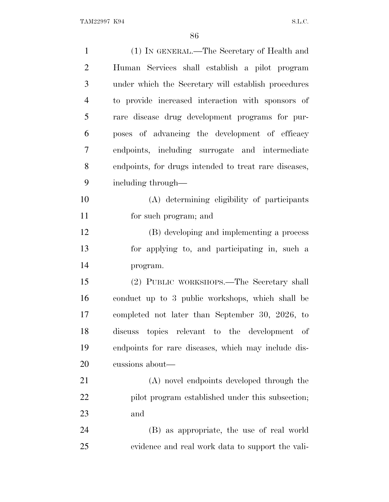| $\mathbf{1}$   | (1) IN GENERAL.—The Secretary of Health and           |
|----------------|-------------------------------------------------------|
| $\overline{2}$ | Human Services shall establish a pilot program        |
| 3              | under which the Secretary will establish procedures   |
| $\overline{4}$ | to provide increased interaction with sponsors of     |
| 5              | rare disease drug development programs for pur-       |
| 6              | poses of advancing the development of efficacy        |
| 7              | endpoints, including surrogate and intermediate       |
| 8              | endpoints, for drugs intended to treat rare diseases, |
| 9              | including through—                                    |
| 10             | (A) determining eligibility of participants           |
| 11             | for such program; and                                 |
| 12             | (B) developing and implementing a process             |
| 13             | for applying to, and participating in, such a         |
| 14             | program.                                              |
| 15             | (2) PUBLIC WORKSHOPS.—The Secretary shall             |
| 16             | conduct up to 3 public workshops, which shall be      |
| 17             | completed not later than September 30, 2026, to       |
| 18             | discuss topics relevant to the development of         |
| 19             | endpoints for rare diseases, which may include dis-   |
| 20             | cussions about—                                       |
| 21             | (A) novel endpoints developed through the             |
| 22             | pilot program established under this subsection;      |
| 23             | and                                                   |
| 24             | (B) as appropriate, the use of real world             |
| 25             | evidence and real work data to support the vali-      |
|                |                                                       |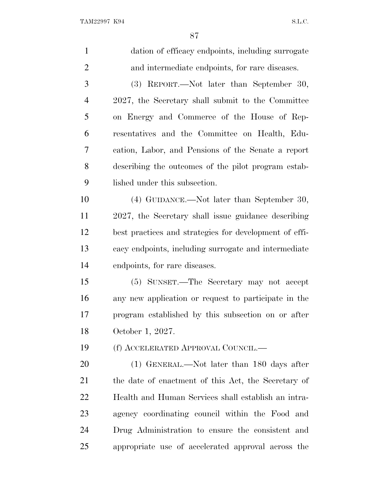| $\mathbf{1}$   | dation of efficacy endpoints, including surrogate      |
|----------------|--------------------------------------------------------|
| $\overline{2}$ | and intermediate endpoints, for rare diseases.         |
| 3              | (3) REPORT.—Not later than September 30,               |
| $\overline{4}$ | 2027, the Secretary shall submit to the Committee      |
| 5              | on Energy and Commerce of the House of Rep-            |
| 6              | resentatives and the Committee on Health, Edu-         |
| 7              | cation, Labor, and Pensions of the Senate a report     |
| 8              | describing the outcomes of the pilot program estab-    |
| 9              | lished under this subsection.                          |
| 10             | (4) GUIDANCE.—Not later than September 30,             |
| 11             | 2027, the Secretary shall issue guidance describing    |
| 12             | best practices and strategies for development of effi- |
| 13             | cacy endpoints, including surrogate and intermediate   |
| 14             | endpoints, for rare diseases.                          |
| 15             | (5) SUNSET.—The Secretary may not accept               |
| 16             | any new application or request to participate in the   |
| 17             | program established by this subsection on or after     |
| 18             | October 1, 2027.                                       |
| 19             | (f) ACCELERATED APPROVAL COUNCIL.—                     |
| 20             | $(1)$ GENERAL.—Not later than 180 days after           |
| 21             | the date of enactment of this Act, the Secretary of    |
| 22             | Health and Human Services shall establish an intra-    |
| 23             | agency coordinating council within the Food and        |
| 24             | Drug Administration to ensure the consistent and       |
| 25             | appropriate use of accelerated approval across the     |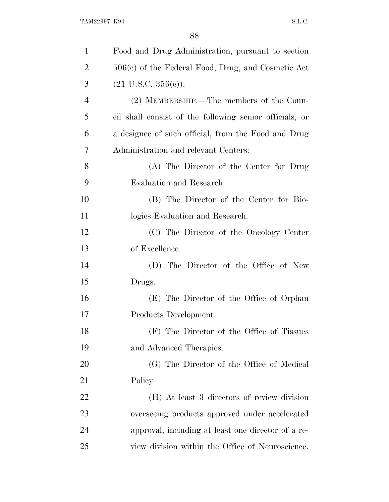| $\mathbf{1}$   | Food and Drug Administration, pursuant to section       |
|----------------|---------------------------------------------------------|
| $\overline{2}$ | $506(c)$ of the Federal Food, Drug, and Cosmetic Act    |
| 3              | $(21 \text{ U.S.C. } 356(e)).$                          |
| $\overline{4}$ | (2) MEMBERSHIP.—The members of the Coun-                |
| 5              | cil shall consist of the following senior officials, or |
| 6              | a designee of such official, from the Food and Drug     |
| 7              | Administration and relevant Centers:                    |
| 8              | (A) The Director of the Center for Drug                 |
| 9              | Evaluation and Research.                                |
| 10             | (B) The Director of the Center for Bio-                 |
| 11             | logics Evaluation and Research.                         |
| 12             | (C) The Director of the Oncology Center                 |
| 13             | of Excellence.                                          |
| 14             | (D) The Director of the Office of New                   |
| 15             | Drugs.                                                  |
| 16             | (E) The Director of the Office of Orphan                |
| 17             | Products Development.                                   |
| 18             | (F) The Director of the Office of Tissues               |
| 19             | and Advanced Therapies.                                 |
| 20             | (G) The Director of the Office of Medical               |
| 21             | Policy                                                  |
| 22             | (H) At least 3 directors of review division             |
| 23             | overseeing products approved under accelerated          |
| 24             | approval, including at least one director of a re-      |
| 25             | view division within the Office of Neuroscience.        |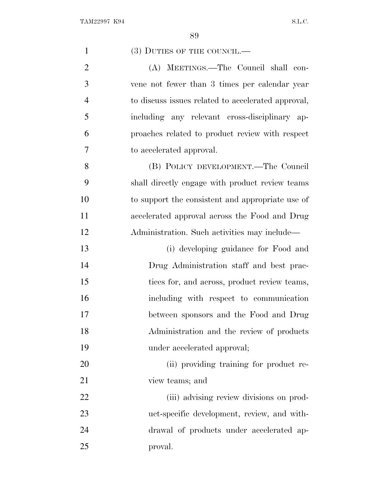| $\mathbf{1}$   | (3) DUTIES OF THE COUNCIL.—                        |
|----------------|----------------------------------------------------|
| $\overline{2}$ | (A) MEETINGS.—The Council shall con-               |
| 3              | vene not fewer than 3 times per calendar year      |
| $\overline{4}$ | to discuss issues related to accelerated approval, |
| 5              | including any relevant cross-disciplinary ap-      |
| 6              | proaches related to product review with respect    |
| 7              | to accelerated approval.                           |
| 8              | (B) POLICY DEVELOPMENT.—The Council                |
| 9              | shall directly engage with product review teams    |
| 10             | to support the consistent and appropriate use of   |
| 11             | accelerated approval across the Food and Drug      |
| 12             | Administration. Such activities may include—       |
| 13             | (i) developing guidance for Food and               |
| 14             | Drug Administration staff and best prac-           |
| 15             | tices for, and across, product review teams,       |
| 16             | including with respect to communication            |
| 17             | between sponsors and the Food and Drug             |
| 18             | Administration and the review of products          |
| 19             | under accelerated approval;                        |
| 20             | (ii) providing training for product re-            |
| 21             | view teams; and                                    |
| 22             | (iii) advising review divisions on prod-           |
| 23             | uct-specific development, review, and with-        |
| 24             | drawal of products under accelerated ap-           |
| 25             | proval.                                            |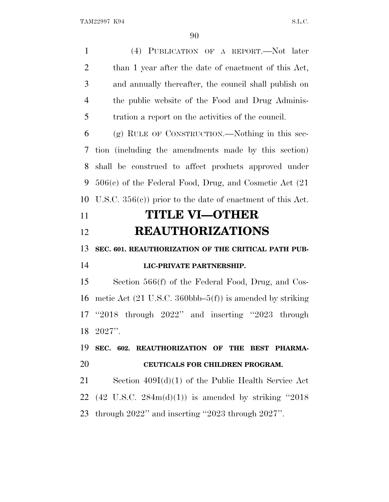(4) PUBLICATION OF A REPORT.—Not later than 1 year after the date of enactment of this Act, and annually thereafter, the council shall publish on the public website of the Food and Drug Adminis- tration a report on the activities of the council. (g) RULE OF CONSTRUCTION.—Nothing in this sec- tion (including the amendments made by this section) shall be construed to affect products approved under 506(c) of the Federal Food, Drug, and Cosmetic Act (21 U.S.C. 356(c)) prior to the date of enactment of this Act. **TITLE VI—OTHER REAUTHORIZATIONS SEC. 601. REAUTHORIZATION OF THE CRITICAL PATH PUB- LIC-PRIVATE PARTNERSHIP.** Section 566(f) of the Federal Food, Drug, and Cos- metic Act (21 U.S.C. 360bbb–5(f)) is amended by striking ''2018 through 2022'' and inserting ''2023 through 2027''. **SEC. 602. REAUTHORIZATION OF THE BEST PHARMA- CEUTICALS FOR CHILDREN PROGRAM.** Section 409I(d)(1) of the Public Health Service Act 22 (42 U.S.C.  $284m(d)(1)$ ) is amended by striking "2018"

through 2022'' and inserting ''2023 through 2027''.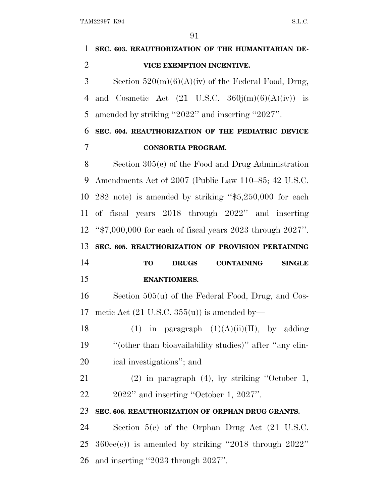| 1              | SEC. 603. REAUTHORIZATION OF THE HUMANITARIAN DE-               |
|----------------|-----------------------------------------------------------------|
| $\overline{2}$ | VICE EXEMPTION INCENTIVE.                                       |
| 3              | Section $520(m)(6)(A)(iv)$ of the Federal Food, Drug,           |
| $\overline{4}$ | and Cosmetic Act $(21 \text{ U.S.C. } 360j(m)(6)(A)(iv))$ is    |
| 5              | amended by striking "2022" and inserting "2027".                |
| 6              | SEC. 604. REAUTHORIZATION OF THE PEDIATRIC DEVICE               |
| 7              | <b>CONSORTIA PROGRAM.</b>                                       |
| 8              | Section $305(e)$ of the Food and Drug Administration            |
| 9              | Amendments Act of 2007 (Public Law 110–85; 42 U.S.C.            |
| 10             | $282$ note) is amended by striking " $$5,250,000$ for each      |
| 11             | of fiscal years 2018 through 2022" and inserting                |
|                | 12 " $$7,000,000$ for each of fiscal years 2023 through 2027".  |
| 13             | SEC. 605. REAUTHORIZATION OF PROVISION PERTAINING               |
|                |                                                                 |
| 14             | <b>CONTAINING</b><br><b>TO</b><br><b>DRUGS</b><br><b>SINGLE</b> |
| 15             | <b>ENANTIOMERS.</b>                                             |
| 16             | Section $505(u)$ of the Federal Food, Drug, and Cos-            |
| 17             | metic Act $(21 \text{ U.S.C. } 355(u))$ is amended by-          |
| 18             | (1) in paragraph $(1)(A)(ii)(II)$ , by adding                   |
| 19             | "(other than bioavailability studies)" after "any clin-         |
| 20             | ical investigations"; and                                       |
| 21             | $(2)$ in paragraph $(4)$ , by striking "October 1,              |
| 22             | $2022"$ and inserting "October 1, $2027"$ .                     |
| 23             | SEC. 606. REAUTHORIZATION OF ORPHAN DRUG GRANTS.                |
| 24             | Section $5(e)$ of the Orphan Drug Act (21 U.S.C.                |
| 25             | $360ee(e)$ ) is amended by striking "2018 through $2022"$       |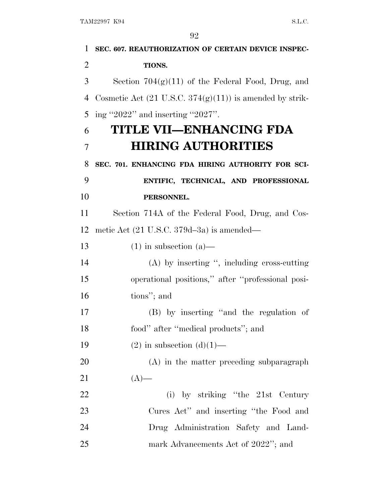| $\mathbf{1}$   | SEC. 607. REAUTHORIZATION OF CERTAIN DEVICE INSPEC-                 |
|----------------|---------------------------------------------------------------------|
| $\overline{2}$ | TIONS.                                                              |
| 3              | Section $704(g)(11)$ of the Federal Food, Drug, and                 |
| 4              | Cosmetic Act $(21 \text{ U.S.C. } 374(g)(11))$ is amended by strik- |
| 5              | ing "2022" and inserting "2027".                                    |
| 6              | TITLE VII-ENHANCING FDA                                             |
| $\overline{7}$ | <b>HIRING AUTHORITIES</b>                                           |
| 8              | SEC. 701. ENHANCING FDA HIRING AUTHORITY FOR SCI-                   |
| 9              | ENTIFIC, TECHNICAL, AND PROFESSIONAL                                |
| 10             | PERSONNEL.                                                          |
| 11             | Section 714A of the Federal Food, Drug, and Cos-                    |
| 12             | metic Act $(21 \text{ U.S.C. } 379d - 3a)$ is amended—              |
| 13             | $(1)$ in subsection $(a)$ —                                         |
| 14             | $(A)$ by inserting ", including cross-cutting                       |
| 15             | operational positions," after "professional posi-                   |
| 16             | tions"; and                                                         |
| 17             | (B) by inserting "and the regulation of                             |
| 18             | food" after "medical products"; and                                 |
| 19             | $(2)$ in subsection $(d)(1)$ —                                      |
| 20             | $(A)$ in the matter preceding subparagraph                          |
| 21             | $(A)$ —                                                             |
| 22             | (i) by striking "the 21st Century                                   |
| 23             | Cures Act" and inserting "the Food and                              |
| 24             | Drug Administration Safety and Land-                                |
| 25             | mark Advancements Act of 2022"; and                                 |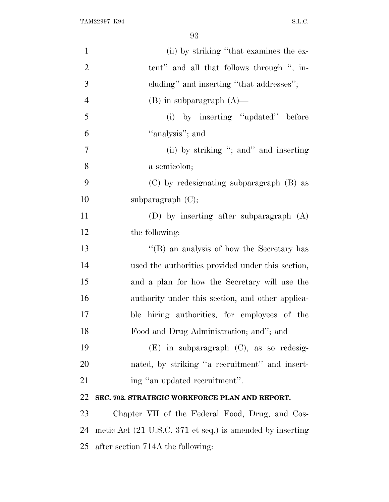| $\mathbf{1}$   | (ii) by striking "that examines the ex-                                      |
|----------------|------------------------------------------------------------------------------|
| $\overline{2}$ | tent" and all that follows through ", in-                                    |
| 3              | cluding" and inserting "that addresses";                                     |
| $\overline{4}$ | $(B)$ in subparagraph $(A)$ —                                                |
| 5              | (i) by inserting "updated" before                                            |
| 6              | "analysis"; and                                                              |
| 7              | (ii) by striking "; and" and inserting                                       |
| 8              | a semicolon;                                                                 |
| 9              | (C) by redesignating subparagraph (B) as                                     |
| 10             | subparagraph $(C)$ ;                                                         |
| 11             | (D) by inserting after subparagraph $(A)$                                    |
| 12             | the following:                                                               |
| 13             | "(B) an analysis of how the Secretary has                                    |
| 14             | used the authorities provided under this section,                            |
| 15             | and a plan for how the Secretary will use the                                |
| 16             | authority under this section, and other applica-                             |
| 17             | ble hiring authorities, for employees of the                                 |
| 18             | Food and Drug Administration; and"; and                                      |
| 19             | $(E)$ in subparagraph $(C)$ , as so redesig-                                 |
| 20             | nated, by striking "a recruitment" and insert-                               |
| 21             | ing "an updated recruitment".                                                |
| 22             | SEC. 702. STRATEGIC WORKFORCE PLAN AND REPORT.                               |
| 23             | Chapter VII of the Federal Food, Drug, and Cos-                              |
| 24             | metic Act $(21 \text{ U.S.C. } 371 \text{ et seq.})$ is amended by inserting |
| 25             | after section 714A the following:                                            |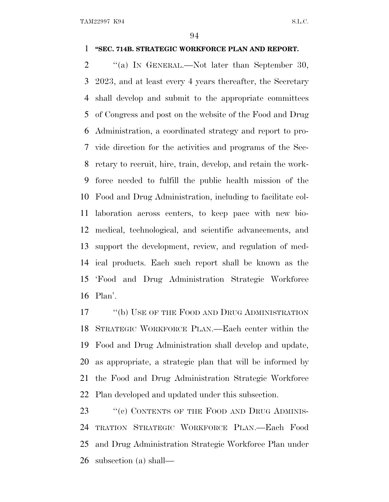#### **''SEC. 714B. STRATEGIC WORKFORCE PLAN AND REPORT.**

2 "(a) In GENERAL.—Not later than September 30, 2023, and at least every 4 years thereafter, the Secretary shall develop and submit to the appropriate committees of Congress and post on the website of the Food and Drug Administration, a coordinated strategy and report to pro- vide direction for the activities and programs of the Sec- retary to recruit, hire, train, develop, and retain the work- force needed to fulfill the public health mission of the Food and Drug Administration, including to facilitate col- laboration across centers, to keep pace with new bio- medical, technological, and scientific advancements, and support the development, review, and regulation of med- ical products. Each such report shall be known as the 'Food and Drug Administration Strategic Workforce Plan'.

17 "(b) USE OF THE FOOD AND DRUG ADMINISTRATION STRATEGIC WORKFORCE PLAN.—Each center within the Food and Drug Administration shall develop and update, as appropriate, a strategic plan that will be informed by the Food and Drug Administration Strategic Workforce Plan developed and updated under this subsection.

23 "(c) CONTENTS OF THE FOOD AND DRUG ADMINIS- TRATION STRATEGIC WORKFORCE PLAN.—Each Food and Drug Administration Strategic Workforce Plan under subsection (a) shall—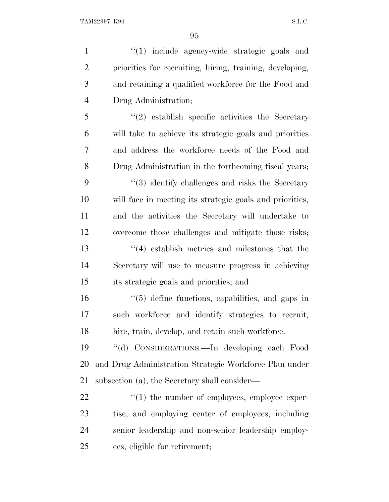1 ''(1) include agency-wide strategic goals and priorities for recruiting, hiring, training, developing, and retaining a qualified workforce for the Food and Drug Administration; ''(2) establish specific activities the Secretary will take to achieve its strategic goals and priorities and address the workforce needs of the Food and Drug Administration in the forthcoming fiscal years; 9 ''(3) identify challenges and risks the Secretary will face in meeting its strategic goals and priorities, and the activities the Secretary will undertake to overcome those challenges and mitigate those risks; ''(4) establish metrics and milestones that the Secretary will use to measure progress in achieving its strategic goals and priorities; and ''(5) define functions, capabilities, and gaps in such workforce and identify strategies to recruit, hire, train, develop, and retain such workforce. ''(d) CONSIDERATIONS.—In developing each Food and Drug Administration Strategic Workforce Plan under subsection (a), the Secretary shall consider—  $\langle (1)$  the number of employees, employee exper- tise, and employing center of employees, including senior leadership and non-senior leadership employ-

ees, eligible for retirement;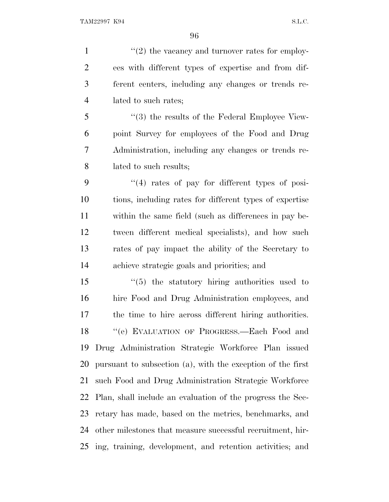$\frac{1}{2}$  the vacancy and turnover rates for employ- ees with different types of expertise and from dif- ferent centers, including any changes or trends re- lated to such rates; 5 "(3) the results of the Federal Employee View-

 point Survey for employees of the Food and Drug Administration, including any changes or trends re-lated to such results;

 ''(4) rates of pay for different types of posi- tions, including rates for different types of expertise within the same field (such as differences in pay be- tween different medical specialists), and how such rates of pay impact the ability of the Secretary to achieve strategic goals and priorities; and

 ''(5) the statutory hiring authorities used to hire Food and Drug Administration employees, and the time to hire across different hiring authorities. ''(e) EVALUATION OF PROGRESS.—Each Food and Drug Administration Strategic Workforce Plan issued pursuant to subsection (a), with the exception of the first such Food and Drug Administration Strategic Workforce Plan, shall include an evaluation of the progress the Sec- retary has made, based on the metrics, benchmarks, and other milestones that measure successful recruitment, hir-ing, training, development, and retention activities; and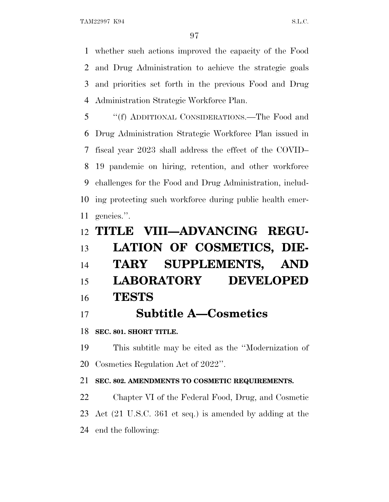whether such actions improved the capacity of the Food and Drug Administration to achieve the strategic goals and priorities set forth in the previous Food and Drug Administration Strategic Workforce Plan.

 ''(f) ADDITIONAL CONSIDERATIONS.—The Food and Drug Administration Strategic Workforce Plan issued in fiscal year 2023 shall address the effect of the COVID– 19 pandemic on hiring, retention, and other workforce challenges for the Food and Drug Administration, includ- ing protecting such workforce during public health emer-gencies.''.

# **TITLE VIII—ADVANCING REGU- LATION OF COSMETICS, DIE- TARY SUPPLEMENTS, AND LABORATORY DEVELOPED TESTS**

**Subtitle A—Cosmetics**

**SEC. 801. SHORT TITLE.**

 This subtitle may be cited as the ''Modernization of Cosmetics Regulation Act of 2022''.

## **SEC. 802. AMENDMENTS TO COSMETIC REQUIREMENTS.**

 Chapter VI of the Federal Food, Drug, and Cosmetic Act (21 U.S.C. 361 et seq.) is amended by adding at the end the following: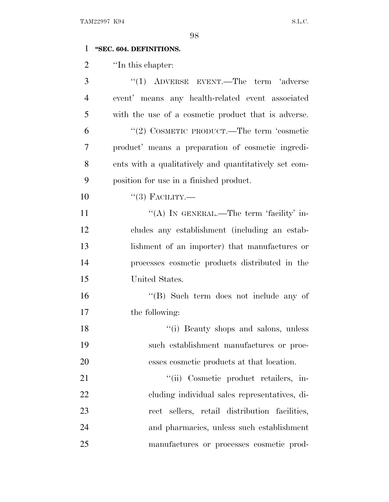### **''SEC. 604. DEFINITIONS.**

2 ''In this chapter:

| 3              | $(1)$ ADVERSE EVENT.—The term 'adverse                |
|----------------|-------------------------------------------------------|
| $\overline{4}$ | event' means any health-related event associated      |
| 5              | with the use of a cosmetic product that is adverse.   |
| 6              | "(2) COSMETIC PRODUCT.—The term 'cosmetic             |
| 7              | product' means a preparation of cosmetic ingredi-     |
| 8              | ents with a qualitatively and quantitatively set com- |
| 9              | position for use in a finished product.               |
| 10             | $``(3)$ FACILITY.—                                    |
| 11             | "(A) IN GENERAL.—The term 'facility' in-              |
| 12             | cludes any establishment (including an estab-         |
| 13             | lishment of an importer) that manufactures or         |
| 14             | processes cosmetic products distributed in the        |
| 15             | United States.                                        |
| 16             | " $(B)$ Such term does not include any of             |
| 17             | the following:                                        |
| 18             | "(i) Beauty shops and salons, unless                  |
| 19             | such establishment manufactures or proc-              |
| 20             | esses cosmetic products at that location.             |
| 21             | "(ii) Cosmetic product retailers, in-                 |
| 22             | cluding individual sales representatives, di-         |
| 23             | rect sellers, retail distribution facilities,         |
| 24             | and pharmacies, unless such establishment             |
| 25             | manufactures or processes cosmetic prod-              |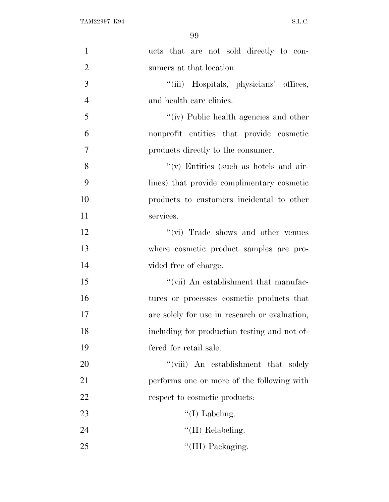| $\mathbf{1}$   | ucts that are not sold directly to con-        |
|----------------|------------------------------------------------|
| $\overline{2}$ | sumers at that location.                       |
| 3              | "(iii) Hospitals, physicians' offices,         |
| $\overline{4}$ | and health care clinics.                       |
| 5              | "(iv) Public health agencies and other         |
| 6              | nonprofit entities that provide cosmetic       |
| $\overline{7}$ | products directly to the consumer.             |
| 8              | $\lq\lq$ (v) Entities (such as hotels and air- |
| 9              | lines) that provide complimentary cosmetic     |
| 10             | products to customers incidental to other      |
| 11             | services.                                      |
| 12             | "(vi) Trade shows and other venues             |
| 13             | where cosmetic product samples are pro-        |
| 14             | vided free of charge.                          |
| 15             | "(vii) An establishment that manufac-          |
| 16             | tures or processes cosmetic products that      |
| 17             | are solely for use in research or evaluation,  |
| 18             | including for production testing and not of-   |
| 19             | fered for retail sale.                         |
| 20             | "(viii) An establishment that solely           |
| 21             | performs one or more of the following with     |
| 22             | respect to cosmetic products:                  |
| 23             | $\lq\lq$ (I) Labeling.                         |
| 24             | $\lq\lq$ (II) Relabeling.                      |
| 25             | "(III) Packaging.                              |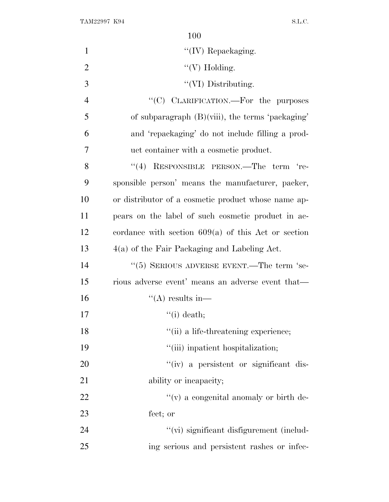| $\mathbf{1}$   | $\lq\lq$ (IV) Repackaging.                            |
|----------------|-------------------------------------------------------|
| $\overline{2}$ | " $(V)$ Holding.                                      |
| 3              | "(VI) Distributing.                                   |
| $\overline{4}$ | "(C) CLARIFICATION.—For the purposes                  |
| 5              | of subparagraph $(B)(viii)$ , the terms 'packaging'   |
| 6              | and 'repackaging' do not include filling a prod-      |
| 7              | uct container with a cosmetic product.                |
| 8              | RESPONSIBLE PERSON.—The term 're-<br>(4)              |
| 9              | sponsible person' means the manufacturer, packer,     |
| 10             | or distributor of a cosmetic product whose name ap-   |
| 11             | pears on the label of such cosmetic product in ac-    |
| 12             | cordance with section $609(a)$ of this Act or section |
| 13             | $4(a)$ of the Fair Packaging and Labeling Act.        |
| 14             | $\cdot\cdot$ (5) SERIOUS ADVERSE EVENT.—The term 'se- |
| 15             | rious adverse event' means an adverse event that—     |
| 16             | "(A) results in—                                      |
| 17             | $\lq\lq$ (i) death;                                   |
| 18             | "(ii) a life-threatening experience;                  |
| 19             | "(iii) inpatient hospitalization;                     |
| 20             | "(iv) a persistent or significant dis-                |
| 21             | ability or incapacity;                                |
| 22             | $f'(v)$ a congenital anomaly or birth de-             |
| 23             | fect; or                                              |
| 24             | "(vi) significant disfigurement (includ-              |
| 25             | ing serious and persistent rashes or infec-           |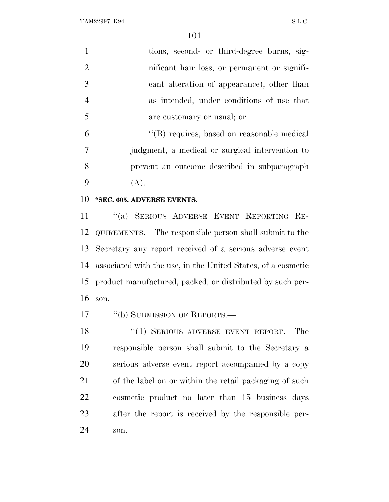| $\mathbf{1}$   | tions, second- or third-degree burns, sig-      |
|----------------|-------------------------------------------------|
| 2              | nificant hair loss, or permanent or signifi-    |
| $\overline{3}$ | cant alteration of appearance), other than      |
| $\overline{4}$ | as intended, under conditions of use that       |
| 5              | are customary or usual; or                      |
| 6              | "(B) requires, based on reasonable medical      |
| 7              | judgment, a medical or surgical intervention to |
| 8              | prevent an outcome described in subparagraph    |
| 9              | (A).                                            |

**''SEC. 605. ADVERSE EVENTS.**

 ''(a) SERIOUS ADVERSE EVENT REPORTING RE- QUIREMENTS.—The responsible person shall submit to the Secretary any report received of a serious adverse event associated with the use, in the United States, of a cosmetic product manufactured, packed, or distributed by such per-son.

17 "(b) SUBMISSION OF REPORTS.—

18 "(1) SERIOUS ADVERSE EVENT REPORT.—The responsible person shall submit to the Secretary a serious adverse event report accompanied by a copy of the label on or within the retail packaging of such cosmetic product no later than 15 business days after the report is received by the responsible per-son.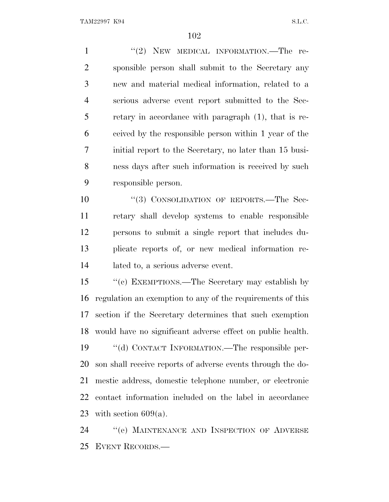1 "(2) NEW MEDICAL INFORMATION.—The re- sponsible person shall submit to the Secretary any new and material medical information, related to a serious adverse event report submitted to the Sec- retary in accordance with paragraph (1), that is re- ceived by the responsible person within 1 year of the initial report to the Secretary, no later than 15 busi- ness days after such information is received by such responsible person.

10 "(3) CONSOLIDATION OF REPORTS.—The Sec- retary shall develop systems to enable responsible persons to submit a single report that includes du- plicate reports of, or new medical information re-lated to, a serious adverse event.

 ''(c) EXEMPTIONS.—The Secretary may establish by regulation an exemption to any of the requirements of this section if the Secretary determines that such exemption would have no significant adverse effect on public health. ''(d) CONTACT INFORMATION.—The responsible per-

 son shall receive reports of adverse events through the do- mestic address, domestic telephone number, or electronic contact information included on the label in accordance 23 with section  $609(a)$ .

24 "(e) MAINTENANCE AND INSPECTION OF ADVERSE EVENT RECORDS.—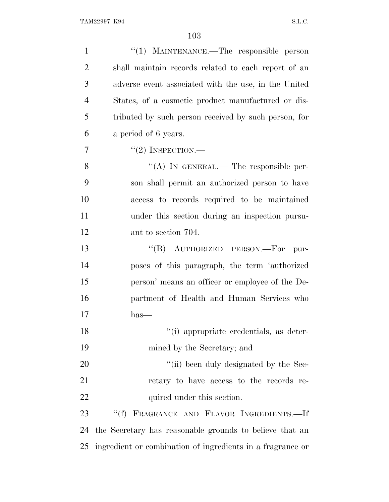| $\mathbf{1}$   | "(1) MAINTENANCE.—The responsible person                   |
|----------------|------------------------------------------------------------|
| $\overline{2}$ | shall maintain records related to each report of an        |
| 3              | adverse event associated with the use, in the United       |
| $\overline{4}$ | States, of a cosmetic product manufactured or dis-         |
| 5              | tributed by such person received by such person, for       |
| 6              | a period of 6 years.                                       |
| 7              | $``(2)$ INSPECTION.—                                       |
| 8              | "(A) IN GENERAL.— The responsible per-                     |
| 9              | son shall permit an authorized person to have              |
| 10             | access to records required to be maintained                |
| 11             | under this section during an inspection pursu-             |
| 12             | ant to section 704.                                        |
| 13             | "(B) AUTHORIZED PERSON.—For<br>pur-                        |
| 14             | poses of this paragraph, the term 'authorized              |
| 15             | person' means an officer or employee of the De-            |
| 16             | partment of Health and Human Services who                  |
| 17             | $has-$                                                     |
| 18             | "(i) appropriate credentials, as deter-                    |
| 19             | mined by the Secretary; and                                |
| 20             | "(ii) been duly designated by the Sec-                     |
| 21             | retary to have access to the records re-                   |
| 22             | quired under this section.                                 |
| 23             | FRAGRANCE AND FLAVOR INGREDIENTS.-If<br>``(f)              |
| 24             | the Secretary has reasonable grounds to believe that an    |
| 25             | ingredient or combination of ingredients in a fragrance or |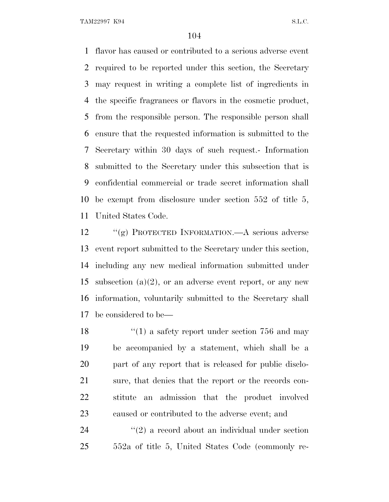flavor has caused or contributed to a serious adverse event required to be reported under this section, the Secretary may request in writing a complete list of ingredients in the specific fragrances or flavors in the cosmetic product, from the responsible person. The responsible person shall ensure that the requested information is submitted to the Secretary within 30 days of such request.- Information submitted to the Secretary under this subsection that is confidential commercial or trade secret information shall be exempt from disclosure under section 552 of title 5, United States Code.

 ''(g) PROTECTED INFORMATION.—A serious adverse event report submitted to the Secretary under this section, including any new medical information submitted under 15 subsection  $(a)(2)$ , or an adverse event report, or any new information, voluntarily submitted to the Secretary shall be considered to be—

18 ''(1) a safety report under section 756 and may be accompanied by a statement, which shall be a part of any report that is released for public disclo- sure, that denies that the report or the records con- stitute an admission that the product involved caused or contributed to the adverse event; and

24 ''(2) a record about an individual under section 552a of title 5, United States Code (commonly re-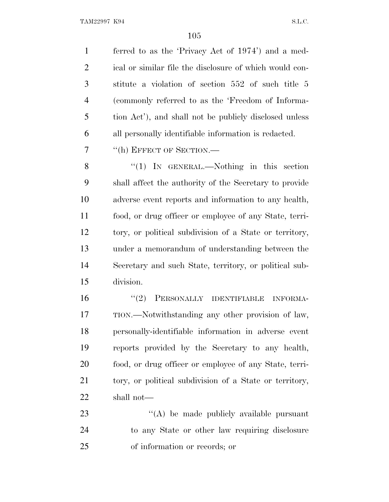ferred to as the 'Privacy Act of 1974') and a med-2 ical or similar file the disclosure of which would con- stitute a violation of section 552 of such title 5 (commonly referred to as the 'Freedom of Informa- tion Act'), and shall not be publicly disclosed unless all personally identifiable information is redacted.

7 <sup>"</sup>(h) EFFECT OF SECTION.—

8 "(1) IN GENERAL.—Nothing in this section shall affect the authority of the Secretary to provide adverse event reports and information to any health, food, or drug officer or employee of any State, terri- tory, or political subdivision of a State or territory, under a memorandum of understanding between the Secretary and such State, territory, or political sub-division.

16 "(2) PERSONALLY IDENTIFIABLE INFORMA- TION.—Notwithstanding any other provision of law, personally-identifiable information in adverse event reports provided by the Secretary to any health, food, or drug officer or employee of any State, terri- tory, or political subdivision of a State or territory, shall not—

23 "(A) be made publicly available pursuant to any State or other law requiring disclosure of information or records; or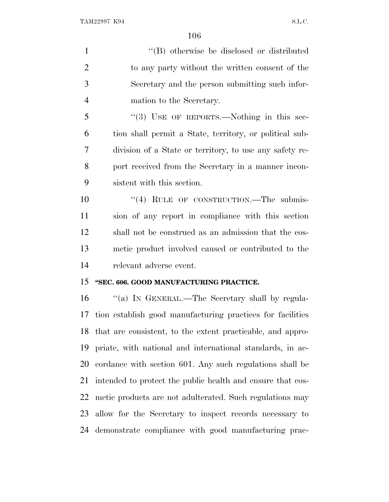1 ''(B) otherwise be disclosed or distributed to any party without the written consent of the Secretary and the person submitting such infor- mation to the Secretary. 5 "(3) USE OF REPORTS.—Nothing in this sec- tion shall permit a State, territory, or political sub- division of a State or territory, to use any safety re- port received from the Secretary in a manner incon- sistent with this section. 10 "(4) RULE OF CONSTRUCTION.—The submis- sion of any report in compliance with this section shall not be construed as an admission that the cos- metic product involved caused or contributed to the relevant adverse event. **''SEC. 606. GOOD MANUFACTURING PRACTICE.**

16 "(a) In GENERAL.—The Secretary shall by regula- tion establish good manufacturing practices for facilities that are consistent, to the extent practicable, and appro- priate, with national and international standards, in ac- cordance with section 601. Any such regulations shall be intended to protect the public health and ensure that cos- metic products are not adulterated. Such regulations may allow for the Secretary to inspect records necessary to demonstrate compliance with good manufacturing prac-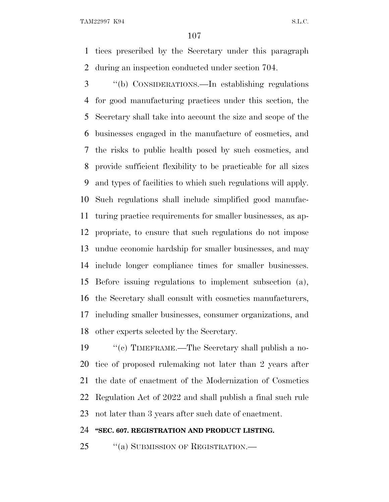tices prescribed by the Secretary under this paragraph during an inspection conducted under section 704.

 ''(b) CONSIDERATIONS.—In establishing regulations for good manufacturing practices under this section, the Secretary shall take into account the size and scope of the businesses engaged in the manufacture of cosmetics, and the risks to public health posed by such cosmetics, and provide sufficient flexibility to be practicable for all sizes and types of facilities to which such regulations will apply. Such regulations shall include simplified good manufac- turing practice requirements for smaller businesses, as ap- propriate, to ensure that such regulations do not impose undue economic hardship for smaller businesses, and may include longer compliance times for smaller businesses. Before issuing regulations to implement subsection (a), the Secretary shall consult with cosmetics manufacturers, including smaller businesses, consumer organizations, and other experts selected by the Secretary.

 ''(c) TIMEFRAME.—The Secretary shall publish a no- tice of proposed rulemaking not later than 2 years after the date of enactment of the Modernization of Cosmetics Regulation Act of 2022 and shall publish a final such rule not later than 3 years after such date of enactment.

#### **''SEC. 607. REGISTRATION AND PRODUCT LISTING.**

25 "(a) SUBMISSION OF REGISTRATION.—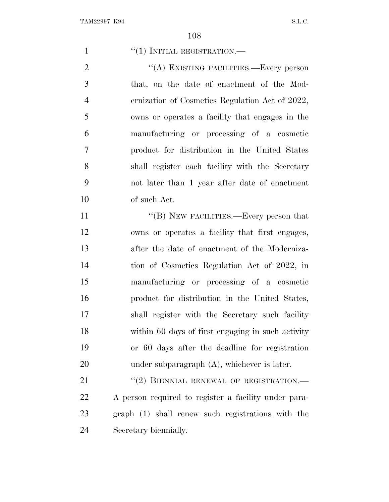$((1)$  INITIAL REGISTRATION.— 2 "(A) EXISTING FACILITIES.—Every person that, on the date of enactment of the Mod- ernization of Cosmetics Regulation Act of 2022, owns or operates a facility that engages in the manufacturing or processing of a cosmetic product for distribution in the United States shall register each facility with the Secretary not later than 1 year after date of enactment of such Act. 11 ""(B) NEW FACILITIES.—Every person that owns or operates a facility that first engages, after the date of enactment of the Moderniza- tion of Cosmetics Regulation Act of 2022, in manufacturing or processing of a cosmetic product for distribution in the United States, shall register with the Secretary such facility within 60 days of first engaging in such activity or 60 days after the deadline for registration under subparagraph (A), whichever is later. 21 "(2) BIENNIAL RENEWAL OF REGISTRATION.— A person required to register a facility under para- graph (1) shall renew such registrations with the Secretary biennially.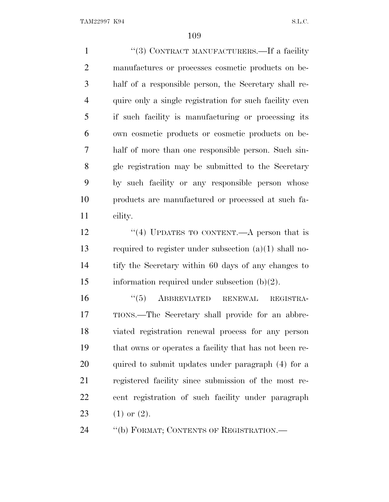1 ''(3) CONTRACT MANUFACTURERS.—If a facility manufactures or processes cosmetic products on be- half of a responsible person, the Secretary shall re- quire only a single registration for such facility even if such facility is manufacturing or processing its own cosmetic products or cosmetic products on be- half of more than one responsible person. Such sin- gle registration may be submitted to the Secretary by such facility or any responsible person whose products are manufactured or processed at such fa-cility.

12 ''(4) UPDATES TO CONTENT.—A person that is 13 required to register under subsection  $(a)(1)$  shall no- tify the Secretary within 60 days of any changes to 15 information required under subsection  $(b)(2)$ .

 ''(5) ABBREVIATED RENEWAL REGISTRA- TIONS.—The Secretary shall provide for an abbre- viated registration renewal process for any person that owns or operates a facility that has not been re- quired to submit updates under paragraph (4) for a registered facility since submission of the most re- cent registration of such facility under paragraph 23 (1) or  $(2)$ .

24 "(b) FORMAT; CONTENTS OF REGISTRATION.—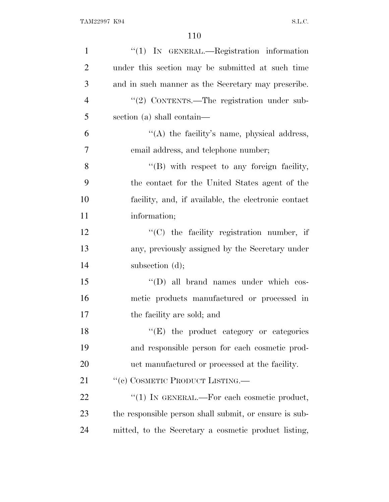| $\mathbf{1}$   | $"(1)$ IN GENERAL.—Registration information            |
|----------------|--------------------------------------------------------|
| $\overline{2}$ | under this section may be submitted at such time       |
| 3              | and in such manner as the Secretary may prescribe.     |
| $\overline{4}$ | "(2) CONTENTS.—The registration under sub-             |
| 5              | section (a) shall contain—                             |
| 6              | "(A) the facility's name, physical address,            |
| 7              | email address, and telephone number;                   |
| 8              | "(B) with respect to any foreign facility,             |
| 9              | the contact for the United States agent of the         |
| 10             | facility, and, if available, the electronic contact    |
| 11             | information;                                           |
| 12             | $\lq\lq$ (C) the facility registration number, if      |
| 13             | any, previously assigned by the Secretary under        |
| 14             | subsection $(d)$ ;                                     |
| 15             | "(D) all brand names under which cos-                  |
| 16             | metic products manufactured or processed in            |
| 17             | the facility are sold; and                             |
| 18             | "(E) the product category or categories                |
| 19             | and responsible person for each cosmetic prod-         |
| 20             | uct manufactured or processed at the facility.         |
| 21             | "(c) COSMETIC PRODUCT LISTING.—                        |
| 22             | "(1) IN GENERAL.—For each cosmetic product,            |
| 23             | the responsible person shall submit, or ensure is sub- |
| 24             | mitted, to the Secretary a cosmetic product listing,   |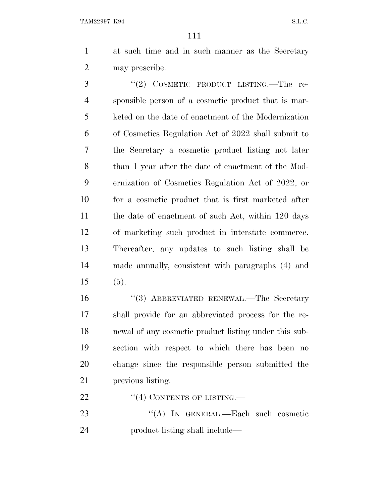at such time and in such manner as the Secretary may prescribe.

3 "(2) COSMETIC PRODUCT LISTING.—The re- sponsible person of a cosmetic product that is mar- keted on the date of enactment of the Modernization of Cosmetics Regulation Act of 2022 shall submit to the Secretary a cosmetic product listing not later than 1 year after the date of enactment of the Mod- ernization of Cosmetics Regulation Act of 2022, or for a cosmetic product that is first marketed after the date of enactment of such Act, within 120 days of marketing such product in interstate commerce. Thereafter, any updates to such listing shall be made annually, consistent with paragraphs (4) and  $15 \t(5)$ .

 ''(3) ABBREVIATED RENEWAL.—The Secretary shall provide for an abbreviated process for the re- newal of any cosmetic product listing under this sub- section with respect to which there has been no change since the responsible person submitted the previous listing.

22 "(4) CONTENTS OF LISTING.—

 ''(A) IN GENERAL.—Each such cosmetic product listing shall include—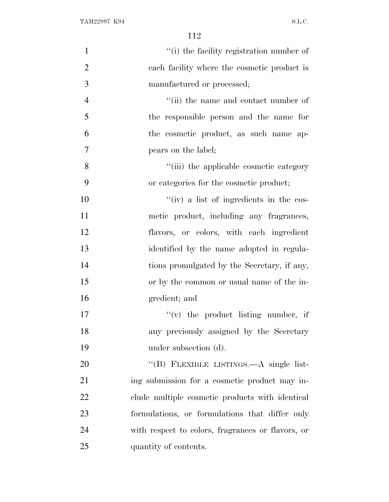| $\mathbf{1}$   | "(i) the facility registration number of          |
|----------------|---------------------------------------------------|
| $\overline{2}$ | each facility where the cosmetic product is       |
| 3              | manufactured or processed;                        |
| 4              | "(ii) the name and contact number of              |
| 5              | the responsible person and the name for           |
| 6              | the cosmetic product, as such name ap-            |
| 7              | pears on the label;                               |
| 8              | "(iii) the applicable cosmetic category           |
| 9              | or categories for the cosmetic product;           |
| 10             | "(iv) a list of ingredients in the cos-           |
| 11             | metic product, including any fragrances,          |
| 12             | flavors, or colors, with each ingredient          |
| 13             | identified by the name adopted in regula-         |
| 14             | tions promulgated by the Secretary, if any,       |
| 15             | or by the common or usual name of the in-         |
| 16             | gredient; and                                     |
| 17             | $f'(v)$ the product listing number, if            |
| 18             | any previously assigned by the Secretary          |
| 19             | under subsection (d).                             |
| 20             | "(B) FLEXIBLE LISTINGS.—A single list-            |
| 21             | ing submission for a cosmetic product may in-     |
| 22             | clude multiple cosmetic products with identical   |
| 23             | formulations, or formulations that differ only    |
| 24             | with respect to colors, fragrances or flavors, or |
| 25             | quantity of contents.                             |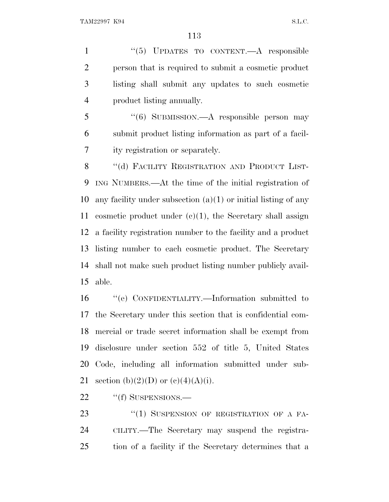1 "(5) UPDATES TO CONTENT.—A responsible person that is required to submit a cosmetic product listing shall submit any updates to such cosmetic product listing annually.

 ''(6) SUBMISSION.—A responsible person may submit product listing information as part of a facil-ity registration or separately.

8 "(d) FACILITY REGISTRATION AND PRODUCT LIST- ING NUMBERS.—At the time of the initial registration of 10 any facility under subsection  $(a)(1)$  or initial listing of any cosmetic product under (c)(1), the Secretary shall assign a facility registration number to the facility and a product listing number to each cosmetic product. The Secretary shall not make such product listing number publicly avail-able.

 ''(e) CONFIDENTIALITY.—Information submitted to the Secretary under this section that is confidential com- mercial or trade secret information shall be exempt from disclosure under section 552 of title 5, United States Code, including all information submitted under sub-21 section (b)(2)(D) or (c)(4)(A)(i).

22 "(f) SUSPENSIONS.—

23 "(1) SUSPENSION OF REGISTRATION OF A FA- CILITY.—The Secretary may suspend the registra-tion of a facility if the Secretary determines that a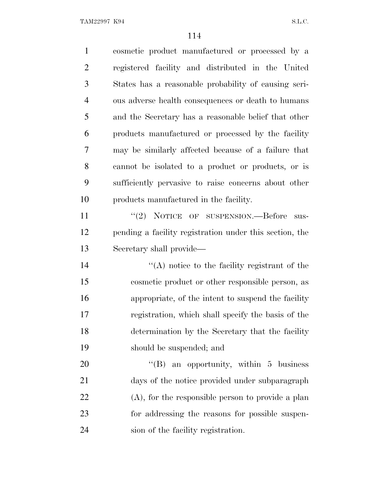| $\mathbf{1}$   | cosmetic product manufactured or processed by a         |
|----------------|---------------------------------------------------------|
| $\overline{2}$ | registered facility and distributed in the United       |
| 3              | States has a reasonable probability of causing seri-    |
| $\overline{4}$ | ous adverse health consequences or death to humans      |
| 5              | and the Secretary has a reasonable belief that other    |
| 6              | products manufactured or processed by the facility      |
| 7              | may be similarly affected because of a failure that     |
| 8              | cannot be isolated to a product or products, or is      |
| 9              | sufficiently pervasive to raise concerns about other    |
| 10             | products manufactured in the facility.                  |
| 11             | "(2) NOTICE OF SUSPENSION.—Before<br>sus-               |
| 12             | pending a facility registration under this section, the |
| 13             | Secretary shall provide—                                |
| 14             | $\lq (A)$ notice to the facility registrant of the      |
| 15             | cosmetic product or other responsible person, as        |
| 16             | appropriate, of the intent to suspend the facility      |
| 17             | registration, which shall specify the basis of the      |
| 18             | determination by the Secretary that the facility        |
| 19             | should be suspended; and                                |
| 20             | $\lq\lq (B)$<br>an opportunity, within 5 business       |
| 21             | days of the notice provided under subparagraph          |
| 22             | $(A)$ , for the responsible person to provide a plan    |
| 23             | for addressing the reasons for possible suspen-         |
| 24             | sion of the facility registration.                      |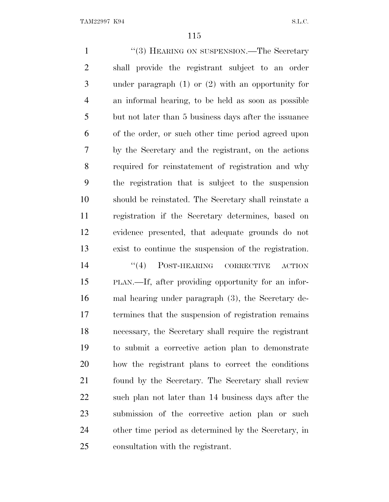1 ''(3) HEARING ON SUSPENSION.—The Secretary shall provide the registrant subject to an order under paragraph (1) or (2) with an opportunity for an informal hearing, to be held as soon as possible but not later than 5 business days after the issuance of the order, or such other time period agreed upon by the Secretary and the registrant, on the actions required for reinstatement of registration and why the registration that is subject to the suspension should be reinstated. The Secretary shall reinstate a registration if the Secretary determines, based on evidence presented, that adequate grounds do not exist to continue the suspension of the registration.  $(4)$  POST-HEARING CORRECTIVE ACTION PLAN.—If, after providing opportunity for an infor- mal hearing under paragraph (3), the Secretary de- termines that the suspension of registration remains necessary, the Secretary shall require the registrant to submit a corrective action plan to demonstrate how the registrant plans to correct the conditions found by the Secretary. The Secretary shall review such plan not later than 14 business days after the submission of the corrective action plan or such other time period as determined by the Secretary, in consultation with the registrant.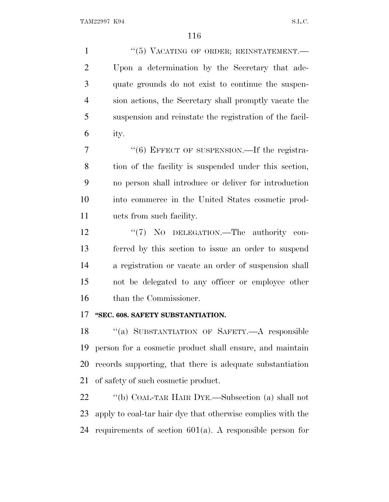''(5) VACATING OF ORDER; REINSTATEMENT.— Upon a determination by the Secretary that ade- quate grounds do not exist to continue the suspen- sion actions, the Secretary shall promptly vacate the suspension and reinstate the registration of the facil-ity.

7 "(6) EFFECT OF SUSPENSION.—If the registra- tion of the facility is suspended under this section, no person shall introduce or deliver for introduction into commerce in the United States cosmetic prod-ucts from such facility.

12 "(7) No DELEGATION.—The authority con- ferred by this section to issue an order to suspend a registration or vacate an order of suspension shall not be delegated to any officer or employee other than the Commissioner.

### **''SEC. 608. SAFETY SUBSTANTIATION.**

 ''(a) SUBSTANTIATION OF SAFETY.—A responsible person for a cosmetic product shall ensure, and maintain records supporting, that there is adequate substantiation of safety of such cosmetic product.

 ''(b) COAL-TAR HAIR DYE.—Subsection (a) shall not apply to coal-tar hair dye that otherwise complies with the requirements of section 601(a). A responsible person for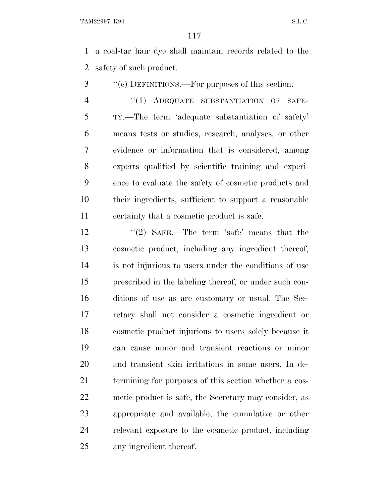a coal-tar hair dye shall maintain records related to the safety of such product.

''(c) DEFINITIONS.—For purposes of this section:

4 "(1) ADEQUATE SUBSTANTIATION OF SAFE- TY.—The term 'adequate substantiation of safety' means tests or studies, research, analyses, or other evidence or information that is considered, among experts qualified by scientific training and experi- ence to evaluate the safety of cosmetic products and their ingredients, sufficient to support a reasonable certainty that a cosmetic product is safe.

12 ''(2) SAFE.—The term 'safe' means that the cosmetic product, including any ingredient thereof, is not injurious to users under the conditions of use prescribed in the labeling thereof, or under such con- ditions of use as are customary or usual. The Sec- retary shall not consider a cosmetic ingredient or cosmetic product injurious to users solely because it can cause minor and transient reactions or minor and transient skin irritations in some users. In de- termining for purposes of this section whether a cos- metic product is safe, the Secretary may consider, as appropriate and available, the cumulative or other relevant exposure to the cosmetic product, including any ingredient thereof.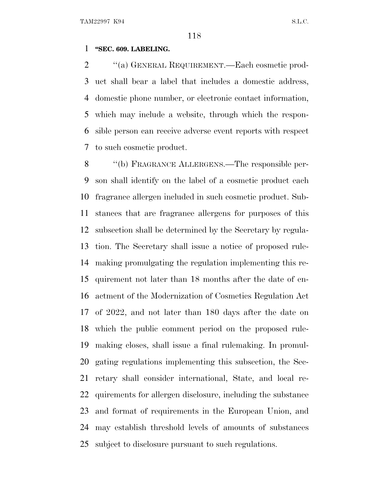### **''SEC. 609. LABELING.**

 $\cdot$  "(a) GENERAL REQUIREMENT.—Each cosmetic prod- uct shall bear a label that includes a domestic address, domestic phone number, or electronic contact information, which may include a website, through which the respon- sible person can receive adverse event reports with respect to such cosmetic product.

 ''(b) FRAGRANCE ALLERGENS.—The responsible per- son shall identify on the label of a cosmetic product each fragrance allergen included in such cosmetic product. Sub- stances that are fragrance allergens for purposes of this subsection shall be determined by the Secretary by regula- tion. The Secretary shall issue a notice of proposed rule- making promulgating the regulation implementing this re- quirement not later than 18 months after the date of en- actment of the Modernization of Cosmetics Regulation Act of 2022, and not later than 180 days after the date on which the public comment period on the proposed rule- making closes, shall issue a final rulemaking. In promul- gating regulations implementing this subsection, the Sec- retary shall consider international, State, and local re- quirements for allergen disclosure, including the substance and format of requirements in the European Union, and may establish threshold levels of amounts of substances subject to disclosure pursuant to such regulations.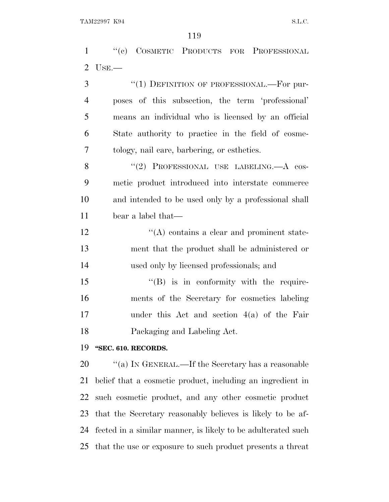''(c) COSMETIC PRODUCTS FOR PROFESSIONAL USE.—

| 3              | "(1) DEFINITION OF PROFESSIONAL.—For pur-            |
|----------------|------------------------------------------------------|
| $\overline{4}$ | poses of this subsection, the term 'professional'    |
| 5              | means an individual who is licensed by an official   |
| 6              | State authority to practice in the field of cosme-   |
| 7              | tology, nail care, barbering, or esthetics.          |
| 8              | "(2) PROFESSIONAL USE LABELING.—A cos-               |
| 9              | metic product introduced into interstate commerce    |
| 10             | and intended to be used only by a professional shall |
| 11             | bear a label that—                                   |
| 12             | $\lq\lq$ contains a clear and prominent state-       |
| 13             | ment that the product shall be administered or       |
| 14             | used only by licensed professionals; and             |
| 15             | $\lq\lq (B)$ is in conformity with the require-      |
| 16             | ments of the Secretary for cosmetics labeling        |
| 17             | under this Act and section $4(a)$ of the Fair        |

Packaging and Labeling Act.

### **''SEC. 610. RECORDS.**

 $\hspace{1cm}$  "(a) In GENERAL.—If the Secretary has a reasonable belief that a cosmetic product, including an ingredient in such cosmetic product, and any other cosmetic product that the Secretary reasonably believes is likely to be af- fected in a similar manner, is likely to be adulterated such that the use or exposure to such product presents a threat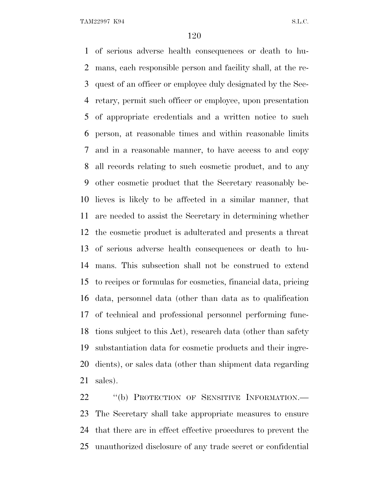of serious adverse health consequences or death to hu- mans, each responsible person and facility shall, at the re- quest of an officer or employee duly designated by the Sec- retary, permit such officer or employee, upon presentation of appropriate credentials and a written notice to such person, at reasonable times and within reasonable limits and in a reasonable manner, to have access to and copy all records relating to such cosmetic product, and to any other cosmetic product that the Secretary reasonably be- lieves is likely to be affected in a similar manner, that are needed to assist the Secretary in determining whether the cosmetic product is adulterated and presents a threat of serious adverse health consequences or death to hu- mans. This subsection shall not be construed to extend to recipes or formulas for cosmetics, financial data, pricing data, personnel data (other than data as to qualification of technical and professional personnel performing func- tions subject to this Act), research data (other than safety substantiation data for cosmetic products and their ingre- dients), or sales data (other than shipment data regarding sales).

22 "(b) PROTECTION OF SENSITIVE INFORMATION.— The Secretary shall take appropriate measures to ensure that there are in effect effective procedures to prevent the unauthorized disclosure of any trade secret or confidential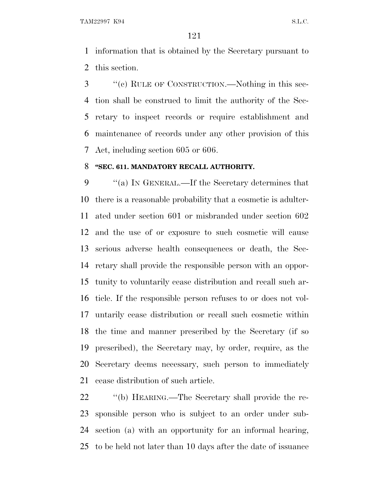information that is obtained by the Secretary pursuant to this section.

 ''(c) RULE OF CONSTRUCTION.—Nothing in this sec- tion shall be construed to limit the authority of the Sec- retary to inspect records or require establishment and maintenance of records under any other provision of this Act, including section 605 or 606.

#### **''SEC. 611. MANDATORY RECALL AUTHORITY.**

 ''(a) I<sup>N</sup> GENERAL.—If the Secretary determines that there is a reasonable probability that a cosmetic is adulter- ated under section 601 or misbranded under section 602 and the use of or exposure to such cosmetic will cause serious adverse health consequences or death, the Sec- retary shall provide the responsible person with an oppor- tunity to voluntarily cease distribution and recall such ar- ticle. If the responsible person refuses to or does not vol- untarily cease distribution or recall such cosmetic within the time and manner prescribed by the Secretary (if so prescribed), the Secretary may, by order, require, as the Secretary deems necessary, such person to immediately cease distribution of such article.

 $\cdot$  "(b) HEARING.—The Secretary shall provide the re- sponsible person who is subject to an order under sub- section (a) with an opportunity for an informal hearing, to be held not later than 10 days after the date of issuance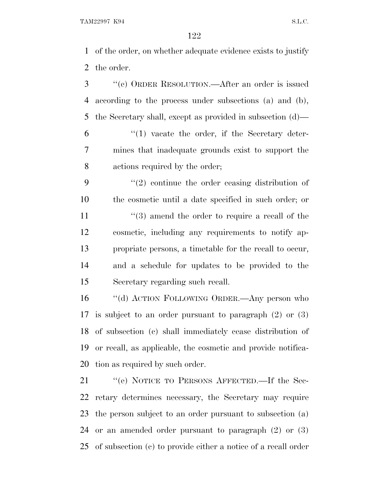of the order, on whether adequate evidence exists to justify the order.

- ''(c) ORDER RESOLUTION.—After an order is issued according to the process under subsections (a) and (b), the Secretary shall, except as provided in subsection (d)—  $(1)$  vacate the order, if the Secretary deter-
- mines that inadequate grounds exist to support the actions required by the order;
- ''(2) continue the order ceasing distribution of the cosmetic until a date specified in such order; or 11 ''(3) amend the order to require a recall of the cosmetic, including any requirements to notify ap- propriate persons, a timetable for the recall to occur, and a schedule for updates to be provided to the Secretary regarding such recall.

 ''(d) ACTION FOLLOWING ORDER.—Any person who is subject to an order pursuant to paragraph (2) or (3) of subsection (c) shall immediately cease distribution of or recall, as applicable, the cosmetic and provide notifica-tion as required by such order.

21 "(e) NOTICE TO PERSONS AFFECTED.—If the Sec- retary determines necessary, the Secretary may require the person subject to an order pursuant to subsection (a) or an amended order pursuant to paragraph (2) or (3) of subsection (c) to provide either a notice of a recall order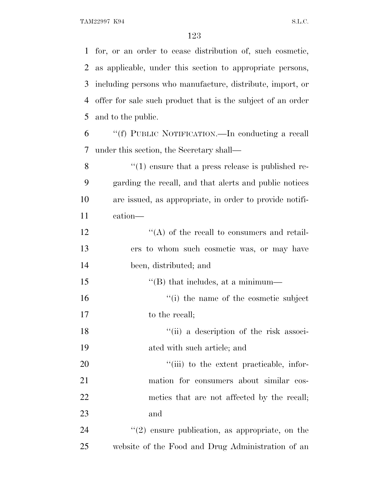for, or an order to cease distribution of, such cosmetic, as applicable, under this section to appropriate persons, including persons who manufacture, distribute, import, or offer for sale such product that is the subject of an order and to the public. ''(f) PUBLIC NOTIFICATION.—In conducting a recall under this section, the Secretary shall—  $\frac{8}{10}$  (1) ensure that a press release is published re- garding the recall, and that alerts and public notices are issued, as appropriate, in order to provide notifi- cation— 12 ''(A) of the recall to consumers and retail- ers to whom such cosmetic was, or may have been, distributed; and  $\text{``(B) that includes, at a minimum}\longrightarrow$  $\frac{1}{10}$  the name of the cosmetic subject 17 to the recall; 18 ''(ii) a description of the risk associ- ated with such article; and  $\frac{1}{20}$  to the extent practicable, infor- mation for consumers about similar cos-22 metics that are not affected by the recall; and  $\frac{1}{2}$  (2) ensure publication, as appropriate, on the website of the Food and Drug Administration of an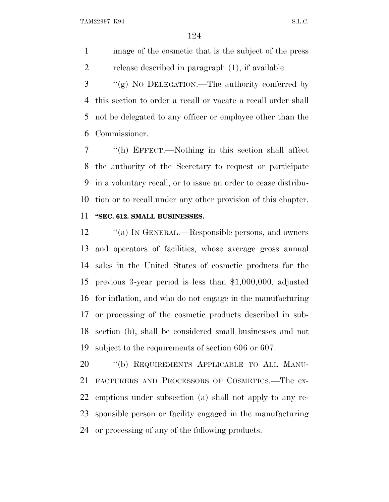image of the cosmetic that is the subject of the press release described in paragraph (1), if available.

 ''(g) N<sup>O</sup> DELEGATION.—The authority conferred by this section to order a recall or vacate a recall order shall not be delegated to any officer or employee other than the Commissioner.

 ''(h) EFFECT.—Nothing in this section shall affect the authority of the Secretary to request or participate in a voluntary recall, or to issue an order to cease distribu- tion or to recall under any other provision of this chapter. **''SEC. 612. SMALL BUSINESSES.**

12 "(a) IN GENERAL.—Responsible persons, and owners and operators of facilities, whose average gross annual sales in the United States of cosmetic products for the previous 3-year period is less than \$1,000,000, adjusted for inflation, and who do not engage in the manufacturing or processing of the cosmetic products described in sub- section (b), shall be considered small businesses and not subject to the requirements of section 606 or 607.

20 "(b) REQUIREMENTS APPLICABLE TO ALL MANU- FACTURERS AND PROCESSORS OF COSMETICS.—The ex- emptions under subsection (a) shall not apply to any re- sponsible person or facility engaged in the manufacturing or processing of any of the following products: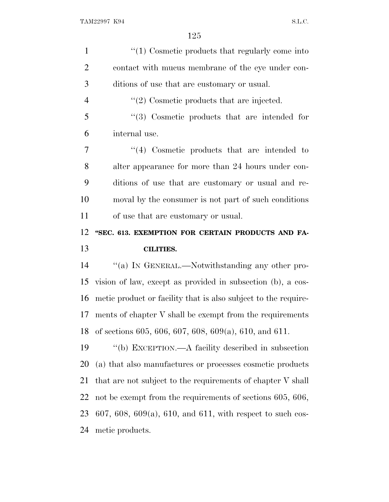| $\mathbf{1}$   | $\lq(1)$ Cosmetic products that regularly come into            |
|----------------|----------------------------------------------------------------|
| $\overline{2}$ | contact with mucus membrane of the eye under con-              |
| 3              | ditions of use that are customary or usual.                    |
| $\overline{4}$ | $\lq(2)$ Cosmetic products that are injected.                  |
| 5              | $\cdot$ (3) Cosmetic products that are intended for            |
| 6              | internal use.                                                  |
| 7              | $\lq(4)$ Cosmetic products that are intended to                |
| 8              | alter appearance for more than 24 hours under con-             |
| 9              | ditions of use that are customary or usual and re-             |
| 10             | moval by the consumer is not part of such conditions           |
| 11             | of use that are customary or usual.                            |
| 12             | "SEC. 613. EXEMPTION FOR CERTAIN PRODUCTS AND FA-              |
|                |                                                                |
| 13             | <b>CILITIES.</b>                                               |
| 14             | "(a) IN GENERAL.—Notwithstanding any other pro-                |
| 15             | vision of law, except as provided in subsection (b), a cos-    |
| 16             | metic product or facility that is also subject to the require- |
| 17             | ments of chapter V shall be exempt from the requirements       |
| 18             | of sections 605, 606, 607, 608, 609(a), 610, and 611.          |
| 19             | "(b) EXCEPTION.—A facility described in subsection             |
| 20             | (a) that also manufactures or processes cosmetic products      |
| 21             | that are not subject to the requirements of chapter V shall    |
| 22             | not be exempt from the requirements of sections 605, 606,      |
| 23             | 607, 608, 609(a), 610, and 611, with respect to such cos-      |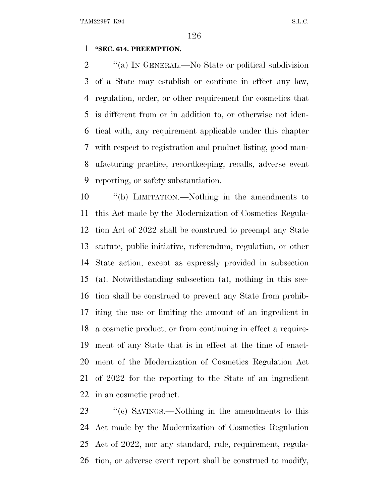### **''SEC. 614. PREEMPTION.**

2 "(a) IN GENERAL.—No State or political subdivision of a State may establish or continue in effect any law, regulation, order, or other requirement for cosmetics that is different from or in addition to, or otherwise not iden- tical with, any requirement applicable under this chapter with respect to registration and product listing, good man- ufacturing practice, recordkeeping, recalls, adverse event reporting, or safety substantiation.

 ''(b) LIMITATION.—Nothing in the amendments to this Act made by the Modernization of Cosmetics Regula- tion Act of 2022 shall be construed to preempt any State statute, public initiative, referendum, regulation, or other State action, except as expressly provided in subsection (a). Notwithstanding subsection (a), nothing in this sec- tion shall be construed to prevent any State from prohib- iting the use or limiting the amount of an ingredient in a cosmetic product, or from continuing in effect a require- ment of any State that is in effect at the time of enact- ment of the Modernization of Cosmetics Regulation Act of 2022 for the reporting to the State of an ingredient in an cosmetic product.

23 ''(c) SAVINGS.—Nothing in the amendments to this Act made by the Modernization of Cosmetics Regulation Act of 2022, nor any standard, rule, requirement, regula-tion, or adverse event report shall be construed to modify,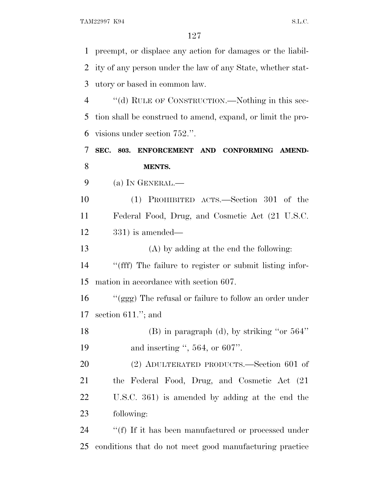preempt, or displace any action for damages or the liabil- ity of any person under the law of any State, whether stat- utory or based in common law. ''(d) RULE OF CONSTRUCTION.—Nothing in this sec- tion shall be construed to amend, expand, or limit the pro- visions under section 752.''. **SEC. 803. ENFORCEMENT AND CONFORMING AMEND- MENTS.** (a) I<sup>N</sup> GENERAL.— (1) PROHIBITED ACTS.—Section 301 of the Federal Food, Drug, and Cosmetic Act (21 U.S.C. 331) is amended— (A) by adding at the end the following: ''(fff) The failure to register or submit listing infor- mation in accordance with section 607. ''(ggg) The refusal or failure to follow an order under section 611.''; and (B) in paragraph (d), by striking ''or 564'' 19 and inserting ", 564, or 607". (2) ADULTERATED PRODUCTS.—Section 601 of the Federal Food, Drug, and Cosmetic Act (21 U.S.C. 361) is amended by adding at the end the following: 24 <sup>"</sup>(f) If it has been manufactured or processed under

conditions that do not meet good manufacturing practice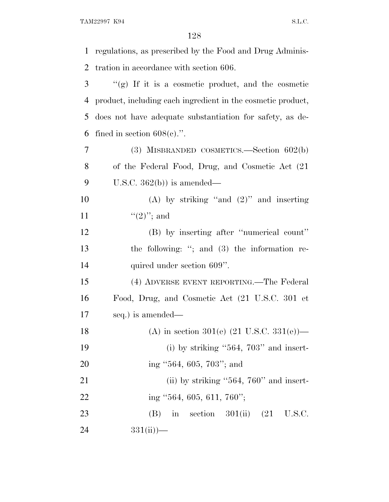regulations, as prescribed by the Food and Drug Adminis- tration in accordance with section 606. ''(g) If it is a cosmetic product, and the cosmetic product, including each ingredient in the cosmetic product, does not have adequate substantiation for safety, as de-6 fined in section  $608(e)$ .". (3) MISBRANDED COSMETICS.—Section 602(b) of the Federal Food, Drug, and Cosmetic Act (21 9 U.S.C.  $362(b)$  is amended— (A) by striking ''and (2)'' and inserting  $\frac{((2)''; \text{ and })}{}$  (B) by inserting after ''numerical count'' the following: ''; and (3) the information re-14 quired under section 609". (4) ADVERSE EVENT REPORTING.—The Federal Food, Drug, and Cosmetic Act (21 U.S.C. 301 et seq.) is amended— 18 (A) in section 301(e)  $(21 \text{ U.S.C. } 331(e))$ — 19 (i) by striking  $"564$ ,  $703"$  and insert- ing ''564, 605, 703''; and 21 (ii) by striking "564, 760" and insert-22 ing ''564, 605, 611, 760''; 23 (B) in section 301(ii) (21 U.S.C. 24  $331(ii)$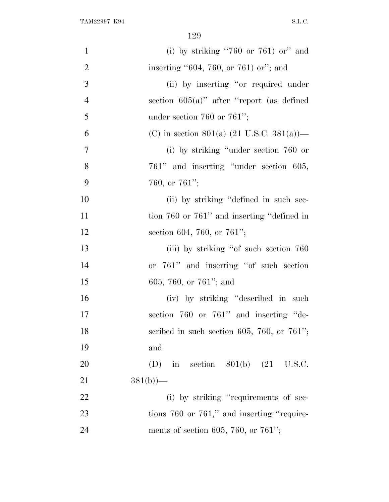| $\mathbf{1}$   | (i) by striking "760 or 761) or" and                  |
|----------------|-------------------------------------------------------|
| $\overline{2}$ | inserting $"604, 760,$ or $761$ ) or"; and            |
| 3              | (ii) by inserting "or required under                  |
| $\overline{4}$ | section $605(a)$ " after "report (as defined          |
| 5              | under section 760 or 761";                            |
| 6              | (C) in section 801(a) $(21 \text{ U.S.C. } 381(a))$ — |
| $\overline{7}$ | (i) by striking "under section 760 or                 |
| 8              | 761" and inserting "under section 605,                |
| 9              | 760, or $761$ ";                                      |
| 10             | (ii) by striking "defined in such sec-                |
| 11             | tion 760 or 761" and inserting "defined in            |
| 12             | section 604, 760, or 761";                            |
| 13             | (iii) by striking "of such section 760                |
| 14             | or 761" and inserting "of such section                |
| 15             | 605, 760, or $761$ "; and                             |
| 16             | (iv) by striking "described in such                   |
| 17             | section 760 or 761" and inserting "de-                |
| 18             | scribed in such section 605, 760, or $761$ ";         |
| 19             | and                                                   |
| 20             | (D) in section $801(b)$ (21 U.S.C.                    |
| 21             | $381(b)$ )—                                           |
| 22             | (i) by striking "requirements of sec-                 |
| 23             | tions 760 or 761," and inserting "require-            |
| 24             | ments of section 605, 760, or 761";                   |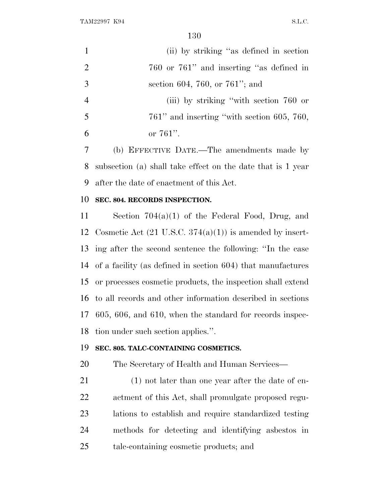| $\mathbf{1}$   | (ii) by striking "as defined in section                             |
|----------------|---------------------------------------------------------------------|
| $\overline{2}$ | 760 or 761" and inserting "as defined in                            |
| 3              | section 604, 760, or 761"; and                                      |
| $\overline{4}$ | (iii) by striking "with section 760 or                              |
| 5              | $761$ " and inserting "with section 605, 760,                       |
| 6              | or $761$ ".                                                         |
| 7              | (b) EFFECTIVE DATE.—The amendments made by                          |
| 8              | subsection (a) shall take effect on the date that is 1 year         |
| 9              | after the date of enactment of this Act.                            |
| 10             | SEC. 804. RECORDS INSPECTION.                                       |
| 11             | Section $704(a)(1)$ of the Federal Food, Drug, and                  |
| 12             | Cosmetic Act $(21 \text{ U.S.C. } 374(a)(1))$ is amended by insert- |
| 13             | ing after the second sentence the following: "In the case           |
| 14             | of a facility (as defined in section 604) that manufactures         |
| 15             | or processes cosmetic products, the inspection shall extend         |
| 16             | to all records and other information described in sections          |
|                | 17 605, 606, and 610, when the standard for records inspec-         |
| 18             | tion under such section applies.".                                  |
| 19             | SEC. 805. TALC-CONTAINING COSMETICS.                                |
| 20             | The Secretary of Health and Human Services—                         |
| 21             | $(1)$ not later than one year after the date of en-                 |
| 22             | actment of this Act, shall promulgate proposed regu-                |
| 23             | lations to establish and require standardized testing               |
| 24             | methods for detecting and identifying asbestos in                   |
| 25             | tale-containing cosmetic products; and                              |
|                |                                                                     |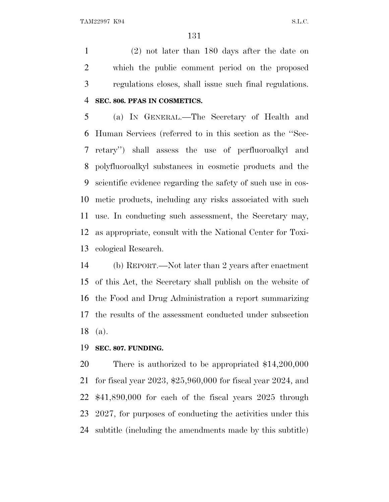(2) not later than 180 days after the date on which the public comment period on the proposed regulations closes, shall issue such final regulations. **SEC. 806. PFAS IN COSMETICS.**

 (a) I<sup>N</sup> GENERAL.—The Secretary of Health and Human Services (referred to in this section as the ''Sec- retary'') shall assess the use of perfluoroalkyl and polyfluoroalkyl substances in cosmetic products and the scientific evidence regarding the safety of such use in cos- metic products, including any risks associated with such use. In conducting such assessment, the Secretary may, as appropriate, consult with the National Center for Toxi-cological Research.

 (b) REPORT.—Not later than 2 years after enactment of this Act, the Secretary shall publish on the website of the Food and Drug Administration a report summarizing the results of the assessment conducted under subsection (a).

### **SEC. 807. FUNDING.**

 There is authorized to be appropriated \$14,200,000 for fiscal year 2023, \$25,960,000 for fiscal year 2024, and \$41,890,000 for each of the fiscal years 2025 through 2027, for purposes of conducting the activities under this subtitle (including the amendments made by this subtitle)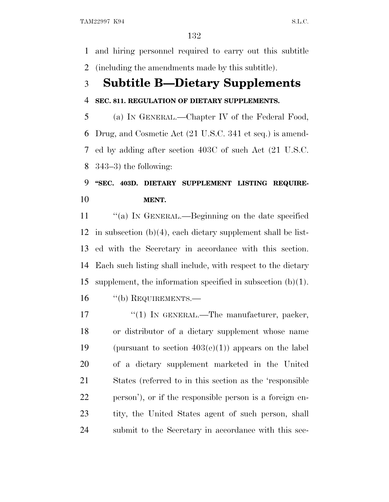and hiring personnel required to carry out this subtitle (including the amendments made by this subtitle).

# **Subtitle B—Dietary Supplements**

### **SEC. 811. REGULATION OF DIETARY SUPPLEMENTS.**

 (a) I<sup>N</sup> GENERAL.—Chapter IV of the Federal Food, Drug, and Cosmetic Act (21 U.S.C. 341 et seq.) is amend- ed by adding after section 403C of such Act (21 U.S.C. 343–3) the following:

### **''SEC. 403D. DIETARY SUPPLEMENT LISTING REQUIRE-MENT.**

11 "(a) In GENERAL.—Beginning on the date specified in subsection (b)(4), each dietary supplement shall be list- ed with the Secretary in accordance with this section. Each such listing shall include, with respect to the dietary supplement, the information specified in subsection (b)(1).

16 "(b) REQUIREMENTS.—

17 "(1) IN GENERAL.—The manufacturer, packer, or distributor of a dietary supplement whose name 19 (pursuant to section  $403(e)(1)$ ) appears on the label of a dietary supplement marketed in the United States (referred to in this section as the 'responsible person'), or if the responsible person is a foreign en- tity, the United States agent of such person, shall submit to the Secretary in accordance with this sec-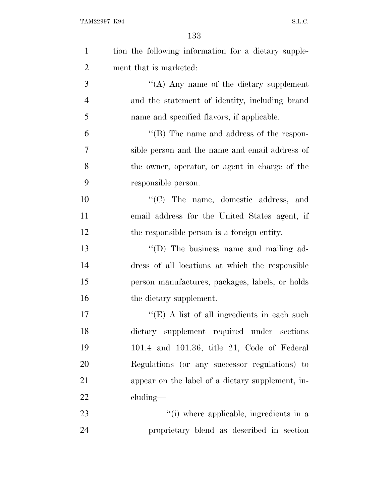| $\mathbf{1}$   | tion the following information for a dietary supple- |
|----------------|------------------------------------------------------|
| $\overline{2}$ | ment that is marketed:                               |
| 3              | "(A) Any name of the dietary supplement              |
| $\overline{4}$ | and the statement of identity, including brand       |
| 5              | name and specified flavors, if applicable.           |
| 6              | "(B) The name and address of the respon-             |
| 7              | sible person and the name and email address of       |
| 8              | the owner, operator, or agent in charge of the       |
| 9              | responsible person.                                  |
| 10             | $\cdot$ (C) The name, domestic address, and          |
| 11             | email address for the United States agent, if        |
| 12             | the responsible person is a foreign entity.          |
| 13             | "(D) The business name and mailing ad-               |
| 14             | dress of all locations at which the responsible      |
| 15             | person manufactures, packages, labels, or holds      |
| 16             | the dietary supplement.                              |
| 17             | " $(E)$ A list of all ingredients in each such       |
| 18             | dietary supplement required under sections           |
| 19             | 101.4 and 101.36, title 21, Code of Federal          |
| 20             | Regulations (or any successor regulations) to        |
| 21             | appear on the label of a dietary supplement, in-     |
| 22             | cluding—                                             |
| 23             | "(i) where applicable, ingredients in a              |
| 24             | proprietary blend as described in section            |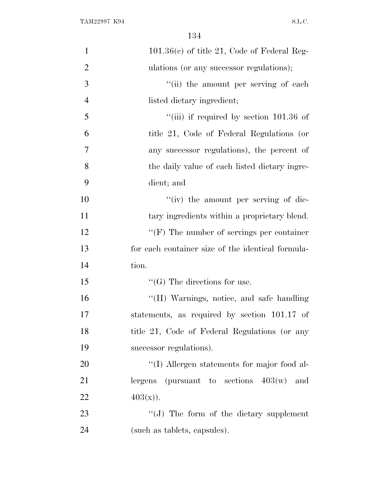| $\mathbf{1}$   | $101.36(c)$ of title 21, Code of Federal Reg-     |
|----------------|---------------------------------------------------|
| $\overline{2}$ | ulations (or any successor regulations);          |
| 3              | "(ii) the amount per serving of each              |
| $\overline{4}$ | listed dietary ingredient;                        |
| 5              | "(iii) if required by section $101.36$ of         |
| 6              | title 21, Code of Federal Regulations (or         |
| 7              | any successor regulations), the percent of        |
| 8              | the daily value of each listed dietary ingre-     |
| 9              | dient; and                                        |
| 10             | "(iv) the amount per serving of die-              |
| 11             | tary ingredients within a proprietary blend.      |
| 12             | $\lq\lq(F)$ The number of servings per container  |
| 13             | for each container size of the identical formula- |
| 14             | tion.                                             |
| 15             | $\lq\lq(G)$ The directions for use.               |
| 16             | "(H) Warnings, notice, and safe handling          |
| 17             | statements, as required by section 101.17 of      |
| 18             | title 21, Code of Federal Regulations (or any     |
| 19             | successor regulations).                           |
| 20             | "(I) Allergen statements for major food al-       |
| 21             | lergens (pursuant to sections $403(w)$ )<br>and   |
| 22             | $403(x)$ .                                        |
| 23             | "(J) The form of the dietary supplement           |
| 24             | (such as tablets, capsules).                      |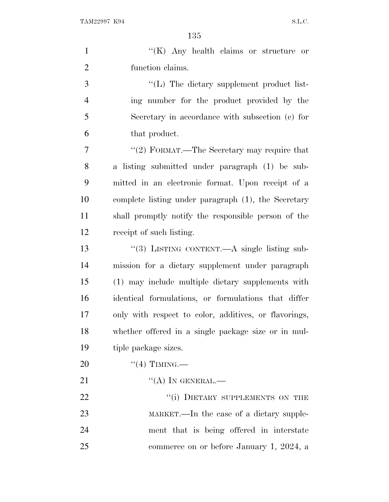|                | 135                                                   |
|----------------|-------------------------------------------------------|
| $\mathbf{1}$   | "(K) Any health claims or structure<br>or             |
| $\overline{2}$ | function claims.                                      |
| 3              | $\lq\lq$ . The dietary supplement product list-       |
| $\overline{4}$ | ing number for the product provided by the            |
| 5              | Secretary in accordance with subsection (c) for       |
| 6              | that product.                                         |
| 7              | "(2) FORMAT.—The Secretary may require that           |
| 8              | a listing submitted under paragraph (1) be sub-       |
| 9              | mitted in an electronic format. Upon receipt of a     |
| 10             | complete listing under paragraph (1), the Secretary   |
| 11             | shall promptly notify the responsible person of the   |
| 12             | receipt of such listing.                              |
| 13             | "(3) LISTING CONTENT.—A single listing sub-           |
| 14             | mission for a dietary supplement under paragraph      |
| 15             | (1) may include multiple dietary supplements with     |
| 16             | identical formulations, or formulations that differ   |
| 17             | only with respect to color, additives, or flavorings, |
| 18             | whether offered in a single package size or in mul-   |
| 19             | tiple package sizes.                                  |
| 20             | $``(4)$ TIMING.—                                      |
| 21             | $\lq\lq (A)$ In GENERAL.—                             |
| 22             | "(i) DIETARY SUPPLEMENTS ON THE                       |
| 23             | MARKET.—In the case of a dietary supple-              |
| 24             | ment that is being offered in interstate              |

commerce on or before January 1, 2024, a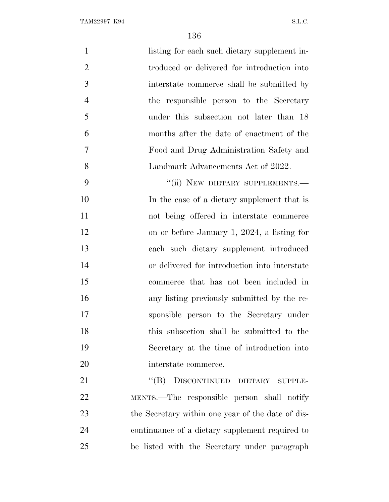| $\mathbf{1}$   | listing for each such dietary supplement in-      |
|----------------|---------------------------------------------------|
| $\overline{2}$ | troduced or delivered for introduction into       |
| 3              | interstate commerce shall be submitted by         |
| $\overline{4}$ | the responsible person to the Secretary           |
| 5              | under this subsection not later than 18           |
| 6              | months after the date of enactment of the         |
| $\overline{7}$ | Food and Drug Administration Safety and           |
| 8              | Landmark Advancements Act of 2022.                |
| 9              | "(ii) NEW DIETARY SUPPLEMENTS.-                   |
| 10             | In the case of a dietary supplement that is       |
| 11             | not being offered in interstate commerce          |
| 12             | on or before January 1, 2024, a listing for       |
| 13             | each such dietary supplement introduced           |
| 14             | or delivered for introduction into interstate     |
| 15             | commerce that has not been included in            |
| 16             | any listing previously submitted by the re-       |
| 17             | sponsible person to the Secretary under           |
| 18             | this subsection shall be submitted to the         |
| 19             | Secretary at the time of introduction into        |
| 20             | interstate commerce.                              |
| 21             | ``(B)<br>DISCONTINUED DIETARY SUPPLE-             |
| 22             | MENTS.—The responsible person shall notify        |
| 23             | the Secretary within one year of the date of dis- |
| 24             | continuance of a dietary supplement required to   |
| 25             | be listed with the Secretary under paragraph      |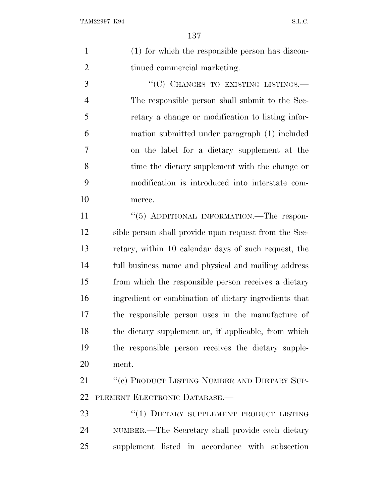(1) for which the responsible person has discon-2 tinued commercial marketing.

3 "(C) CHANGES TO EXISTING LISTINGS.— The responsible person shall submit to the Sec- retary a change or modification to listing infor- mation submitted under paragraph (1) included on the label for a dietary supplement at the time the dietary supplement with the change or modification is introduced into interstate com-merce.

11 "(5) ADDITIONAL INFORMATION.—The respon- sible person shall provide upon request from the Sec- retary, within 10 calendar days of such request, the full business name and physical and mailing address from which the responsible person receives a dietary ingredient or combination of dietary ingredients that the responsible person uses in the manufacture of the dietary supplement or, if applicable, from which the responsible person receives the dietary supple-ment.

21 "(c) PRODUCT LISTING NUMBER AND DIETARY SUP-PLEMENT ELECTRONIC DATABASE.—

23 "(1) DIETARY SUPPLEMENT PRODUCT LISTING NUMBER.—The Secretary shall provide each dietary supplement listed in accordance with subsection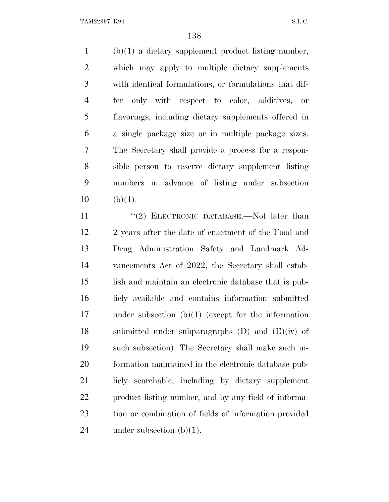(b)(1) a dietary supplement product listing number, which may apply to multiple dietary supplements with identical formulations, or formulations that dif- fer only with respect to color, additives, or flavorings, including dietary supplements offered in a single package size or in multiple package sizes. The Secretary shall provide a process for a respon- sible person to reserve dietary supplement listing numbers in advance of listing under subsection (b)(1).

11 ''(2) ELECTRONIC DATABASE.—Not later than 12 2 years after the date of enactment of the Food and Drug Administration Safety and Landmark Ad- vancements Act of 2022, the Secretary shall estab- lish and maintain an electronic database that is pub- licly available and contains information submitted under subsection (b)(1) (except for the information 18 submitted under subparagraphs  $(D)$  and  $(E)(iv)$  of such subsection). The Secretary shall make such in- formation maintained in the electronic database pub- licly searchable, including by dietary supplement product listing number, and by any field of informa- tion or combination of fields of information provided 24 under subsection  $(b)(1)$ .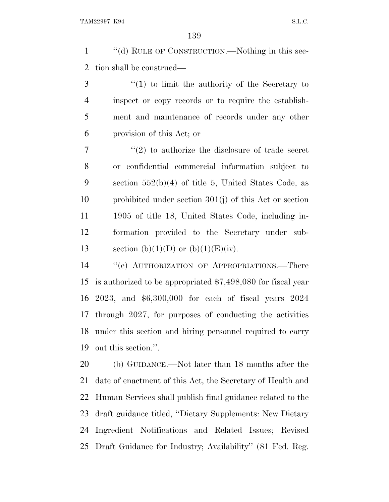''(d) RULE OF CONSTRUCTION.—Nothing in this sec-tion shall be construed—

 ''(1) to limit the authority of the Secretary to inspect or copy records or to require the establish- ment and maintenance of records under any other provision of this Act; or

 ''(2) to authorize the disclosure of trade secret or confidential commercial information subject to section 552(b)(4) of title 5, United States Code, as prohibited under section 301(j) of this Act or section 1905 of title 18, United States Code, including in- formation provided to the Secretary under sub-13 section (b)(1)(D) or (b)(1)(E)(iv).

 ''(e) AUTHORIZATION OF APPROPRIATIONS.—There is authorized to be appropriated \$7,498,080 for fiscal year 2023, and \$6,300,000 for each of fiscal years 2024 through 2027, for purposes of conducting the activities under this section and hiring personnel required to carry out this section.''.

 (b) GUIDANCE.—Not later than 18 months after the date of enactment of this Act, the Secretary of Health and Human Services shall publish final guidance related to the draft guidance titled, ''Dietary Supplements: New Dietary Ingredient Notifications and Related Issues; Revised Draft Guidance for Industry; Availability'' (81 Fed. Reg.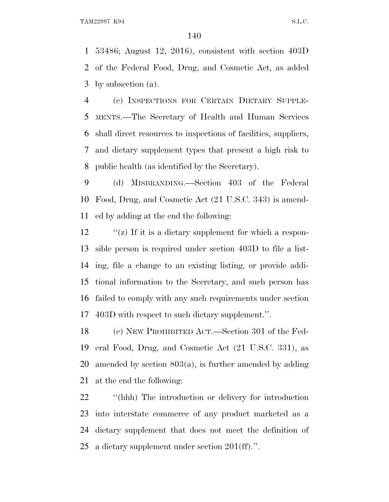53486; August 12, 2016), consistent with section 403D of the Federal Food, Drug, and Cosmetic Act, as added by subsection (a).

 (c) INSPECTIONS FOR CERTAIN DIETARY SUPPLE- MENTS.—The Secretary of Health and Human Services shall direct resources to inspections of facilities, suppliers, and dietary supplement types that present a high risk to public health (as identified by the Secretary).

 (d) MISBRANDING.—Section 403 of the Federal Food, Drug, and Cosmetic Act (21 U.S.C. 343) is amend-ed by adding at the end the following:

 "(z) If it is a dietary supplement for which a respon- sible person is required under section 403D to file a list- ing, file a change to an existing listing, or provide addi- tional information to the Secretary, and such person has failed to comply with any such requirements under section 403D with respect to such dietary supplement.''.

 (e) NEW PROHIBITED ACT.—Section 301 of the Fed- eral Food, Drug, and Cosmetic Act (21 U.S.C. 331), as amended by section 803(a), is further amended by adding at the end the following:

 ''(hhh) The introduction or delivery for introduction into interstate commerce of any product marketed as a dietary supplement that does not meet the definition of a dietary supplement under section 201(ff).''.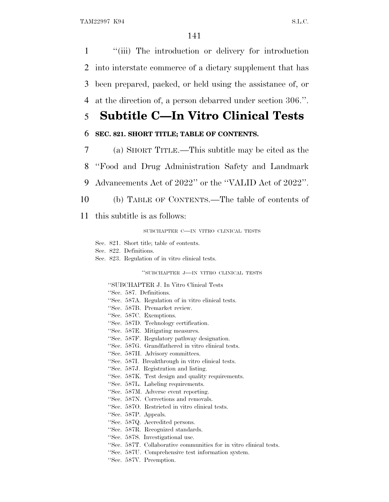''(iii) The introduction or delivery for introduction into interstate commerce of a dietary supplement that has been prepared, packed, or held using the assistance of, or at the direction of, a person debarred under section 306.''.

## 5 **Subtitle C—In Vitro Clinical Tests**

### 6 **SEC. 821. SHORT TITLE; TABLE OF CONTENTS.**

7 (a) SHORT TITLE.—This subtitle may be cited as the

8 ''Food and Drug Administration Safety and Landmark

9 Advancements Act of 2022'' or the ''VALID Act of 2022''.

- 10 (b) TABLE OF CONTENTS.—The table of contents of
- 11 this subtitle is as follows:

SUBCHAPTER C—IN VITRO CLINICAL TESTS

- Sec. 821. Short title; table of contents.
- Sec. 822. Definitions.
- Sec. 823. Regulation of in vitro clinical tests.

''SUBCHAPTER J—IN VITRO CLINICAL TESTS

''SUBCHAPTER J. In Vitro Clinical Tests

- ''Sec. 587. Definitions.
- ''Sec. 587A. Regulation of in vitro clinical tests.
- ''Sec. 587B. Premarket review.
- ''Sec. 587C. Exemptions.
- ''Sec. 587D. Technology certification.
- ''Sec. 587E. Mitigating measures.
- ''Sec. 587F. Regulatory pathway designation.
- ''Sec. 587G. Grandfathered in vitro clinical tests.
- ''Sec. 587H. Advisory committees.
- ''Sec. 587I. Breakthrough in vitro clinical tests.
- ''Sec. 587J. Registration and listing.
- ''Sec. 587K. Test design and quality requirements.
- ''Sec. 587L. Labeling requirements.
- ''Sec. 587M. Adverse event reporting.
- ''Sec. 587N. Corrections and removals.
- ''Sec. 587O. Restricted in vitro clinical tests.
- ''Sec. 587P. Appeals.
- ''Sec. 587Q. Accredited persons.
- ''Sec. 587R. Recognized standards.
- ''Sec. 587S. Investigational use.
- ''Sec. 587T. Collaborative communities for in vitro clinical tests.
- ''Sec. 587U. Comprehensive test information system.
- ''Sec. 587V. Preemption.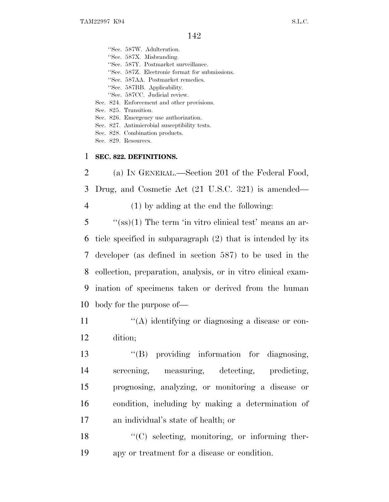''Sec. 587W. Adulteration. ''Sec. 587X. Misbranding. ''Sec. 587Y. Postmarket surveillance. ''Sec. 587Z. Electronic format for submissions. ''Sec. 587AA. Postmarket remedies. ''Sec. 587BB. Applicability. ''Sec. 587CC. Judicial review. Sec. 824. Enforcement and other provisions. Sec. 825. Transition. Sec. 826. Emergency use authorization. Sec. 827. Antimicrobial susceptibility tests. Sec. 828. Combination products.

Sec. 829. Resources.

### 1 **SEC. 822. DEFINITIONS.**

2 (a) I<sup>N</sup> GENERAL.—Section 201 of the Federal Food, 3 Drug, and Cosmetic Act (21 U.S.C. 321) is amended— 4 (1) by adding at the end the following:

 ''(ss)(1) The term 'in vitro clinical test' means an ar- ticle specified in subparagraph (2) that is intended by its developer (as defined in section 587) to be used in the collection, preparation, analysis, or in vitro clinical exam- ination of specimens taken or derived from the human body for the purpose of—

11  $\langle (A)$  identifying or diagnosing a disease or con-12 dition;

 ''(B) providing information for diagnosing, screening, measuring, detecting, predicting, prognosing, analyzing, or monitoring a disease or condition, including by making a determination of an individual's state of health; or

18 "(C) selecting, monitoring, or informing ther-19 apy or treatment for a disease or condition.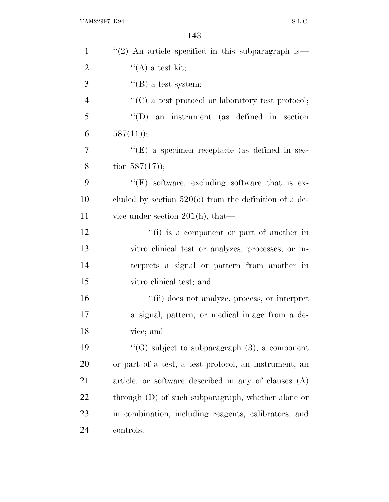| $\mathbf{1}$   | $\lq(2)$ An article specified in this subparagraph is—  |
|----------------|---------------------------------------------------------|
| $\overline{2}$ | $\lq\lq$ a test kit;                                    |
| 3              | $\mathrm{``(B)}$ a test system;                         |
| $\overline{4}$ | "(C) a test protocol or laboratory test protocol;       |
| 5              | $\lq\lq$ (D) an instrument (as defined in section       |
| 6              | $587(11)$ ;                                             |
| 7              | $\lq\lq$ (E) a specimen receptacle (as defined in sec-  |
| 8              | tion $587(17)$ ;                                        |
| 9              | $\lq\lq(F)$ software, excluding software that is ex-    |
| 10             | cluded by section $520(o)$ from the definition of a de- |
| 11             | vice under section $201(h)$ , that—                     |
| 12             | "(i) is a component or part of another in               |
| 13             | vitro clinical test or analyzes, processes, or in-      |
| 14             | terprets a signal or pattern from another in            |
| 15             | vitro clinical test; and                                |
| 16             | "(ii) does not analyze, process, or interpret           |
| 17             | a signal, pattern, or medical image from a de-          |
| 18             | vice; and                                               |
| 19             | "(G) subject to subparagraph $(3)$ , a component        |
| 20             | or part of a test, a test protocol, an instrument, an   |
| 21             | article, or software described in any of clauses (A)    |
| 22             | through (D) of such subparagraph, whether alone or      |
| 23             | in combination, including reagents, calibrators, and    |
| 24             | controls.                                               |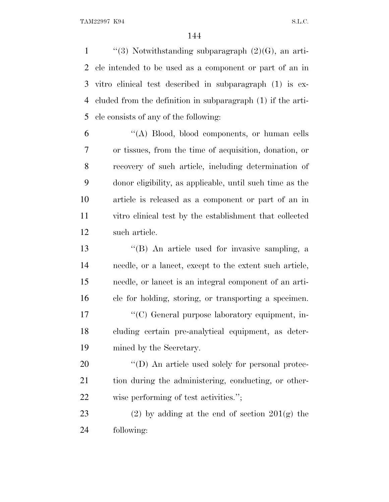$\langle$  ''(3) Notwithstanding subparagraph (2)(G), an arti- cle intended to be used as a component or part of an in vitro clinical test described in subparagraph (1) is ex- cluded from the definition in subparagraph (1) if the arti-cle consists of any of the following:

 ''(A) Blood, blood components, or human cells or tissues, from the time of acquisition, donation, or recovery of such article, including determination of donor eligibility, as applicable, until such time as the article is released as a component or part of an in vitro clinical test by the establishment that collected such article.

 ''(B) An article used for invasive sampling, a needle, or a lancet, except to the extent such article, needle, or lancet is an integral component of an arti- cle for holding, storing, or transporting a specimen. 17 ''(C) General purpose laboratory equipment, in- cluding certain pre-analytical equipment, as deter-mined by the Secretary.

20  $\langle\text{`(D)}\rangle$  An article used solely for personal protec- tion during the administering, conducting, or other-wise performing of test activities.'';

23 (2) by adding at the end of section  $201(g)$  the following: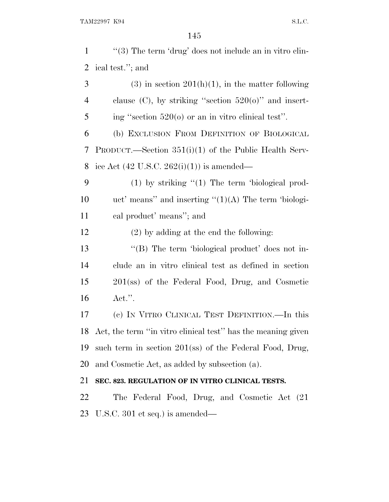| $\mathbf{1}$   | " $(3)$ The term 'drug' does not include an in vitro clin-   |
|----------------|--------------------------------------------------------------|
| $\overline{2}$ | ical test."; and                                             |
| 3              | $(3)$ in section $201(h)(1)$ , in the matter following       |
| 4              | clause (C), by striking "section $520(o)$ " and insert-      |
| 5              | ing "section $520(o)$ or an in vitro clinical test".         |
| 6              | (b) EXCLUSION FROM DEFINITION OF BIOLOGICAL                  |
| 7              | PRODUCT.—Section $351(i)(1)$ of the Public Health Serv-      |
| 8              | ice Act $(42 \text{ U.S.C. } 262(i)(1))$ is amended—         |
| 9              | $(1)$ by striking " $(1)$ The term 'biological prod-         |
| 10             | uct' means'' and inserting $\lq(1)(A)$ The term 'biologi-    |
| 11             | cal product' means"; and                                     |
| 12             | $(2)$ by adding at the end the following:                    |
| 13             | "(B) The term 'biological product' does not in-              |
| 14             | clude an in vitro clinical test as defined in section        |
| 15             | 201(ss) of the Federal Food, Drug, and Cosmetic              |
| 16             | $\text{Act."}.$                                              |
| 17             | (c) IN VITRO CLINICAL TEST DEFINITION.—In this               |
| 18             | Act, the term "in vitro clinical test" has the meaning given |
| 19             | such term in section $201$ (ss) of the Federal Food, Drug,   |
| 20             | and Cosmetic Act, as added by subsection (a).                |
| 21             | SEC. 823. REGULATION OF IN VITRO CLINICAL TESTS.             |
| 22             | The Federal Food, Drug, and Cosmetic Act (21)                |
| 23             | U.S.C. 301 et seq.) is amended—                              |
|                |                                                              |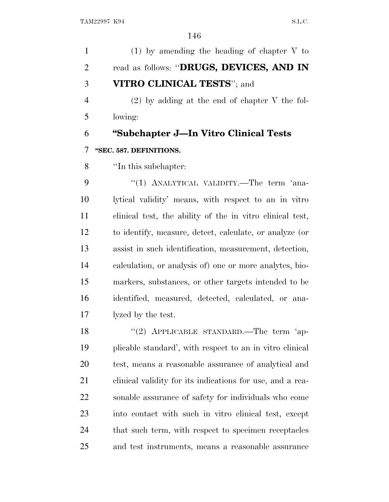(1) by amending the heading of chapter V to read as follows: ''**DRUGS, DEVICES, AND IN VITRO CLINICAL TESTS**''; and (2) by adding at the end of chapter V the fol- lowing: **''Subchapter J—In Vitro Clinical Tests ''SEC. 587. DEFINITIONS.** ''In this subchapter: 9 "(1) ANALYTICAL VALIDITY.—The term 'ana- lytical validity' means, with respect to an in vitro clinical test, the ability of the in vitro clinical test, to identify, measure, detect, calculate, or analyze (or assist in such identification, measurement, detection, calculation, or analysis of) one or more analytes, bio- markers, substances, or other targets intended to be identified, measured, detected, calculated, or ana- lyzed by the test. 18 "(2) APPLICABLE STANDARD.—The term 'ap- plicable standard', with respect to an in vitro clinical test, means a reasonable assurance of analytical and clinical validity for its indications for use, and a rea- sonable assurance of safety for individuals who come into contact with such in vitro clinical test, except 24 that such term, with respect to specimen receptacles and test instruments, means a reasonable assurance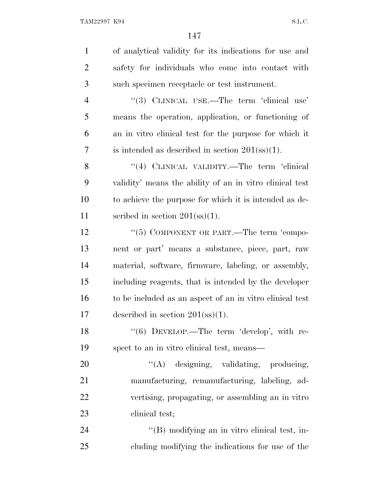| $\mathbf{1}$   | of analytical validity for its indications for use and    |
|----------------|-----------------------------------------------------------|
| 2              | safety for individuals who come into contact with         |
| 3              | such specimen receptacle or test instrument.              |
| $\overline{4}$ | "(3) CLINICAL USE.—The term 'clinical use'                |
| 5              | means the operation, application, or functioning of       |
| 6              | an in vitro clinical test for the purpose for which it    |
| 7              | is intended as described in section $201(\text{ss})(1)$ . |
| 8              | "(4) CLINICAL VALIDITY.—The term 'clinical                |
| 9              | validity' means the ability of an in vitro clinical test  |
| 10             | to achieve the purpose for which it is intended as de-    |
| 11             | scribed in section $201(\text{ss})(1)$ .                  |
| 12             | "(5) COMPONENT OR PART.—The term 'compo-                  |
| 13             | nent or part' means a substance, piece, part, raw         |
| 14             | material, software, firmware, labeling, or assembly,      |
| 15             | including reagents, that is intended by the developer     |
| 16             | to be included as an aspect of an in vitro clinical test  |
| 17             | described in section $201(\text{ss})(1)$ .                |
| 18             | " $(6)$ DEVELOP.—The term 'develop', with re-             |
| 19             | spect to an in vitro clinical test, means—                |
| 20             | $\lq\lq(A)$ designing, validating, producing,             |
| 21             | manufacturing, remanufacturing, labeling, ad-             |
| 22             | vertising, propagating, or assembling an in vitro         |
| 23             | clinical test;                                            |
| 24             | "(B) modifying an in vitro clinical test, in-             |
| 25             | cluding modifying the indications for use of the          |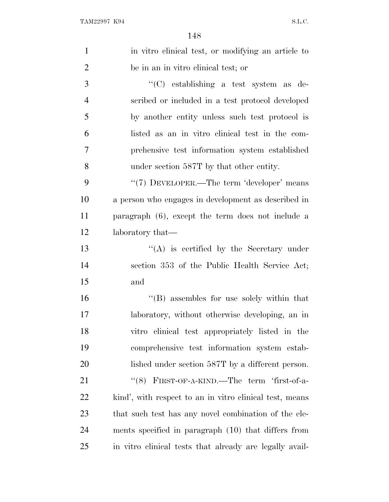| $\mathbf{1}$   | in vitro clinical test, or modifying an article to      |
|----------------|---------------------------------------------------------|
| $\overline{2}$ | be in an in vitro clinical test; or                     |
| 3              | "(C) establishing a test system as de-                  |
| $\overline{4}$ | scribed or included in a test protocol developed        |
| 5              | by another entity unless such test protocol is          |
| 6              | listed as an in vitro clinical test in the com-         |
| 7              | prehensive test information system established          |
| 8              | under section 587T by that other entity.                |
| 9              | "(7) DEVELOPER.—The term 'developer' means              |
| 10             | a person who engages in development as described in     |
| 11             | paragraph $(6)$ , except the term does not include a    |
| 12             | laboratory that—                                        |
| 13             | $\lq\lq$ is certified by the Secretary under            |
| 14             | section 353 of the Public Health Service Act;           |
| 15             | and                                                     |
| 16             | $\lq\lq$ assembles for use solely within that           |
| 17             | laboratory, without otherwise developing, an in         |
| 18             | vitro clinical test appropriately listed in the         |
| 19             | comprehensive test information system estab-            |
| 20             | lished under section 587T by a different person.        |
| 21             | "(8) FIRST-OF-A-KIND.—The term 'first-of-a-             |
| 22             | kind', with respect to an in vitro clinical test, means |
| 23             | that such test has any novel combination of the ele-    |
| 24             | ments specified in paragraph (10) that differs from     |
| 25             | in vitro clinical tests that already are legally avail- |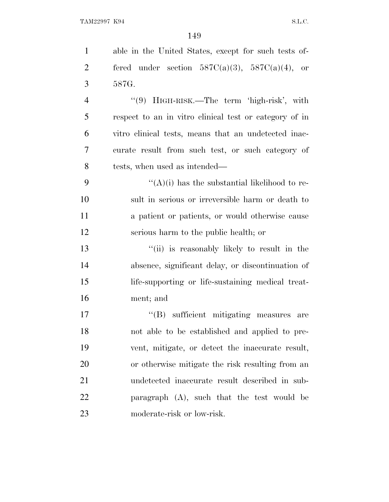| $\mathbf{1}$   | able in the United States, except for such tests of-   |
|----------------|--------------------------------------------------------|
| $\overline{2}$ | fered under section $587C(a)(3)$ , $587C(a)(4)$ , or   |
| 3              | 587G.                                                  |
| $\overline{4}$ | "(9) HIGH-RISK.—The term 'high-risk', with             |
| 5              | respect to an in vitro clinical test or category of in |
| 6              | vitro clinical tests, means that an undetected inac-   |
| 7              | curate result from such test, or such category of      |
| 8              | tests, when used as intended—                          |
| 9              | " $(A)(i)$ has the substantial likelihood to re-       |
| 10             | sult in serious or irreversible harm or death to       |
| 11             | a patient or patients, or would otherwise cause        |
| 12             | serious harm to the public health; or                  |
| 13             | "(ii) is reasonably likely to result in the            |
| 14             | absence, significant delay, or discontinuation of      |
| 15             | life-supporting or life-sustaining medical treat-      |
| 16             | ment; and                                              |
| 17             | $\lq\lq$ sufficient mitigating measures<br>are         |
| 18             | not able to be established and applied to pre-         |
| 19             | vent, mitigate, or detect the inaccurate result,       |
| 20             | or otherwise mitigate the risk resulting from an       |
| 21             | undetected inaccurate result described in sub-         |
| 22             | paragraph $(A)$ , such that the test would be          |
| 23             | moderate-risk or low-risk.                             |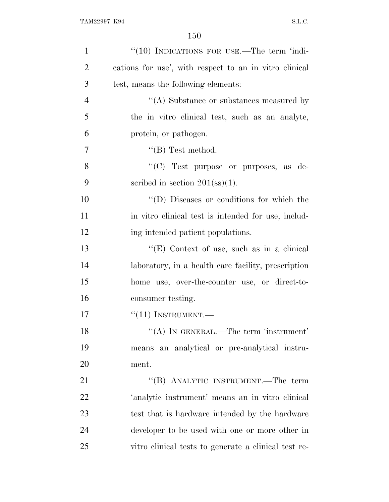| $\mathbf{1}$   | "(10) INDICATIONS FOR USE.—The term 'indi-             |
|----------------|--------------------------------------------------------|
| $\overline{2}$ | cations for use', with respect to an in vitro clinical |
| 3              | test, means the following elements:                    |
| $\overline{4}$ | $\lq\lq$ . Substance or substances measured by         |
| 5              | the in vitro clinical test, such as an analyte,        |
| 6              | protein, or pathogen.                                  |
| 7              | $\lq\lq$ (B) Test method.                              |
| 8              | "(C) Test purpose or purposes, as de-                  |
| 9              | scribed in section $201(\text{ss})(1)$ .               |
| 10             | "(D) Diseases or conditions for which the              |
| 11             | in vitro clinical test is intended for use, includ-    |
| 12             | ing intended patient populations.                      |
| 13             | " $(E)$ Context of use, such as in a clinical          |
| 14             | laboratory, in a health care facility, prescription    |
| 15             | home use, over-the-counter use, or direct-to-          |
| 16             | consumer testing.                                      |
| 17             | $``(11)$ INSTRUMENT.—                                  |
| 18             | "(A) IN GENERAL.—The term 'instrument'                 |
| 19             | means an analytical or pre-analytical instru-          |
| 20             | ment.                                                  |
| 21             | "(B) ANALYTIC INSTRUMENT.—The term                     |
| 22             | 'analytic instrument' means an in vitro clinical       |
| 23             | test that is hardware intended by the hardware         |
| 24             | developer to be used with one or more other in         |
| 25             | vitro clinical tests to generate a clinical test re-   |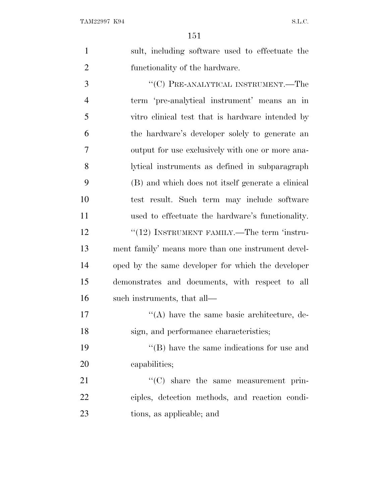| 1 | sult, including software used to effectuate the |
|---|-------------------------------------------------|
|   | functionality of the hardware.                  |
| 3 | "(C) PRE-ANALYTICAL INSTRUMENT.—The             |
| 4 | term 'pre-analytical instrument' means an in    |

 vitro clinical test that is hardware intended by the hardware's developer solely to generate an output for use exclusively with one or more ana- lytical instruments as defined in subparagraph (B) and which does not itself generate a clinical test result. Such term may include software used to effectuate the hardware's functionality. 12 ''(12) INSTRUMENT FAMILY.—The term 'instru- ment family' means more than one instrument devel- oped by the same developer for which the developer demonstrates and documents, with respect to all such instruments, that all—

17  $\langle (A) \rangle$  have the same basic architecture, de-sign, and performance characteristics;

19 ''(B) have the same indications for use and capabilities;

21  $\cdot$  (C) share the same measurement prin- ciples, detection methods, and reaction condi-tions, as applicable; and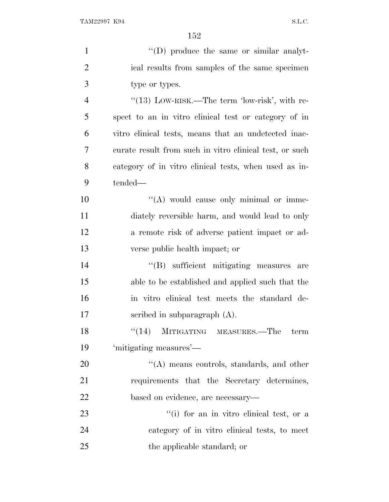| $\mathbf{1}$   | "(D) produce the same or similar analyt-                 |
|----------------|----------------------------------------------------------|
| $\overline{2}$ | ical results from samples of the same specimen           |
| $\overline{3}$ | type or types.                                           |
| $\overline{4}$ | $\cdot\cdot(13)$ LOW-RISK.—The term 'low-risk', with re- |
| 5              | spect to an in vitro clinical test or category of in     |
| 6              | vitro clinical tests, means that an undetected inac-     |
| 7              | curate result from such in vitro clinical test, or such  |
| 8              | category of in vitro clinical tests, when used as in-    |
| 9              | tended—                                                  |
| 10             | "(A) would cause only minimal or imme-                   |
| 11             | diately reversible harm, and would lead to only          |
| 12             | a remote risk of adverse patient impact or ad-           |
| 13             | verse public health impact; or                           |
| 14             | "(B) sufficient mitigating measures are                  |
| 15             | able to be established and applied such that the         |
| 16             | in vitro clinical test meets the standard de-            |
| 17             | scribed in subparagraph $(A)$ .                          |
| 18             | "(14) MITIGATING MEASURES.—The term                      |
| 19             | 'mitigating measures'—                                   |
| 20             | $\lq\lq$ means controls, standards, and other            |
| 21             | requirements that the Secretary determines,              |
| 22             | based on evidence, are necessary—                        |
| 23             | "(i) for an in vitro clinical test, or a                 |
| 24             | category of in vitro clinical tests, to meet             |
| 25             | the applicable standard; or                              |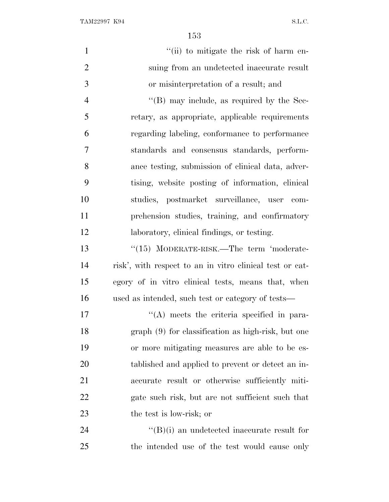TAM22997 K94 S.L.C.

| $\mathbf{1}$   | "(ii) to mitigate the risk of harm en-                   |
|----------------|----------------------------------------------------------|
| $\overline{2}$ | suing from an undetected inaccurate result               |
| 3              | or misinterpretation of a result; and                    |
| $\overline{4}$ | $\lq$ (B) may include, as required by the Sec-           |
| 5              | retary, as appropriate, applicable requirements          |
| 6              | regarding labeling, conformance to performance           |
| $\tau$         | standards and consensus standards, perform-              |
| 8              | ance testing, submission of clinical data, adver-        |
| 9              | tising, website posting of information, clinical         |
| 10             | studies, postmarket surveillance, user com-              |
| 11             | prehension studies, training, and confirmatory           |
| 12             | laboratory, clinical findings, or testing.               |
| 13             | $\cdot$ (15) MODERATE-RISK.—The term 'moderate-          |
| 14             | risk', with respect to an in vitro clinical test or cat- |
| 15             | egory of in vitro clinical tests, means that, when       |
| 16             | used as intended, such test or category of tests—        |
| 17             | $\lq\lq$ meets the criteria specified in para-           |
| 18             | $graph(9)$ for classification as high-risk, but one      |
| 19             | or more mitigating measures are able to be es-           |
| 20             | tablished and applied to prevent or detect an in-        |
| 21             | accurate result or otherwise sufficiently miti-          |
| 22             | gate such risk, but are not sufficient such that         |
| 23             | the test is low-risk; or                                 |
| 24             | $\lq\lq(B)(i)$ an undetected inaccurate result for       |
| 25             | the intended use of the test would cause only            |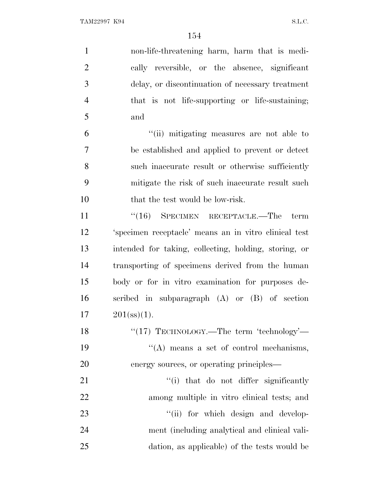| $\mathbf{1}$   | non-life-threatening harm, harm that is medi-         |
|----------------|-------------------------------------------------------|
| $\overline{2}$ | cally reversible, or the absence, significant         |
| 3              | delay, or discontinuation of necessary treatment      |
| $\overline{4}$ | that is not life-supporting or life-sustaining;       |
| 5              | and                                                   |
| 6              | "(ii) mitigating measures are not able to             |
| 7              | be established and applied to prevent or detect       |
| 8              | such inaccurate result or otherwise sufficiently      |
| 9              | mitigate the risk of such inaccurate result such      |
| 10             | that the test would be low-risk.                      |
| 11             | $``(16)$ SPECIMEN RECEPTACLE.—The<br>term             |
| 12             | 'specimen receptacle' means an in vitro clinical test |
| 13             | intended for taking, collecting, holding, storing, or |
| 14             | transporting of specimens derived from the human      |
| 15             | body or for in vitro examination for purposes de-     |
| 16             | scribed in subparagraph $(A)$ or $(B)$ of section     |
| 17             | $201(s)$ (1).                                         |
| 18             | "(17) TECHNOLOGY.—The term 'technology'—              |
| 19             | $\lq\lq$ means a set of control mechanisms,           |
| 20             | energy sources, or operating principles—              |
| 21             | "(i) that do not differ significantly                 |
| 22             | among multiple in vitro clinical tests; and           |
| 23             | "(ii) for which design and develop-                   |
| 24             | ment (including analytical and clinical vali-         |
| 25             | dation, as applicable) of the tests would be          |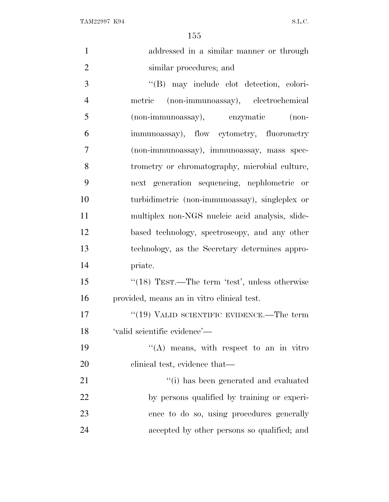| $\mathbf{1}$   | addressed in a similar manner or through         |
|----------------|--------------------------------------------------|
| $\overline{2}$ | similar procedures; and                          |
| 3              | "(B) may include clot detection, colori-         |
| $\overline{4}$ | metric (non-immunoassay), electrochemical        |
| 5              | (non-immunoassay), enzymatic<br>$(non-$          |
| 6              | immunoassay), flow cytometry, fluorometry        |
| $\overline{7}$ | (non-immunoassay), immunoassay, mass spec-       |
| 8              | trometry or chromatography, microbial culture,   |
| 9              | next generation sequencing, nephlometric or      |
| 10             | turbidimetric (non-immunoassay), singleplex or   |
| 11             | multiplex non-NGS nucleic acid analysis, slide-  |
| 12             | based technology, spectroscopy, and any other    |
| 13             | technology, as the Secretary determines appro-   |
| 14             | priate.                                          |
| 15             | " $(18)$ TEST.—The term 'test', unless otherwise |
| 16             | provided, means an in vitro clinical test.       |
| 17             | " $(19)$ VALID SCIENTIFIC EVIDENCE.—The term     |
| 18             | 'valid scientific evidence'-                     |
| 19             | $\lq\lq$ means, with respect to an in vitro      |
| 20             | clinical test, evidence that—                    |
| 21             | "(i) has been generated and evaluated            |
| 22             | by persons qualified by training or experi-      |
| 23             | ence to do so, using procedures generally        |
| 24             | accepted by other persons so qualified; and      |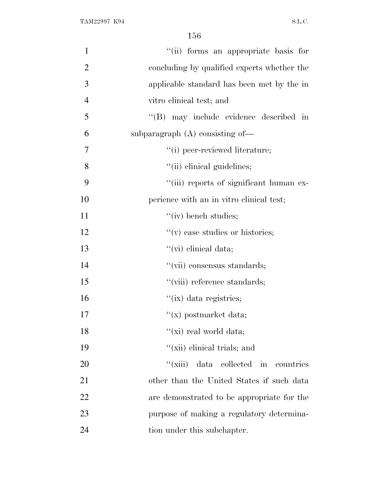| $\mathbf{1}$   | "(ii) forms an appropriate basis for        |
|----------------|---------------------------------------------|
| $\overline{2}$ | concluding by qualified experts whether the |
| 3              | applicable standard has been met by the in  |
| $\overline{4}$ | vitro clinical test; and                    |
| 5              | "(B) may include evidence described in      |
| 6              | subparagraph $(A)$ consisting of-           |
| $\overline{7}$ | "(i) peer-reviewed literature;              |
| 8              | "(ii) clinical guidelines;                  |
| 9              | "(iii) reports of significant human ex-     |
| 10             | perience with an in vitro clinical test;    |
| 11             | $\lq\lq$ (iv) bench studies;                |
| 12             | $f'(v)$ case studies or histories;          |
| 13             | "(vi) clinical data;                        |
| 14             | "(vii) consensus standards;                 |
| 15             | "(viii) reference standards;                |
| 16             | $\lq\lq$ (ix) data registries;              |
| 17             | $f(x)$ postmarket data;                     |
| 18             | "(xi) real world data;                      |
| 19             | "(xii) elinical trials; and                 |
| 20             | "(xiii) data collected in<br>countries      |
| 21             | other than the United States if such data   |
| 22             | are demonstrated to be appropriate for the  |
| 23             | purpose of making a regulatory determina-   |
| 24             | tion under this subchapter.                 |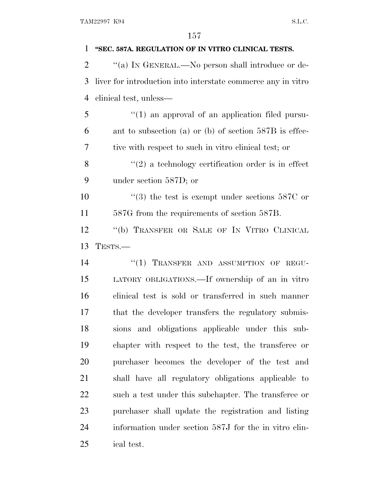| 1              | "SEC. 587A. REGULATION OF IN VITRO CLINICAL TESTS.           |
|----------------|--------------------------------------------------------------|
| $\overline{2}$ | "(a) IN GENERAL.—No person shall introduce or de-            |
| 3              | liver for introduction into interstate commerce any in vitro |
| $\overline{4}$ | clinical test, unless—                                       |
| 5              | $\lq(1)$ an approval of an application filed pursu-          |
| 6              | ant to subsection (a) or (b) of section $587B$ is effec-     |
| 7              | tive with respect to such in vitro clinical test; or         |
| 8              | $\lq(2)$ a technology certification order is in effect       |
| 9              | under section 587D; or                                       |
| 10             | $(3)$ the test is exempt under sections 587C or              |
| 11             | 587G from the requirements of section 587B.                  |
| 12             | "(b) TRANSFER OR SALE OF IN VITRO CLINICAL                   |
| 13             | TESTS.-                                                      |
| 14             | "(1) TRANSFER AND ASSUMPTION OF REGU-                        |
| 15             | LATORY OBLIGATIONS.—If ownership of an in vitro              |
| 16             | clinical test is sold or transferred in such manner          |
| 17             | that the developer transfers the regulatory submis-          |
| 18             | sions and obligations applicable under this sub-             |
| 19             | chapter with respect to the test, the transferee or          |
| 20             | purchaser becomes the developer of the test and              |
| 21             | shall have all regulatory obligations applicable to          |
| 22             | such a test under this subchapter. The transferee or         |
| 23             | purchaser shall update the registration and listing          |
| 24             | information under section 587J for the in vitro clin-        |
| 25             | ical test.                                                   |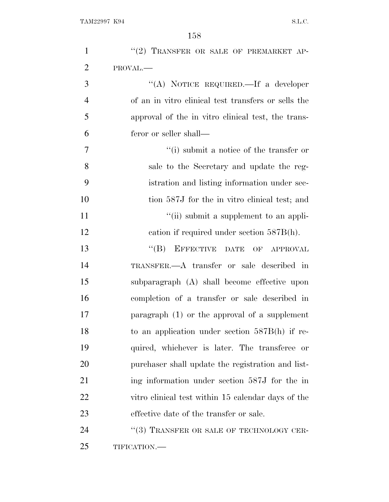| $\mathbf{1}$   | "(2) TRANSFER OR SALE OF PREMARKET AP-              |
|----------------|-----------------------------------------------------|
| $\overline{2}$ | PROVAL.                                             |
| 3              | "(A) NOTICE REQUIRED.—If a developer                |
| $\overline{4}$ | of an in vitro clinical test transfers or sells the |
| 5              | approval of the in vitro clinical test, the trans-  |
| 6              | feror or seller shall—                              |
| 7              | $f'(i)$ submit a notice of the transfer or          |
| 8              | sale to the Secretary and update the reg-           |
| 9              | istration and listing information under sec-        |
| 10             | tion 587J for the in vitro clinical test; and       |
| 11             | "(ii) submit a supplement to an appli-              |
| 12             | cation if required under section $587B(h)$ .        |
| 13             | EFFECTIVE DATE OF APPROVAL<br>$\lq\lq (B)$          |
| 14             | TRANSFER.—A transfer or sale described in           |
| 15             | subparagraph (A) shall become effective upon        |
| 16             | completion of a transfer or sale described in       |
| 17             | paragraph $(1)$ or the approval of a supplement     |
| 18             | to an application under section $587B(h)$ if re-    |
| 19             | quired, whichever is later. The transferee or       |
| 20             | purchaser shall update the registration and list-   |
| 21             | ing information under section 587J for the in       |
| <u>22</u>      | vitro clinical test within 15 calendar days of the  |
| 23             | effective date of the transfer or sale.             |
| 24             | "(3) TRANSFER OR SALE OF TECHNOLOGY CER-            |
| 25             | TIFICATION.-                                        |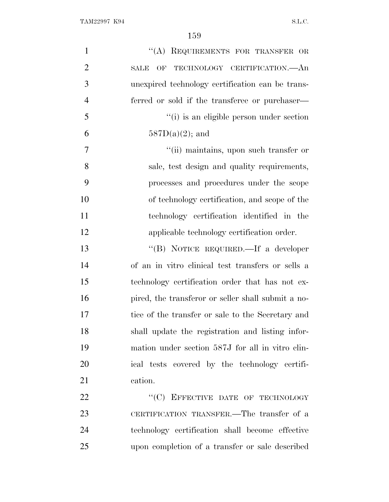| $\mathbf{1}$   | "(A) REQUIREMENTS FOR TRANSFER OR                  |
|----------------|----------------------------------------------------|
| $\overline{2}$ | OF TECHNOLOGY CERTIFICATION.—An<br>SALE            |
| 3              | unexpired technology certification can be trans-   |
| $\overline{4}$ | ferred or sold if the transferee or purchaser—     |
| 5              | "(i) is an eligible person under section           |
| 6              | $587D(a)(2)$ ; and                                 |
| 7              | "(ii) maintains, upon such transfer or             |
| 8              | sale, test design and quality requirements,        |
| 9              | processes and procedures under the scope           |
| 10             | of technology certification, and scope of the      |
| 11             | technology certification identified in the         |
| 12             | applicable technology certification order.         |
| 13             | "(B) NOTICE REQUIRED.—If a developer               |
| 14             | of an in vitro clinical test transfers or sells a  |
| 15             | technology certification order that has not ex-    |
| 16             | pired, the transferor or seller shall submit a no- |
| 17             | tice of the transfer or sale to the Secretary and  |
| 18             | shall update the registration and listing infor-   |
| 19             | mation under section 587J for all in vitro clin-   |
| 20             | ical tests covered by the technology certifi-      |
| 21             | cation.                                            |
| 22             | "(C) EFFECTIVE DATE OF TECHNOLOGY                  |
| 23             | CERTIFICATION TRANSFER.—The transfer of a          |
| 24             | technology certification shall become effective    |
| 25             | upon completion of a transfer or sale described    |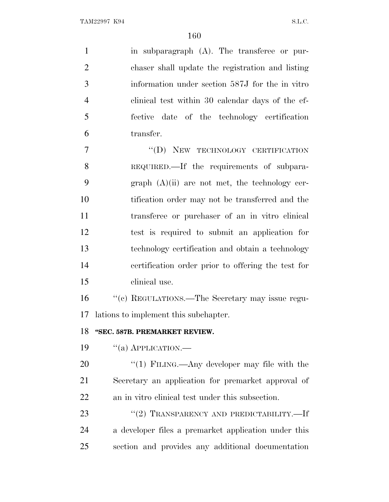in subparagraph (A). The transferee or pur- chaser shall update the registration and listing information under section 587J for the in vitro clinical test within 30 calendar days of the ef- fective date of the technology certification transfer.

7 "(D) NEW TECHNOLOGY CERTIFICATION REQUIRED.—If the requirements of subpara-9 graph  $(A)(ii)$  are not met, the technology cer- tification order may not be transferred and the transferee or purchaser of an in vitro clinical test is required to submit an application for technology certification and obtain a technology certification order prior to offering the test for clinical use.

 ''(c) REGULATIONS.—The Secretary may issue regu-lations to implement this subchapter.

## **''SEC. 587B. PREMARKET REVIEW.**

19  $\frac{1}{2}$   $\frac{1}{2}$  APPLICATION.

20 "(1) FILING.—Any developer may file with the Secretary an application for premarket approval of an in vitro clinical test under this subsection.

23 "(2) TRANSPARENCY AND PREDICTABILITY.—If a developer files a premarket application under this section and provides any additional documentation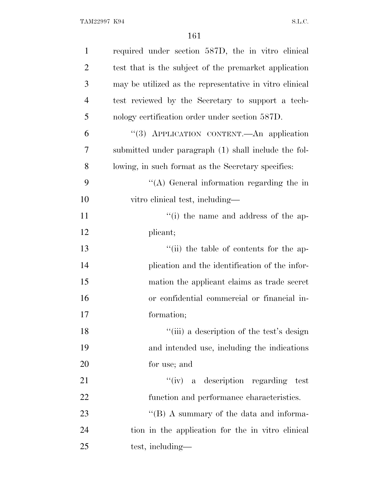| $\mathbf{1}$   | required under section 587D, the in vitro clinical      |
|----------------|---------------------------------------------------------|
| $\overline{2}$ | test that is the subject of the premarket application   |
| 3              | may be utilized as the representative in vitro clinical |
| $\overline{4}$ | test reviewed by the Secretary to support a tech-       |
| 5              | nology certification order under section 587D.          |
| 6              | "(3) APPLICATION CONTENT.—An application                |
| 7              | submitted under paragraph (1) shall include the fol-    |
| 8              | lowing, in such format as the Secretary specifies:      |
| 9              | $\lq\lq$ General information regarding the in           |
| 10             | vitro clinical test, including—                         |
| 11             | "(i) the name and address of the ap-                    |
| 12             | plicant;                                                |
| 13             | "(ii) the table of contents for the ap-                 |
| 14             | plication and the identification of the infor-          |
| 15             | mation the applicant claims as trade secret             |
| 16             | or confidential commercial or financial in-             |
| 17             | formation;                                              |
| 18             | "(iii) a description of the test's design               |
| 19             | and intended use, including the indications             |
| 20             | for use; and                                            |
| 21             | "(iv) a description regarding test                      |
| 22             | function and performance characteristics.               |
| 23             | $\lq\lq (B)$ A summary of the data and informa-         |
| 24             | tion in the application for the in vitro clinical       |
| 25             | test, including—                                        |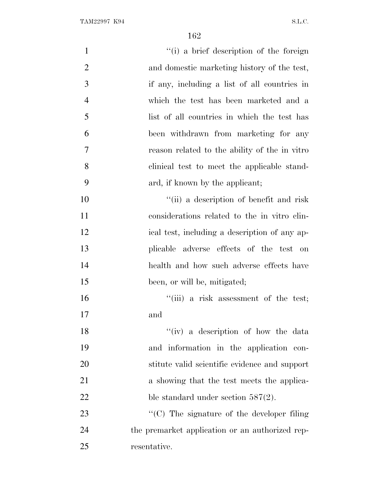| $\mathbf{1}$   | "(i) a brief description of the foreign         |
|----------------|-------------------------------------------------|
| $\overline{2}$ | and domestic marketing history of the test,     |
| 3              | if any, including a list of all countries in    |
| $\overline{4}$ | which the test has been marketed and a          |
| 5              | list of all countries in which the test has     |
| 6              | been withdrawn from marketing for any           |
| $\tau$         | reason related to the ability of the in vitro   |
| 8              | clinical test to meet the applicable stand-     |
| 9              | ard, if known by the applicant;                 |
| 10             | "(ii) a description of benefit and risk         |
| 11             | considerations related to the in vitro clin-    |
| 12             | ical test, including a description of any ap-   |
| 13             | plicable adverse effects of the test on         |
| 14             | health and how such adverse effects have        |
| 15             | been, or will be, mitigated;                    |
| 16             | "(iii) a risk assessment of the test;           |
| 17             | and                                             |
| 18             | "(iv) a description of how the data             |
| 19             | and information in the application con-         |
| 20             | stitute valid scientific evidence and support   |
| 21             | a showing that the test meets the applica-      |
| 22             | ble standard under section $587(2)$ .           |
| 23             | "(C) The signature of the developer filing      |
| 24             | the premarket application or an authorized rep- |
| 25             | resentative.                                    |
|                |                                                 |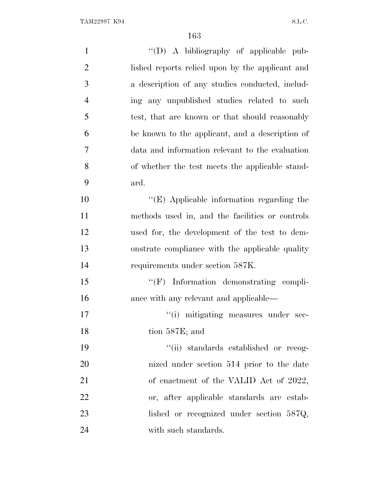| $\mathbf{1}$   | "(D) A bibliography of applicable pub-            |
|----------------|---------------------------------------------------|
| $\overline{2}$ | lished reports relied upon by the applicant and   |
| 3              | a description of any studies conducted, includ-   |
| $\overline{4}$ | ing any unpublished studies related to such       |
| 5              | test, that are known or that should reasonably    |
| 6              | be known to the applicant, and a description of   |
| 7              | data and information relevant to the evaluation   |
| 8              | of whether the test meets the applicable stand-   |
| 9              | ard.                                              |
| 10             | $\lq\lq$ (E) Applicable information regarding the |
| 11             | methods used in, and the facilities or controls   |
| 12             | used for, the development of the test to dem-     |
| 13             | onstrate compliance with the applicable quality   |
| 14             | requirements under section 587K.                  |
| 15             | "(F) Information demonstrating compli-            |
| 16             | ance with any relevant and applicable—            |
| 17             | "(i) mitigating measures under sec-               |
| 18             | tion 587E; and                                    |
| 19             | "(ii) standards established or recog-             |
| 20             | nized under section 514 prior to the date         |
| 21             | of enactment of the VALID Act of 2022,            |
| 22             | or, after applicable standards are estab-         |
| 23             | lished or recognized under section $587Q$ ,       |
| 24             | with such standards.                              |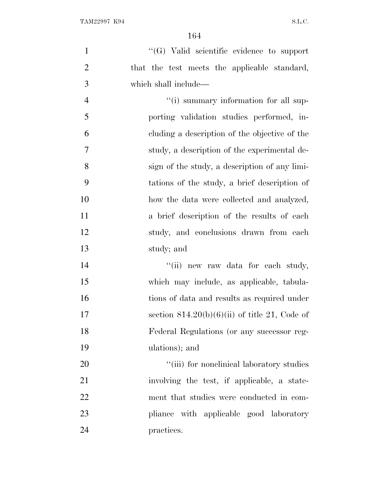$\langle G \rangle$  Valid scientific evidence to support that the test meets the applicable standard, which shall include—  $"$ (i) summary information for all sup- porting validation studies performed, in- cluding a description of the objective of the study, a description of the experimental de-

 sign of the study, a description of any limi- tations of the study, a brief description of how the data were collected and analyzed, a brief description of the results of each study, and conclusions drawn from each study; and

14 ''(ii) new raw data for each study, which may include, as applicable, tabula- tions of data and results as required under 17 section  $814.20(b)(6)(ii)$  of title 21, Code of Federal Regulations (or any successor reg-ulations); and

 $\frac{1}{20}$   $\frac{1}{20}$   $\frac{1}{20}$  for nonclinical laboratory studies involving the test, if applicable, a state- ment that studies were conducted in com-**pliance** with applicable good laboratory practices.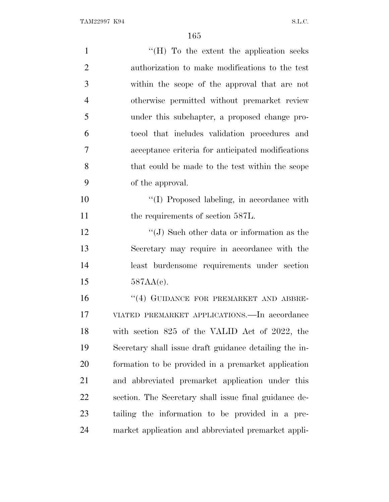| $\mathbf{1}$   | " $(H)$ To the extent the application seeks"           |
|----------------|--------------------------------------------------------|
| $\overline{2}$ | authorization to make modifications to the test        |
| 3              | within the scope of the approval that are not          |
| $\overline{4}$ | otherwise permitted without premarket review           |
| 5              | under this subchapter, a proposed change pro-          |
| 6              | tocol that includes validation procedures and          |
| $\overline{7}$ | acceptance criteria for anticipated modifications      |
| 8              | that could be made to the test within the scope        |
| 9              | of the approval.                                       |
| 10             | "(I) Proposed labeling, in accordance with             |
| 11             | the requirements of section 587L.                      |
| 12             | "(J) Such other data or information as the             |
| 13             | Secretary may require in accordance with the           |
| 14             | least burdensome requirements under section            |
| 15             | $587AA(c)$ .                                           |
| 16             | "(4) GUIDANCE FOR PREMARKET AND ABBRE-                 |
| 17             | VIATED PREMARKET APPLICATIONS.—In accordance           |
| 18             | with section 825 of the VALID Act of 2022, the         |
| 19             | Secretary shall issue draft guidance detailing the in- |
| 20             | formation to be provided in a premarket application    |
| 21             | and abbreviated premarket application under this       |
| 22             | section. The Secretary shall issue final guidance de-  |
| 23             | tailing the information to be provided in a pre-       |
| 24             | market application and abbreviated premarket appli-    |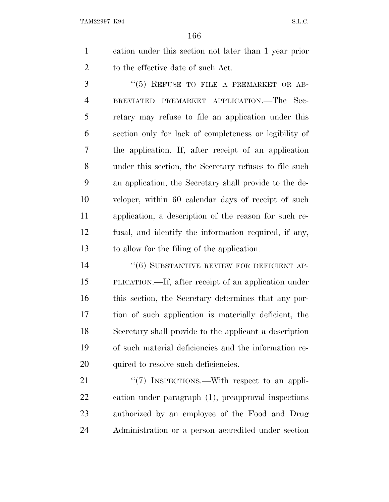cation under this section not later than 1 year prior 2 to the effective date of such Act.

3 "(5) REFUSE TO FILE A PREMARKET OR AB- BREVIATED PREMARKET APPLICATION.—The Sec- retary may refuse to file an application under this section only for lack of completeness or legibility of the application. If, after receipt of an application under this section, the Secretary refuses to file such an application, the Secretary shall provide to the de- veloper, within 60 calendar days of receipt of such application, a description of the reason for such re- fusal, and identify the information required, if any, to allow for the filing of the application.

14 ''(6) SUBSTANTIVE REVIEW FOR DEFICIENT AP- PLICATION.—If, after receipt of an application under this section, the Secretary determines that any por- tion of such application is materially deficient, the Secretary shall provide to the applicant a description of such material deficiencies and the information re-20 quired to resolve such deficiencies.

21 "(7) INSPECTIONS.—With respect to an appli- cation under paragraph (1), preapproval inspections authorized by an employee of the Food and Drug Administration or a person accredited under section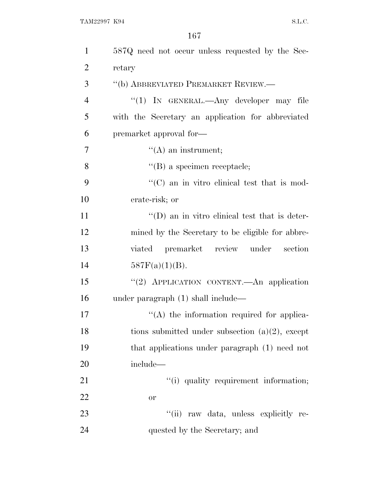| $\mathbf{1}$   | 587Q need not occur unless requested by the Sec-      |
|----------------|-------------------------------------------------------|
| $\overline{2}$ | retary                                                |
| 3              | "(b) ABBREVIATED PREMARKET REVIEW.—                   |
| $\overline{4}$ | "(1) IN GENERAL.—Any developer may file               |
| 5              | with the Secretary an application for abbreviated     |
| 6              | premarket approval for-                               |
| 7              | $\lq\lq(A)$ an instrument;                            |
| 8              | $\lq\lq$ (B) a specimen receptacle;                   |
| 9              | "(C) an in vitro clinical test that is mod-           |
| 10             | erate-risk; or                                        |
| 11             | $\lq\lq$ (D) an in vitro clinical test that is deter- |
| 12             | mined by the Secretary to be eligible for abbre-      |
| 13             | viated premarket review under<br>section              |
| 14             | $587F(a)(1)(B)$ .                                     |
| 15             | "(2) APPLICATION CONTENT.—An application              |
| 16             | under paragraph $(1)$ shall include—                  |
| 17             | $\lq\lq$ the information required for applica-        |
| 18             | tions submitted under subsection $(a)(2)$ , except    |
| 19             | that applications under paragraph (1) need not        |
| <b>20</b>      | include—                                              |
| 21             | "(i) quality requirement information;                 |
| 22             | <b>or</b>                                             |
| 23             | "(ii) raw data, unless explicitly re-                 |
| 24             | quested by the Secretary; and                         |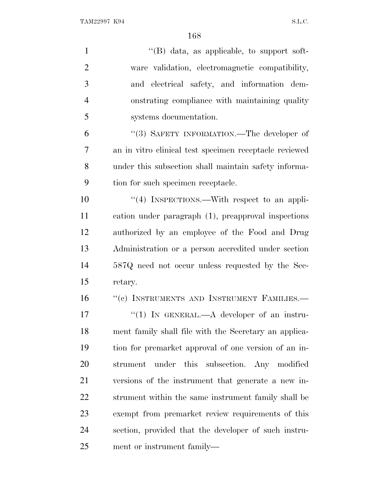| $\mathbf{1}$   | $\lq\lq (B)$ data, as applicable, to support soft-     |
|----------------|--------------------------------------------------------|
| $\overline{2}$ | ware validation, electromagnetic compatibility,        |
| 3              | and electrical safety, and information dem-            |
| $\overline{4}$ | onstrating compliance with maintaining quality         |
| 5              | systems documentation.                                 |
| 6              | "(3) SAFETY INFORMATION.—The developer of              |
| 7              | an in vitro clinical test specimen receptacle reviewed |
| 8              | under this subsection shall maintain safety informa-   |
| 9              | tion for such specimen receptacle.                     |
| 10             | "(4) INSPECTIONS.—With respect to an appli-            |
| 11             | cation under paragraph (1), preapproval inspections    |
| 12             | authorized by an employee of the Food and Drug         |
| 13             | Administration or a person accredited under section    |
| 14             | 587Q need not occur unless requested by the Sec-       |
| 15             | retary.                                                |
| 16             | "(c) INSTRUMENTS AND INSTRUMENT FAMILIES.-             |
| 17             | "(1) IN GENERAL.— $A$ developer of an instru-          |
| 18             | ment family shall file with the Secretary an applica-  |
| 19             | tion for premarket approval of one version of an in-   |
| 20             | under this subsection. Any modified<br>strument        |
| 21             | versions of the instrument that generate a new in-     |
| 22             | strument within the same instrument family shall be    |
| 23             | exempt from premarket review requirements of this      |
| 24             | section, provided that the developer of such instru-   |
| 25             | ment or instrument family—                             |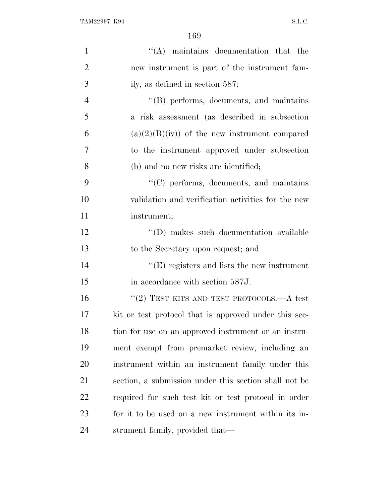| $\mathbf{1}$   | $\lq\lq$ maintains documentation that the             |
|----------------|-------------------------------------------------------|
| $\overline{2}$ | new instrument is part of the instrument fam-         |
| 3              | ily, as defined in section $587$ ;                    |
| $\overline{4}$ | $\lq\lq$ performs, documents, and maintains           |
| 5              | a risk assessment (as described in subsection         |
| 6              | $(a)(2)(B)(iv)$ of the new instrument compared        |
| 7              | to the instrument approved under subsection           |
| 8              | (b) and no new risks are identified;                  |
| 9              | $\lq\lq$ (C) performs, documents, and maintains       |
| 10             | validation and verification activities for the new    |
| 11             | instrument;                                           |
| 12             | "(D) makes such documentation available               |
| 13             | to the Secretary upon request; and                    |
| 14             | $\lq\lq$ registers and lists the new instrument       |
| 15             | in accordance with section 587J.                      |
| 16             | "(2) TEST KITS AND TEST PROTOCOLS.—A test             |
| 17             | kit or test protocol that is approved under this sec- |
| 18             | tion for use on an approved instrument or an instru-  |
| 19             | ment exempt from premarket review, including an       |
| 20             | instrument within an instrument family under this     |
| 21             | section, a submission under this section shall not be |
| 22             | required for such test kit or test protocol in order  |
| 23             | for it to be used on a new instrument within its in-  |
| 24             | strument family, provided that—                       |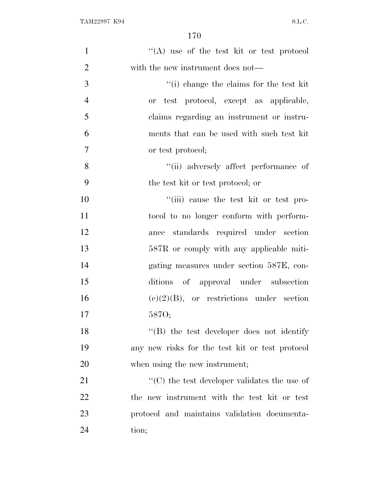| $\mathbf{1}$   | "(A) use of the test kit or test protocol            |
|----------------|------------------------------------------------------|
| $\overline{2}$ | with the new instrument does not—                    |
| 3              | "(i) change the claims for the test kit              |
| $\overline{4}$ | or test protocol, except as applicable,              |
| 5              | claims regarding an instrument or instru-            |
| 6              | ments that can be used with such test kit            |
| $\tau$         | or test protocol;                                    |
| 8              | "(ii) adversely affect performance of                |
| 9              | the test kit or test protocol; or                    |
| 10             | "(iii) cause the test kit or test pro-               |
| 11             | tocol to no longer conform with perform-             |
| 12             | standards required under section<br>ance             |
| 13             | 587R or comply with any applicable miti-             |
| 14             | gating measures under section 587E, con-             |
| 15             | ditions of approval under subsection                 |
| 16             | $(e)(2)(B)$ , or restrictions under section          |
| 17             | 5870;                                                |
| 18             | $\lq\lq$ the test developer does not identify        |
| 19             | any new risks for the test kit or test protocol      |
| 20             | when using the new instrument;                       |
| 21             | $\lq\lq$ (C) the test developer validates the use of |
| 22             | the new instrument with the test kit or test         |
| 23             | protocol and maintains validation documenta-         |
| 24             | tion;                                                |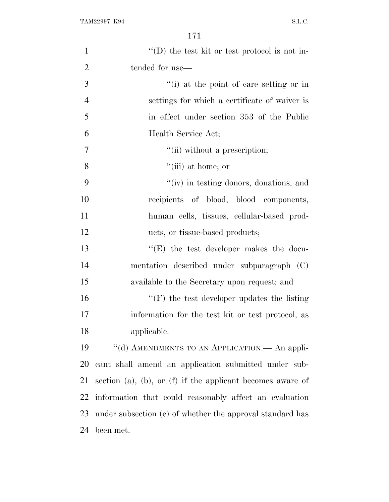| $\mathbf{1}$   | $\lq\lq$ (D) the test kit or test protocol is not in-              |
|----------------|--------------------------------------------------------------------|
| $\overline{2}$ | tended for use—                                                    |
| 3              | "(i) at the point of care setting or in                            |
| $\overline{4}$ | settings for which a certificate of waiver is                      |
| 5              | in effect under section 353 of the Public                          |
| 6              | Health Service Act;                                                |
| 7              | "(ii) without a prescription;                                      |
| 8              | $``(iii)$ at home; or                                              |
| 9              | "(iv) in testing donors, donations, and                            |
| 10             | recipients of blood, blood components,                             |
| 11             | human cells, tissues, cellular-based prod-                         |
| 12             | ucts, or tissue-based products;                                    |
| 13             | $\lq\lq$ the test developer makes the docu-                        |
| 14             | mentation described under subparagraph (C)                         |
| 15             | available to the Secretary upon request; and                       |
| 16             | $\lq\lq(F)$ the test developer updates the listing                 |
| 17             | information for the test kit or test protocol, as                  |
| 18             | applicable.                                                        |
| 19             | "(d) AMENDMENTS TO AN APPLICATION.— An appli-                      |
| 20             | cant shall amend an application submitted under sub-               |
| 21             | section $(a)$ , $(b)$ , or $(f)$ if the applicant becomes aware of |
| 22             | information that could reasonably affect an evaluation             |
| 23             | under subsection (e) of whether the approval standard has          |
| 24             | been met.                                                          |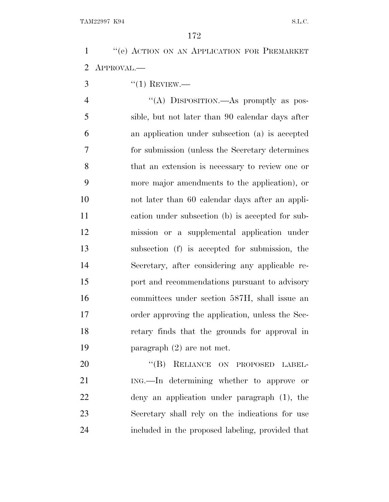1 "(e) ACTION ON AN APPLICATION FOR PREMARKET APPROVAL.—

 $3 \qquad \qquad$  "(1) REVIEW.—

4 "(A) DISPOSITION.—As promptly as pos- sible, but not later than 90 calendar days after an application under subsection (a) is accepted for submission (unless the Secretary determines that an extension is necessary to review one or more major amendments to the application), or not later than 60 calendar days after an appli- cation under subsection (b) is accepted for sub- mission or a supplemental application under subsection (f) is accepted for submission, the Secretary, after considering any applicable re- port and recommendations pursuant to advisory committees under section 587H, shall issue an order approving the application, unless the Sec- retary finds that the grounds for approval in paragraph (2) are not met.

20 "(B) RELIANCE ON PROPOSED LABEL- ING.—In determining whether to approve or deny an application under paragraph (1), the Secretary shall rely on the indications for use included in the proposed labeling, provided that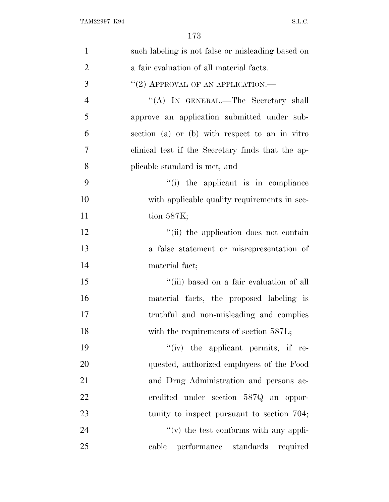| $\mathbf{1}$   | such labeling is not false or misleading based on |
|----------------|---------------------------------------------------|
| $\overline{2}$ | a fair evaluation of all material facts.          |
| 3              | $``(2)$ APPROVAL OF AN APPLICATION.—              |
| $\overline{4}$ | "(A) IN GENERAL.—The Secretary shall              |
| 5              | approve an application submitted under sub-       |
| 6              | section (a) or (b) with respect to an in vitro    |
| 7              | clinical test if the Secretary finds that the ap- |
| 8              | plicable standard is met, and—                    |
| 9              | "(i) the applicant is in compliance               |
| 10             | with applicable quality requirements in sec-      |
| 11             | tion $587K$ ;                                     |
| 12             | "(ii) the application does not contain            |
| 13             | a false statement or misrepresentation of         |
| 14             | material fact;                                    |
| 15             | "(iii) based on a fair evaluation of all          |
| 16             | material facts, the proposed labeling is          |
| 17             | truthful and non-misleading and complies          |
| 18             | with the requirements of section 587L;            |
| 19             | $``(iv)$ the applicant permits, if re-            |
| 20             | quested, authorized employees of the Food         |
| 21             | and Drug Administration and persons ac-           |
| 22             | credited under section 587Q an oppor-             |
| 23             | tunity to inspect pursuant to section 704;        |
| 24             | $f'(v)$ the test conforms with any appli-         |
| 25             | cable performance standards required              |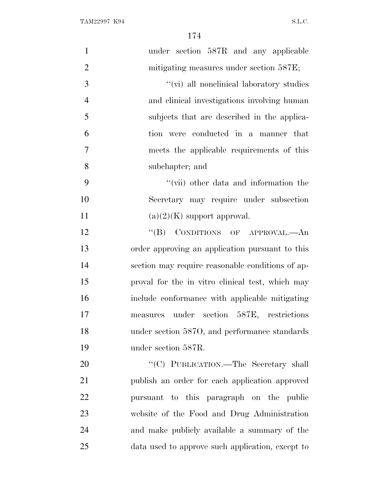| $\mathbf{1}$   | under section 587R and any applicable            |
|----------------|--------------------------------------------------|
| $\mathbf{2}$   | mitigating measures under section 587E;          |
| 3              | "(vi) all nonelinical laboratory studies         |
| $\overline{4}$ | and clinical investigations involving human      |
| 5              | subjects that are described in the applica-      |
| 6              | tion were conducted in a manner that             |
| 7              | meets the applicable requirements of this        |
| 8              | subchapter; and                                  |
| 9              | "(vii) other data and information the            |
| 10             | Secretary may require under subsection           |
| 11             | $(a)(2)(K)$ support approval.                    |
| 12             | CONDITIONS OF APPROVAL.—An<br>$\lq\lq (B)$       |
| 13             | order approving an application pursuant to this  |
| 14             | section may require reasonable conditions of ap- |
| 15             | proval for the in vitro clinical test, which may |
| 16             | include conformance with applicable mitigating   |
| 17             | measures under section 587E, restrictions        |
| 18             | under section 5870, and performance standards    |
| 19             | under section 587R.                              |
| 20             | "(C) PUBLICATION.-The Secretary shall            |
| 21             | publish an order for each application approved   |
| 22             | pursuant to this paragraph on the public         |
| 23             | website of the Food and Drug Administration      |
| 24             | and make publicly available a summary of the     |
| 25             | data used to approve such application, except to |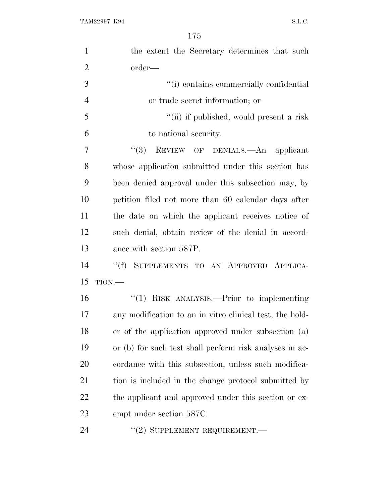| $\mathbf{1}$   | the extent the Secretary determines that such            |
|----------------|----------------------------------------------------------|
| $\overline{2}$ | order—                                                   |
| 3              | "(i) contains commercially confidential                  |
| $\overline{4}$ | or trade secret information; or                          |
| 5              | "(ii) if published, would present a risk                 |
| 6              | to national security.                                    |
| 7              | "(3) REVIEW OF DENIALS.—An applicant                     |
| 8              | whose application submitted under this section has       |
| 9              | been denied approval under this subsection may, by       |
| 10             | petition filed not more than 60 calendar days after      |
| 11             | the date on which the applicant receives notice of       |
| 12             | such denial, obtain review of the denial in accord-      |
|                |                                                          |
| 13             | ance with section 587P.                                  |
| 14             | SUPPLEMENTS TO AN APPROVED APPLICA-<br>``(f)             |
| 15             | TION.                                                    |
| 16             | "(1) RISK ANALYSIS.—Prior to implementing                |
| 17             | any modification to an in vitro clinical test, the hold- |
| 18             | er of the application approved under subsection (a)      |
| 19             | or (b) for such test shall perform risk analyses in ac-  |
| 20             | cordance with this subsection, unless such modifica-     |
| 21             | tion is included in the change protocol submitted by     |
| <u>22</u>      | the applicant and approved under this section or ex-     |
| 23             | empt under section 587C.                                 |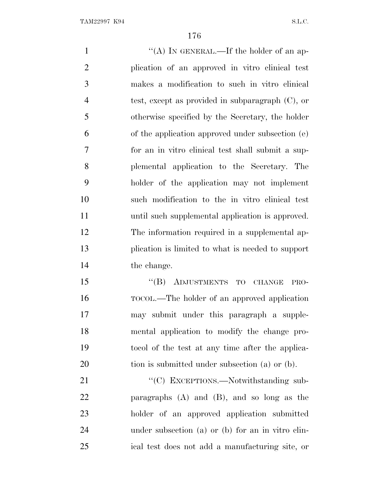1 ''(A) IN GENERAL.—If the holder of an ap- plication of an approved in vitro clinical test makes a modification to such in vitro clinical test, except as provided in subparagraph (C), or otherwise specified by the Secretary, the holder of the application approved under subsection (e) for an in vitro clinical test shall submit a sup- plemental application to the Secretary. The holder of the application may not implement such modification to the in vitro clinical test until such supplemental application is approved. The information required in a supplemental ap- plication is limited to what is needed to support the change. 15 "(B) ADJUSTMENTS TO CHANGE PRO- TOCOL.—The holder of an approved application may submit under this paragraph a supple- mental application to modify the change pro- tocol of the test at any time after the applica-20 tion is submitted under subsection (a) or (b). 21 "'(C) EXCEPTIONS.—Notwithstanding sub-

 paragraphs (A) and (B), and so long as the holder of an approved application submitted under subsection (a) or (b) for an in vitro clin-ical test does not add a manufacturing site, or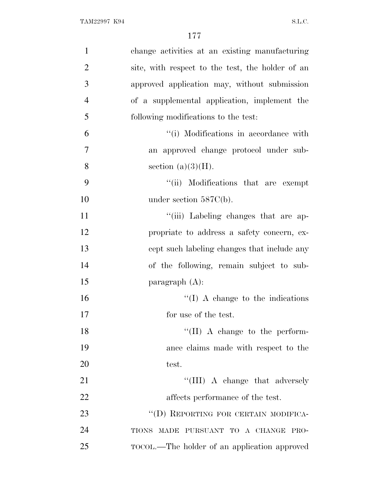| $\mathbf{1}$   | change activities at an existing manufacturing   |
|----------------|--------------------------------------------------|
| $\overline{2}$ | site, with respect to the test, the holder of an |
| 3              | approved application may, without submission     |
| $\overline{4}$ | of a supplemental application, implement the     |
| 5              | following modifications to the test:             |
| 6              | "(i) Modifications in accordance with            |
| 7              | an approved change protocol under sub-           |
| 8              | section $(a)(3)(H)$ .                            |
| 9              | "(ii) Modifications that are exempt              |
| 10             | under section $587C(b)$ .                        |
| 11             | "(iii) Labeling changes that are ap-             |
| 12             | propriate to address a safety concern, ex-       |
| 13             | cept such labeling changes that include any      |
| 14             | of the following, remain subject to sub-         |
| 15             | paragraph $(A)$ :                                |
| 16             | $\lq\lq$ (I) A change to the indications         |
| 17             | for use of the test.                             |
| 18             | $\lq\lq$ (II) A change to the perform-           |
| 19             | ance claims made with respect to the             |
| 20             | test.                                            |
| 21             | "(III) A change that adversely                   |
| 22             | affects performance of the test.                 |
| 23             | "(D) REPORTING FOR CERTAIN MODIFICA-             |
| 24             | TIONS MADE PURSUANT TO A CHANGE PRO-             |
| 25             | TOCOL.—The holder of an application approved     |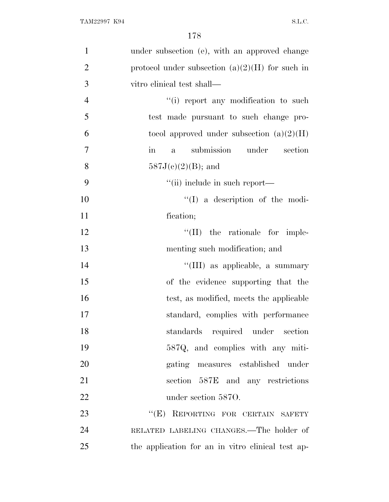| $\mathbf{1}$   | under subsection (e), with an approved change                   |
|----------------|-----------------------------------------------------------------|
| $\overline{2}$ | protocol under subsection $(a)(2)(H)$ for such in               |
| 3              | vitro clinical test shall—                                      |
| $\overline{4}$ | "(i) report any modification to such                            |
| 5              | test made pursuant to such change pro-                          |
| 6              | tocol approved under subsection $(a)(2)(H)$                     |
| 7              | submission under section<br>$\operatorname{in}$<br>$\mathbf{a}$ |
| 8              | $587J(c)(2)(B)$ ; and                                           |
| 9              | "(ii) include in such report—                                   |
| 10             | $\lq\lq$ (I) a description of the modi-                         |
| 11             | fication;                                                       |
| 12             | ``(II)<br>the rationale for imple-                              |
| 13             | menting such modification; and                                  |
| 14             | "(III) as applicable, a summary                                 |
| 15             | of the evidence supporting that the                             |
| 16             | test, as modified, meets the applicable                         |
| 17             | standard, complies with performance                             |
| 18             | standards required under section                                |
| 19             | 587Q, and complies with any miti-                               |
| 20             | gating measures established under                               |
| 21             | section 587E and any restrictions                               |
| 22             | under section 5870.                                             |
| 23             | "(E) REPORTING FOR CERTAIN SAFETY                               |
| 24             | RELATED LABELING CHANGES.—The holder of                         |
| 25             | the application for an in vitro clinical test ap-               |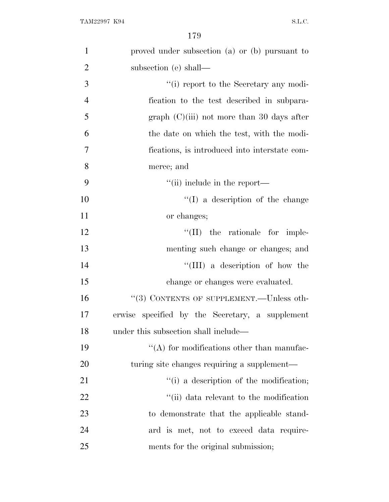| $\mathbf{1}$   | proved under subsection (a) or (b) pursuant to  |
|----------------|-------------------------------------------------|
| $\overline{2}$ | subsection (e) shall—                           |
| 3              | "(i) report to the Secretary any modi-          |
| $\overline{4}$ | fication to the test described in subpara-      |
| 5              | graph $(C)(iii)$ not more than 30 days after    |
| 6              | the date on which the test, with the modi-      |
| $\overline{7}$ | fications, is introduced into interstate com-   |
| 8              | merce; and                                      |
| 9              | $\lq$ (ii) include in the report—               |
| 10             | $\lq\lq$ (I) a description of the change        |
| 11             | or changes;                                     |
| 12             | $\lq\lq$ (II) the rationale for imple-          |
| 13             | menting such change or changes; and             |
| 14             | "(III) a description of how the                 |
| 15             | change or changes were evaluated.               |
| 16             | "(3) CONTENTS OF SUPPLEMENT.—Unless oth-        |
| 17             | erwise specified by the Secretary, a supplement |
| 18             | under this subsection shall include—            |
| 19             | $\lq\lq$ for modifications other than manufac-  |
| 20             | turing site changes requiring a supplement—     |
| 21             | "(i) a description of the modification;         |
| 22             | "(ii) data relevant to the modification         |
| 23             | to demonstrate that the applicable stand-       |
| 24             | ard is met, not to exceed data require-         |
| 25             | ments for the original submission;              |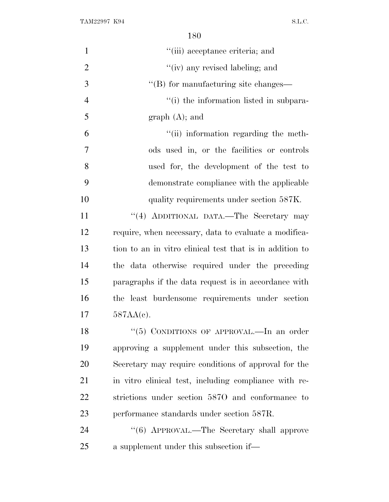TAM22997 K94 S.L.C.

| $\mathbf{1}$   | "(iii) acceptance criteria; and                          |
|----------------|----------------------------------------------------------|
| $\overline{2}$ | "(iv) any revised labeling; and                          |
| 3              | "(B) for manufacturing site changes—                     |
| $\overline{4}$ | "(i) the information listed in subpara-                  |
| 5              | $graph(A);$ and                                          |
| 6              | "(ii) information regarding the meth-                    |
| $\overline{7}$ | ods used in, or the facilities or controls               |
| 8              | used for, the development of the test to                 |
| 9              | demonstrate compliance with the applicable               |
| 10             | quality requirements under section 587K.                 |
| 11             | "(4) ADDITIONAL DATA.—The Secretary may                  |
| 12             | require, when necessary, data to evaluate a modifica-    |
| 13             | tion to an in vitro clinical test that is in addition to |
| 14             | the data otherwise required under the preceding          |
| 15             | paragraphs if the data request is in accordance with     |
| 16             | the least burdensome requirements under section          |
| 17             | $587AA(e)$ .                                             |
| 18             | "(5) CONDITIONS OF APPROVAL.—In an order                 |
| 19             | approving a supplement under this subsection, the        |
| 20             | Secretary may require conditions of approval for the     |
| 21             | in vitro clinical test, including compliance with re-    |
| 22             | strictions under section 5870 and conformance to         |
| 23             | performance standards under section 587R.                |
| 24             | "(6) APPROVAL.—The Secretary shall approve               |
| 25             | a supplement under this subsection if—                   |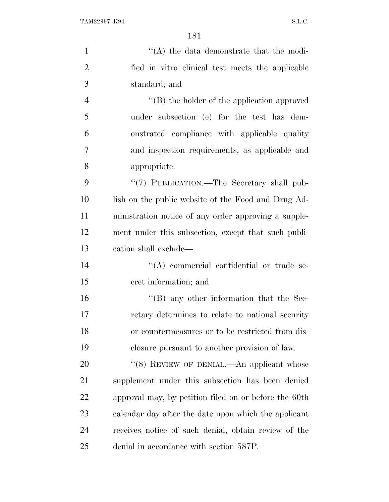| $\mathbf{1}$   | "(A) the data demonstrate that the modi-              |
|----------------|-------------------------------------------------------|
| $\overline{2}$ | fied in vitro clinical test meets the applicable      |
| 3              | standard; and                                         |
| $\overline{4}$ | $\lq\lq (B)$ the holder of the application approved   |
| 5              | under subsection (e) for the test has dem-            |
| 6              | onstrated compliance with applicable quality          |
| $\overline{7}$ | and inspection requirements, as applicable and        |
| 8              | appropriate.                                          |
| 9              | "(7) PUBLICATION.—The Secretary shall pub-            |
| 10             | lish on the public website of the Food and Drug Ad-   |
| 11             | ministration notice of any order approving a supple-  |
| 12             | ment under this subsection, except that such publi-   |
| 13             | cation shall exclude—                                 |
| 14             | "(A) commercial confidential or trade se-             |
| 15             | cret information; and                                 |
| 16             | $\lq\lq (B)$ any other information that the Sec-      |
| 17             | retary determines to relate to national security      |
| 18             | or countermeasures or to be restricted from dis-      |
| 19             | closure pursuant to another provision of law.         |
| 20             | "(8) REVIEW OF DENIAL.—An applicant whose             |
| 21             | supplement under this subsection has been denied      |
| 22             | approval may, by petition filed on or before the 60th |
| 23             | calendar day after the date upon which the applicant  |
| 24             | receives notice of such denial, obtain review of the  |
| 25             | denial in accordance with section 587P.               |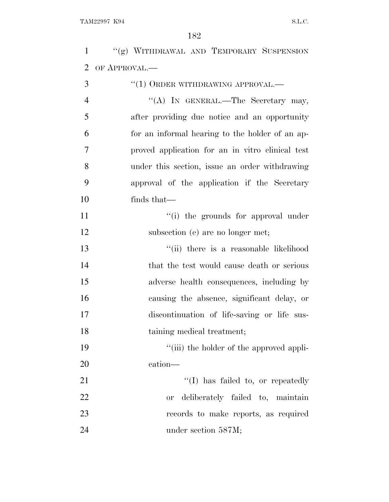''(g) WITHDRAWAL AND TEMPORARY SUSPENSION OF APPROVAL.—

| 3              | $``(1)$ ORDER WITHDRAWING APPROVAL.—             |
|----------------|--------------------------------------------------|
| $\overline{4}$ | "(A) IN GENERAL.—The Secretary may,              |
| 5              | after providing due notice and an opportunity    |
| 6              | for an informal hearing to the holder of an ap-  |
| 7              | proved application for an in vitro clinical test |
| 8              | under this section, issue an order withdrawing   |
| 9              | approval of the application if the Secretary     |
| 10             | finds that—                                      |
| 11             | "(i) the grounds for approval under              |
| 12             | subsection (e) are no longer met;                |
| 13             | "(ii) there is a reasonable likelihood           |
| 14             | that the test would cause death or serious       |
| 15             | adverse health consequences, including by        |
| 16             | causing the absence, significant delay, or       |
| 17             | discontinuation of life-saving or life sus-      |
| 18             | taining medical treatment;                       |
| 19             | "(iii) the holder of the approved appli-         |
| 20             | cation—                                          |
| 21             | $\lq\lq$ (I) has failed to, or repeatedly        |
| 22             | deliberately failed to, maintain<br><b>or</b>    |
| 23             | records to make reports, as required             |
| 24             | under section 587M;                              |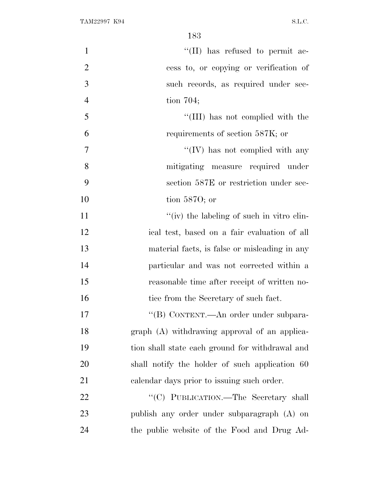| $\mathbf{1}$   | "(II) has refused to permit ac-                 |
|----------------|-------------------------------------------------|
| $\overline{2}$ | cess to, or copying or verification of          |
| 3              | such records, as required under sec-            |
| $\overline{4}$ | tion $704$ ;                                    |
| 5              | "(III) has not complied with the                |
| 6              | requirements of section 587K; or                |
| $\overline{7}$ | "(IV) has not complied with any                 |
| 8              | mitigating measure required under               |
| 9              | section 587E or restriction under sec-          |
| 10             | tion $5870$ ; or                                |
| 11             | "(iv) the labeling of such in vitro clin-       |
| 12             | ical test, based on a fair evaluation of all    |
| 13             | material facts, is false or misleading in any   |
| 14             | particular and was not corrected within a       |
| 15             | reasonable time after receipt of written no-    |
| 16             | tice from the Secretary of such fact.           |
| 17             | "(B) CONTENT.—An order under subpara-           |
| 18             | graph (A) withdrawing approval of an applica-   |
| 19             | tion shall state each ground for withdrawal and |
| 20             | shall notify the holder of such application 60  |
| 21             | calendar days prior to issuing such order.      |
| 22             | "(C) PUBLICATION.-The Secretary shall           |
| 23             | publish any order under subparagraph (A) on     |
| 24             | the public website of the Food and Drug Ad-     |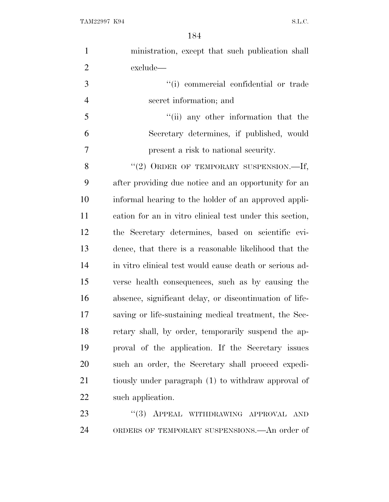| $\mathbf{1}$   | ministration, except that such publication shall         |
|----------------|----------------------------------------------------------|
| $\overline{2}$ | exclude—                                                 |
| 3              | "(i) commercial confidential or trade                    |
| $\overline{4}$ | secret information; and                                  |
| 5              | "(ii) any other information that the                     |
| 6              | Secretary determines, if published, would                |
| 7              | present a risk to national security.                     |
| 8              | $"(2)$ ORDER OF TEMPORARY SUSPENSION.—If,                |
| 9              | after providing due notice and an opportunity for an     |
| 10             | informal hearing to the holder of an approved appli-     |
| 11             | cation for an in vitro clinical test under this section, |
| 12             | the Secretary determines, based on scientific evi-       |
| 13             | dence, that there is a reasonable likelihood that the    |
| 14             | in vitro clinical test would cause death or serious ad-  |
| 15             | verse health consequences, such as by causing the        |
| 16             | absence, significant delay, or discontinuation of life-  |
| 17             | saving or life-sustaining medical treatment, the Sec-    |
| 18             | retary shall, by order, temporarily suspend the ap-      |
| 19             | proval of the application. If the Secretary issues       |
| 20             | such an order, the Secretary shall proceed expedi-       |
| 21             | tiously under paragraph (1) to withdraw approval of      |
| 22             | such application.                                        |
| 23             | ``(3)<br>APPEAL WITHDRAWING APPROVAL AND                 |

ORDERS OF TEMPORARY SUSPENSIONS.—An order of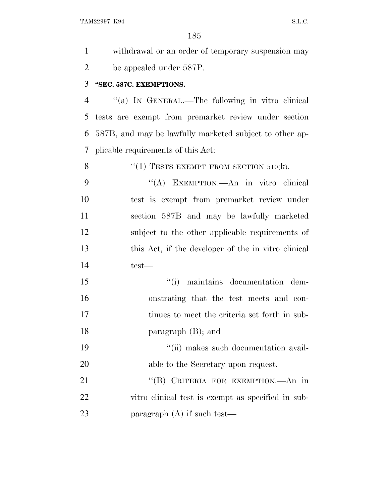| $\mathbf{1}$   | withdrawal or an order of temporary suspension may      |
|----------------|---------------------------------------------------------|
| $\overline{2}$ | be appealed under 587P.                                 |
| 3              | "SEC. 587C. EXEMPTIONS.                                 |
| $\overline{4}$ | "(a) IN GENERAL.—The following in vitro clinical        |
| 5              | tests are exempt from premarket review under section    |
| 6              | 587B, and may be lawfully marketed subject to other ap- |
| 7              | plicable requirements of this Act:                      |
| 8              | "(1) TESTS EXEMPT FROM SECTION $510(k)$ .               |
| 9              | "(A) EXEMPTION.—An in vitro clinical                    |
| 10             | test is exempt from premarket review under              |
| 11             | section 587B and may be lawfully marketed               |
| 12             | subject to the other applicable requirements of         |
| 13             | this Act, if the developer of the in vitro clinical     |
| 14             | test—                                                   |
| 15             | "(i) maintains documentation dem-                       |
| 16             | onstrating that the test meets and con-                 |
| 17             | tinues to meet the criteria set forth in sub-           |
| 18             | paragraph $(B)$ ; and                                   |
| 19             | "(ii) makes such documentation avail-                   |
| 20             | able to the Secretary upon request.                     |
| 21             | "(B) CRITERIA FOR EXEMPTION.—An in                      |
| 22             | vitro clinical test is exempt as specified in sub-      |
| 23             | paragraph $(A)$ if such test—                           |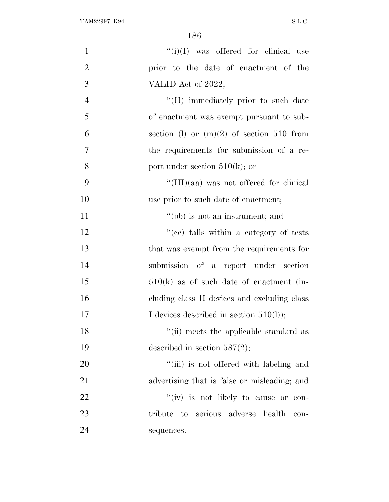| $\mathbf{1}$   | $``(i)(I)$ was offered for clinical use         |
|----------------|-------------------------------------------------|
| $\overline{2}$ | prior to the date of enactment of the           |
| 3              | VALID Act of 2022;                              |
| $\overline{4}$ | "(II) immediately prior to such date            |
| 5              | of enactment was exempt pursuant to sub-        |
| 6              | section (1) or $(m)(2)$ of section 510 from     |
| $\overline{7}$ | the requirements for submission of a re-        |
| 8              | port under section $510(k)$ ; or                |
| 9              | $\lq\lq$ (III)(aa) was not offered for clinical |
| 10             | use prior to such date of enactment;            |
| 11             | "(bb) is not an instrument; and                 |
| 12             | "(cc) falls within a category of tests          |
| 13             | that was exempt from the requirements for       |
| 14             | submission of a report under section            |
| 15             | $510(k)$ as of such date of enactment (in-      |
| 16             | cluding class II devices and excluding class    |
| 17             | I devices described in section $510(l)$ ;       |
| 18             | "(ii) meets the applicable standard as          |
| 19             | described in section $587(2)$ ;                 |
| 20             | "(iii) is not offered with labeling and         |
| 21             | advertising that is false or misleading; and    |
| 22             | "(iv) is not likely to cause or con-            |
| 23             | tribute to serious adverse health<br>$\,$ con-  |
| 24             | sequences.                                      |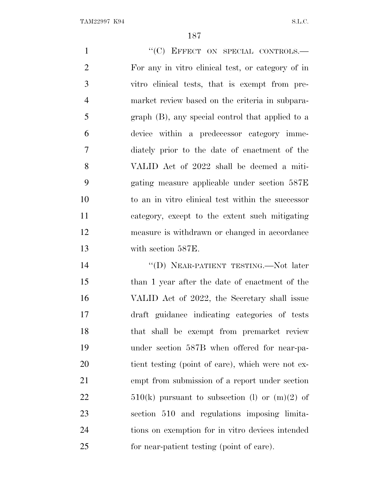1 "
(C) EFFECT ON SPECIAL CONTROLS. For any in vitro clinical test, or category of in vitro clinical tests, that is exempt from pre- market review based on the criteria in subpara- graph (B), any special control that applied to a device within a predecessor category imme- diately prior to the date of enactment of the VALID Act of 2022 shall be deemed a miti- gating measure applicable under section 587E to an in vitro clinical test within the successor category, except to the extent such mitigating measure is withdrawn or changed in accordance with section 587E. 14 "(D) NEAR-PATIENT TESTING.—Not later than 1 year after the date of enactment of the VALID Act of 2022, the Secretary shall issue draft guidance indicating categories of tests

 under section 587B when offered for near-pa- tient testing (point of care), which were not ex- empt from submission of a report under section  $510(k)$  pursuant to subsection (l) or  $(m)(2)$  of section 510 and regulations imposing limita- tions on exemption for in vitro devices intended for near-patient testing (point of care).

that shall be exempt from premarket review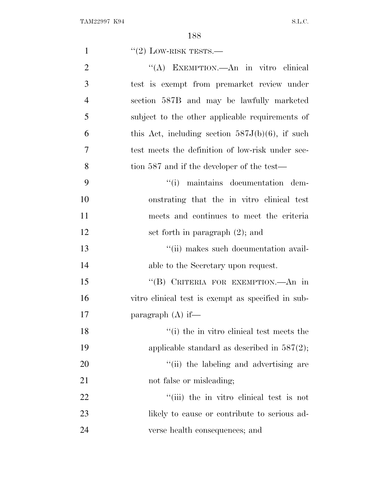| $\mathbf{1}$   | $``(2)$ LOW-RISK TESTS.—                           |
|----------------|----------------------------------------------------|
| $\overline{2}$ | "(A) EXEMPTION.—An in vitro clinical               |
| 3              | test is exempt from premarket review under         |
| $\overline{4}$ | section 587B and may be lawfully marketed          |
| 5              | subject to the other applicable requirements of    |
| 6              | this Act, including section $587J(b)(6)$ , if such |
| 7              | test meets the definition of low-risk under sec-   |
| 8              | tion 587 and if the developer of the test—         |
| 9              | "(i) maintains documentation dem-                  |
| 10             | onstrating that the in vitro clinical test         |
| 11             | meets and continues to meet the criteria           |
| 12             | set forth in paragraph $(2)$ ; and                 |
| 13             | "(ii) makes such documentation avail-              |
| 14             | able to the Secretary upon request.                |
| 15             | "(B) CRITERIA FOR EXEMPTION.—An in                 |
| 16             | vitro clinical test is exempt as specified in sub- |
| 17             | paragraph $(A)$ if—                                |
| 18             | "(i) the in vitro clinical test meets the          |
| 19             | applicable standard as described in $587(2)$ ;     |
| 20             | "(ii) the labeling and advertising are             |
| 21             | not false or misleading;                           |
| 22             | "(iii) the in vitro clinical test is not           |
| 23             | likely to cause or contribute to serious ad-       |
| 24             | verse health consequences; and                     |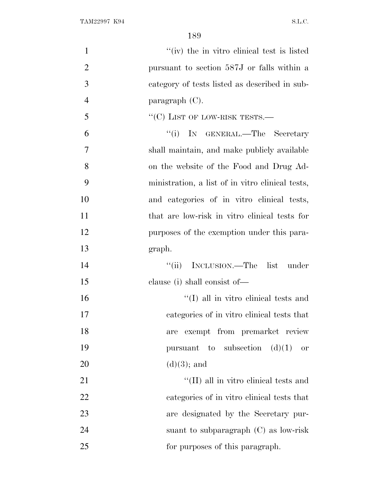| $\mathbf{1}$   | "(iv) the in vitro clinical test is listed       |
|----------------|--------------------------------------------------|
| $\overline{2}$ | pursuant to section 587J or falls within a       |
| 3              | category of tests listed as described in sub-    |
| $\overline{4}$ | $\text{param}$ (C).                              |
| 5              | $``(C)$ LIST OF LOW-RISK TESTS.—                 |
| 6              | ``(i)<br>IN GENERAL.—The Secretary               |
| 7              | shall maintain, and make publicly available      |
| 8              | on the website of the Food and Drug Ad-          |
| 9              | ministration, a list of in vitro clinical tests, |
| 10             | and categories of in vitro clinical tests,       |
| 11             | that are low-risk in vitro clinical tests for    |
| 12             | purposes of the exemption under this para-       |
| 13             | graph.                                           |
| 14             | "(ii) INCLUSION.—The list under                  |
| 15             | clause (i) shall consist of—                     |
| 16             | $\lq\lq$ (I) all in vitro clinical tests and     |
| 17             | categories of in vitro clinical tests that       |
| 18             | exempt from premarket review<br>are              |
| 19             | pursuant to subsection $(d)(1)$<br><b>or</b>     |
| 20             | $(d)(3)$ ; and                                   |
| 21             | $\lq\lq$ (II) all in vitro clinical tests and    |
| 22             | categories of in vitro clinical tests that       |
| 23             | are designated by the Secretary pur-             |
| 24             | suant to subparagraph $(C)$ as low-risk          |
| 25             | for purposes of this paragraph.                  |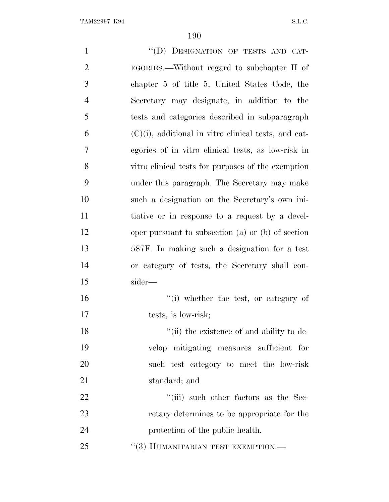| $\mathbf{1}$   | "(D) DESIGNATION OF TESTS AND CAT-                      |
|----------------|---------------------------------------------------------|
| $\overline{2}$ | EGORIES.—Without regard to subchapter II of             |
| 3              | chapter 5 of title 5, United States Code, the           |
| $\overline{4}$ | Secretary may designate, in addition to the             |
| 5              | tests and categories described in subparagraph          |
| 6              | $(C)(i)$ , additional in vitro clinical tests, and cat- |
| 7              | egories of in vitro clinical tests, as low-risk in      |
| 8              | vitro clinical tests for purposes of the exemption      |
| 9              | under this paragraph. The Secretary may make            |
| 10             | such a designation on the Secretary's own ini-          |
| 11             | tiative or in response to a request by a devel-         |
| 12             | oper pursuant to subsection (a) or (b) of section       |
| 13             | 587F. In making such a designation for a test           |
| 14             | or category of tests, the Secretary shall con-          |
| 15             | sider—                                                  |
| 16             | "(i) whether the test, or category of                   |
| 17             | tests, is low-risk;                                     |
| 18             | "(ii) the existence of and ability to de-               |
| 19             | velop mitigating measures sufficient for                |
| 20             | such test category to meet the low-risk                 |
| 21             | standard; and                                           |
| 22             | "(iii) such other factors as the Sec-                   |
| 23             | retary determines to be appropriate for the             |
| 24             | protection of the public health.                        |
| 25             | $``(3)$ HUMANITARIAN TEST EXEMPTION.—                   |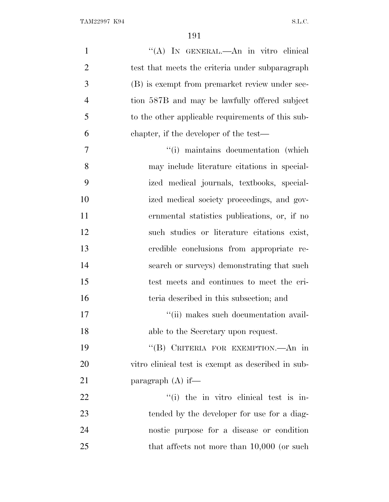| $\mathbf{1}$   | "(A) IN GENERAL.—An in vitro clinical              |
|----------------|----------------------------------------------------|
| $\overline{2}$ | test that meets the criteria under subparagraph    |
| 3              | (B) is exempt from premarket review under sec-     |
| $\overline{4}$ | tion 587B and may be lawfully offered subject      |
| 5              | to the other applicable requirements of this sub-  |
| 6              | chapter, if the developer of the test—             |
| 7              | "(i) maintains documentation (which                |
| 8              | may include literature citations in special-       |
| 9              | ized medical journals, textbooks, special-         |
| 10             | ized medical society proceedings, and gov-         |
| 11             | ernmental statistics publications, or, if no       |
| 12             | such studies or literature citations exist,        |
| 13             | credible conclusions from appropriate re-          |
| 14             | search or surveys) demonstrating that such         |
| 15             | test meets and continues to meet the cri-          |
| 16             | teria described in this subsection; and            |
| 17             | "(ii) makes such documentation avail-              |
| 18             | able to the Secretary upon request.                |
| 19             | "(B) CRITERIA FOR EXEMPTION.—An in                 |
| 20             | vitro clinical test is exempt as described in sub- |
| 21             | paragraph $(A)$ if—                                |
| 22             | "(i) the in vitro clinical test is in-             |
| 23             | tended by the developer for use for a diag-        |
| 24             | nostic purpose for a disease or condition          |
| 25             | that affects not more than $10,000$ (or such       |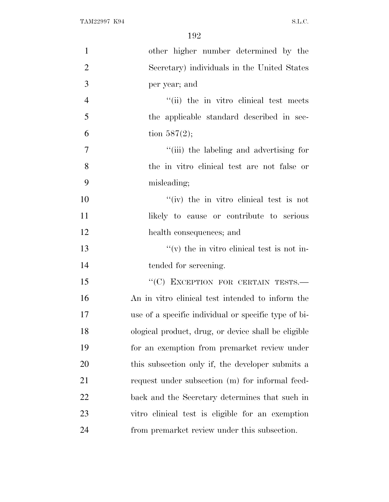| $\mathbf{1}$   | other higher number determined by the                |
|----------------|------------------------------------------------------|
| $\overline{2}$ | Secretary) individuals in the United States          |
| 3              | per year; and                                        |
| $\overline{4}$ | "(ii) the in vitro clinical test meets"              |
| 5              | the applicable standard described in sec-            |
| 6              | tion $587(2)$ ;                                      |
| $\overline{7}$ | "(iii) the labeling and advertising for              |
| 8              | the in vitro clinical test are not false or          |
| 9              | misleading;                                          |
| 10             | $f'(iv)$ the in vitro clinical test is not           |
| 11             | likely to cause or contribute to serious             |
| 12             | health consequences; and                             |
| 13             | $f'(v)$ the in vitro clinical test is not in-        |
| 14             | tended for screening.                                |
| 15             | "(C) EXCEPTION FOR CERTAIN TESTS.-                   |
| 16             | An in vitro clinical test intended to inform the     |
| 17             | use of a specific individual or specific type of bi- |
| 18             | ological product, drug, or device shall be eligible  |
| 19             | for an exemption from premarket review under         |
| 20             | this subsection only if, the developer submits a     |
| 21             | request under subsection (m) for informal feed-      |
| 22             | back and the Secretary determines that such in       |
| 23             | vitro clinical test is eligible for an exemption     |
| 24             |                                                      |
|                | from premarket review under this subsection.         |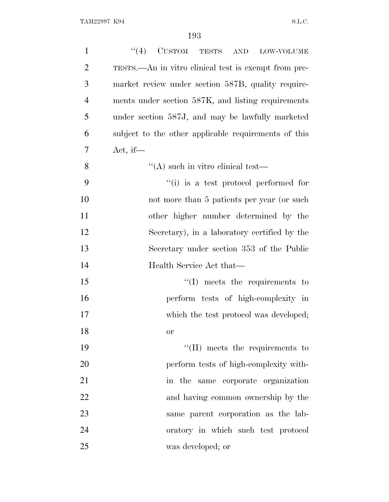| $\mathbf{1}$   | $``(4)$ CUSTOM TESTS AND LOW-VOLUME                  |
|----------------|------------------------------------------------------|
| $\overline{2}$ | TESTS.—An in vitro clinical test is exempt from pre- |
| 3              | market review under section 587B, quality require-   |
| $\overline{4}$ | ments under section 587K, and listing requirements   |
| 5              | under section 587J, and may be lawfully marketed     |
| 6              | subject to the other applicable requirements of this |
| 7              | Act, if—                                             |
| 8              | $\lq\lq$ such in vitro clinical test—                |
| 9              | "(i) is a test protocol performed for                |
| 10             | not more than 5 patients per year (or such           |
| 11             | other higher number determined by the                |
| 12             | Secretary), in a laboratory certified by the         |
| 13             | Secretary under section 353 of the Public            |
| 14             | Health Service Act that—                             |
| 15             | $\lq\lq$ meets the requirements to                   |
| 16             | perform tests of high-complexity in                  |
| 17             | which the test protocol was developed;               |
| 18             | <b>or</b>                                            |
| 19             | $\lq\lq$ (II) meets the requirements to              |
| 20             | perform tests of high-complexity with-               |
| 21             | in the same corporate organization                   |
| 22             | and having common ownership by the                   |
| 23             | same parent corporation as the lab-                  |
| 24             | oratory in which such test protocol                  |
| 25             | was developed; or                                    |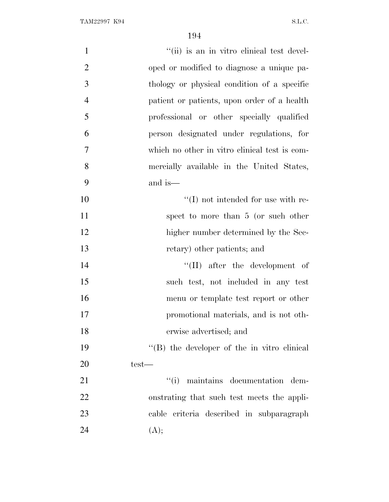| $\mathbf{1}$   | "(ii) is an in vitro clinical test devel-     |
|----------------|-----------------------------------------------|
| $\overline{2}$ | oped or modified to diagnose a unique pa-     |
| 3              | thology or physical condition of a specific   |
| $\overline{4}$ | patient or patients, upon order of a health   |
| 5              | professional or other specially qualified     |
| 6              | person designated under regulations, for      |
| $\overline{7}$ | which no other in vitro clinical test is com- |
| 8              | mercially available in the United States,     |
| 9              | and is—                                       |
| 10             | $\lq\lq$ (I) not intended for use with re-    |
| 11             | spect to more than 5 (or such other           |
| 12             | higher number determined by the Sec-          |
| 13             | retary) other patients; and                   |
| 14             | "(II) after the development of                |
| 15             | such test, not included in any test           |
| 16             | menu or template test report or other         |
| 17             | promotional materials, and is not oth-        |
| 18             | erwise advertised; and                        |
| 19             | "(B) the developer of the in vitro clinical   |
| 20             | $test-$                                       |
| 21             | "(i) maintains documentation dem-             |
| 22             | onstrating that such test meets the appli-    |
| 23             | cable criteria described in subparagraph      |
| 24             | (A);                                          |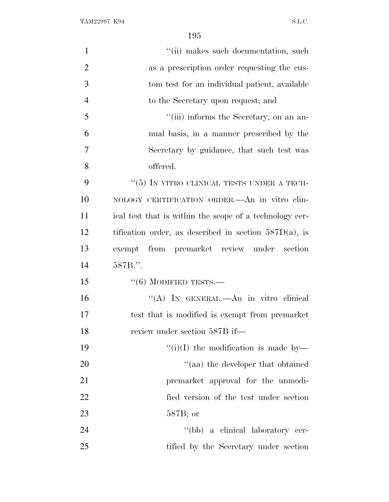TAM22997 K94 S.L.C.

| $\mathbf{1}$   | "(ii) makes such documentation, such                     |
|----------------|----------------------------------------------------------|
| $\overline{2}$ | as a prescription order requesting the cus-              |
| 3              | tom test for an individual patient, available            |
| $\overline{4}$ | to the Secretary upon request; and                       |
| 5              | "(iii) informs the Secretary, on an an-                  |
| 6              | nual basis, in a manner prescribed by the                |
| 7              | Secretary by guidance, that such test was                |
| 8              | offered.                                                 |
| 9              | " $(5)$ IN VITRO CLINICAL TESTS UNDER A TECH-            |
| 10             | NOLOGY CERTIFICATION ORDER. An in vitro clin-            |
| 11             | ical test that is within the scope of a technology cer-  |
| 12             | tification order, as described in section $587D(a)$ , is |
| 13             | exempt from premarket review under section               |
| 14             | 587B.".                                                  |
| 15             | $``(6)$ MODIFIED TESTS.—                                 |
| 16             | "(A) IN GENERAL.—An in vitro clinical                    |
| 17             | test that is modified is exempt from premarket           |
| 18             | review under section 587B if—                            |
| 19             | "(i)(I) the modification is made by-                     |
| 20             | "(aa) the developer that obtained                        |
| 21             | premarket approval for the unmodi-                       |
| 22             | fied version of the test under section                   |
| 23             | $587B$ ; or                                              |
| 24             | "(bb) a clinical laboratory cer-                         |
| 25             | tified by the Secretary under section                    |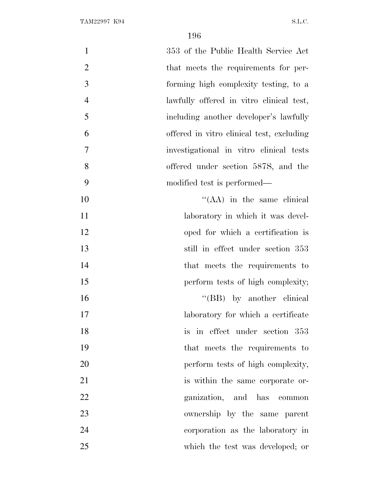| $\mathbf{1}$   | 353 of the Public Health Service Act      |
|----------------|-------------------------------------------|
| $\overline{2}$ | that meets the requirements for per-      |
| 3              | forming high complexity testing, to a     |
| $\overline{4}$ | lawfully offered in vitro clinical test,  |
| 5              | including another developer's lawfully    |
| 6              | offered in vitro clinical test, excluding |
| 7              | investigational in vitro clinical tests   |
| 8              | offered under section 587S, and the       |
| 9              | modified test is performed—               |
| 10             | $\lq\lq$ (AA) in the same clinical        |
| 11             | laboratory in which it was devel-         |
| 12             | oped for which a certification is         |
| 13             | still in effect under section 353         |
| 14             | that meets the requirements to            |
| 15             | perform tests of high complexity;         |
| 16             | "(BB) by another clinical                 |
| 17             | laboratory for which a certificate        |
| 18             | is in effect under section 353            |
| 19             | that meets the requirements to            |
| 20             | perform tests of high complexity,         |
| 21             | is within the same corporate or-          |
| 22             | ganization, and has common                |
| 23             | ownership by the same parent              |
| 24             | corporation as the laboratory in          |
| 25             | which the test was developed; or          |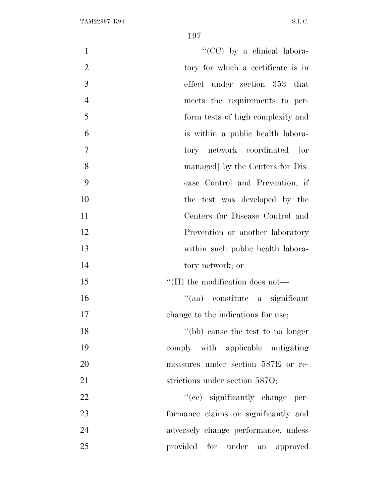| $\mathbf{1}$   | " $(CC)$ by a clinical labora-        |
|----------------|---------------------------------------|
| $\overline{2}$ | tory for which a certificate is in    |
| 3              | effect under section 353 that         |
| $\overline{4}$ | meets the requirements to per-        |
| 5              | form tests of high complexity and     |
| 6              | is within a public health labora-     |
| 7              | tory network coordinated [or          |
| 8              | managed] by the Centers for Dis-      |
| 9              | ease Control and Prevention, if       |
| 10             | the test was developed by the         |
| 11             | Centers for Disease Control and       |
| 12             | Prevention or another laboratory      |
| 13             | within such public health labora-     |
| 14             | tory network; or                      |
| 15             | $\lq$ (II) the modification does not— |
| 16             | "(aa) constitute a significant        |
| 17             | change to the indications for use;    |
| 18             | "(bb) cause the test to no longer     |
| 19             | comply with applicable mitigating     |
| 20             | measures under section 587E or re-    |
| 21             | strictions under section 5870;        |
| 22             | "(cc) significantly change per-       |
| 23             | formance claims or significantly and  |
| 24             | adversely change performance, unless  |
| 25             | provided for under an approved        |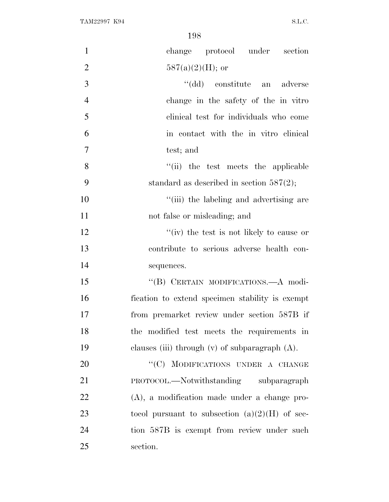| $\mathbf{1}$   | change protocol under section                       |
|----------------|-----------------------------------------------------|
| $\overline{2}$ | $587(a)(2)(H)$ ; or                                 |
| 3              | "(dd) constitute an adverse                         |
| $\overline{4}$ | change in the safety of the in vitro                |
| 5              | clinical test for individuals who come              |
| 6              | in contact with the in vitro clinical               |
| $\tau$         | test; and                                           |
| 8              | "(ii) the test meets the applicable                 |
| 9              | standard as described in section $587(2)$ ;         |
| 10             | "(iii) the labeling and advertising are             |
| 11             | not false or misleading; and                        |
| 12             | "(iv) the test is not likely to cause or            |
| 13             | contribute to serious adverse health con-           |
| 14             | sequences.                                          |
| 15             | "(B) CERTAIN MODIFICATIONS.- A modi-                |
| 16             | fication to extend specimen stability is exempt     |
| 17             | from premarket review under section 587B if         |
| 18             | the modified test meets the requirements in         |
| 19             | clauses (iii) through $(v)$ of subparagraph $(A)$ . |
| 20             | "(C) MODIFICATIONS UNDER A CHANGE                   |
| 21             | PROTOCOL.—Notwithstanding subparagraph              |
| 22             | (A), a modification made under a change pro-        |
| 23             | tocol pursuant to subsection $(a)(2)(H)$ of sec-    |
| 24             | tion 587B is exempt from review under such          |
| 25             | section.                                            |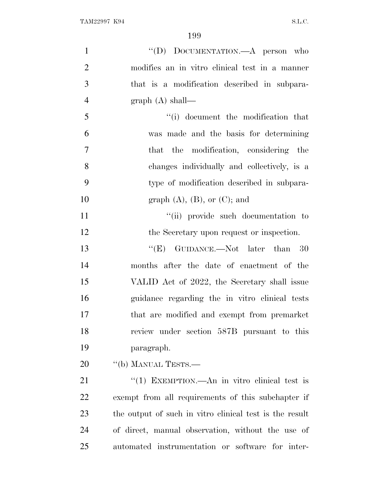| $\mathbf{1}$   | "(D) DOCUMENTATION.—A person who                        |
|----------------|---------------------------------------------------------|
| $\overline{2}$ | modifies an in vitro clinical test in a manner          |
| 3              | that is a modification described in subpara-            |
| $\overline{4}$ | graph $(A)$ shall—                                      |
| 5              | "(i) document the modification that                     |
| 6              | was made and the basis for determining                  |
| $\tau$         | that the modification, considering the                  |
| 8              | changes individually and collectively, is a             |
| 9              | type of modification described in subpara-              |
| 10             | graph $(A)$ , $(B)$ , or $(C)$ ; and                    |
| 11             | "(ii) provide such documentation to                     |
| 12             | the Secretary upon request or inspection.               |
| 13             | "(E) GUIDANCE.—Not later than $30$                      |
| 14             | months after the date of enactment of the               |
| 15             | VALID Act of 2022, the Secretary shall issue            |
| 16             | guidance regarding the in vitro clinical tests          |
| 17             | that are modified and exempt from premarket             |
| 18             | review under section 587B pursuant to this              |
| 19             | paragraph.                                              |
| 20             | "(b) MANUAL TESTS.-                                     |
| 21             | "(1) EXEMPTION.—An in vitro clinical test is            |
| 22             | exempt from all requirements of this subchapter if      |
| 23             | the output of such in vitro clinical test is the result |
| 24             | of direct, manual observation, without the use of       |
| 25             | automated instrumentation or software for inter-        |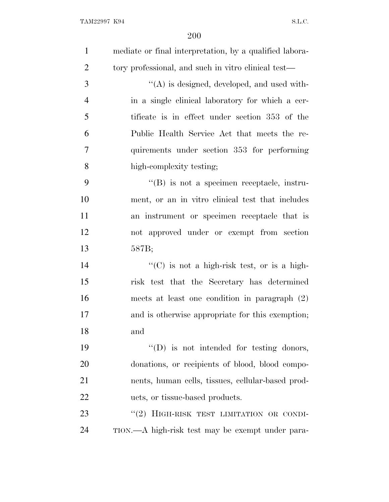| $\mathbf{1}$   | mediate or final interpretation, by a qualified labora- |
|----------------|---------------------------------------------------------|
| $\overline{2}$ | tory professional, and such in vitro clinical test—     |
| 3              | $\lq\lq$ is designed, developed, and used with-         |
| $\overline{4}$ | in a single clinical laboratory for which a cer-        |
| 5              | tificate is in effect under section 353 of the          |
| 6              | Public Health Service Act that meets the re-            |
| 7              | quirements under section 353 for performing             |
| 8              | high-complexity testing;                                |
| 9              | $\lq\lq (B)$ is not a specimen receptacle, instru-      |
| 10             | ment, or an in vitro clinical test that includes        |
| 11             | an instrument or specimen receptacle that is            |
| 12             | not approved under or exempt from section               |
| 13             | 587B;                                                   |
| 14             | "(C) is not a high-risk test, or is a high-             |
| 15             | risk test that the Secretary has determined             |
| 16             | meets at least one condition in paragraph $(2)$         |
| 17             | and is otherwise appropriate for this exemption;        |
| 18             | and                                                     |
| 19             | $\lq\lq$ (D) is not intended for testing donors,        |
| 20             | donations, or recipients of blood, blood compo-         |
| 21             | nents, human cells, tissues, cellular-based prod-       |
| 22             | ucts, or tissue-based products.                         |
| 23             | "(2) HIGH-RISK TEST LIMITATION OR CONDI-                |
| 24             | TION.—A high-risk test may be exempt under para-        |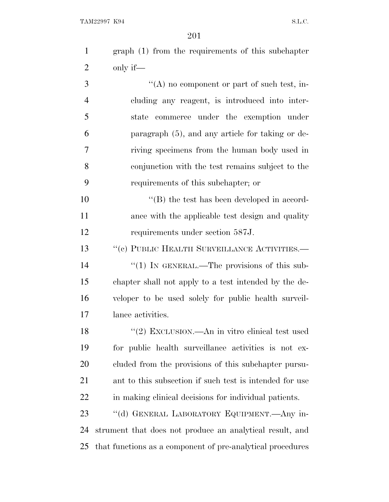graph (1) from the requirements of this subchapter only if—

 ''(A) no component or part of such test, in- cluding any reagent, is introduced into inter- state commerce under the exemption under paragraph (5), and any article for taking or de- riving specimens from the human body used in conjunction with the test remains subject to the requirements of this subchapter; or

10  $\langle G \rangle$  the test has been developed in accord-11 ance with the applicable test design and quality requirements under section 587J.

13 " (c) PUBLIC HEALTH SURVEILLANCE ACTIVITIES.

14 "(1) IN GENERAL.—The provisions of this sub- chapter shall not apply to a test intended by the de- veloper to be used solely for public health surveil-lance activities.

18 ''(2) EXCLUSION.—An in vitro clinical test used for public health surveillance activities is not ex- cluded from the provisions of this subchapter pursu- ant to this subsection if such test is intended for use in making clinical decisions for individual patients.

 ''(d) GENERAL LABORATORY EQUIPMENT.—Any in- strument that does not produce an analytical result, and that functions as a component of pre-analytical procedures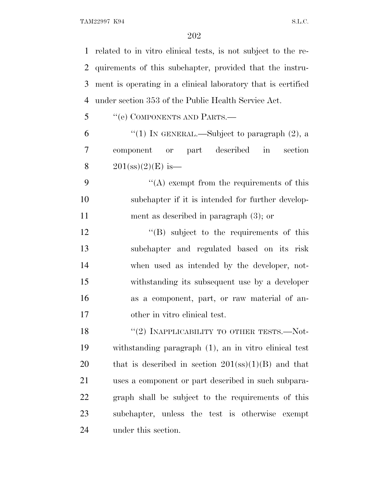related to in vitro clinical tests, is not subject to the re- quirements of this subchapter, provided that the instru- ment is operating in a clinical laboratory that is certified under section 353 of the Public Health Service Act. ''(e) COMPONENTS AND PARTS.— 6 "(1) In GENERAL.—Subject to paragraph  $(2)$ , a component or part described in section

8  $201(s) (2) (E)$  is —

9  $\langle (A)$  exempt from the requirements of this subchapter if it is intended for further develop-ment as described in paragraph (3); or

12 "(B) subject to the requirements of this subchapter and regulated based on its risk when used as intended by the developer, not- withstanding its subsequent use by a developer as a component, part, or raw material of an-other in vitro clinical test.

18 "(2) INAPPLICABILITY TO OTHER TESTS.—Not- withstanding paragraph (1), an in vitro clinical test 20 that is described in section (ss)(1)(B) and that uses a component or part described in such subpara- graph shall be subject to the requirements of this subchapter, unless the test is otherwise exempt under this section.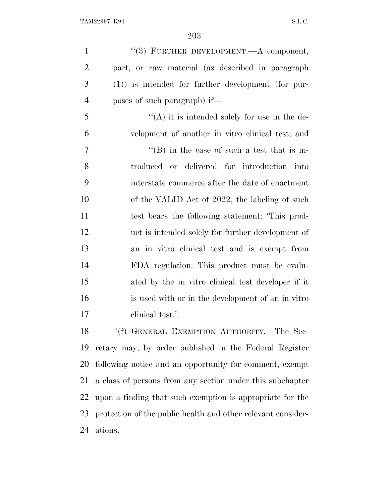| $\mathbf{1}$   | "(3) FURTHER DEVELOPMENT.—A component,                   |
|----------------|----------------------------------------------------------|
| $\overline{2}$ | part, or raw material (as described in paragraph         |
| 3              | $(1)$ ) is intended for further development (for pur-    |
| $\overline{4}$ | poses of such paragraph) if—                             |
| 5              | $\lq\lq$ it is intended solely for use in the de-        |
| 6              | velopment of another in vitro clinical test; and         |
| $\tau$         | $\lq\lq$ (B) in the case of such a test that is in-      |
| 8              | troduced or delivered for introduction into              |
| 9              | interstate commerce after the date of enactment          |
| 10             | of the VALID Act of 2022, the labeling of such           |
| 11             | test bears the following statement: This prod-           |
| 12             | uct is intended solely for further development of        |
| 13             | an in vitro clinical test and is exempt from             |
| 14             | FDA regulation. This product must be evalu-              |
| 15             | ated by the in vitro clinical test developer if it       |
| 16             | is used with or in the development of an in vitro        |
| 17             | clinical test.'.                                         |
| 18             | "(f) GENERAL EXEMPTION AUTHORITY.-The Sec-               |
|                | 19 retary may by order published in the Federal Register |

 retary may, by order published in the Federal Register following notice and an opportunity for comment, exempt a class of persons from any section under this subchapter upon a finding that such exemption is appropriate for the protection of the public health and other relevant consider-ations.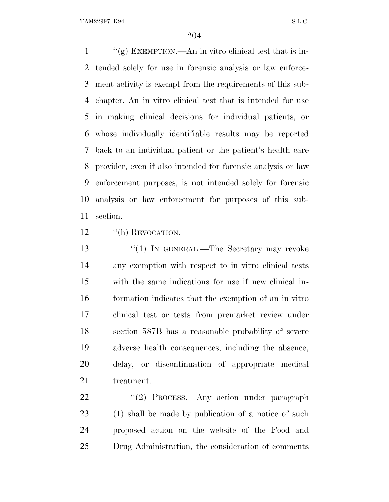$\frac{u'(g)}{g}$  EXEMPTION.—An in vitro clinical test that is in- tended solely for use in forensic analysis or law enforce- ment activity is exempt from the requirements of this sub- chapter. An in vitro clinical test that is intended for use in making clinical decisions for individual patients, or whose individually identifiable results may be reported back to an individual patient or the patient's health care provider, even if also intended for forensic analysis or law enforcement purposes, is not intended solely for forensic analysis or law enforcement for purposes of this sub-section.

12 "(h) REVOCATION.—

13 "(1) IN GENERAL.—The Secretary may revoke any exemption with respect to in vitro clinical tests with the same indications for use if new clinical in- formation indicates that the exemption of an in vitro clinical test or tests from premarket review under section 587B has a reasonable probability of severe adverse health consequences, including the absence, delay, or discontinuation of appropriate medical treatment.

22 "'(2) PROCESS.—Any action under paragraph 23 (1) shall be made by publication of a notice of such proposed action on the website of the Food and Drug Administration, the consideration of comments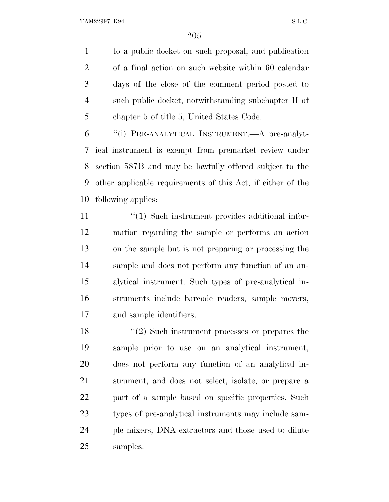TAM22997 K94 S.L.C.

 to a public docket on such proposal, and publication of a final action on such website within 60 calendar days of the close of the comment period posted to such public docket, notwithstanding subchapter II of chapter 5 of title 5, United States Code.

 ''(i) PRE-ANALYTICAL INSTRUMENT.—A pre-analyt- ical instrument is exempt from premarket review under section 587B and may be lawfully offered subject to the other applicable requirements of this Act, if either of the following applies:

 $\frac{1}{2}$  (1) Such instrument provides additional infor- mation regarding the sample or performs an action on the sample but is not preparing or processing the sample and does not perform any function of an an- alytical instrument. Such types of pre-analytical in- struments include barcode readers, sample movers, and sample identifiers.

18 ''(2) Such instrument processes or prepares the sample prior to use on an analytical instrument, does not perform any function of an analytical in- strument, and does not select, isolate, or prepare a part of a sample based on specific properties. Such types of pre-analytical instruments may include sam- ple mixers, DNA extractors and those used to dilute samples.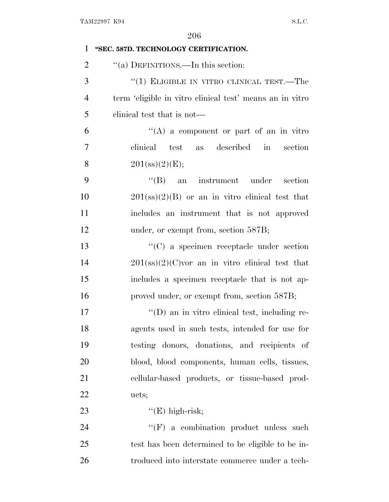| 1              | "SEC. 587D. TECHNOLOGY CERTIFICATION.                    |
|----------------|----------------------------------------------------------|
| $\overline{2}$ | "(a) DEFINITIONS.—In this section:                       |
| 3              | "(1) ELIGIBLE IN VITRO CLINICAL TEST.—The                |
| $\overline{4}$ | term 'eligible in vitro clinical test' means an in vitro |
| 5              | elinical test that is not—                               |
| 6              | $\lq\lq$ a component or part of an in vitro              |
| 7              | clinical test as described<br>in section                 |
| 8              | 201(s) (2) (E);                                          |
| 9              | "(B) an instrument under section                         |
| 10             | $201(\text{ss})(2)(B)$ or an in vitro clinical test that |
| 11             | includes an instrument that is not approved              |
| 12             | under, or exempt from, section 587B;                     |
| 13             | "(C) a specimen receptacle under section                 |
| 14             | $201$ (ss)(2)(C) vor an in vitro clinical test that      |
| 15             | includes a specimen receptacle that is not ap-           |
| 16             | proved under, or exempt from, section 587B;              |
| 17             | $\lq\lq$ (D) an in vitro clinical test, including re-    |
| 18             | agents used in such tests, intended for use for          |
| 19             | testing donors, donations, and recipients of             |
| 20             | blood, blood components, human cells, tissues,           |
| 21             | cellular-based products, or tissue-based prod-           |
| 22             | ucts;                                                    |
| 23             | $"E)$ high-risk;                                         |
| 24             | $\lq\lq(F)$ a combination product unless such            |
| 25             | test has been determined to be eligible to be in-        |
| 26             | troduced into interstate commerce under a tech-          |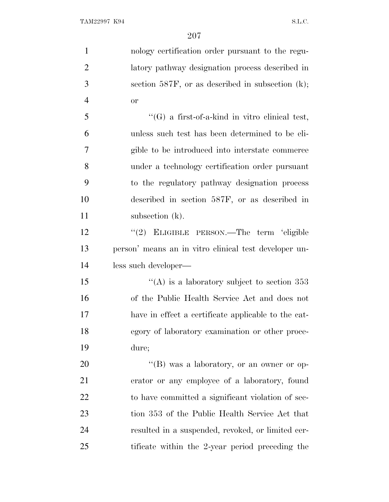| $\mathbf{1}$   | nology certification order pursuant to the regu-      |
|----------------|-------------------------------------------------------|
| $\overline{2}$ | latory pathway designation process described in       |
| 3              | section 587F, or as described in subsection $(k)$ ;   |
| $\overline{4}$ | <b>or</b>                                             |
| 5              | $\lq\lq(G)$ a first-of-a-kind in vitro clinical test, |
| 6              | unless such test has been determined to be eli-       |
| 7              | gible to be introduced into interstate commerce       |
| 8              | under a technology certification order pursuant       |
| 9              | to the regulatory pathway designation process         |
| 10             | described in section 587F, or as described in         |
| 11             | subsection (k).                                       |
| 12             | "(2) ELIGIBLE PERSON.—The term 'eligible              |
| 13             | person' means an in vitro clinical test developer un- |
| 14             | less such developer—                                  |
| 15             | "(A) is a laboratory subject to section $353$         |
| 16             | of the Public Health Service Act and does not         |
| 17             | have in effect a certificate applicable to the cat-   |
| 18             | egory of laboratory examination or other proce-       |
| 19             | dure;                                                 |
| 20             | "(B) was a laboratory, or an owner or op-             |
| 21             | erator or any employee of a laboratory, found         |
| 22             | to have committed a significant violation of sec-     |
| 23             | tion 353 of the Public Health Service Act that        |
| 24             | resulted in a suspended, revoked, or limited cer-     |
| 25             | tificate within the 2-year period preceding the       |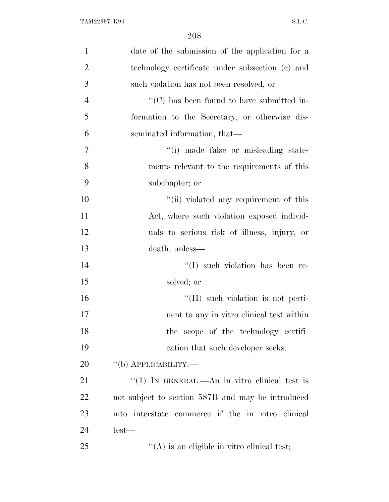| $\mathbf{1}$   | date of the submission of the application for a                |
|----------------|----------------------------------------------------------------|
| $\overline{2}$ | technology certificate under subsection (c) and                |
| 3              | such violation has not been resolved; or                       |
| $\overline{4}$ | $\lq\lq$ <sup>"</sup> (C) has been found to have submitted in- |
| 5              | formation to the Secretary, or otherwise dis-                  |
| 6              | seminated information, that—                                   |
| 7              | "(i) made false or misleading state-                           |
| 8              | ments relevant to the requirements of this                     |
| 9              | subchapter; or                                                 |
| 10             | "(ii) violated any requirement of this                         |
| 11             | Act, where such violation exposed individ-                     |
| 12             | uals to serious risk of illness, injury, or                    |
| 13             | death, unless—                                                 |
| 14             | "(I) such violation has been re-                               |
| 15             | solved; or                                                     |
| 16             | "(II) such violation is not perti-                             |
| 17             | nent to any in vitro clinical test within                      |
| 18             | the scope of the technology certifi-                           |
| 19             | cation that such developer seeks.                              |
| 20             | "(b) APPLICABILITY.—                                           |
| 21             | "(1) IN GENERAL.—An in vitro clinical test is                  |
| 22             | not subject to section 587B and may be introduced              |
| 23             | into interstate commerce if the in vitro clinical              |
| 24             | test—                                                          |
| 25             | $\lq\lq$ is an eligible in vitro clinical test;                |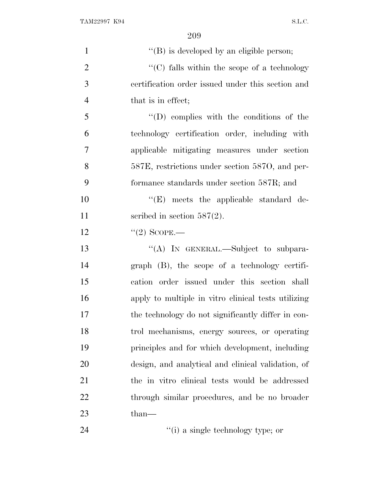| $\mathbf{1}$   | $\lq\lq (B)$ is developed by an eligible person;                 |
|----------------|------------------------------------------------------------------|
| $\overline{2}$ | $\lq\lq$ <sup>c</sup> (C) falls within the scope of a technology |
| 3              | certification order issued under this section and                |
| $\overline{4}$ | that is in effect;                                               |
| 5              | $\lq\lq$ (D) complies with the conditions of the                 |
| 6              | technology certification order, including with                   |
| 7              | applicable mitigating measures under section                     |
| 8              | 587E, restrictions under section 587O, and per-                  |
| 9              | formance standards under section 587R; and                       |
| 10             | $\lq\lq$ (E) meets the applicable standard de-                   |
| 11             | scribed in section $587(2)$ .                                    |
| 12             | $"(2)$ SCOPE.—                                                   |
| 13             | "(A) IN GENERAL.—Subject to subpara-                             |
| 14             | $graph$ (B), the scope of a technology certifi-                  |
| 15             | cation order issued under this section shall                     |
| 16             | apply to multiple in vitro clinical tests utilizing              |
| 17             | the technology do not significantly differ in con-               |
| 18             | trol mechanisms, energy sources, or operating                    |
| 19             | principles and for which development, including                  |
| 20             | design, and analytical and clinical validation, of               |
| 21             | the in vitro clinical tests would be addressed                   |
| 22             | through similar procedures, and be no broader                    |
| 23             | than—                                                            |
| 24             | "(i) a single technology type; or                                |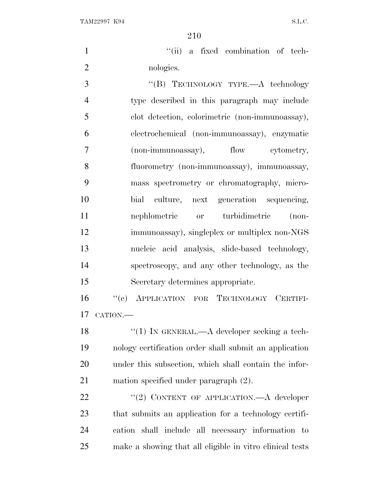TAM22997 K94 S.L.C.

1  $"$ (ii) a fixed combination of tech-2 nologies.

3 "(B) TECHNOLOGY TYPE.—A technology type described in this paragraph may include clot detection, colorimetric (non-immunoassay), electrochemical (non-immunoassay), enzymatic (non-immunoassay), flow cytometry, fluorometry (non-immunoassay), immunoassay, mass spectrometry or chromatography, micro- bial culture, next generation sequencing, nephlometric or turbidimetric (non- immunoassay), singleplex or multiplex non-NGS nucleic acid analysis, slide-based technology, spectroscopy, and any other technology, as the Secretary determines appropriate.

 ''(c) APPLICATION FOR TECHNOLOGY CERTIFI-CATION.—

18 "(1) IN GENERAL.—A developer seeking a tech- nology certification order shall submit an application under this subsection, which shall contain the infor-mation specified under paragraph (2).

22 "(2) CONTENT OF APPLICATION.—A developer that submits an application for a technology certifi- cation shall include all necessary information to make a showing that all eligible in vitro clinical tests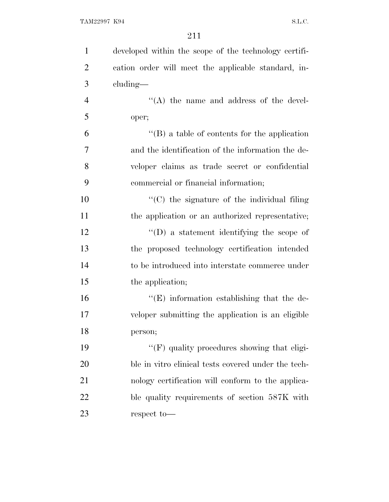| $\mathbf{1}$   | developed within the scope of the technology certifi- |
|----------------|-------------------------------------------------------|
| $\overline{2}$ | cation order will meet the applicable standard, in-   |
| 3              | $cluding$ —                                           |
| $\overline{4}$ | $\lq\lq$ the name and address of the devel-           |
| 5              | oper;                                                 |
| 6              | $\lq\lq (B)$ a table of contents for the application  |
| 7              | and the identification of the information the de-     |
| 8              | veloper claims as trade secret or confidential        |
| 9              | commercial or financial information;                  |
| 10             | $\lq\lq$ (C) the signature of the individual filing   |
| 11             | the application or an authorized representative;      |
| 12             | $\lq\lq$ ) a statement identifying the scope of       |
| 13             | the proposed technology certification intended        |
| 14             | to be introduced into interstate commerce under       |
| 15             | the application;                                      |
| 16             | $\lq\lq$ . Information establishing that the de-      |
| 17             | veloper submitting the application is an eligible     |
| 18             | person;                                               |
| 19             | "(F) quality procedures showing that eligi-           |
| 20             | ble in vitro clinical tests covered under the tech-   |
| 21             | nology certification will conform to the applica-     |
| 22             | ble quality requirements of section 587K with         |
| 23             | respect to-                                           |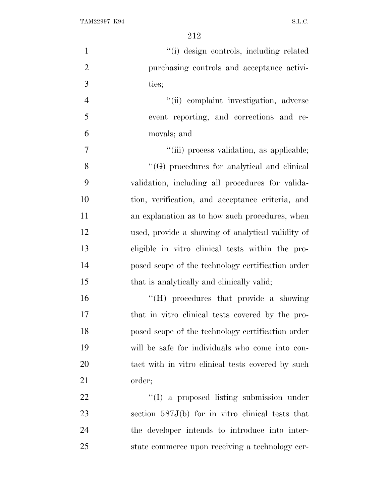| $\mathbf{1}$   | "(i) design controls, including related            |
|----------------|----------------------------------------------------|
| $\overline{2}$ | purchasing controls and acceptance activi-         |
| 3              | ties;                                              |
| $\overline{4}$ | "(ii) complaint investigation, adverse             |
| 5              | event reporting, and corrections and re-           |
| 6              | movals; and                                        |
| $\tau$         | "(iii) process validation, as applicable;          |
| 8              | "(G) procedures for analytical and clinical        |
| 9              | validation, including all procedures for valida-   |
| 10             | tion, verification, and acceptance criteria, and   |
| 11             | an explanation as to how such procedures, when     |
| 12             | used, provide a showing of analytical validity of  |
| 13             | eligible in vitro clinical tests within the pro-   |
| 14             | posed scope of the technology certification order  |
| 15             | that is analytically and clinically valid;         |
| 16             | "(H) procedures that provide a showing             |
| 17             | that in vitro clinical tests covered by the pro-   |
| 18             | posed scope of the technology certification order  |
| 19             | will be safe for individuals who come into con-    |
| 20             | tact with in vitro clinical tests covered by such  |
| 21             | order;                                             |
| 22             | "(I) a proposed listing submission under           |
| 23             | section $587J(b)$ for in vitro clinical tests that |
| 24             | the developer intends to introduce into inter-     |
| 25             | state commerce upon receiving a technology cer-    |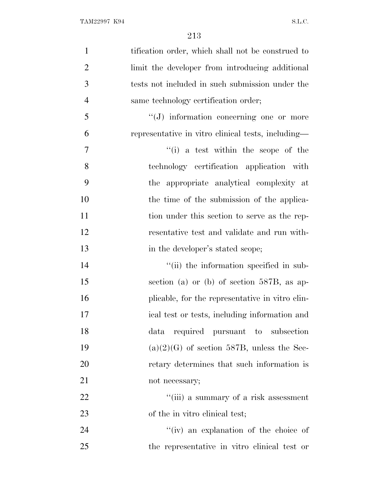| $\mathbf{1}$   | tification order, which shall not be construed to  |
|----------------|----------------------------------------------------|
| $\overline{2}$ | limit the developer from introducing additional    |
| 3              | tests not included in such submission under the    |
| $\overline{4}$ | same technology certification order;               |
| 5              | "(J) information concerning one or more            |
| 6              | representative in vitro clinical tests, including— |
| 7              | $f'(i)$ a test within the scope of the             |
| 8              | technology certification application with          |
| 9              | the appropriate analytical complexity at           |
| 10             | the time of the submission of the applica-         |
| 11             | tion under this section to serve as the rep-       |
| 12             | resentative test and validate and run with-        |
| 13             | in the developer's stated scope;                   |
| 14             | "(ii) the information specified in sub-            |
| 15             | section (a) or (b) of section $587B$ , as ap-      |
| 16             | plicable, for the representative in vitro clin-    |
| 17             | ical test or tests, including information and      |
| 18             | data required pursuant to subsection               |
| 19             | $(a)(2)(G)$ of section 587B, unless the Sec-       |
| 20             | retary determines that such information is         |
| 21             | not necessary;                                     |
| 22             | "(iii) a summary of a risk assessment              |
| 23             | of the in vitro clinical test;                     |
| 24             | "(iv) an explanation of the choice of              |
| 25             | the representative in vitro clinical test or       |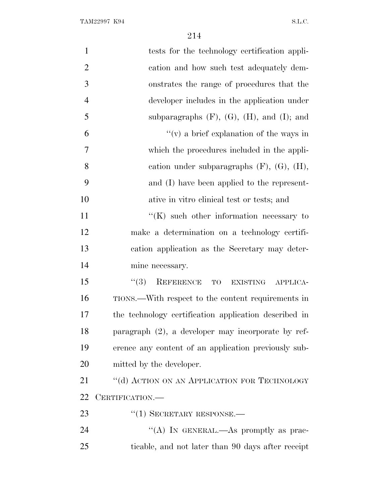| $\mathbf{1}$   | tests for the technology certification appli-         |
|----------------|-------------------------------------------------------|
| $\overline{2}$ | cation and how such test adequately dem-              |
| 3              | onstrates the range of procedures that the            |
| $\overline{4}$ | developer includes in the application under           |
| 5              | subparagraphs $(F)$ , $(G)$ , $(H)$ , and $(I)$ ; and |
| 6              | "(v) a brief explanation of the ways in               |
| 7              | which the procedures included in the appli-           |
| 8              | cation under subparagraphs $(F)$ , $(G)$ , $(H)$ ,    |
| 9              | and (I) have been applied to the represent-           |
| 10             | ative in vitro clinical test or tests; and            |
| 11             | $\lq\lq(K)$ such other information necessary to       |
| 12             | make a determination on a technology certifi-         |
| 13             | cation application as the Secretary may deter-        |
| 14             | mine necessary.                                       |
| 15             | REFERENCE<br>(3)<br>TO<br>EXISTING APPLICA-           |
| 16             | TIONS.—With respect to the content requirements in    |
| 17             | the technology certification application described in |
| 18             | paragraph $(2)$ , a developer may incorporate by ref- |
| 19             | erence any content of an application previously sub-  |
| 20             | mitted by the developer.                              |
| 21             | "(d) ACTION ON AN APPLICATION FOR TECHNOLOGY          |
| 22             | CERTIFICATION.                                        |
| 23             | $``(1)$ SECRETARY RESPONSE.—                          |
| 24             | "(A) IN GENERAL.—As promptly as prac-                 |
| 25             | ticable, and not later than 90 days after receipt     |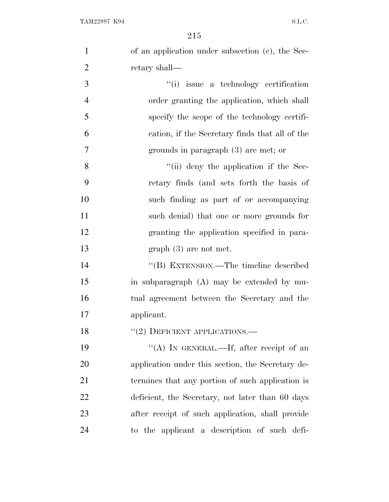| $\mathbf{1}$     | of an application under subsection (c), the Sec-  |
|------------------|---------------------------------------------------|
| $\overline{2}$   | retary shall—                                     |
| $\mathfrak{Z}$   | "(i) issue a technology certification             |
| $\overline{4}$   | order granting the application, which shall       |
| 5                | specify the scope of the technology certifi-      |
| 6                | cation, if the Secretary finds that all of the    |
| $\boldsymbol{7}$ | grounds in paragraph (3) are met; or              |
| 8                | "(ii) deny the application if the Sec-            |
| 9                | retary finds (and sets forth the basis of         |
| 10               | such finding as part of or accompanying           |
| 11               | such denial) that one or more grounds for         |
| 12               | granting the application specified in para-       |
| 13               | $graph(3)$ are not met.                           |
| 14               | "(B) EXTENSION.—The timeline described            |
| 15               | in subparagraph (A) may be extended by mu-        |
| 16               | tual agreement between the Secretary and the      |
| 17               | applicant.                                        |
| 18               | $``(2)$ DEFICIENT APPLICATIONS.—                  |
| 19               | "(A) IN GENERAL.—If, after receipt of an          |
| 20               | application under this section, the Secretary de- |
| 21               | termines that any portion of such application is  |
| 22               | deficient, the Secretary, not later than 60 days  |
| 23               | after receipt of such application, shall provide  |
| 24               | to the applicant a description of such defi-      |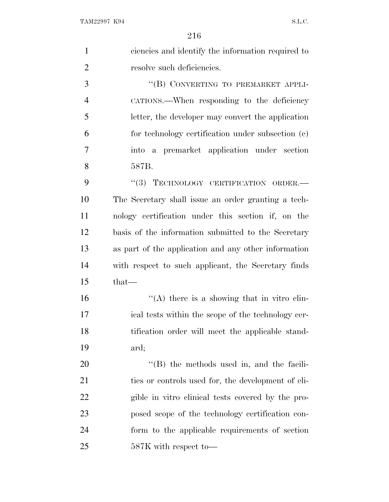| $\mathbf{1}$   | ciencies and identify the information required to    |
|----------------|------------------------------------------------------|
| $\overline{2}$ | resolve such deficiencies.                           |
| 3              | "(B) CONVERTING TO PREMARKET APPLI-                  |
| $\overline{4}$ | CATIONS.—When responding to the deficiency           |
| 5              | letter, the developer may convert the application    |
| 6              | for technology certification under subsection (c)    |
| 7              | a premarket application under section<br>into        |
| 8              | 587B.                                                |
| 9              | TECHNOLOGY CERTIFICATION ORDER.<br>(3)               |
| 10             | The Secretary shall issue an order granting a tech-  |
| 11             | nology certification under this section if, on the   |
| 12             | basis of the information submitted to the Secretary  |
| 13             | as part of the application and any other information |
| 14             | with respect to such applicant, the Secretary finds  |
| 15             | $that-$                                              |
| 16             | "(A) there is a showing that in vitro clin-          |
| 17             | ical tests within the scope of the technology cer-   |
| 18             | tification order will meet the applicable stand-     |
| 19             | ard;                                                 |
| 20             | $\lq\lq$ (B) the methods used in, and the facili-    |
| 21             | ties or controls used for, the development of eli-   |
| 22             | gible in vitro clinical tests covered by the pro-    |
| 23             | posed scope of the technology certification con-     |
| 24             | form to the applicable requirements of section       |
| 25             | 587K with respect to-                                |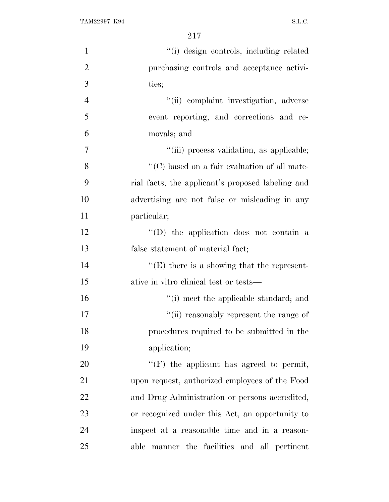| $\mathbf{1}$   | "(i) design controls, including related              |
|----------------|------------------------------------------------------|
| $\overline{2}$ | purchasing controls and acceptance activi-           |
| 3              | ties;                                                |
| $\overline{4}$ | "(ii) complaint investigation, adverse               |
| 5              | event reporting, and corrections and re-             |
| 6              | movals; and                                          |
| $\tau$         | "(iii) process validation, as applicable;            |
| 8              | $\lq\lq$ (C) based on a fair evaluation of all mate- |
| 9              | rial facts, the applicant's proposed labeling and    |
| 10             | advertising are not false or misleading in any       |
| 11             | particular;                                          |
| 12             | "(D) the application does not contain a              |
| 13             | false statement of material fact;                    |
| 14             | $\lq\lq$ (E) there is a showing that the represent-  |
| 15             | ative in vitro clinical test or tests—               |
| 16             | "(i) meet the applicable standard; and               |
| 17             | "(ii) reasonably represent the range of              |
| 18             | procedures required to be submitted in the           |
| 19             | application;                                         |
| 20             | $\lq\lq(F)$ the applicant has agreed to permit,      |
| 21             | upon request, authorized employees of the Food       |
| 22             | and Drug Administration or persons accredited,       |
| 23             | or recognized under this Act, an opportunity to      |
| 24             | inspect at a reasonable time and in a reason-        |
| 25             | able manner the facilities and all pertinent         |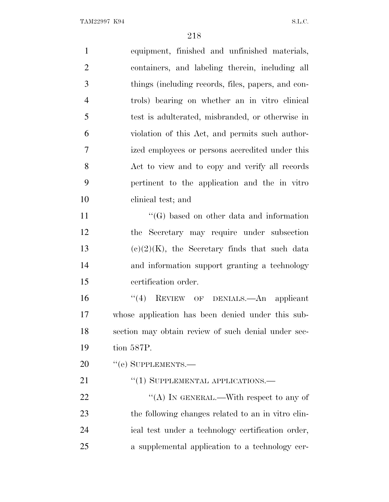| $\mathbf{1}$   | equipment, finished and unfinished materials,       |
|----------------|-----------------------------------------------------|
| $\overline{2}$ | containers, and labeling therein, including all     |
| 3              | things (including records, files, papers, and con-  |
| $\overline{4}$ | trols) bearing on whether an in vitro clinical      |
| 5              | test is adulterated, misbranded, or otherwise in    |
| 6              | violation of this Act, and permits such author-     |
| 7              | ized employees or persons accredited under this     |
| 8              | Act to view and to copy and verify all records      |
| 9              | pertinent to the application and the in vitro       |
| 10             | clinical test; and                                  |
| 11             | $\lq\lq(G)$ based on other data and information     |
| 12             | the Secretary may require under subsection          |
| 13             | $(e)(2)(K)$ , the Secretary finds that such data    |
| 14             | and information support granting a technology       |
| 15             | certification order.                                |
| 16             | "(4) REVIEW OF DENIALS.—An applicant                |
| 17             | whose application has been denied under this sub-   |
| 18             | section may obtain review of such denial under sec- |
| 19             | tion 587P.                                          |
| 20             | $``$ (e) SUPPLEMENTS.—                              |
| 21             | "(1) SUPPLEMENTAL APPLICATIONS.—                    |
| 22             | "(A) IN GENERAL.—With respect to any of             |
| 23             | the following changes related to an in vitro clin-  |
| 24             | ical test under a technology certification order,   |
| 25             | a supplemental application to a technology cer-     |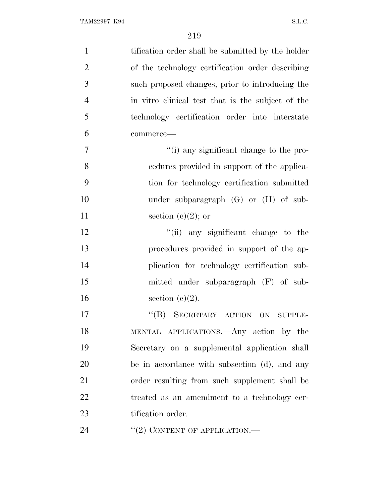| $\mathbf{1}$   | tification order shall be submitted by the holder |
|----------------|---------------------------------------------------|
| $\overline{2}$ | of the technology certification order describing  |
| 3              | such proposed changes, prior to introducing the   |
| $\overline{4}$ | in vitro clinical test that is the subject of the |
| 5              | technology certification order into interstate    |
| 6              | commerce-                                         |
| 7              | "(i) any significant change to the pro-           |
| 8              | cedures provided in support of the applica-       |
| 9              | tion for technology certification submitted       |
| 10             | under subparagraph $(G)$ or $(H)$ of sub-         |
| 11             | section (c) $(2)$ ; or                            |
| 12             | "(ii) any significant change to the               |
| 13             | procedures provided in support of the ap-         |
| 14             | plication for technology certification sub-       |
| 15             | mitted under subparagraph (F) of sub-             |
| 16             | section $(c)(2)$ .                                |
| 17             | "(B) SECRETARY ACTION ON SUPPLE-                  |
| 18             | MENTAL APPLICATIONS.—Any action by the            |
| 19             | Secretary on a supplemental application shall     |
| <b>20</b>      | be in accordance with subsection (d), and any     |
| 21             | order resulting from such supplement shall be     |
| 22             | treated as an amendment to a technology cer-      |
| 23             | tification order.                                 |
| 24             | "(2) CONTENT OF APPLICATION.—                     |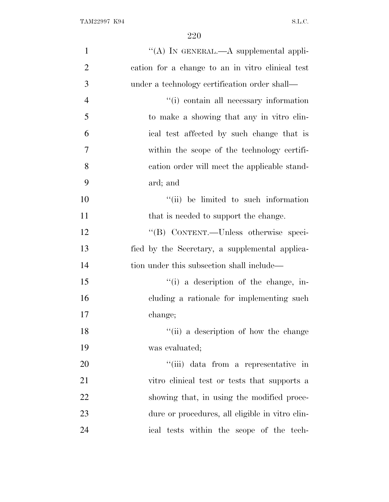| $\mathbf{1}$   | "(A) IN GENERAL.—A supplemental appli-                 |
|----------------|--------------------------------------------------------|
| $\overline{2}$ | cation for a change to an in vitro clinical test       |
| 3              | under a technology certification order shall—          |
| $\overline{4}$ | "(i) contain all necessary information                 |
| 5              | to make a showing that any in vitro clin-              |
| 6              | ical test affected by such change that is              |
| 7              | within the scope of the technology certifi-            |
| 8              | cation order will meet the applicable stand-           |
| 9              | ard; and                                               |
| 10             | "(ii) be limited to such information                   |
| 11             | that is needed to support the change.                  |
| 12             | "(B) CONTENT.-Unless otherwise speci-                  |
| 13             | fied by the Secretary, a supplemental applica-         |
| 14             | tion under this subsection shall include—              |
| 15             | $\lq$ <sup>"(i)</sup> a description of the change, in- |
| 16             | cluding a rationale for implementing such              |
| 17             | change;                                                |
| 18             | "(ii) a description of how the change                  |
| 19             | was evaluated;                                         |
| 20             | "(iii) data from a representative in                   |
| 21             | vitro clinical test or tests that supports a           |
| 22             | showing that, in using the modified proce-             |
| 23             | dure or procedures, all eligible in vitro clin-        |
| 24             | ical tests within the scope of the tech-               |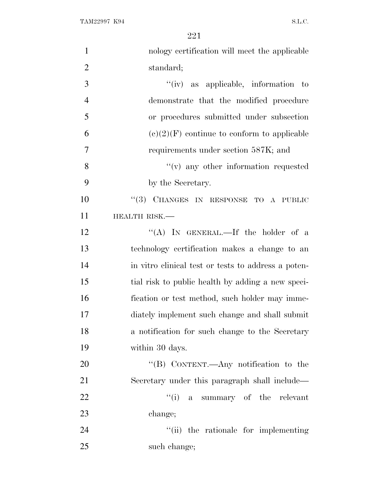| $\mathbf{1}$   | nology certification will meet the applicable       |
|----------------|-----------------------------------------------------|
| $\overline{2}$ | standard;                                           |
| 3              | $``(iv)$ as applicable, information to              |
| $\overline{4}$ | demonstrate that the modified procedure             |
| 5              | or procedures submitted under subsection            |
| 6              | $(e)(2)(F)$ continue to conform to applicable       |
| $\overline{7}$ | requirements under section 587K; and                |
| 8              | "(v) any other information requested                |
| 9              | by the Secretary.                                   |
| 10             | "(3) CHANGES IN RESPONSE TO A PUBLIC                |
| 11             | HEALTH RISK.-                                       |
| 12             | "(A) IN GENERAL.—If the holder of a                 |
| 13             | technology certification makes a change to an       |
| 14             | in vitro clinical test or tests to address a poten- |
| 15             | tial risk to public health by adding a new speci-   |
| 16             | fication or test method, such holder may imme-      |
| 17             | diately implement such change and shall submit      |
| 18             | a notification for such change to the Secretary     |
| 19             | within 30 days.                                     |
| 20             | "(B) CONTENT.—Any notification to the               |
| 21             | Secretary under this paragraph shall include—       |
| 22             | "(i) a summary of the relevant                      |
| 23             | change;                                             |
| 24             | "(ii) the rationale for implementing                |
| 25             | such change;                                        |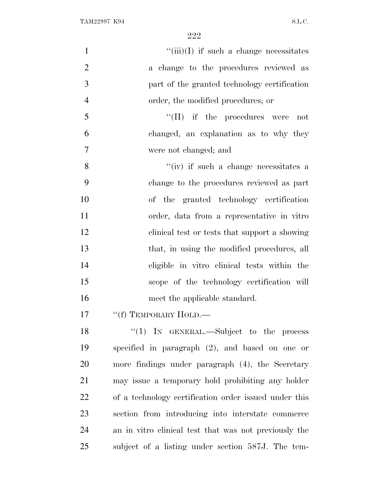| $\mathbf{1}$   | $``(iii)(I)$ if such a change necessitates            |
|----------------|-------------------------------------------------------|
| $\overline{2}$ | a change to the procedures reviewed as                |
| 3              | part of the granted technology certification          |
| $\overline{4}$ | order, the modified procedures; or                    |
| 5              | $\lq\lq$ (II) if the procedures were<br>not           |
| 6              | changed, an explanation as to why they                |
| 7              | were not changed; and                                 |
| 8              | "(iv) if such a change necessitates a                 |
| 9              | change to the procedures reviewed as part             |
| 10             | of the granted technology certification               |
| 11             | order, data from a representative in vitro            |
| 12             | clinical test or tests that support a showing         |
| 13             | that, in using the modified procedures, all           |
| 14             | eligible in vitro clinical tests within the           |
| 15             | scope of the technology certification will            |
| 16             | meet the applicable standard.                         |
| 17             | "(f) TEMPORARY HOLD.—                                 |
| 18             | "(1) IN GENERAL.—Subject to the process               |
| 19             | specified in paragraph $(2)$ , and based on one or    |
| 20             | more findings under paragraph (4), the Secretary      |
| 21             | may issue a temporary hold prohibiting any holder     |
| 22             | of a technology certification order issued under this |
| 23             | section from introducing into interstate commerce     |
| 24             | an in vitro clinical test that was not previously the |
| 25             | subject of a listing under section 587J. The tem-     |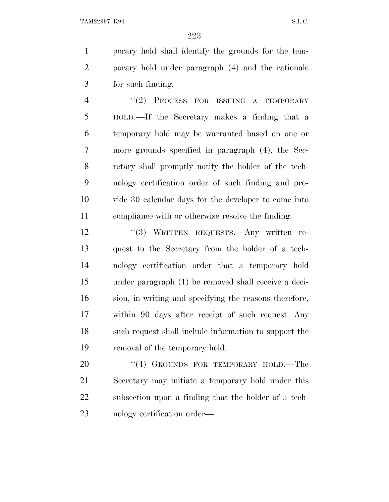porary hold shall identify the grounds for the tem- porary hold under paragraph (4) and the rationale for such finding.

4 "(2) PROCESS FOR ISSUING A TEMPORARY HOLD.—If the Secretary makes a finding that a temporary hold may be warranted based on one or more grounds specified in paragraph (4), the Sec- retary shall promptly notify the holder of the tech- nology certification order of such finding and pro- vide 30 calendar days for the developer to come into compliance with or otherwise resolve the finding.

12 "(3) WRITTEN REQUESTS.—Any written re- quest to the Secretary from the holder of a tech- nology certification order that a temporary hold under paragraph (1) be removed shall receive a deci- sion, in writing and specifying the reasons therefore, within 90 days after receipt of such request. Any such request shall include information to support the removal of the temporary hold.

20 "(4) GROUNDS FOR TEMPORARY HOLD.—The Secretary may initiate a temporary hold under this subsection upon a finding that the holder of a tech-nology certification order—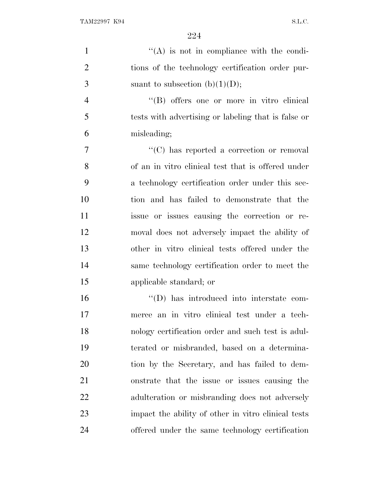| $\mathbf{1}$   | "(A) is not in compliance with the condi-           |
|----------------|-----------------------------------------------------|
| $\overline{2}$ | tions of the technology certification order pur-    |
| 3              | suant to subsection (b) $(1)(D)$ ;                  |
| $\overline{4}$ | "(B) offers one or more in vitro clinical           |
| 5              | tests with advertising or labeling that is false or |
| 6              | misleading;                                         |
| 7              | "(C) has reported a correction or removal           |
| 8              | of an in vitro clinical test that is offered under  |
| 9              | a technology certification order under this sec-    |
| 10             | tion and has failed to demonstrate that the         |
| 11             | issue or issues causing the correction or re-       |
| 12             | moval does not adversely impact the ability of      |
| 13             | other in vitro clinical tests offered under the     |
| 14             | same technology certification order to meet the     |
| 15             | applicable standard; or                             |
| 16             | "(D) has introduced into interstate com-            |
| 17             | merce an in vitro clinical test under a tech-       |
| 18             | nology certification order and such test is adul-   |
| 19             | terated or misbranded, based on a determina-        |
| 20             | tion by the Secretary, and has failed to dem-       |
| 21             | onstrate that the issue or issues causing the       |
| 22             | adulteration or misbranding does not adversely      |
| 23             | impact the ability of other in vitro clinical tests |
| 24             | offered under the same technology certification     |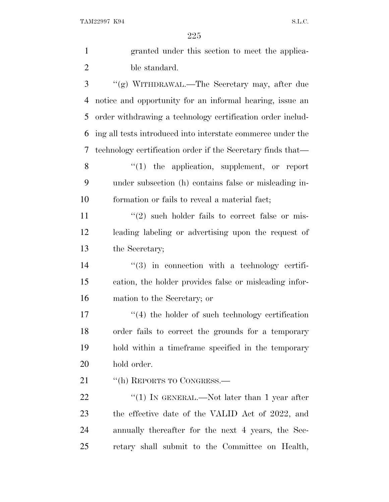| $\mathbf{1}$   | granted under this section to meet the applica-             |
|----------------|-------------------------------------------------------------|
| $\overline{2}$ | ble standard.                                               |
| 3              | "(g) WITHDRAWAL.—The Secretary may, after due               |
| 4              | notice and opportunity for an informal hearing, issue an    |
| 5              | order withdrawing a technology certification order includ-  |
| 6              | ing all tests introduced into interstate commerce under the |
| 7              | technology certification order if the Secretary finds that— |
| 8              | $\lq(1)$ the application, supplement, or report             |
| 9              | under subsection (h) contains false or misleading in-       |
| 10             | formation or fails to reveal a material fact;               |
| 11             | $(2)$ such holder fails to correct false or mis-            |
| 12             | leading labeling or advertising upon the request of         |
| 13             | the Secretary;                                              |
| 14             | $\lq(3)$ in connection with a technology certifi-           |
| 15             | cation, the holder provides false or misleading infor-      |
| 16             | mation to the Secretary; or                                 |
| 17             | $\lq(4)$ the holder of such technology certification        |
| 18             | order fails to correct the grounds for a temporary          |
| 19             | hold within a timeframe specified in the temporary          |
| 20             | hold order.                                                 |
| 21             | "(h) REPORTS TO CONGRESS.—                                  |
| 22             | "(1) IN GENERAL.—Not later than 1 year after                |
| 23             | the effective date of the VALID Act of 2022, and            |
| 24             | annually thereafter for the next 4 years, the Sec-          |
| 25             | retary shall submit to the Committee on Health,             |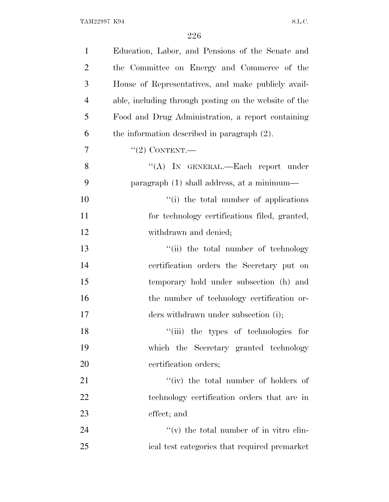| $\mathbf{1}$   | Education, Labor, and Pensions of the Senate and      |
|----------------|-------------------------------------------------------|
| $\overline{2}$ | the Committee on Energy and Commerce of the           |
| 3              | House of Representatives, and make publicly avail-    |
| $\overline{4}$ | able, including through posting on the website of the |
| 5              | Food and Drug Administration, a report containing     |
| 6              | the information described in paragraph $(2)$ .        |
| 7              | $"(2)$ CONTENT.—                                      |
| 8              | "(A) IN GENERAL.—Each report under                    |
| 9              | paragraph (1) shall address, at a minimum—            |
| 10             | "(i) the total number of applications                 |
| 11             | for technology certifications filed, granted,         |
| 12             | withdrawn and denied;                                 |
| 13             | "(ii) the total number of technology                  |
| 14             | certification orders the Secretary put on             |
| 15             | temporary hold under subsection (h) and               |
| 16             | the number of technology certification or-            |
| 17             | ders withdrawn under subsection (i);                  |
| 18             | "(iii) the types of technologies for                  |
| 19             | which the Secretary granted technology                |
| 20             | certification orders;                                 |
| 21             | "(iv) the total number of holders of                  |
| 22             | technology certification orders that are in           |
| 23             | effect; and                                           |
| 24             | $f'(v)$ the total number of in vitro clin-            |
| 25             | ical test categories that required premarket          |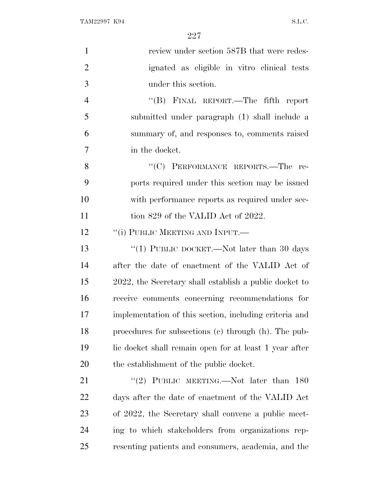| $\mathbf{1}$   | review under section 587B that were redes-             |
|----------------|--------------------------------------------------------|
| $\overline{2}$ | ignated as eligible in vitro clinical tests            |
| 3              | under this section.                                    |
| $\overline{4}$ | "(B) FINAL REPORT.—The fifth report                    |
| 5              | submitted under paragraph (1) shall include a          |
| 6              | summary of, and responses to, comments raised          |
| $\overline{7}$ | in the docket.                                         |
| 8              | "(C) PERFORMANCE REPORTS.-The re-                      |
| 9              | ports required under this section may be issued        |
| 10             | with performance reports as required under sec-        |
| 11             | tion 829 of the VALID Act of 2022.                     |
| 12             | "(i) PUBLIC MEETING AND INPUT.—                        |
| 13             | "(1) PUBLIC DOCKET.—Not later than 30 days             |
| 14             | after the date of enactment of the VALID Act of        |
| 15             | 2022, the Secretary shall establish a public docket to |
| 16             | receive comments concerning recommendations for        |
| 17             | implementation of this section, including criteria and |
| 18             | procedures for subsections (c) through (h). The pub-   |
| 19             | lic docket shall remain open for at least 1 year after |
| 20             | the establishment of the public docket.                |
| 21             | "(2) PUBLIC MEETING.—Not later than $180$              |
| 22             | days after the date of enactment of the VALID Act      |
| 23             | of 2022, the Secretary shall convene a public meet-    |
| 24             | ing to which stakeholders from organizations rep-      |
| 25             | resenting patients and consumers, academia, and the    |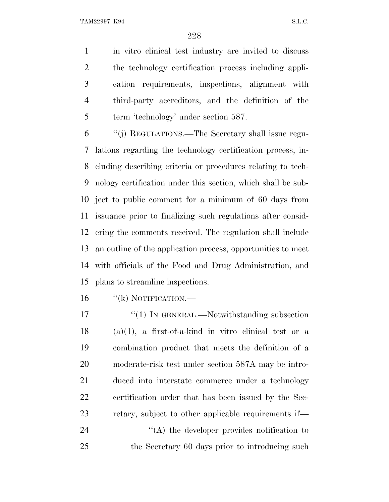in vitro clinical test industry are invited to discuss the technology certification process including appli- cation requirements, inspections, alignment with third-party accreditors, and the definition of the 5 term 'technology' under section 587.

 ''(j) REGULATIONS.—The Secretary shall issue regu- lations regarding the technology certification process, in- cluding describing criteria or procedures relating to tech- nology certification under this section, which shall be sub- ject to public comment for a minimum of 60 days from issuance prior to finalizing such regulations after consid- ering the comments received. The regulation shall include an outline of the application process, opportunities to meet with officials of the Food and Drug Administration, and plans to streamline inspections.

16 "(k) NOTIFICATION.—

17 "(1) IN GENERAL.—Notwithstanding subsection (a)(1), a first-of-a-kind in vitro clinical test or a combination product that meets the definition of a moderate-risk test under section 587A may be intro- duced into interstate commerce under a technology certification order that has been issued by the Sec-retary, subject to other applicable requirements if—

24  $\langle (A) \rangle$  the developer provides notification to the Secretary 60 days prior to introducing such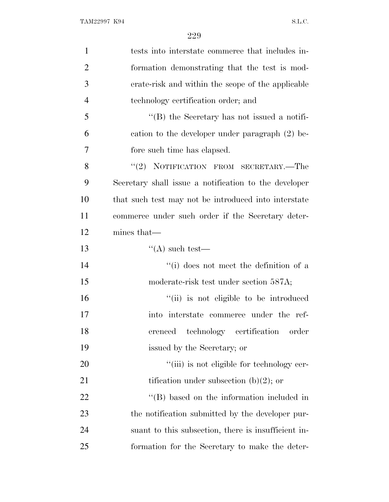| $\mathbf{1}$   | tests into interstate commerce that includes in-      |
|----------------|-------------------------------------------------------|
| $\overline{2}$ | formation demonstrating that the test is mod-         |
| 3              | erate-risk and within the scope of the applicable     |
| $\overline{4}$ | technology certification order; and                   |
| 5              | "(B) the Secretary has not issued a notifi-           |
| 6              | cation to the developer under paragraph (2) be-       |
| 7              | fore such time has elapsed.                           |
| 8              | NOTIFICATION FROM SECRETARY.-The<br>(2)               |
| 9              | Secretary shall issue a notification to the developer |
| 10             | that such test may not be introduced into interstate  |
| 11             | commerce under such order if the Secretary deter-     |
| 12             | mines that—                                           |
| 13             | $\lq\lq$ such test—                                   |
| 14             | "(i) does not meet the definition of a                |
| 15             | moderate-risk test under section 587A;                |
| 16             | "(ii) is not eligible to be introduced                |
| 17             | into interstate commerce under the ref-               |
| 18             | erenced<br>technology certification<br>order          |
| 19             | issued by the Secretary; or                           |
| <b>20</b>      | "(iii) is not eligible for technology cer-            |
| 21             | tification under subsection $(b)(2)$ ; or             |
| 22             | $\lq\lq$ based on the information included in         |
| 23             | the notification submitted by the developer pur-      |
| 24             | suant to this subsection, there is insufficient in-   |
| 25             | formation for the Secretary to make the deter-        |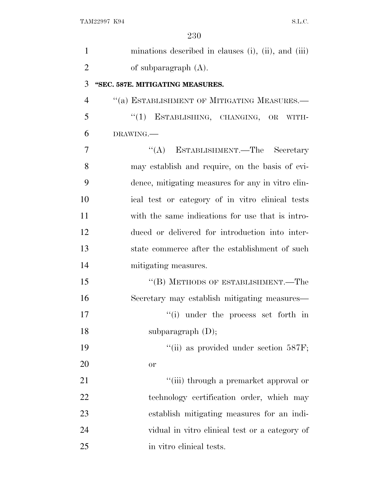| $\mathbf{1}$   | minations described in clauses (i), (ii), and (iii) |
|----------------|-----------------------------------------------------|
| $\overline{2}$ | of subparagraph $(A)$ .                             |
| 3              | "SEC. 587E. MITIGATING MEASURES.                    |
| $\overline{4}$ | "(a) ESTABLISHMENT OF MITIGATING MEASURES.-         |
| 5              | "(1) ESTABLISHING, CHANGING, OR WITH-               |
| 6              | DRAWING.                                            |
| 7              | "(A) ESTABLISHMENT.—The Secretary                   |
| 8              | may establish and require, on the basis of evi-     |
| 9              | dence, mitigating measures for any in vitro clin-   |
| 10             | ical test or category of in vitro clinical tests    |
| 11             | with the same indications for use that is intro-    |
| 12             | duced or delivered for introduction into inter-     |
| 13             | state commerce after the establishment of such      |
| 14             | mitigating measures.                                |
| 15             | "(B) METHODS OF ESTABLISHMENT.—The                  |
| 16             | Secretary may establish mitigating measures—        |
| 17             | "(i) under the process set forth in                 |
| 18             | subparagraph $(D)$ ;                                |
| 19             | "(ii) as provided under section 587F;               |
| 20             | <b>or</b>                                           |
| 21             | "(iii) through a premarket approval or              |
| 22             | technology certification order, which may           |
| 23             | establish mitigating measures for an indi-          |
| 24             | vidual in vitro clinical test or a category of      |
| 25             | in vitro clinical tests.                            |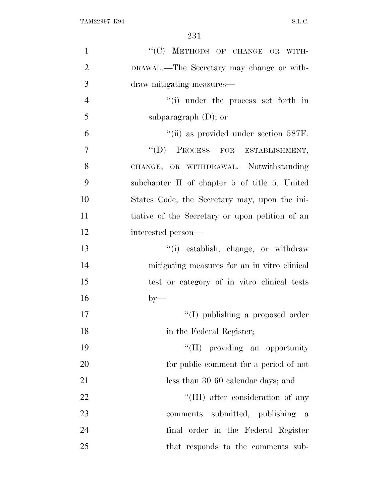| $\mathbf{1}$   | "(C) METHODS OF CHANGE OR WITH-                 |
|----------------|-------------------------------------------------|
| $\overline{2}$ | DRAWAL.—The Secretary may change or with-       |
| 3              | draw mitigating measures—                       |
| $\overline{4}$ | $\lq\lq$ under the process set forth in         |
| 5              | subparagraph $(D)$ ; or                         |
| 6              | "(ii) as provided under section 587F.           |
| $\overline{7}$ | "(D) PROCESS FOR ESTABLISHMENT,                 |
| 8              | CHANGE, OR WITHDRAWAL.—Notwithstanding          |
| 9              | subchapter II of chapter 5 of title 5, United   |
| 10             | States Code, the Secretary may, upon the ini-   |
| 11             | tiative of the Secretary or upon petition of an |
| 12             | interested person—                              |
| 13             | "(i) establish, change, or withdraw             |
| 14             | mitigating measures for an in vitro clinical    |
| 15             | test or category of in vitro clinical tests     |
| 16             | $by-$                                           |
| 17             | "(I) publishing a proposed order                |
| 18             | in the Federal Register;                        |
| 19             | "(II) providing an opportunity                  |
| 20             | for public comment for a period of not          |
| 21             | less than 30 60 calendar days; and              |
| 22             | "(III) after consideration of any               |
| 23             | comments submitted, publishing a                |
| 24             | final order in the Federal Register             |
| 25             | that responds to the comments sub-              |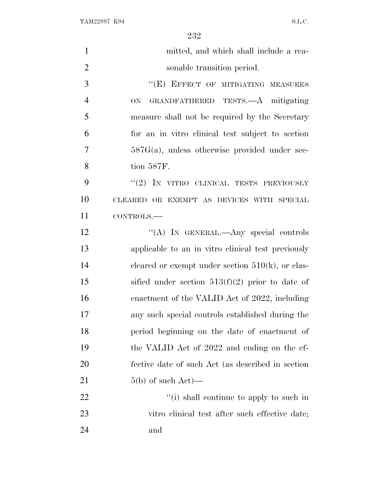| $\mathbf{1}$   | mitted, and which shall include a rea-              |
|----------------|-----------------------------------------------------|
| $\overline{2}$ | sonable transition period.                          |
| 3              | "(E) EFFECT OF MITIGATING MEASURES                  |
| $\overline{4}$ | GRANDFATHERED TESTS.—A mitigating<br><b>ON</b>      |
| 5              | measure shall not be required by the Secretary      |
| 6              | for an in vitro clinical test subject to section    |
| 7              | $587G(a)$ , unless otherwise provided under sec-    |
| 8              | tion 587F.                                          |
| 9              | "(2) IN VITRO CLINICAL TESTS PREVIOUSLY             |
| 10             | CLEARED OR EXEMPT AS DEVICES WITH SPECIAL           |
| 11             | CONTROLS.-                                          |
| 12             | "(A) IN GENERAL.—Any special controls               |
| 13             | applicable to an in vitro clinical test previously  |
| 14             | cleared or exempt under section $510(k)$ , or clas- |
| 15             | sified under section $513(f)(2)$ prior to date of   |
| 16             | enactment of the VALID Act of 2022, including       |
| 17             | any such special controls established during the    |
| 18             | period beginning on the date of enactment of        |
| 19             | the VALID Act of 2022 and ending on the ef-         |
| 20             | fective date of such Act (as described in section   |
| 21             | $5(b)$ of such $Act$ )—                             |
| 22             | "(i) shall continue to apply to such in             |
| 23             | vitro clinical test after such effective date;      |
| 24             | and                                                 |
|                |                                                     |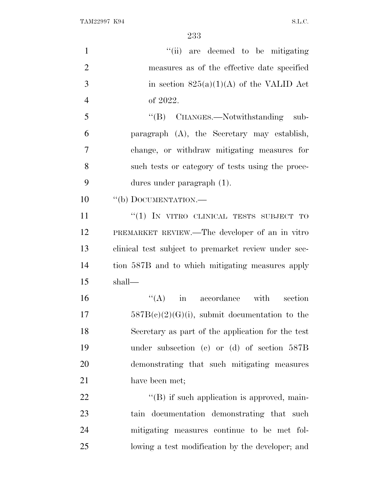| $\mathbf{1}$   | "(ii) are deemed to be mitigating                    |
|----------------|------------------------------------------------------|
| $\overline{2}$ | measures as of the effective date specified          |
| 3              | in section $825(a)(1)(A)$ of the VALID Act           |
| $\overline{4}$ | of 2022.                                             |
| 5              | "(B) CHANGES.—Notwithstanding<br>sub-                |
| 6              | paragraph (A), the Secretary may establish,          |
| 7              | change, or withdraw mitigating measures for          |
| 8              | such tests or category of tests using the proce-     |
| 9              | dures under paragraph $(1)$ .                        |
| 10             | "(b) DOCUMENTATION.-                                 |
| 11             | "(1) IN VITRO CLINICAL TESTS SUBJECT TO              |
| 12             | PREMARKET REVIEW.—The developer of an in vitro       |
| 13             | clinical test subject to premarket review under sec- |
| 14             | tion 587B and to which mitigating measures apply     |
| 15             | shall—                                               |
| 16             | $\lq\lq (A)$<br>in accordance with section           |
| 17             | $587B(e)(2)(G)(i)$ , submit documentation to the     |
| 18             | Secretary as part of the application for the test    |
| 19             | under subsection (c) or (d) of section $587B$        |
| 20             | demonstrating that such mitigating measures          |
| 21             | have been met;                                       |
| 22             | "(B) if such application is approved, main-          |
| 23             | tain documentation demonstrating that such           |
| 24             | mitigating measures continue to be met fol-          |
| 25             | lowing a test modification by the developer; and     |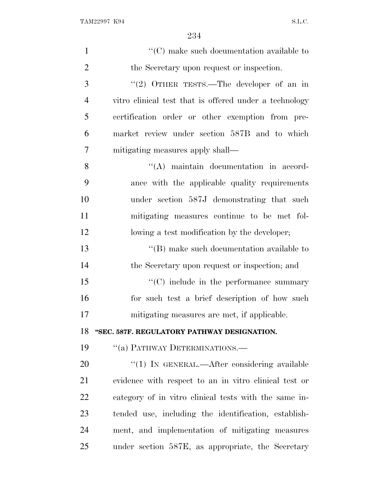| $\mathbf{1}$   | $\lq\lq$ <sup>c</sup> (C) make such documentation available to |
|----------------|----------------------------------------------------------------|
| $\overline{2}$ | the Secretary upon request or inspection.                      |
| 3              | "(2) OTHER TESTS.—The developer of an in                       |
| $\overline{4}$ | vitro clinical test that is offered under a technology         |
| 5              | certification order or other exemption from pre-               |
| 6              | market review under section 587B and to which                  |
| 7              | mitigating measures apply shall—                               |
| 8              | "(A) maintain documentation in accord-                         |
| 9              | ance with the applicable quality requirements                  |
| 10             | under section 587J demonstrating that such                     |
| 11             | mitigating measures continue to be met fol-                    |
| 12             | lowing a test modification by the developer;                   |
| 13             | $\lq\lq$ (B) make such documentation available to              |
| 14             | the Secretary upon request or inspection; and                  |
| 15             | "(C) include in the performance summary                        |
| 16             | for such test a brief description of how such                  |
| 17             | mitigating measures are met, if applicable.                    |
| 18             | "SEC. 587F. REGULATORY PATHWAY DESIGNATION.                    |
| 19             | "(a) PATHWAY DETERMINATIONS.—                                  |
| 20             | $\lq(1)$ In GENERAL.—After considering available               |
| 21             | evidence with respect to an in vitro clinical test or          |
| 22             | category of in vitro clinical tests with the same in-          |
| 23             | tended use, including the identification, establish-           |
| 24             | ment, and implementation of mitigating measures                |
| 25             | under section 587E, as appropriate, the Secretary              |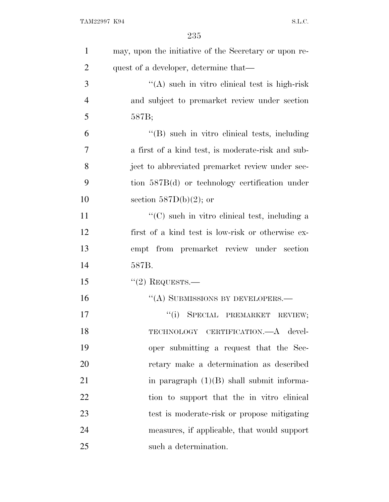| $\mathbf{1}$   | may, upon the initiative of the Secretary or upon re- |
|----------------|-------------------------------------------------------|
| $\overline{2}$ | quest of a developer, determine that—                 |
| 3              | "(A) such in vitro clinical test is high-risk         |
| 4              | and subject to premarket review under section         |
| 5              | 587B;                                                 |
| 6              | "(B) such in vitro clinical tests, including          |
| 7              | a first of a kind test, is moderate-risk and sub-     |
| 8              | ject to abbreviated premarket review under sec-       |
| 9              | tion $587B(d)$ or technology certification under      |
| 10             | section $587D(b)(2)$ ; or                             |
| 11             | $\lq\lq$ such in vitro clinical test, including a     |
| 12             | first of a kind test is low-risk or otherwise ex-     |
| 13             | empt from premarket review under section              |
| 14             | 587B.                                                 |
| 15             | $"(2)$ REQUESTS.—                                     |
| 16             | "(A) SUBMISSIONS BY DEVELOPERS.—                      |
| 17             | ``(i)<br>SPECIAL PREMARKET<br>REVIEW;                 |
| 18             | TECHNOLOGY CERTIFICATION.-A devel-                    |
| 19             | oper submitting a request that the Sec-               |
| 20             | retary make a determination as described              |
| 21             | in paragraph $(1)(B)$ shall submit informa-           |
| 22             | tion to support that the in vitro clinical            |
| 23             | test is moderate-risk or propose mitigating           |
| 24             | measures, if applicable, that would support           |
| 25             | such a determination.                                 |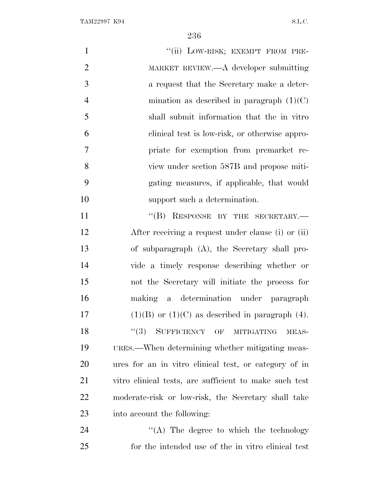| $\mathbf{1}$   | "(ii) LOW-RISK; EXEMPT FROM PRE-                       |
|----------------|--------------------------------------------------------|
| $\mathbf{2}$   | MARKET REVIEW.—A developer submitting                  |
| 3              | a request that the Secretary make a deter-             |
| $\overline{4}$ | mination as described in paragraph $(1)(C)$            |
| 5              | shall submit information that the in vitro             |
| 6              | clinical test is low-risk, or otherwise appro-         |
| 7              | priate for exemption from premarket re-                |
| 8              | view under section 587B and propose miti-              |
| 9              | gating measures, if applicable, that would             |
| 10             | support such a determination.                          |
| 11             | "(B) RESPONSE BY THE SECRETARY.-                       |
| 12             | After receiving a request under clause (i) or (ii)     |
| 13             | of subparagraph $(A)$ , the Secretary shall pro-       |
| 14             | vide a timely response describing whether or           |
| 15             | not the Secretary will initiate the process for        |
| 16             | making a determination under paragraph                 |
| 17             | $(1)(B)$ or $(1)(C)$ as described in paragraph $(4)$ . |
| 18             | (3)<br>SUFFICIENCY OF MITIGATING<br>MEAS-              |
| 19             | URES.—When determining whether mitigating meas-        |
| 20             | ures for an in vitro clinical test, or category of in  |
| 21             | vitro clinical tests, are sufficient to make such test |
| 22             | moderate-risk or low-risk, the Secretary shall take    |
| 23             | into account the following:                            |
| 24             | $\lq\lq$ . The degree to which the technology          |
| 25             | for the intended use of the in vitro clinical test     |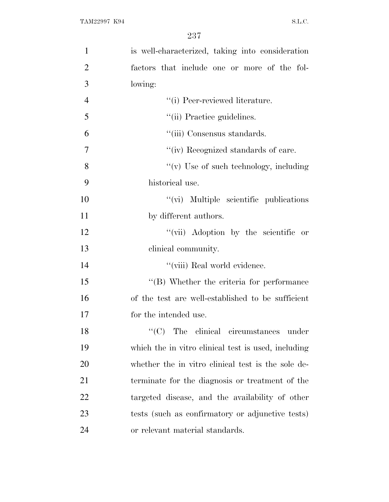| $\mathbf{1}$   | is well-characterized, taking into consideration    |
|----------------|-----------------------------------------------------|
| $\overline{2}$ | factors that include one or more of the fol-        |
| 3              | lowing:                                             |
| $\overline{4}$ | "(i) Peer-reviewed literature.                      |
| 5              | "(ii) Practice guidelines.                          |
| 6              | "(iii) Consensus standards.                         |
| $\overline{7}$ | "(iv) Recognized standards of care.                 |
| 8              | "(v) Use of such technology, including              |
| 9              | historical use.                                     |
| 10             | "(vi) Multiple scientific publications              |
| 11             | by different authors.                               |
| 12             | "(vii) Adoption by the scientific or                |
| 13             | clinical community.                                 |
| 14             | "(viii) Real world evidence.                        |
| 15             | $\lq\lq$ (B) Whether the criteria for performance   |
| 16             | of the test are well-established to be sufficient   |
| 17             | for the intended use.                               |
| 18             | $\lq\lq$ (C) The clinical circumstances<br>under    |
| 19             | which the in vitro clinical test is used, including |
| 20             | whether the in vitro clinical test is the sole de-  |
| 21             | terminate for the diagnosis or treatment of the     |
| 22             | targeted disease, and the availability of other     |
| 23             | tests (such as confirmatory or adjunctive tests)    |
| 24             | or relevant material standards.                     |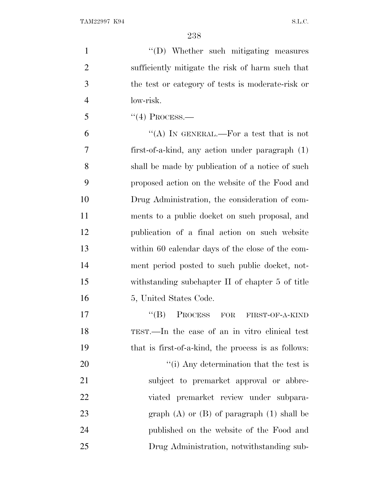$''(D)$  Whether such mitigating measures sufficiently mitigate the risk of harm such that the test or category of tests is moderate-risk or low-risk.

5  $"(4)$  PROCESS.—

 $"$ (A) IN GENERAL.—For a test that is not first-of-a-kind, any action under paragraph (1) shall be made by publication of a notice of such proposed action on the website of the Food and Drug Administration, the consideration of com- ments to a public docket on such proposal, and publication of a final action on such website 13 within 60 calendar days of the close of the com- ment period posted to such public docket, not- withstanding subchapter II of chapter 5 of title 16 5, United States Code.

17 "(B) PROCESS FOR FIRST-OF-A-KIND TEST.—In the case of an in vitro clinical test that is first-of-a-kind, the process is as follows:  $\frac{1}{1}$  Any determination that the test is subject to premarket approval or abbre-viated premarket review under subpara-

23 graph (A) or (B) of paragraph (1) shall be published on the website of the Food and Drug Administration, notwithstanding sub-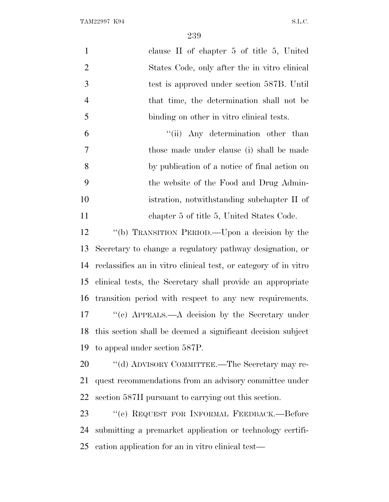| $\mathbf{1}$   | clause II of chapter $5$ of title $5$ , United                  |
|----------------|-----------------------------------------------------------------|
| $\overline{2}$ | States Code, only after the in vitro clinical                   |
| 3              | test is approved under section 587B. Until                      |
| $\overline{4}$ | that time, the determination shall not be                       |
| 5              | binding on other in vitro clinical tests.                       |
| 6              | "(ii) Any determination other than                              |
| 7              | those made under clause (i) shall be made                       |
| 8              | by publication of a notice of final action on                   |
| 9              | the website of the Food and Drug Admin-                         |
| 10             | istration, notwithstanding subchapter II of                     |
| 11             | chapter 5 of title 5, United States Code.                       |
| 12             | "(b) TRANSITION PERIOD.—Upon a decision by the                  |
| 13             | Secretary to change a regulatory pathway designation, or        |
| 14             | reclassifies an in vitro clinical test, or category of in vitro |
| 15             | clinical tests, the Secretary shall provide an appropriate      |
|                | 16 transition period with respect to any new requirements.      |
| 17             | "(c) APPEALS.—A decision by the Secretary under                 |
|                | 18 this section shall be deemed a significant decision subject  |
| 19             | to appeal under section 587P.                                   |
| 20             | "(d) ADVISORY COMMITTEE.—The Secretary may re-                  |
| 21             | quest recommendations from an advisory committee under          |
| 22             | section 587H pursuant to carrying out this section.             |
| 23             | "(e) REQUEST FOR INFORMAL FEEDBACK.--- Before                   |
| 24             | submitting a premarket application or technology certifi-       |
| 25             | cation application for an in vitro clinical test—               |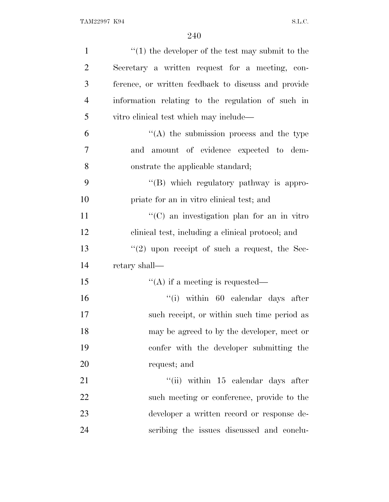| $\mathbf{1}$   | $\cdot$ (1) the developer of the test may submit to the |
|----------------|---------------------------------------------------------|
| $\overline{2}$ | Secretary a written request for a meeting, con-         |
| 3              | ference, or written feedback to discuss and provide     |
| $\overline{4}$ | information relating to the regulation of such in       |
| 5              | vitro clinical test which may include—                  |
| 6              | $\lq\lq$ the submission process and the type            |
| $\overline{7}$ | amount of evidence expected to dem-<br>and              |
| 8              | onstrate the applicable standard;                       |
| 9              | "(B) which regulatory pathway is appro-                 |
| 10             | priate for an in vitro clinical test; and               |
| 11             | $\lq\lq$ (C) an investigation plan for an in vitro      |
| 12             | clinical test, including a clinical protocol; and       |
| 13             | $\lq(2)$ upon receipt of such a request, the Sec-       |
| 14             | retary shall—                                           |
| 15             | $\lq\lq$ if a meeting is requested—                     |
| 16             | $``(i)$ within 60 calendar days after                   |
| 17             | such receipt, or within such time period as             |
| 18             | may be agreed to by the developer, meet or              |
| 19             | confer with the developer submitting the                |
| 20             | request; and                                            |
| 21             | "(ii) within $15$ calendar days after                   |
| 22             | such meeting or conference, provide to the              |
| 23             | developer a written record or response de-              |
| 24             | scribing the issues discussed and conclu-               |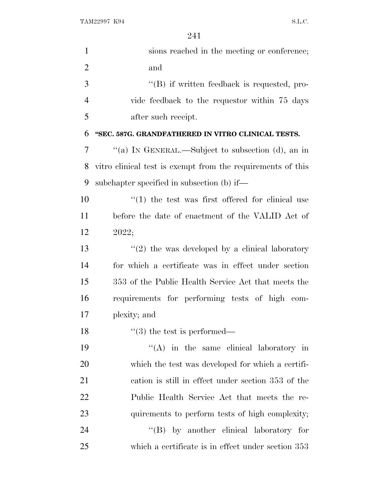| $\mathbf{1}$   | sions reached in the meeting or conference;                 |
|----------------|-------------------------------------------------------------|
| $\overline{2}$ | and                                                         |
| 3              | $\lq\lq (B)$ if written feedback is requested, pro-         |
| $\overline{4}$ | vide feedback to the requestor within 75 days               |
| 5              | after such receipt.                                         |
| 6              | "SEC. 587G. GRANDFATHERED IN VITRO CLINICAL TESTS.          |
| 7              | "(a) IN GENERAL.—Subject to subsection (d), an in           |
| 8              | vitro clinical test is exempt from the requirements of this |
| 9              | subchapter specified in subsection (b) if—                  |
| 10             | $(1)$ the test was first offered for clinical use           |
| 11             | before the date of enactment of the VALID Act of            |
| 12             | 2022;                                                       |
| 13             | $\lq(2)$ the was developed by a clinical laboratory         |
| 14             | for which a certificate was in effect under section         |
| 15             | 353 of the Public Health Service Act that meets the         |
| 16             | requirements for performing tests of high com-              |
| 17             | plexity; and                                                |
| 18             | $\lq(3)$ the test is performed—                             |
| 19             | $\lq\lq$ in the same clinical laboratory in                 |
| <b>20</b>      | which the test was developed for which a certifi-           |
| 21             | cation is still in effect under section 353 of the          |
| 22             | Public Health Service Act that meets the re-                |
| 23             | quirements to perform tests of high complexity;             |
| 24             | "(B) by another clinical laboratory for                     |
| 25             | which a certificate is in effect under section 353          |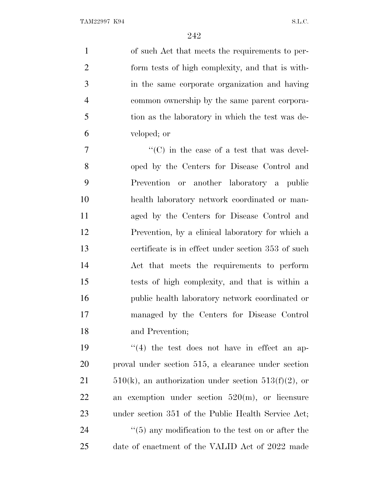of such Act that meets the requirements to per- form tests of high complexity, and that is with- in the same corporate organization and having common ownership by the same parent corpora- tion as the laboratory in which the test was de-veloped; or

 $\frac{1}{2}$  (C) in the case of a test that was devel- oped by the Centers for Disease Control and Prevention or another laboratory a public health laboratory network coordinated or man- aged by the Centers for Disease Control and Prevention, by a clinical laboratory for which a certificate is in effect under section 353 of such Act that meets the requirements to perform tests of high complexity, and that is within a public health laboratory network coordinated or managed by the Centers for Disease Control and Prevention;

 $\frac{1}{2}$  (4) the test does not have in effect an ap- proval under section 515, a clearance under section  $510(k)$ , an authorization under section  $513(f)(2)$ , or an exemption under section 520(m), or licensure under section 351 of the Public Health Service Act; 24 ''(5) any modification to the test on or after the date of enactment of the VALID Act of 2022 made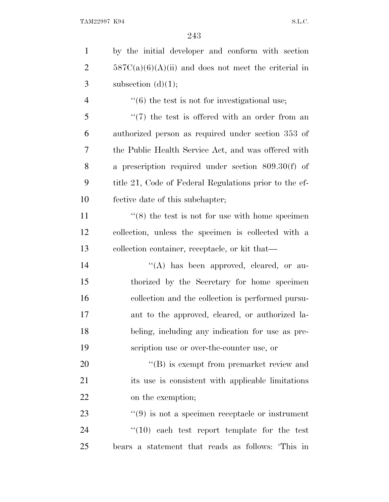| $\mathbf{1}$   | by the initial developer and conform with section         |
|----------------|-----------------------------------------------------------|
| $\overline{2}$ | $587C(a)(6)(A)(ii)$ and does not meet the criterial in    |
| 3              | subsection $(d)(1);$                                      |
| $\overline{4}$ | $\cdot\cdot$ (6) the test is not for investigational use; |
| 5              | $\lq(7)$ the test is offered with an order from an        |
| 6              | authorized person as required under section 353 of        |
| 7              | the Public Health Service Act, and was offered with       |
| 8              | a prescription required under section $809.30(f)$ of      |
| 9              | title 21, Code of Federal Regulations prior to the ef-    |
| 10             | fective date of this subchapter;                          |
| 11             | $\cdot$ (8) the test is not for use with home specimen    |
| 12             | collection, unless the specimen is collected with a       |
| 13             | collection container, receptacle, or kit that-            |
| 14             | "(A) has been approved, cleared, or au-                   |
| 15             | thorized by the Secretary for home specimen               |
| 16             | collection and the collection is performed pursu-         |
| 17             | ant to the approved, cleared, or authorized la-           |
| 18             | beling, including any indication for use as pre-          |
| 19             | scription use or over-the-counter use, or                 |
| 20             | $\lq\lq (B)$ is exempt from premarket review and          |
| 21             | its use is consistent with applicable limitations         |
| 22             | on the exemption;                                         |
| 23             | $\lq(9)$ is not a specimen receptacle or instrument       |
| 24             | $\lq(10)$ each test report template for the test          |
| 25             | bears a statement that reads as follows: This in          |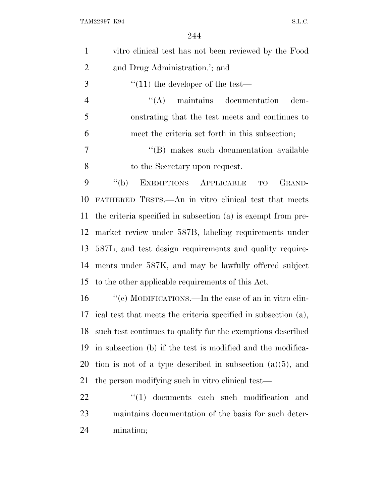| $\mathbf{1}$   | vitro clinical test has not been reviewed by the Food             |
|----------------|-------------------------------------------------------------------|
| $\overline{2}$ | and Drug Administration.'; and                                    |
| 3              | $\cdot$ (11) the developer of the test—                           |
| $\overline{4}$ | $\lq\lq$ maintains documentation<br>dem-                          |
| 5              | onstrating that the test meets and continues to                   |
| 6              | meet the criteria set forth in this subsection;                   |
| 7              | "(B) makes such documentation available                           |
| 8              | to the Secretary upon request.                                    |
| 9              | $``$ (b)<br>EXEMPTIONS APPLICABLE<br>GRAND-<br>TO                 |
| 10             | FATHERED TESTS.—An in vitro clinical test that meets              |
| 11             | the criteria specified in subsection (a) is exempt from pre-      |
| 12             | market review under 587B, labeling requirements under             |
| 13             | 587L, and test design requirements and quality require-           |
| 14             | ments under 587K, and may be lawfully offered subject             |
| 15             | to the other applicable requirements of this Act.                 |
| 16             | "(c) MODIFICATIONS.—In the case of an in vitro clin-              |
|                | 17 ical test that meets the criteria specified in subsection (a), |
| 18             | such test continues to qualify for the exemptions described       |
| 19             | in subsection (b) if the test is modified and the modifica-       |
| 20             | tion is not of a type described in subsection $(a)(5)$ , and      |
| 21             | the person modifying such in vitro clinical test—                 |
|                |                                                                   |

22 ''(1) documents each such modification and maintains documentation of the basis for such deter-mination;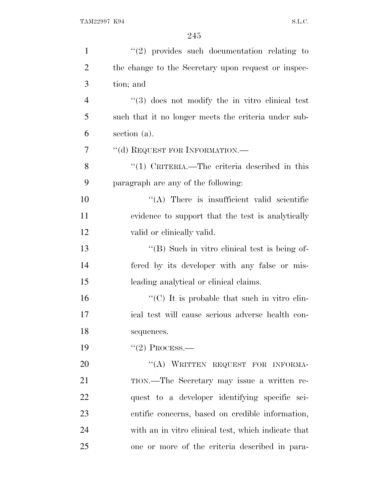| $\mathbf{1}$   | $"(2)$ provides such documentation relating to         |
|----------------|--------------------------------------------------------|
| $\overline{2}$ | the change to the Secretary upon request or inspec-    |
| 3              | tion; and                                              |
| $\overline{4}$ | $\cdot$ (3) does not modify the in vitro clinical test |
| 5              | such that it no longer meets the criteria under sub-   |
| 6              | section (a).                                           |
| 7              | "(d) REQUEST FOR INFORMATION.—                         |
| 8              | "(1) CRITERIA.—The criteria described in this          |
| 9              | paragraph are any of the following:                    |
| 10             | $\lq\lq$ . There is insufficient valid scientific      |
| 11             | evidence to support that the test is analytically      |
| 12             | valid or clinically valid.                             |
| 13             | "(B) Such in vitro clinical test is being of-          |
| 14             | fered by its developer with any false or mis-          |
| 15             | leading analytical or clinical claims.                 |
| 16             | "(C) It is probable that such in vitro clin-           |
| 17             | ical test will cause serious adverse health con-       |
| 18             | sequences.                                             |
| 19             | $"(2)$ Process.—                                       |
| 20             | "(A) WRITTEN REQUEST FOR INFORMA-                      |
| 21             | TION.—The Secretary may issue a written re-            |
| 22             | quest to a developer identifying specific sci-         |
| 23             | entific concerns, based on credible information,       |
| 24             | with an in vitro clinical test, which indicate that    |
| 25             | one or more of the criteria described in para-         |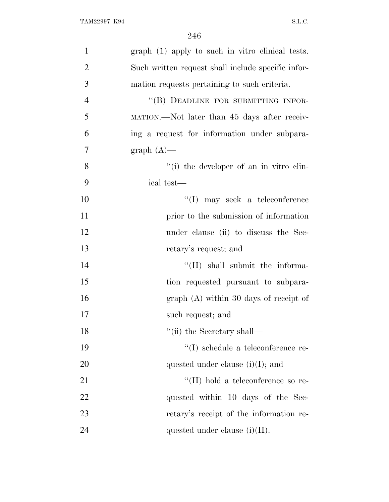| $\mathbf{1}$   | $graph (1)$ apply to such in vitro clinical tests. |
|----------------|----------------------------------------------------|
| $\overline{2}$ | Such written request shall include specific infor- |
| 3              | mation requests pertaining to such criteria.       |
| $\overline{4}$ | "(B) DEADLINE FOR SUBMITTING INFOR-                |
| 5              | MATION.—Not later than 45 days after receiv-       |
| 6              | ing a request for information under subpara-       |
| 7              | $graph(A)$ —                                       |
| 8              | "(i) the developer of an in vitro clin-            |
| 9              | ical test—                                         |
| 10             | $\lq\lq$ (I) may seek a teleconference             |
| 11             | prior to the submission of information             |
| 12             | under clause (ii) to discuss the Sec-              |
| 13             | retary's request; and                              |
| 14             | "(II) shall submit the informa-                    |
| 15             | tion requested pursuant to subpara-                |
| 16             | $graph(A)$ within 30 days of receipt of            |
| 17             | such request; and                                  |
| 18             | $``$ (ii) the Secretary shall—                     |
| 19             | $\lq\lq$ schedule a teleconference re-             |
| 20             | quested under clause $(i)(I)$ ; and                |
| 21             | $\lq\lq$ (II) hold a teleconference so re-         |
| 22             | quested within 10 days of the Sec-                 |
| 23             | retary's receipt of the information re-            |
| 24             | quested under clause $(i)(II)$ .                   |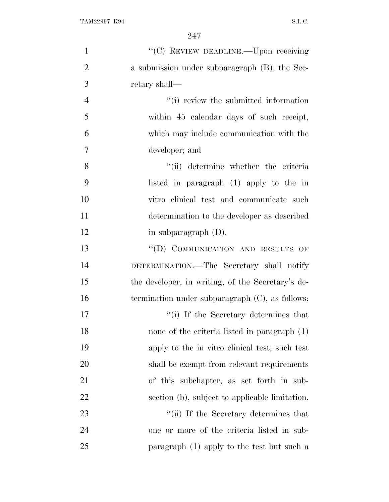| $\mathbf{1}$   | "(C) REVIEW DEADLINE.—Upon receiving               |
|----------------|----------------------------------------------------|
| $\overline{2}$ | a submission under subparagraph (B), the Sec-      |
| 3              | retary shall—                                      |
| $\overline{4}$ | "(i) review the submitted information              |
| 5              | within 45 calendar days of such receipt,           |
| 6              | which may include communication with the           |
| 7              | developer; and                                     |
| 8              | "(ii) determine whether the criteria               |
| 9              | listed in paragraph (1) apply to the in            |
| 10             | vitro clinical test and communicate such           |
| 11             | determination to the developer as described        |
| 12             | in subparagraph $(D)$ .                            |
| 13             | "(D) COMMUNICATION AND RESULTS OF                  |
| 14             | DETERMINATION.—The Secretary shall notify          |
| 15             | the developer, in writing, of the Secretary's de-  |
| 16             | termination under subparagraph $(C)$ , as follows: |
| 17             | "(i) If the Secretary determines that              |
| 18             | none of the criteria listed in paragraph (1)       |
| 19             | apply to the in vitro clinical test, such test     |
| 20             | shall be exempt from relevant requirements         |
| 21             | of this subchapter, as set forth in sub-           |
| 22             | section (b), subject to applicable limitation.     |
| 23             | "(ii) If the Secretary determines that             |
| 24             | one or more of the criteria listed in sub-         |
| 25             | paragraph (1) apply to the test but such a         |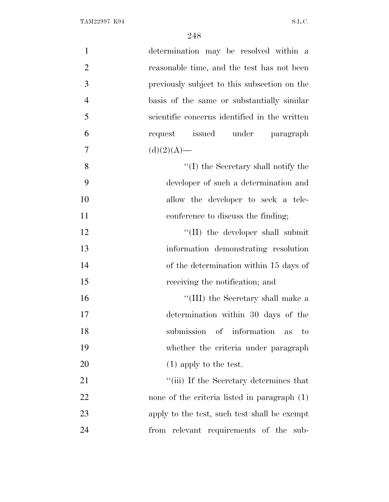| $\mathbf{1}$   | determination may be resolved within a        |
|----------------|-----------------------------------------------|
| $\overline{2}$ | reasonable time, and the test has not been    |
| 3              | previously subject to this subsection on the  |
| $\overline{4}$ | basis of the same or substantially similar    |
| 5              | scientific concerns identified in the written |
| 6              | request issued under paragraph                |
| 7              | $(d)(2)(A)$ —                                 |
| 8              | $\lq\lq$ (I) the Secretary shall notify the   |
| 9              | developer of such a determination and         |
| 10             | allow the developer to seek a tele-           |
| 11             | conference to discuss the finding;            |
| 12             | "(II) the developer shall submit              |
| 13             | information demonstrating resolution          |
| 14             | of the determination within 15 days of        |
| 15             | receiving the notification; and               |
| 16             | "(III) the Secretary shall make a             |
| 17             | determination within 30 days of the           |
| 18             | submission of information<br>$\rm{to}$<br>as  |
| 19             | whether the criteria under paragraph          |
| 20             | $(1)$ apply to the test.                      |
| 21             | "(iii) If the Secretary determines that       |
| 22             | none of the criteria listed in paragraph (1)  |
| 23             | apply to the test, such test shall be exempt  |
| 24             | from relevant requirements of the<br>sub-     |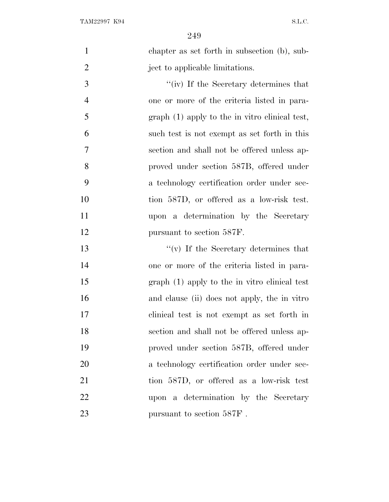chapter as set forth in subsection (b), sub-2 ject to applicable limitations.

 ''(iv) If the Secretary determines that one or more of the criteria listed in para- graph (1) apply to the in vitro clinical test, such test is not exempt as set forth in this section and shall not be offered unless ap- proved under section 587B, offered under a technology certification order under sec- tion 587D, or offered as a low-risk test. upon a determination by the Secretary 12 pursuant to section 587F.

 ''(v) If the Secretary determines that one or more of the criteria listed in para- graph (1) apply to the in vitro clinical test and clause (ii) does not apply, the in vitro clinical test is not exempt as set forth in section and shall not be offered unless ap- proved under section 587B, offered under a technology certification order under sec- tion 587D, or offered as a low-risk test upon a determination by the Secretary 23 pursuant to section 587F.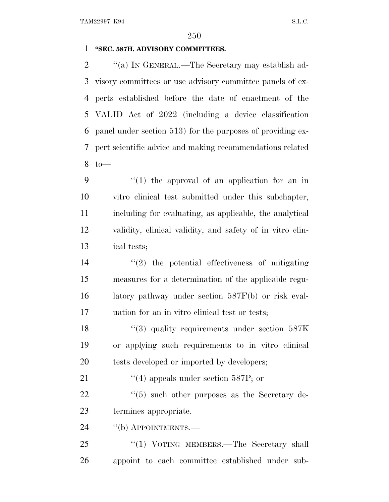## **''SEC. 587H. ADVISORY COMMITTEES.**

 $\gamma$  (a) In GENERAL.—The Secretary may establish ad- visory committees or use advisory committee panels of ex- perts established before the date of enactment of the VALID Act of 2022 (including a device classification panel under section 513) for the purposes of providing ex- pert scientific advice and making recommendations related to—

 ''(1) the approval of an application for an in vitro clinical test submitted under this subchapter, including for evaluating, as applicable, the analytical validity, clinical validity, and safety of in vitro clin-ical tests;

 ''(2) the potential effectiveness of mitigating measures for a determination of the applicable regu- latory pathway under section 587F(b) or risk eval-uation for an in vitro clinical test or tests;

18 ''(3) quality requirements under section 587K or applying such requirements to in vitro clinical 20 tests developed or imported by developers;

21 ''(4) appeals under section 587P; or

22 ''(5) such other purposes as the Secretary de-termines appropriate.

24 "(b) APPOINTMENTS.—

25 "(1) VOTING MEMBERS.—The Secretary shall appoint to each committee established under sub-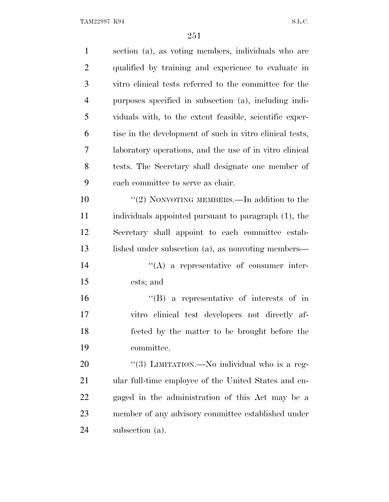| $\mathbf{1}$   | section (a), as voting members, individuals who are      |
|----------------|----------------------------------------------------------|
| $\overline{2}$ | qualified by training and experience to evaluate in      |
| 3              | vitro clinical tests referred to the committee for the   |
| $\overline{4}$ | purposes specified in subsection (a), including indi-    |
| 5              | viduals with, to the extent feasible, scientific exper-  |
| 6              | tise in the development of such in vitro clinical tests, |
| $\tau$         | laboratory operations, and the use of in vitro clinical  |
| 8              | tests. The Secretary shall designate one member of       |
| 9              | each committee to serve as chair.                        |
| 10             | "(2) NONVOTING MEMBERS.—In addition to the               |
| 11             | individuals appointed pursuant to paragraph (1), the     |
| 12             | Secretary shall appoint to each committee estab-         |
| 13             | lished under subsection (a), as nonvoting members—       |
| 14             | $\lq\lq$ a representative of consumer inter-             |
| 15             | ests; and                                                |
| 16             | $\lq\lq (B)$ a representative of interests of in         |
| 17             | vitro clinical test developers not directly af-          |
| 18             | fected by the matter to be brought before the            |
| 19             | committee.                                               |
| <b>20</b>      | "(3) LIMITATION.—No individual who is a reg-             |
| 21             | ular full-time employee of the United States and en-     |
| 22             | gaged in the administration of this Act may be a         |
| 23             | member of any advisory committee established under       |
| 24             | subsection (a).                                          |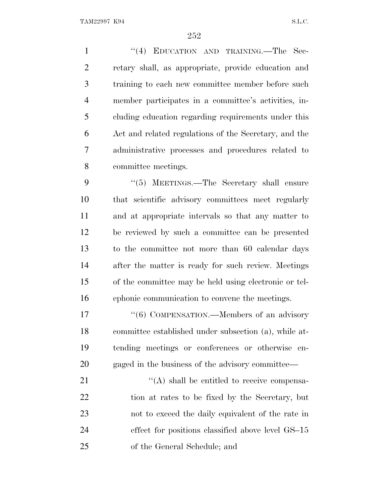1 "(4) EDUCATION AND TRAINING.—The Sec- retary shall, as appropriate, provide education and training to each new committee member before such member participates in a committee's activities, in- cluding education regarding requirements under this Act and related regulations of the Secretary, and the administrative processes and procedures related to committee meetings.

9 "(5) MEETINGS.—The Secretary shall ensure that scientific advisory committees meet regularly and at appropriate intervals so that any matter to be reviewed by such a committee can be presented to the committee not more than 60 calendar days after the matter is ready for such review. Meetings of the committee may be held using electronic or tel-ephonic communication to convene the meetings.

17 "(6) COMPENSATION.—Members of an advisory committee established under subsection (a), while at- tending meetings or conferences or otherwise en-gaged in the business of the advisory committee—

 $\langle (A) \rangle$  shall be entitled to receive compensa- tion at rates to be fixed by the Secretary, but not to exceed the daily equivalent of the rate in effect for positions classified above level GS–15 of the General Schedule; and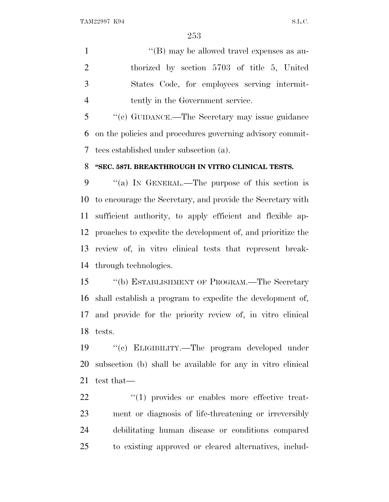1 ''(B) may be allowed travel expenses as au- thorized by section 5703 of title 5, United States Code, for employees serving intermit-tently in the Government service.

 ''(c) GUIDANCE.—The Secretary may issue guidance on the policies and procedures governing advisory commit-tees established under subsection (a).

#### **''SEC. 587I. BREAKTHROUGH IN VITRO CLINICAL TESTS.**

 ''(a) I<sup>N</sup> GENERAL.—The purpose of this section is to encourage the Secretary, and provide the Secretary with sufficient authority, to apply efficient and flexible ap- proaches to expedite the development of, and prioritize the review of, in vitro clinical tests that represent break-through technologies.

 ''(b) ESTABLISHMENT OF PROGRAM.—The Secretary shall establish a program to expedite the development of, and provide for the priority review of, in vitro clinical tests.

 ''(c) ELIGIBILITY.—The program developed under subsection (b) shall be available for any in vitro clinical test that—

 $\frac{1}{2}$  (1) provides or enables more effective treat- ment or diagnosis of life-threatening or irreversibly debilitating human disease or conditions compared to existing approved or cleared alternatives, includ-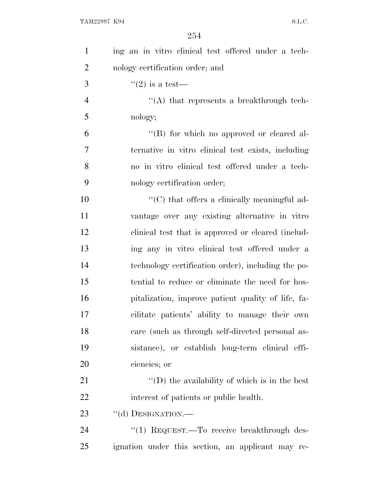| $\mathbf{1}$   | ing an in vitro clinical test offered under a tech-  |
|----------------|------------------------------------------------------|
| $\overline{2}$ | nology certification order; and                      |
| 3              | $\lq(2)$ is a test—                                  |
| $\overline{4}$ | $\lq\lq$ that represents a breakthrough tech-        |
| 5              | nology;                                              |
| 6              | "(B) for which no approved or cleared al-            |
| 7              | ternative in vitro clinical test exists, including   |
| 8              | no in vitro clinical test offered under a tech-      |
| 9              | nology certification order;                          |
| 10             | $\lq\lq$ (C) that offers a clinically meaningful ad- |
| 11             | vantage over any existing alternative in vitro       |
| 12             | clinical test that is approved or cleared (includ-   |
| 13             | ing any in vitro clinical test offered under a       |
| 14             | technology certification order), including the po-   |
| 15             | tential to reduce or eliminate the need for hos-     |
| 16             | pitalization, improve patient quality of life, fa-   |
| 17             | cilitate patients' ability to manage their own       |
| 18             | care (such as through self-directed personal as-     |
| 19             | sistance), or establish long-term clinical effi-     |
| 20             | ciencies; or                                         |
| 21             | $\lq\lq$ the availability of which is in the best    |
| 22             | interest of patients or public health.               |
| 23             | "(d) DESIGNATION.-                                   |
| 24             | "(1) REQUEST.—To receive breakthrough des-           |
| 25             | ignation under this section, an applicant may re-    |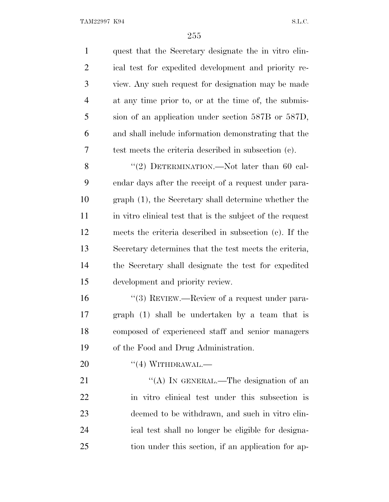TAM22997 K94 S.L.C.

| $\mathbf{1}$   | quest that the Secretary designate the in vitro clin-     |
|----------------|-----------------------------------------------------------|
| $\overline{2}$ | ical test for expedited development and priority re-      |
| 3              | view. Any such request for designation may be made        |
| $\overline{4}$ | at any time prior to, or at the time of, the submis-      |
| 5              | sion of an application under section 587B or 587D,        |
| 6              | and shall include information demonstrating that the      |
| 7              | test meets the criteria described in subsection (c).      |
| 8              | "(2) DETERMINATION.—Not later than 60 cal-                |
| 9              | endar days after the receipt of a request under para-     |
| 10             | graph (1), the Secretary shall determine whether the      |
| 11             | in vitro clinical test that is the subject of the request |
| 12             | meets the criteria described in subsection (c). If the    |
| 13             | Secretary determines that the test meets the criteria,    |
| 14             | the Secretary shall designate the test for expedited      |
| 15             | development and priority review.                          |
| 16             | "(3) REVIEW.—Review of a request under para-              |
| 17             | graph (1) shall be undertaken by a team that is           |
| 18             | composed of experienced staff and senior managers         |
| 19             | of the Food and Drug Administration.                      |
| 20             | $``(4)$ WITHDRAWAL.—                                      |
| 21             | "(A) IN GENERAL.—The designation of an                    |
| 22             | in vitro clinical test under this subsection is           |
| 23             | deemed to be withdrawn, and such in vitro clin-           |
| 24             | ical test shall no longer be eligible for designa-        |
| 25             | tion under this section, if an application for ap-        |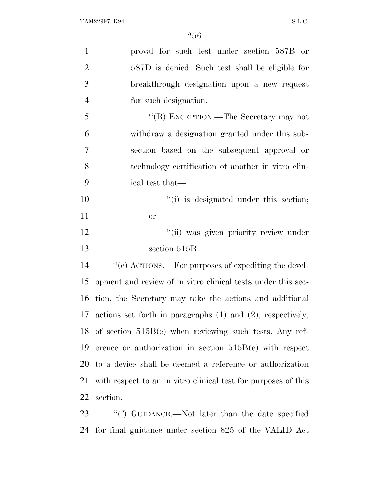| $\mathbf{1}$   | proval for such test under section 587B or                                    |
|----------------|-------------------------------------------------------------------------------|
| $\overline{2}$ | 587D is denied. Such test shall be eligible for                               |
| 3              | breakthrough designation upon a new request                                   |
| $\overline{4}$ | for such designation.                                                         |
| 5              | "(B) EXCEPTION.—The Secretary may not                                         |
| 6              | withdraw a designation granted under this sub-                                |
| 7              | section based on the subsequent approval or                                   |
| 8              | technology certification of another in vitro clin-                            |
| 9              | ical test that—                                                               |
| 10             | "(i) is designated under this section;                                        |
| 11             | <b>or</b>                                                                     |
| 12             | "(ii) was given priority review under                                         |
| 13             | section 515B.                                                                 |
| 14             | "(e) ACTIONS.—For purposes of expediting the devel-                           |
| 15             | opment and review of in vitro clinical tests under this sec-                  |
| 16             | tion, the Secretary may take the actions and additional                       |
| 17             | actions set forth in paragraphs $(1)$ and $(2)$ , respectively,               |
|                | 18 of section $515B(e)$ when reviewing such tests. Any ref-                   |
| 19             | erence or authorization in section $515B(e)$ with respect                     |
|                | 20 to a device shall be deemed a reference or authorization                   |
| 21             | with respect to an in vitro clinical test for purposes of this                |
| 22             | section.                                                                      |
| つく             | $\mathcal{L}(f)$ CHIDANCE $\longrightarrow$ Not later than the date specified |

23 ''(f) GUIDANCE.—Not later than the date specified for final guidance under section 825 of the VALID Act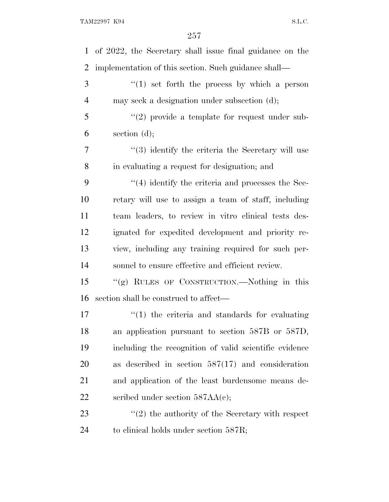| 1  | of 2022, the Secretary shall issue final guidance on the          |
|----|-------------------------------------------------------------------|
| 2  | implementation of this section. Such guidance shall—              |
| 3  | $(1)$ set forth the process by which a person                     |
| 4  | may seek a designation under subsection (d);                      |
| 5  | $(2)$ provide a template for request under sub-                   |
| 6  | section $(d)$ ;                                                   |
| 7  | $\cdot\cdot\cdot(3)$ identify the criteria the Secretary will use |
| 8  | in evaluating a request for designation; and                      |
| 9  | $\cdot$ (4) identify the criteria and processes the Sec-          |
| 10 | retary will use to assign a team of staff, including              |
| 11 | team leaders, to review in vitro clinical tests des-              |
| 12 | ignated for expedited development and priority re-                |
| 13 | view, including any training required for such per-               |
| 14 | sonnel to ensure effective and efficient review.                  |
| 15 | "(g) RULES OF CONSTRUCTION.—Nothing in this                       |
| 16 | section shall be construed to affect—                             |
| 17 | $\lq(1)$ the criteria and standards for evaluating                |
| 18 | an application pursuant to section 587B or 587D,                  |
| 19 | including the recognition of valid scientific evidence            |
| 20 | as described in section $587(17)$ and consideration               |
| 21 | and application of the least burdensome means de-                 |
| 22 | scribed under section $587AA(c)$ ;                                |
| 23 | $\lq(2)$ the authority of the Secretary with respect              |
| 24 | to clinical holds under section 587R;                             |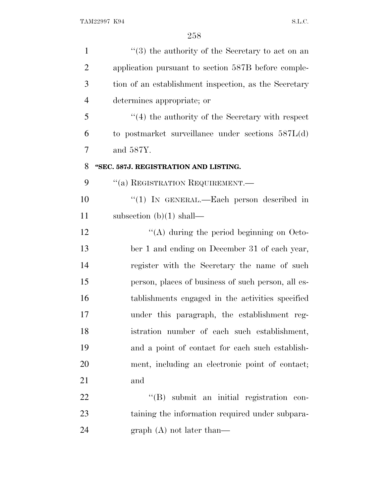| $\mathbf{1}$   | $(3)$ the authority of the Secretary to act on an       |
|----------------|---------------------------------------------------------|
| $\overline{2}$ | application pursuant to section 587B before comple-     |
| 3              | tion of an establishment inspection, as the Secretary   |
| $\overline{4}$ | determines appropriate; or                              |
| 5              | $\cdot$ (4) the authority of the Secretary with respect |
| 6              | to postmarket surveillance under sections $587L(d)$     |
| 7              | and 587Y.                                               |
| 8              | "SEC. 587J. REGISTRATION AND LISTING.                   |
| 9              | "(a) REGISTRATION REQUIREMENT.—                         |
| 10             | " $(1)$ IN GENERAL.—Each person described in            |
| 11             | subsection $(b)(1)$ shall—                              |
| 12             | "(A) during the period beginning on Octo-               |
| 13             | ber 1 and ending on December 31 of each year,           |
| 14             | register with the Secretary the name of such            |
| 15             | person, places of business of such person, all es-      |
| 16             | tablishments engaged in the activities specified        |
| 17             | under this paragraph, the establishment reg-            |
| 18             | istration number of each such establishment,            |
| 19             | and a point of contact for each such establish-         |
| 20             | ment, including an electronic point of contact;         |
| 21             | and                                                     |
| 22             | "(B) submit an initial registration con-                |
| 23             | taining the information required under subpara-         |
| 24             | graph $(A)$ not later than—                             |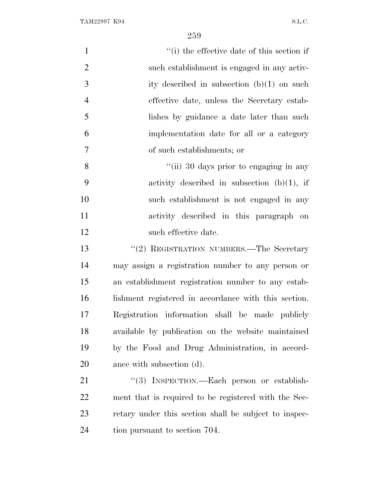TAM22997 K94 S.L.C.

| $\mathbf{1}$   | "(i) the effective date of this section if            |
|----------------|-------------------------------------------------------|
| $\overline{2}$ | such establishment is engaged in any activ-           |
| 3              | ity described in subsection $(b)(1)$ on such          |
| $\overline{4}$ | effective date, unless the Secretary estab-           |
| 5              | lishes by guidance a date later than such             |
| 6              | implementation date for all or a category             |
| $\tau$         | of such establishments; or                            |
| 8              | "(ii) 30 days prior to engaging in any                |
| 9              | activity described in subsection $(b)(1)$ , if        |
| 10             | such establishment is not engaged in any              |
| 11             | activity described in this paragraph on               |
| 12             | such effective date.                                  |
| 13             | "(2) REGISTRATION NUMBERS.—The Secretary              |
| 14             | may assign a registration number to any person or     |
| 15             | an establishment registration number to any estab-    |
| 16             | lishment registered in accordance with this section.  |
| 17             | Registration information shall be made publicly       |
| 18             | available by publication on the website maintained    |
| 19             | by the Food and Drug Administration, in accord-       |
| 20             | ance with subsection (d).                             |
| 21             | "(3) INSPECTION.—Each person or establish-            |
| 22             | ment that is required to be registered with the Sec-  |
| 23             | retary under this section shall be subject to inspec- |
| 24             | tion pursuant to section 704.                         |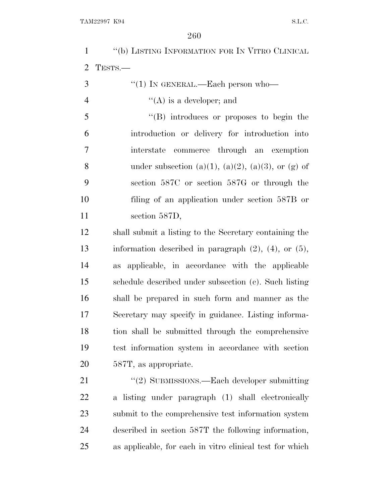TAM22997 K94 S.L.C.

 ''(b) LISTING INFORMATION FOR I<sup>N</sup> VITRO CLINICAL TESTS.— "(1) In GENERAL.—Each person who—  $((A)$  is a developer; and ''(B) introduces or proposes to begin the introduction or delivery for introduction into interstate commerce through an exemption 8 under subsection (a)(1), (a)(2), (a)(3), or (g) of section 587C or section 587G or through the filing of an application under section 587B or 11 section 587D, shall submit a listing to the Secretary containing the information described in paragraph (2), (4), or (5), as applicable, in accordance with the applicable schedule described under subsection (c). Such listing shall be prepared in such form and manner as the Secretary may specify in guidance. Listing informa- tion shall be submitted through the comprehensive test information system in accordance with section 587T, as appropriate. 21 "(2) SUBMISSIONS.—Each developer submitting a listing under paragraph (1) shall electronically submit to the comprehensive test information system described in section 587T the following information, as applicable, for each in vitro clinical test for which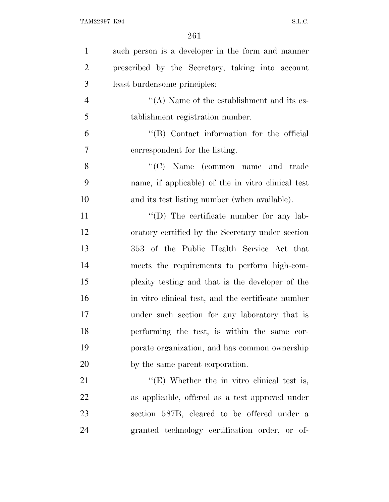| $\mathbf{1}$   | such person is a developer in the form and manner  |
|----------------|----------------------------------------------------|
| $\overline{2}$ | prescribed by the Secretary, taking into account   |
| 3              | least burdensome principles:                       |
| $\overline{4}$ | "(A) Name of the establishment and its es-         |
| 5              | tablishment registration number.                   |
| 6              | "(B) Contact information for the official          |
| 7              | correspondent for the listing.                     |
| 8              | "(C) Name (common name and trade                   |
| 9              | name, if applicable) of the in vitro clinical test |
| 10             | and its test listing number (when available).      |
| 11             | $\lq\lq$ . The certificate number for any lab-     |
| 12             | oratory certified by the Secretary under section   |
| 13             | 353 of the Public Health Service Act that          |
| 14             | meets the requirements to perform high-com-        |
| 15             | plexity testing and that is the developer of the   |
| 16             | in vitro clinical test, and the certificate number |
| 17             | under such section for any laboratory that is      |
| 18             | performing the test, is within the same cor-       |
| 19             | porate organization, and has common ownership      |
| 20             | by the same parent corporation.                    |
| 21             | " $(E)$ Whether the in vitro clinical test is,     |
| 22             | as applicable, offered as a test approved under    |
| 23             | section 587B, cleared to be offered under a        |
| 24             | granted technology certification order, or of-     |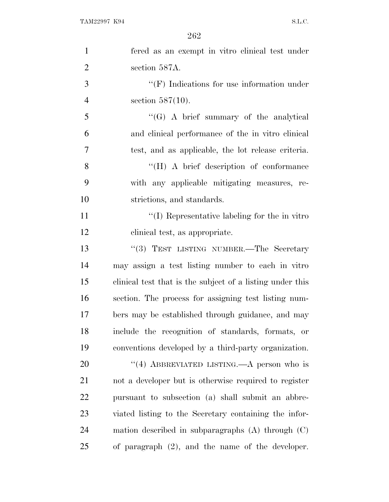| $\mathbf{1}$   | fered as an exempt in vitro clinical test under           |
|----------------|-----------------------------------------------------------|
| $\overline{2}$ | section 587A.                                             |
| 3              | $\lq\lq(F)$ Indications for use information under         |
| $\overline{4}$ | section $587(10)$ .                                       |
| 5              | $\lq\lq(G)$ A brief summary of the analytical             |
| 6              | and clinical performance of the in vitro clinical         |
| 7              | test, and as applicable, the lot release criteria.        |
| 8              | $\lq\lq (H)$ A brief description of conformance           |
| 9              | with any applicable mitigating measures, re-              |
| 10             | strictions, and standards.                                |
| 11             | "(I) Representative labeling for the in vitro"            |
| 12             | clinical test, as appropriate.                            |
| 13             | "(3) TEST LISTING NUMBER.—The Secretary                   |
| 14             | may assign a test listing number to each in vitro         |
| 15             | clinical test that is the subject of a listing under this |
| 16             | section. The process for assigning test listing num-      |
| 17             | bers may be established through guidance, and may         |
| 18             | include the recognition of standards, formats, or         |
| 19             | conventions developed by a third-party organization.      |
| 20             | "(4) ABBREVIATED LISTING.—A person who is                 |
| 21             | not a developer but is otherwise required to register     |
| 22             | pursuant to subsection (a) shall submit an abbre-         |
| 23             | viated listing to the Secretary containing the infor-     |
| 24             | mation described in subparagraphs $(A)$ through $(C)$     |
| 25             | of paragraph $(2)$ , and the name of the developer.       |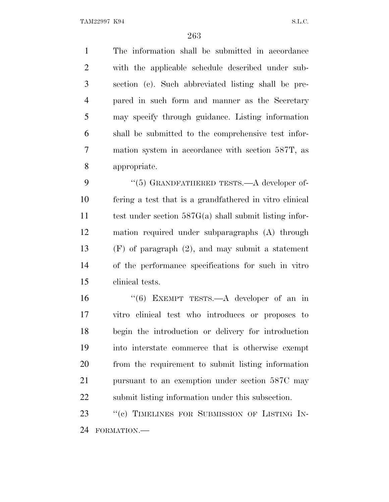TAM22997 K94 S.L.C.

 The information shall be submitted in accordance with the applicable schedule described under sub- section (c). Such abbreviated listing shall be pre- pared in such form and manner as the Secretary may specify through guidance. Listing information shall be submitted to the comprehensive test infor- mation system in accordance with section 587T, as appropriate.

9 "(5) GRANDFATHERED TESTS.—A developer of- fering a test that is a grandfathered in vitro clinical test under section 587G(a) shall submit listing infor- mation required under subparagraphs (A) through (F) of paragraph (2), and may submit a statement of the performance specifications for such in vitro clinical tests.

16 "(6) EXEMPT TESTS.—A developer of an in vitro clinical test who introduces or proposes to begin the introduction or delivery for introduction into interstate commerce that is otherwise exempt from the requirement to submit listing information pursuant to an exemption under section 587C may submit listing information under this subsection.

23 "(c) TIMELINES FOR SUBMISSION OF LISTING IN-FORMATION.—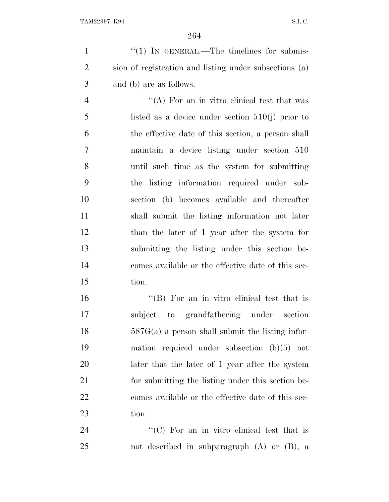1 "(1) IN GENERAL.—The timelines for submis- sion of registration and listing under subsections (a) and (b) are as follows:

 $\mathcal{L}$   $\mathcal{L}(\mathbf{A})$  For an in vitro clinical test that was listed as a device under section 510(j) prior to the effective date of this section, a person shall maintain a device listing under section 510 until such time as the system for submitting the listing information required under sub- section (b) becomes available and thereafter shall submit the listing information not later than the later of 1 year after the system for submitting the listing under this section be- comes available or the effective date of this sec-tion.

 ''(B) For an in vitro clinical test that is subject to grandfathering under section  $18 \t\t 587G(a)$  a person shall submit the listing infor- mation required under subsection (b)(5) not later that the later of 1 year after the system for submitting the listing under this section be- comes available or the effective date of this sec-tion.

24 "'(C) For an in vitro clinical test that is not described in subparagraph (A) or (B), a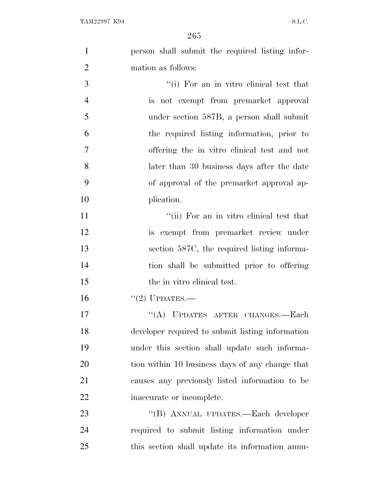| $\mathbf{1}$   | person shall submit the required listing infor-  |
|----------------|--------------------------------------------------|
| $\overline{2}$ | mation as follows:                               |
| 3              | "(i) For an in vitro clinical test that          |
| $\overline{4}$ | is not exempt from premarket approval            |
| 5              | under section 587B, a person shall submit        |
| 6              | the required listing information, prior to       |
| 7              | offering the in vitro clinical test and not      |
| 8              | later than 30 business days after the date       |
| 9              | of approval of the premarket approval ap-        |
| 10             | plication.                                       |
| 11             | "(ii) For an in vitro clinical test that         |
| 12             | is exempt from premarket review under            |
| 13             | section 587C, the required listing informa-      |
| 14             | tion shall be submitted prior to offering        |
| 15             | the in vitro clinical test.                      |
| 16             | $"(2)$ UPDATES.—                                 |
| 17             | "(A) UPDATES AFTER CHANGES.-Each                 |
| 18             | developer required to submit listing information |
| 19             | under this section shall update such informa-    |
| 20             | tion within 10 business days of any change that  |
| 21             | causes any previously listed information to be   |
| 22             | inaccurate or incomplete.                        |
| 23             | "(B) ANNUAL UPDATES.—Each developer              |
| 24             | required to submit listing information under     |
| 25             | this section shall update its information annu-  |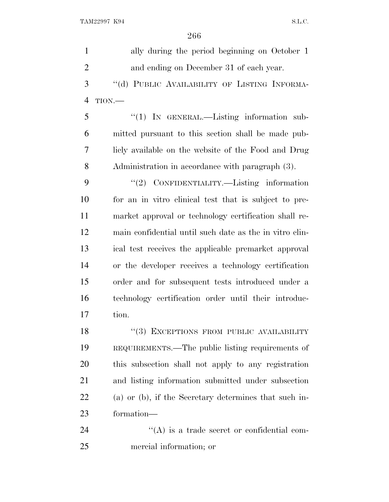ally during the period beginning on October 1 and ending on December 31 of each year. 3 "(d) PUBLIC AVAILABILITY OF LISTING INFORMA- TION.— ''(1) IN GENERAL.—Listing information sub- mitted pursuant to this section shall be made pub- licly available on the website of the Food and Drug Administration in accordance with paragraph (3). 9 "(2) CONFIDENTIALITY.—Listing information for an in vitro clinical test that is subject to pre- market approval or technology certification shall re- main confidential until such date as the in vitro clin- ical test receives the applicable premarket approval or the developer receives a technology certification order and for subsequent tests introduced under a technology certification order until their introduc- tion. 18 "(3) EXCEPTIONS FROM PUBLIC AVAILABILITY REQUIREMENTS.—The public listing requirements of this subsection shall not apply to any registration and listing information submitted under subsection (a) or (b), if the Secretary determines that such in- formation—  $\langle (A)$  is a trade secret or confidential com-mercial information; or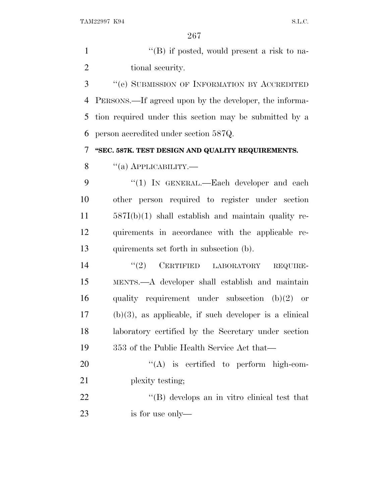1 ''(B) if posted, would present a risk to na-2 tional security.

 ''(e) SUBMISSION OF INFORMATION BY ACCREDITED PERSONS.—If agreed upon by the developer, the informa- tion required under this section may be submitted by a person accredited under section 587Q.

**''SEC. 587K. TEST DESIGN AND QUALITY REQUIREMENTS.**

 $\frac{8}{100}$   $\frac{4(a)$  APPLICABILITY.

9 "(1) IN GENERAL.—Each developer and each other person required to register under section 587I(b)(1) shall establish and maintain quality re- quirements in accordance with the applicable re-quirements set forth in subsection (b).

 $(2)$  CERTIFIED LABORATORY REQUIRE- MENTS.—A developer shall establish and maintain quality requirement under subsection (b)(2) or (b)(3), as applicable, if such developer is a clinical laboratory certified by the Secretary under section 353 of the Public Health Service Act that—

20  $\text{``(A)}$  is certified to perform high-com-21 plexity testing;

22  $\bullet$  (B) develops an in vitro clinical test that is for use only—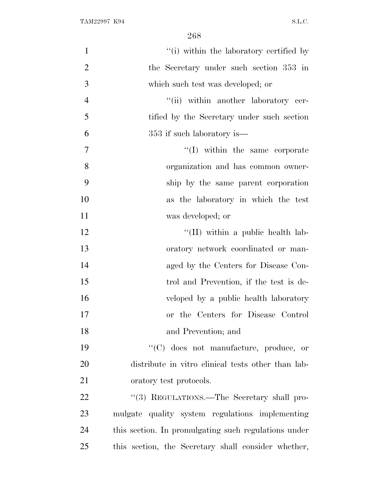| $\mathbf{1}$   | "(i) within the laboratory certified by              |
|----------------|------------------------------------------------------|
| $\mathfrak{2}$ | the Secretary under such section 353 in              |
| 3              | which such test was developed; or                    |
| $\overline{4}$ | "(ii) within another laboratory cer-                 |
| 5              | tified by the Secretary under such section           |
| 6              | 353 if such laboratory is—                           |
| $\tau$         | $\lq\lq$ within the same corporate                   |
| 8              | organization and has common owner-                   |
| 9              | ship by the same parent corporation                  |
| 10             | as the laboratory in which the test                  |
| 11             | was developed; or                                    |
| 12             | $\lq$ (II) within a public health lab-               |
| 13             | oratory network coordinated or man-                  |
| 14             | aged by the Centers for Disease Con-                 |
| 15             | trol and Prevention, if the test is de-              |
| 16             | veloped by a public health laboratory                |
| 17             | or the Centers for Disease Control                   |
| 18             | and Prevention; and                                  |
| 19             | "(C) does not manufacture, produce, or               |
| 20             | distribute in vitro clinical tests other than lab-   |
| 21             | oratory test protocols.                              |
| 22             | "(3) REGULATIONS.—The Secretary shall pro-           |
| 23             | mulgate quality system regulations implementing      |
| 24             | this section. In promulgating such regulations under |
| 25             | this section, the Secretary shall consider whether,  |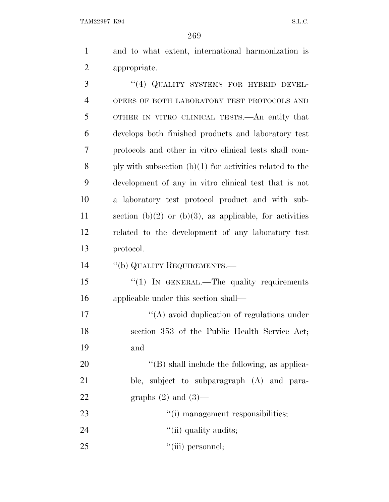TAM22997 K94 S.L.C.

269

1 and to what extent, international harmonization is 2 appropriate.

3 "(4) QUALITY SYSTEMS FOR HYBRID DEVEL- OPERS OF BOTH LABORATORY TEST PROTOCOLS AND OTHER IN VITRO CLINICAL TESTS.—An entity that develops both finished products and laboratory test protocols and other in vitro clinical tests shall com-8 ply with subsection  $(b)(1)$  for activities related to the development of any in vitro clinical test that is not a laboratory test protocol product and with sub-11 section (b)(2) or (b)(3), as applicable, for activities related to the development of any laboratory test protocol.

14 ''(b) QUALITY REQUIREMENTS.—

15 "(1) IN GENERAL.—The quality requirements 16 applicable under this section shall—

17  $\langle (A) \rangle$  avoid duplication of regulations under 18 section 353 of the Public Health Service Act; 19 and

20  $(1)$  shall include the following, as applica-21 ble, subject to subparagraph (A) and para-22 graphs  $(2)$  and  $(3)$ —

- 23  $\frac{1}{1}$  management responsibilities;
- 24  $\qquad \qquad \text{(ii) quality audits};$
- 25  $"(\text{iii})$  personnel;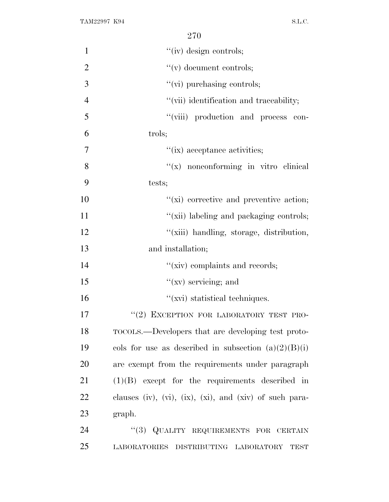| $\mathbf{1}$   | "(iv) design controls;                                  |
|----------------|---------------------------------------------------------|
| $\overline{2}$ | $f'(v)$ document controls;                              |
| 3              | $\lq\lq$ (vi) purchasing controls;                      |
| $\overline{4}$ | "(vii) identification and traceability;                 |
| 5              | "(viii) production and process con-                     |
| 6              | trols;                                                  |
| 7              | "(ix) acceptance activities;                            |
| 8              | $f(x)$ nonconforming in vitro clinical                  |
| 9              | tests;                                                  |
| 10             | $\lq\lq$ (xi) corrective and preventive action;         |
| 11             | "(xii) labeling and packaging controls;                 |
| 12             | "(xiii) handling, storage, distribution,                |
| 13             | and installation;                                       |
| 14             | "(xiv) complaints and records;                          |
| 15             | $\lq(\mathbf{x}\mathbf{v})$ servicing; and              |
| 16             | "(xvi) statistical techniques.                          |
| 17             | "(2) EXCEPTION FOR LABORATORY TEST PRO-                 |
| 18             | TOCOLS.—Developers that are developing test proto-      |
| 19             | cols for use as described in subsection $(a)(2)(B)(i)$  |
| 20             | are exempt from the requirements under paragraph        |
| 21             | $(1)(B)$ except for the requirements described in       |
| 22             | clauses (iv), (vi), (ix), (xi), and (xiv) of such para- |
| 23             | graph.                                                  |
| 24             | "(3) QUALITY REQUIREMENTS FOR CERTAIN                   |
| 25             | LABORATORIES DISTRIBUTING LABORATORY TEST               |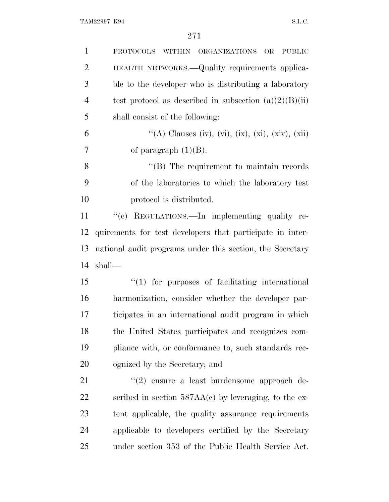| $\mathbf{1}$   | <b>PROTOCOLS</b><br><b>ORGANIZATIONS</b><br><b>PUBLIC</b><br><b>WITHIN</b><br>OR |
|----------------|----------------------------------------------------------------------------------|
| $\overline{2}$ | HEALTH NETWORKS.—Quality requirements applica-                                   |
| 3              | ble to the developer who is distributing a laboratory                            |
| $\overline{4}$ | test protocol as described in subsection $(a)(2)(B)(ii)$                         |
| 5              | shall consist of the following:                                                  |
| 6              | "(A) Clauses (iv), (vi), (ix), (xi), (xiv), (xii)                                |
| 7              | of paragraph $(1)(B)$ .                                                          |
| 8              | $\lq\lq$ (B) The requirement to maintain records                                 |
| 9              | of the laboratories to which the laboratory test                                 |
| 10             | protocol is distributed.                                                         |
| 11             | "(c) REGULATIONS.—In implementing quality re-                                    |
| 12             | quirements for test developers that participate in inter-                        |
| 13             | national audit programs under this section, the Secretary                        |
| 14             | shall—                                                                           |
| 15             | $\lq(1)$ for purposes of facilitating international                              |
| 16             | harmonization, consider whether the developer par-                               |
| 17             | ticipates in an international audit program in which                             |
| 18             | the United States participates and recognizes com-                               |
| 19             | pliance with, or conformance to, such standards rec-                             |
| 20             | ognized by the Secretary; and                                                    |
| 21             | $(2)$ ensure a least burdensome approach de-                                     |
| 22             | scribed in section $587AA(c)$ by leveraging, to the ex-                          |
| 23             | tent applicable, the quality assurance requirements                              |
| 24             | applicable to developers certified by the Secretary                              |
| 25             | under section 353 of the Public Health Service Act.                              |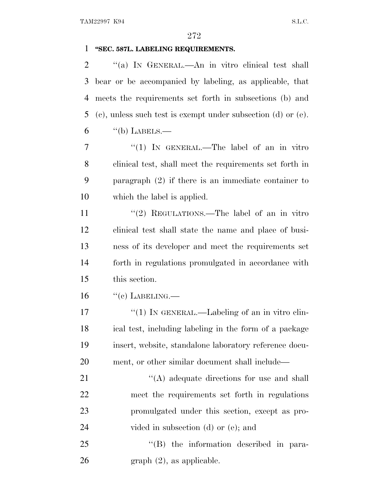# **''SEC. 587L. LABELING REQUIREMENTS.**

 ''(a) I<sup>N</sup> GENERAL.—An in vitro clinical test shall bear or be accompanied by labeling, as applicable, that meets the requirements set forth in subsections (b) and (c), unless such test is exempt under subsection (d) or (e). "(b) LABELS.—

7 "(1) IN GENERAL.—The label of an in vitro clinical test, shall meet the requirements set forth in paragraph (2) if there is an immediate container to which the label is applied.

11 "(2) REGULATIONS.—The label of an in vitro clinical test shall state the name and place of busi- ness of its developer and meet the requirements set forth in regulations promulgated in accordance with this section.

"(c) LABELING.—

17 "(1) IN GENERAL.—Labeling of an in vitro clin- ical test, including labeling in the form of a package insert, website, standalone laboratory reference docu-ment, or other similar document shall include—

21 ''(A) adequate directions for use and shall meet the requirements set forth in regulations promulgated under this section, except as pro-24 vided in subsection (d) or (e); and

 ''(B) the information described in para-graph (2), as applicable.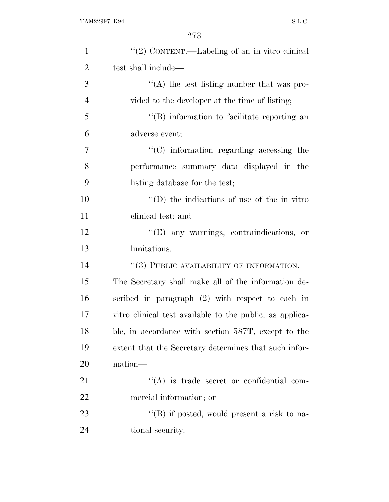| $\mathbf{1}$   | "(2) CONTENT.—Labeling of an in vitro clinical           |
|----------------|----------------------------------------------------------|
| $\overline{2}$ | test shall include—                                      |
| 3              | $\lq\lq$ the test listing number that was pro-           |
| $\overline{4}$ | vided to the developer at the time of listing;           |
| 5              | "(B) information to facilitate reporting an              |
| 6              | adverse event;                                           |
| 7              | $\cdot$ (C) information regarding accessing the          |
| 8              | performance summary data displayed in the                |
| 9              | listing database for the test;                           |
| 10             | $\lq\lq$ the indications of use of the in vitro          |
| 11             | clinical test; and                                       |
| 12             | $\lq\lq$ (E) any warnings, contraindications, or         |
| 13             | limitations.                                             |
| 14             | "(3) PUBLIC AVAILABILITY OF INFORMATION.-                |
| 15             | The Secretary shall make all of the information de-      |
| 16             | scribed in paragraph $(2)$ with respect to each in       |
| 17             | vitro clinical test available to the public, as applica- |
| 18             | ble, in accordance with section 587T, except to the      |
| 19             | extent that the Secretary determines that such infor-    |
| 20             | mation—                                                  |
| 21             | "(A) is trade secret or confidential com-                |
| 22             | mercial information; or                                  |
| 23             | $\lq\lq (B)$ if posted, would present a risk to na-      |
| 24             | tional security.                                         |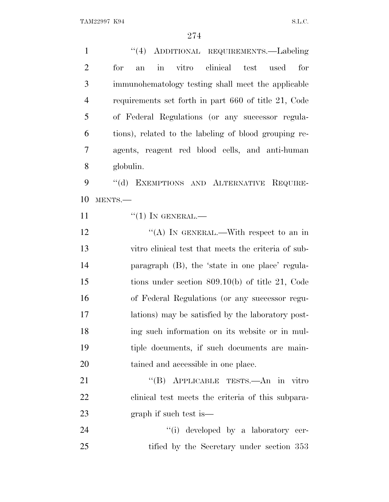''(4) ADDITIONAL REQUIREMENTS.—Labeling for an in vitro clinical test used for immunohematology testing shall meet the applicable requirements set forth in part 660 of title 21, Code of Federal Regulations (or any successor regula- tions), related to the labeling of blood grouping re- agents, reagent red blood cells, and anti-human globulin. 9 "(d) EXEMPTIONS AND ALTERNATIVE REQUIRE-MENTS.—

11  $\frac{((1) \text{IN} \text{GENERAL}}{((1) \text{IN} \text{QENERAL})}$ 

 $\cdot$  (A) In GENERAL.—With respect to an in vitro clinical test that meets the criteria of sub- paragraph (B), the 'state in one place' regula- tions under section 809.10(b) of title 21, Code of Federal Regulations (or any successor regu- lations) may be satisfied by the laboratory post- ing such information on its website or in mul- tiple documents, if such documents are main-tained and accessible in one place.

21 "(B) APPLICABLE TESTS.—An in vitro clinical test meets the criteria of this subpara-graph if such test is—

24  $\qquad \qquad \text{(i)} \text{ developed by a laboratory cer-}$ 25 tified by the Secretary under section 353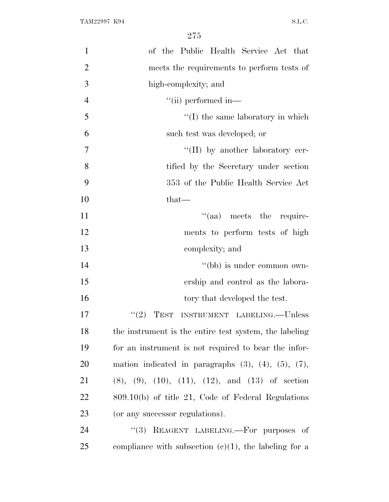| $\mathbf{1}$   | of the Public Health Service Act that                            |
|----------------|------------------------------------------------------------------|
| $\overline{2}$ | meets the requirements to perform tests of                       |
| 3              | high-complexity; and                                             |
| $\overline{4}$ | $\lq\lq$ (ii) performed in—                                      |
| 5              | $\lq\lq$ (I) the same laboratory in which                        |
| 6              | such test was developed; or                                      |
| 7              | $\lq\lq$ (II) by another laboratory cer-                         |
| 8              | tified by the Secretary under section                            |
| 9              | 353 of the Public Health Service Act                             |
| 10             | that-                                                            |
| 11             | $\lq(aa)$ meets the require-                                     |
| 12             | ments to perform tests of high                                   |
| 13             | complexity; and                                                  |
| 14             | "(bb) is under common own-                                       |
| 15             | ership and control as the labora-                                |
| 16             | tory that developed the test.                                    |
| 17             | INSTRUMENT LABELING.--Unless<br>(2)<br>TEST                      |
| 18             | the instrument is the entire test system, the labeling           |
| 19             | for an instrument is not required to bear the infor-             |
| 20             | mation indicated in paragraphs $(3)$ , $(4)$ , $(5)$ , $(7)$ ,   |
| 21             | $(8)$ , $(9)$ , $(10)$ , $(11)$ , $(12)$ , and $(13)$ of section |
| 22             | $809.10(b)$ of title 21, Code of Federal Regulations             |
| 23             | (or any successor regulations).                                  |
| 24             | "(3) REAGENT LABELING.—For purposes of                           |
| 25             | compliance with subsection $(c)(1)$ , the labeling for a         |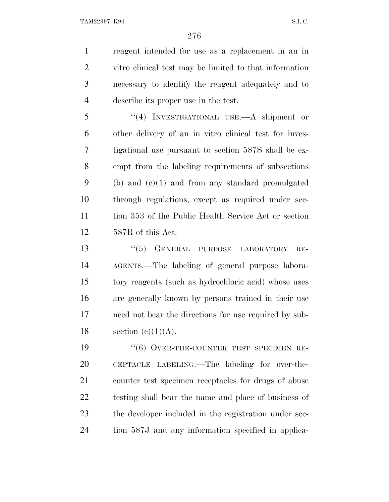reagent intended for use as a replacement in an in vitro clinical test may be limited to that information necessary to identify the reagent adequately and to describe its proper use in the test.

 ''(4) INVESTIGATIONAL USE.—A shipment or other delivery of an in vitro clinical test for inves- tigational use pursuant to section 587S shall be ex- empt from the labeling requirements of subsections (b) and (c)(1) and from any standard promulgated through regulations, except as required under sec- tion 353 of the Public Health Service Act or section 587R of this Act.

13 "(5) GENERAL PURPOSE LABORATORY RE- AGENTS.—The labeling of general purpose labora- tory reagents (such as hydrochloric acid) whose uses are generally known by persons trained in their use need not bear the directions for use required by sub-18 section  $(e)(1)(A)$ .

19 "(6) OVER-THE-COUNTER TEST SPECIMEN RE- CEPTACLE LABELING.—The labeling for over-the- counter test specimen receptacles for drugs of abuse testing shall bear the name and place of business of the developer included in the registration under sec-tion 587J and any information specified in applica-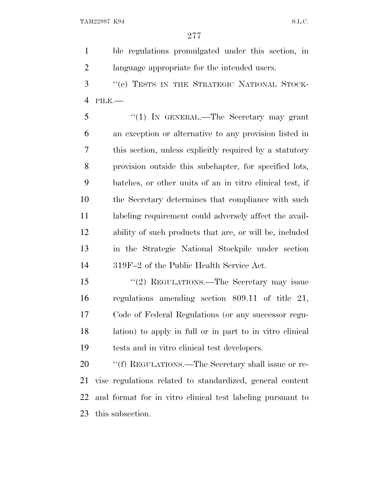ble regulations promulgated under this section, in language appropriate for the intended users.

 ''(e) TESTS IN THE STRATEGIC NATIONAL STOCK-PILE.—

 ''(1) IN GENERAL.—The Secretary may grant an exception or alternative to any provision listed in this section, unless explicitly required by a statutory provision outside this subchapter, for specified lots, batches, or other units of an in vitro clinical test, if the Secretary determines that compliance with such 11 labeling requirement could adversely affect the avail- ability of such products that are, or will be, included in the Strategic National Stockpile under section 319F–2 of the Public Health Service Act.

 ''(2) REGULATIONS.—The Secretary may issue regulations amending section 809.11 of title 21, Code of Federal Regulations (or any successor regu- lation) to apply in full or in part to in vitro clinical tests and in vitro clinical test developers.

20 "'(f) REGULATIONS.—The Secretary shall issue or re- vise regulations related to standardized, general content and format for in vitro clinical test labeling pursuant to this subsection.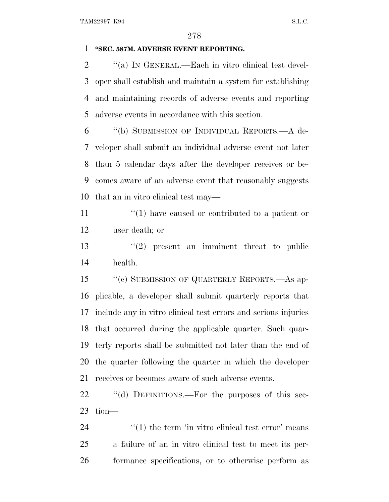### **''SEC. 587M. ADVERSE EVENT REPORTING.**

 $\gamma$  (a) In GENERAL.—Each in vitro clinical test devel- oper shall establish and maintain a system for establishing and maintaining records of adverse events and reporting adverse events in accordance with this section.

 ''(b) SUBMISSION OF INDIVIDUAL REPORTS.—A de- veloper shall submit an individual adverse event not later than 5 calendar days after the developer receives or be- comes aware of an adverse event that reasonably suggests that an in vitro clinical test may—

11  $\frac{1}{2}$  (1) have caused or contributed to a patient or user death; or

13  $(2)$  present an imminent threat to public health.

 ''(c) SUBMISSION OF QUARTERLY REPORTS.—As ap- plicable, a developer shall submit quarterly reports that include any in vitro clinical test errors and serious injuries that occurred during the applicable quarter. Such quar- terly reports shall be submitted not later than the end of the quarter following the quarter in which the developer receives or becomes aware of such adverse events.

22 "(d) DEFINITIONS.—For the purposes of this sec-tion—

  $\frac{1}{24}$   $\frac{1}{24}$  the term 'in vitro clinical test error' means a failure of an in vitro clinical test to meet its per-formance specifications, or to otherwise perform as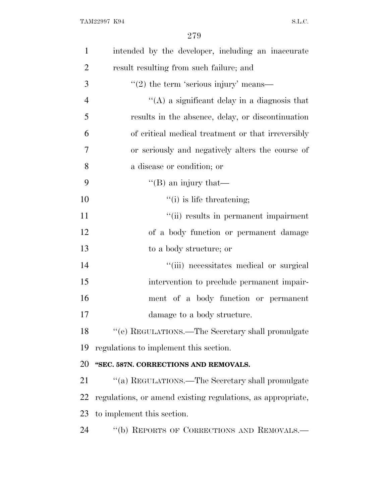| $\mathbf{1}$   | intended by the developer, including an inaccurate          |
|----------------|-------------------------------------------------------------|
| $\overline{2}$ | result resulting from such failure; and                     |
| 3              | $\cdot\cdot(2)$ the term 'serious injury' means—            |
| $\overline{4}$ | "(A) a significant delay in a diagnosis that                |
| 5              | results in the absence, delay, or discontinuation           |
| 6              | of critical medical treatment or that irreversibly          |
| 7              | or seriously and negatively alters the course of            |
| 8              | a disease or condition; or                                  |
| 9              | "(B) an injury that—                                        |
| 10             | "(i) is life threatening;                                   |
| 11             | "(ii) results in permanent impairment                       |
| 12             | of a body function or permanent damage                      |
| 13             | to a body structure; or                                     |
| 14             | "(iii) necessitates medical or surgical                     |
| 15             | intervention to preclude permanent impair-                  |
| 16             | ment of a body function or permanent                        |
| 17             | damage to a body structure.                                 |
| 18             | "(e) REGULATIONS.—The Secretary shall promulgate            |
| 19             | regulations to implement this section.                      |
| 20             | "SEC. 587N. CORRECTIONS AND REMOVALS.                       |
| 21             | "(a) REGULATIONS.—The Secretary shall promulgate            |
| 22             | regulations, or amend existing regulations, as appropriate, |
| 23             | to implement this section.                                  |
| 24             | "(b) REPORTS OF CORRECTIONS AND REMOVALS.-                  |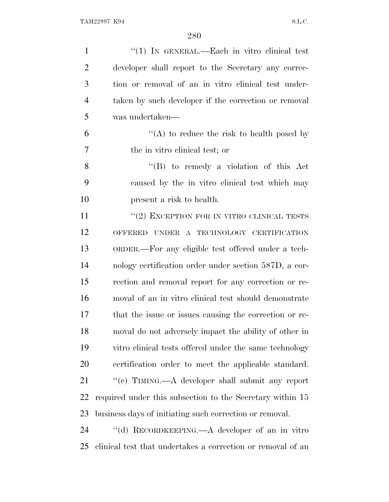| $\mathbf{1}$   | " $(1)$ In GENERAL.—Each in vitro clinical test             |
|----------------|-------------------------------------------------------------|
| $\overline{2}$ | developer shall report to the Secretary any correc-         |
| 3              | tion or removal of an in vitro clinical test under-         |
| $\overline{4}$ | taken by such developer if the correction or removal        |
| 5              | was undertaken—                                             |
| 6              | "(A) to reduce the risk to health posed by                  |
| 7              | the in vitro clinical test; or                              |
| 8              | $\lq\lq (B)$ to remedy a violation of this Act              |
| 9              | caused by the in vitro clinical test which may              |
| 10             | present a risk to health.                                   |
| 11             | $``(2)$ EXCEPTION FOR IN VITRO CLINICAL TESTS               |
| 12             | OFFERED UNDER A TECHNOLOGY CERTIFICATION                    |
| 13             | ORDER.—For any eligible test offered under a tech-          |
| 14             | nology certification order under section 587D, a cor-       |
| 15             | rection and removal report for any correction or re-        |
| 16             | moval of an in vitro clinical test should demonstrate       |
| 17             | that the issue or issues causing the correction or re-      |
| 18             | moval do not adversely impact the ability of other in       |
| 19             | vitro clinical tests offered under the same technology      |
| 20             | certification order to meet the applicable standard.        |
| 21             | "(c) TIMING.—A developer shall submit any report            |
| 22             | required under this subsection to the Secretary within 15   |
| 23             | business days of initiating such correction or removal.     |
| 24             | "(d) RECORDKEEPING.—A developer of an in vitro              |
| 25             | clinical test that undertakes a correction or removal of an |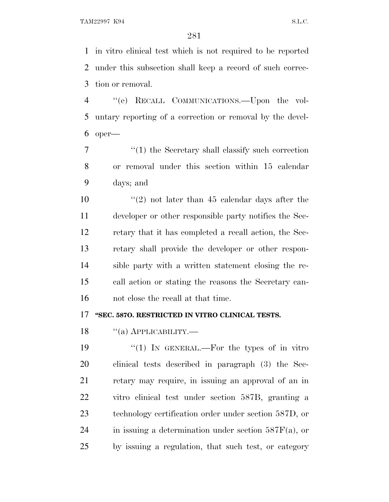in vitro clinical test which is not required to be reported under this subsection shall keep a record of such correc-tion or removal.

 ''(e) RECALL COMMUNICATIONS.—Upon the vol- untary reporting of a correction or removal by the devel-oper—

 ''(1) the Secretary shall classify such correction or removal under this section within 15 calendar days; and

 $\frac{10}{2}$  ''(2) not later than 45 calendar days after the developer or other responsible party notifies the Sec- retary that it has completed a recall action, the Sec- retary shall provide the developer or other respon- sible party with a written statement closing the re- call action or stating the reasons the Secretary can-not close the recall at that time.

# **''SEC. 587O. RESTRICTED IN VITRO CLINICAL TESTS.**

18 "(a) APPLICABILITY.—

 $\frac{1}{2}$  (1) In GENERAL.—For the types of in vitro clinical tests described in paragraph (3) the Sec- retary may require, in issuing an approval of an in vitro clinical test under section 587B, granting a technology certification order under section 587D, or 24 in issuing a determination under section  $587F(a)$ , or by issuing a regulation, that such test, or category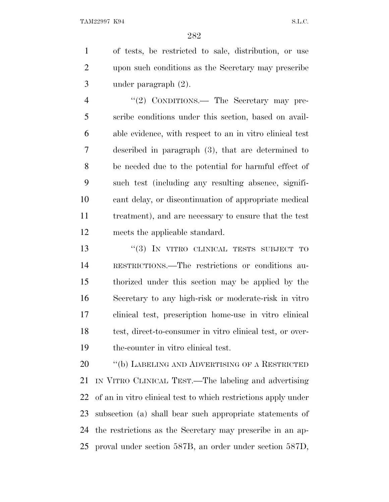of tests, be restricted to sale, distribution, or use upon such conditions as the Secretary may prescribe under paragraph (2).

4 "(2) CONDITIONS.— The Secretary may pre- scribe conditions under this section, based on avail- able evidence, with respect to an in vitro clinical test described in paragraph (3), that are determined to be needed due to the potential for harmful effect of such test (including any resulting absence, signifi- cant delay, or discontinuation of appropriate medical treatment), and are necessary to ensure that the test meets the applicable standard.

13 "(3) IN VITRO CLINICAL TESTS SUBJECT TO RESTRICTIONS.—The restrictions or conditions au- thorized under this section may be applied by the Secretary to any high-risk or moderate-risk in vitro clinical test, prescription home-use in vitro clinical 18 test, direct-to-consumer in vitro clinical test, or over-the-counter in vitro clinical test.

20 "(b) LABELING AND ADVERTISING OF A RESTRICTED IN VITRO CLINICAL TEST.—The labeling and advertising of an in vitro clinical test to which restrictions apply under subsection (a) shall bear such appropriate statements of the restrictions as the Secretary may prescribe in an ap-proval under section 587B, an order under section 587D,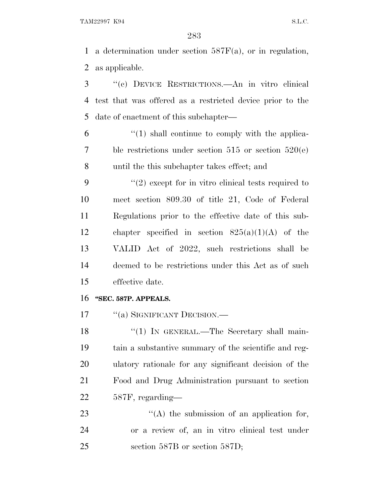TAM22997 K94 S.L.C.

 a determination under section 587F(a), or in regulation, as applicable.

 ''(c) DEVICE RESTRICTIONS.—An in vitro clinical test that was offered as a restricted device prior to the date of enactment of this subchapter—

 $(1)$  shall continue to comply with the applica- ble restrictions under section 515 or section 520(e) until the this subchapter takes effect; and

 $(2)$  except for in vitro clinical tests required to meet section 809.30 of title 21, Code of Federal Regulations prior to the effective date of this sub- chapter specified in section 825(a)(1)(A) of the VALID Act of 2022, such restrictions shall be deemed to be restrictions under this Act as of such effective date.

### **''SEC. 587P. APPEALS.**

17 <sup>"</sup>(a) SIGNIFICANT DECISION.—

18 "(1) IN GENERAL.—The Secretary shall main- tain a substantive summary of the scientific and reg- ulatory rationale for any significant decision of the Food and Drug Administration pursuant to section 587F, regarding—

23 "(A) the submission of an application for, or a review of, an in vitro clinical test under section 587B or section 587D;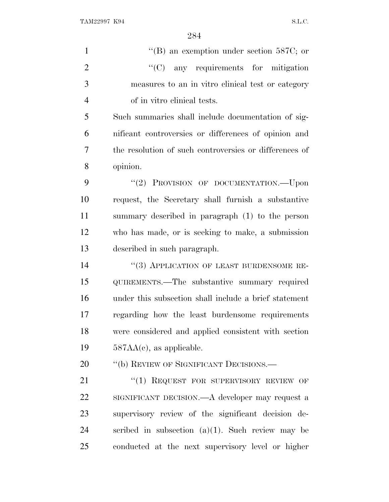$\text{``(B)}$  an exemption under section 587C; or  $\text{``(C)}$  any requirements for mitigation measures to an in vitro clinical test or category of in vitro clinical tests. Such summaries shall include documentation of sig-nificant controversies or differences of opinion and

 the resolution of such controversies or differences of opinion.

9 "(2) PROVISION OF DOCUMENTATION.—Upon request, the Secretary shall furnish a substantive summary described in paragraph (1) to the person who has made, or is seeking to make, a submission described in such paragraph.

14 "(3) APPLICATION OF LEAST BURDENSOME RE- QUIREMENTS.—The substantive summary required under this subsection shall include a brief statement regarding how the least burdensome requirements were considered and applied consistent with section 587AA(c), as applicable.

20 "(b) REVIEW OF SIGNIFICANT DECISIONS.—

21 "(1) REQUEST FOR SUPERVISORY REVIEW OF SIGNIFICANT DECISION.—A developer may request a supervisory review of the significant decision de-24 scribed in subsection  $(a)(1)$ . Such review may be conducted at the next supervisory level or higher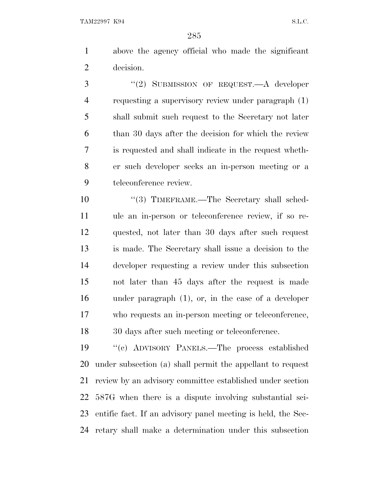above the agency official who made the significant decision.

3 "(2) SUBMISSION OF REQUEST.—A developer requesting a supervisory review under paragraph (1) shall submit such request to the Secretary not later than 30 days after the decision for which the review is requested and shall indicate in the request wheth- er such developer seeks an in-person meeting or a teleconference review.

10 "(3) TIMEFRAME.—The Secretary shall sched- ule an in-person or teleconference review, if so re- quested, not later than 30 days after such request is made. The Secretary shall issue a decision to the developer requesting a review under this subsection not later than 45 days after the request is made under paragraph (1), or, in the case of a developer who requests an in-person meeting or teleconference, 30 days after such meeting or teleconference.

 ''(c) ADVISORY PANELS.—The process established under subsection (a) shall permit the appellant to request review by an advisory committee established under section 587G when there is a dispute involving substantial sci- entific fact. If an advisory panel meeting is held, the Sec-retary shall make a determination under this subsection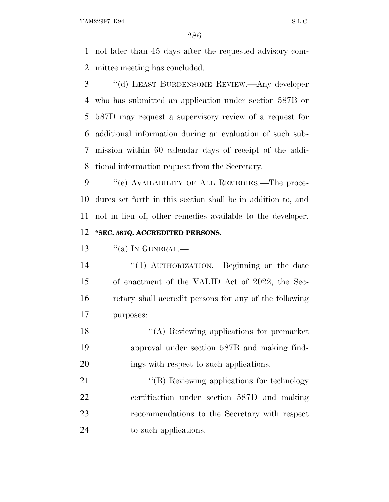not later than 45 days after the requested advisory com-mittee meeting has concluded.

 ''(d) LEAST BURDENSOME REVIEW.—Any developer who has submitted an application under section 587B or 587D may request a supervisory review of a request for additional information during an evaluation of such sub- mission within 60 calendar days of receipt of the addi-tional information request from the Secretary.

9 "(e) AVAILABILITY OF ALL REMEDIES.—The proce- dures set forth in this section shall be in addition to, and not in lieu of, other remedies available to the developer. **''SEC. 587Q. ACCREDITED PERSONS.**

 $\frac{13}{\text{N}}$  (a) In GENERAL.—

 ''(1) AUTHORIZATION.—Beginning on the date of enactment of the VALID Act of 2022, the Sec- retary shall accredit persons for any of the following purposes:

18 ''(A) Reviewing applications for premarket approval under section 587B and making find-20 ings with respect to such applications.

21 "'(B) Reviewing applications for technology certification under section 587D and making recommendations to the Secretary with respect to such applications.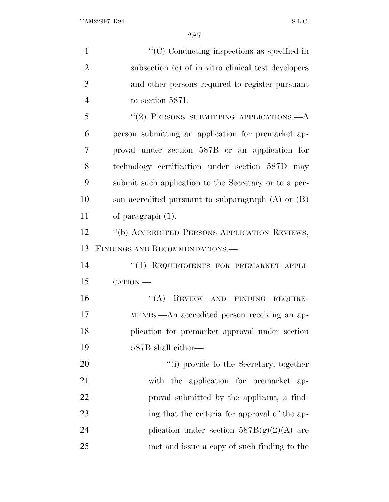| $\mathbf{1}$   | $\lq\lq$ <sup>c</sup> (C) Conducting inspections as specified in |
|----------------|------------------------------------------------------------------|
| $\overline{2}$ | subsection (c) of in vitro clinical test developers              |
| 3              | and other persons required to register pursuant                  |
| $\overline{4}$ | to section 587I.                                                 |
| 5              | $``(2)$ PERSONS SUBMITTING APPLICATIONS.— $A$                    |
| 6              | person submitting an application for premarket ap-               |
| 7              | proval under section 587B or an application for                  |
| 8              | technology certification under section 587D may                  |
| 9              | submit such application to the Secretary or to a per-            |
| 10             | son accredited pursuant to subparagraph $(A)$ or $(B)$           |
| 11             | of paragraph $(1)$ .                                             |
| 12             | "(b) ACCREDITED PERSONS APPLICATION REVIEWS,                     |
| 13             | FINDINGS AND RECOMMENDATIONS.                                    |
| 14             | "(1) REQUIREMENTS FOR PREMARKET APPLI-                           |
| 15             | CATION.-                                                         |
| 16             | "(A) REVIEW AND FINDING REQUIRE-                                 |
| 17             | MENTS.—An accredited person receiving an ap-                     |
| 18             | plication for premarket approval under section                   |
| 19             | 587B shall either—                                               |
| 20             | "(i) provide to the Secretary, together                          |
| 21             | with the application for premarket ap-                           |
| 22             | proval submitted by the applicant, a find-                       |
| 23             | ing that the criteria for approval of the ap-                    |
| 24             | plication under section $587B(g)(2)(A)$ are                      |
| 25             | met and issue a copy of such finding to the                      |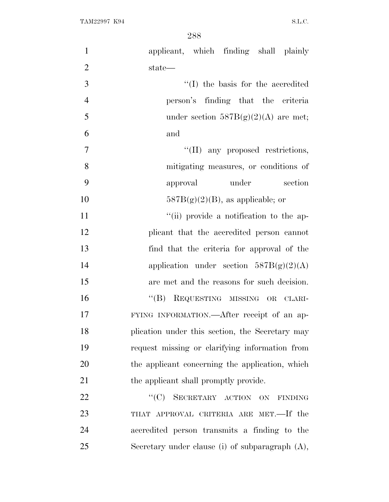| $\mathbf{1}$   | applicant, which finding shall plainly             |
|----------------|----------------------------------------------------|
| $\overline{2}$ | state—                                             |
| 3              | "(I) the basis for the accredited                  |
| $\overline{4}$ | person's finding that the criteria                 |
| 5              | under section $587B(g)(2)(A)$ are met;             |
| 6              | and                                                |
| 7              | "(II) any proposed restrictions,                   |
| 8              | mitigating measures, or conditions of              |
| 9              | under<br>section<br>approval                       |
| 10             | $587B(g)(2)(B)$ , as applicable; or                |
| 11             | "(ii) provide a notification to the ap-            |
| 12             | plicant that the accredited person cannot          |
| 13             | find that the criteria for approval of the         |
| 14             | application under section $587B(g)(2)(A)$          |
| 15             | are met and the reasons for such decision.         |
| 16             | "(B) REQUESTING MISSING OR CLARI-                  |
| 17             | FYING INFORMATION.—After receipt of an ap-         |
| 18             | plication under this section, the Secretary may    |
| 19             | request missing or clarifying information from     |
| 20             | the applicant concerning the application, which    |
| 21             | the applicant shall promptly provide.              |
| 22             | "(C) SECRETARY ACTION ON FINDING                   |
| 23             | THAT APPROVAL CRITERIA ARE MET.—If the             |
| 24             | accredited person transmits a finding to the       |
| 25             | Secretary under clause (i) of subparagraph $(A)$ , |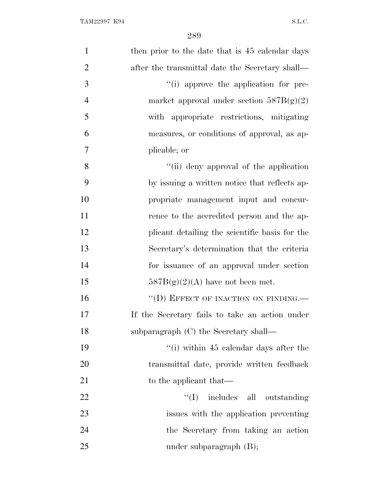| $\mathbf{1}$   | then prior to the date that is 45 calendar days |
|----------------|-------------------------------------------------|
| $\overline{2}$ | after the transmittal date the Secretary shall— |
| 3              | "(i) approve the application for pre-           |
| $\overline{4}$ | market approval under section $587B(g)(2)$      |
| 5              | with appropriate restrictions, mitigating       |
| 6              | measures, or conditions of approval, as ap-     |
| $\overline{7}$ | plicable; or                                    |
| 8              | "(ii) deny approval of the application          |
| 9              | by issuing a written notice that reflects ap-   |
| 10             | propriate management input and concur-          |
| 11             | rence to the accredited person and the ap-      |
| 12             | plicant detailing the scientific basis for the  |
| 13             | Secretary's determination that the criteria     |
| 14             | for issuance of an approval under section       |
| 15             | $587B(g)(2)(A)$ have not been met.              |
| 16             | "(D) EFFECT OF INACTION ON FINDING.             |
| 17             | If the Secretary fails to take an action under  |
| 18             | subparagraph (C) the Secretary shall—           |
| 19             | "(i) within 45 calendar days after the          |
| 20             | transmittal date, provide written feedback      |
| 21             | to the applicant that—                          |
| 22             | ``(I)<br>includes all outstanding               |
| 23             | issues with the application preventing          |
| 24             | the Secretary from taking an action             |
| 25             | under subparagraph (B);                         |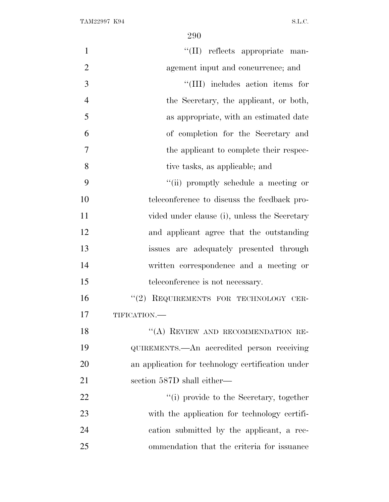| $\mathbf{1}$   | "(II) reflects appropriate man-                   |
|----------------|---------------------------------------------------|
| $\overline{2}$ | agement input and concurrence; and                |
| 3              | "(III) includes action items for                  |
| $\overline{4}$ | the Secretary, the applicant, or both,            |
| 5              | as appropriate, with an estimated date            |
| 6              | of completion for the Secretary and               |
| 7              | the applicant to complete their respec-           |
| 8              | tive tasks, as applicable; and                    |
| 9              | "(ii) promptly schedule a meeting or              |
| 10             | teleconference to discuss the feedback pro-       |
| 11             | vided under clause (i), unless the Secretary      |
| 12             | and applicant agree that the outstanding          |
| 13             | issues are adequately presented through           |
| 14             | written correspondence and a meeting or           |
| 15             | teleconference is not necessary.                  |
| 16             | "(2) REQUIREMENTS FOR TECHNOLOGY CER-             |
| 17             | TIFICATION.-                                      |
| 18             | "(A) REVIEW AND RECOMMENDATION RE-                |
| 19             | QUIREMENTS.—An accredited person receiving        |
| 20             | an application for technology certification under |
| 21             | section 587D shall either—                        |
| 22             | "(i) provide to the Secretary, together           |
| 23             | with the application for technology certifi-      |
| 24             | cation submitted by the applicant, a rec-         |
| 25             | ommendation that the criteria for issuance        |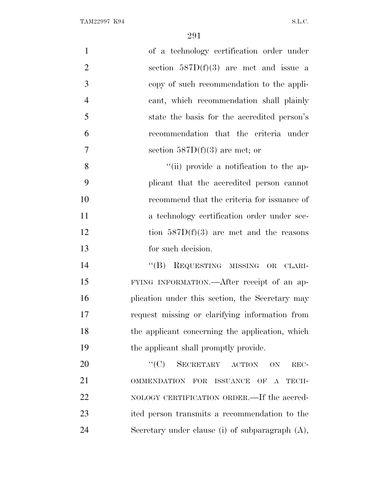| $\mathbf{1}$   | of a technology certification order under          |
|----------------|----------------------------------------------------|
| $\overline{2}$ | section $587D(f)(3)$ are met and issue a           |
| 3              | copy of such recommendation to the appli-          |
| $\overline{4}$ | cant, which recommendation shall plainly           |
| 5              | state the basis for the accredited person's        |
| 6              | recommendation that the criteria under             |
| 7              | section $587D(f)(3)$ are met; or                   |
| 8              | "(ii) provide a notification to the ap-            |
| 9              | plicant that the accredited person cannot          |
| 10             | recommend that the criteria for issuance of        |
| 11             | a technology certification order under sec-        |
| 12             | tion $587D(f)(3)$ are met and the reasons          |
| 13             | for such decision.                                 |
| 14             | "(B) REQUESTING MISSING OR CLARI-                  |
| 15             | FYING INFORMATION.—After receipt of an ap-         |
| 16             | plication under this section, the Secretary may    |
| 17             | request missing or clarifying information from     |
| 18             | the applicant concerning the application, which    |
| 19             | the applicant shall promptly provide.              |
| 20             | ``(C)<br>SECRETARY ACTION<br>ON<br>REC-            |
| 21             | OMMENDATION FOR ISSUANCE OF A<br>TECH-             |
| 22             | NOLOGY CERTIFICATION ORDER.—If the accred-         |
| 23             | ited person transmits a recommendation to the      |
| 24             | Secretary under clause (i) of subparagraph $(A)$ , |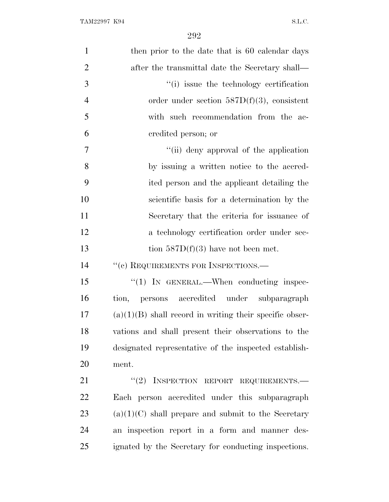| $\mathbf{1}$   | then prior to the date that is 60 calendar days           |
|----------------|-----------------------------------------------------------|
| $\mathbf{2}$   | after the transmittal date the Secretary shall—           |
| 3              | "(i) issue the technology certification                   |
| $\overline{4}$ | order under section $587D(f)(3)$ , consistent             |
| 5              | with such recommendation from the ac-                     |
| 6              | credited person; or                                       |
| $\overline{7}$ | "(ii) deny approval of the application                    |
| 8              | by issuing a written notice to the accred-                |
| 9              | ited person and the applicant detailing the               |
| 10             | scientific basis for a determination by the               |
| 11             | Secretary that the criteria for issuance of               |
| 12             | a technology certification order under sec-               |
| 13             | tion $587D(f)(3)$ have not been met.                      |
| 14             | "(c) REQUIREMENTS FOR INSPECTIONS.-                       |
| 15             | $\lq(1)$ In GENERAL.—When conducting inspec-              |
| 16             | tion, persons accredited under subparagraph               |
| 17             | $(a)(1)(B)$ shall record in writing their specific obser- |
| 18             | vations and shall present their observations to the       |
| 19             | designated representative of the inspected establish-     |
| 20             | ment.                                                     |
| 21             | $``(2)$ INSPECTION REPORT REQUIREMENTS.                   |
| 22             | Each person accredited under this subparagraph            |
| 23             | $(a)(1)(C)$ shall prepare and submit to the Secretary     |
| 24             | an inspection report in a form and manner des-            |
| 25             | ignated by the Secretary for conducting inspections.      |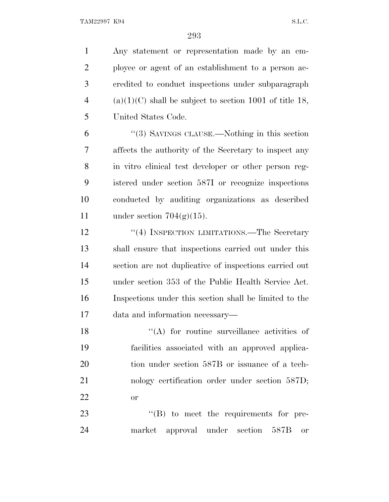TAM22997 K94 S.L.C.

 Any statement or representation made by an em- ployee or agent of an establishment to a person ac- credited to conduct inspections under subparagraph 4 (a)(1)(C) shall be subject to section 1001 of title 18, United States Code.

 ''(3) SAVINGS CLAUSE.—Nothing in this section affects the authority of the Secretary to inspect any in vitro clinical test developer or other person reg- istered under section 587I or recognize inspections conducted by auditing organizations as described 11 under section  $704(g)(15)$ .

12 "(4) INSPECTION LIMITATIONS.—The Secretary shall ensure that inspections carried out under this section are not duplicative of inspections carried out under section 353 of the Public Health Service Act. Inspections under this section shall be limited to the data and information necessary—

 $(4)$  for routine surveillance activities of facilities associated with an approved applica-20 tion under section 587B or issuance of a tech-21 nology certification order under section 587D; or

23  $\text{``(B)}$  to meet the requirements for pre-market approval under section 587B or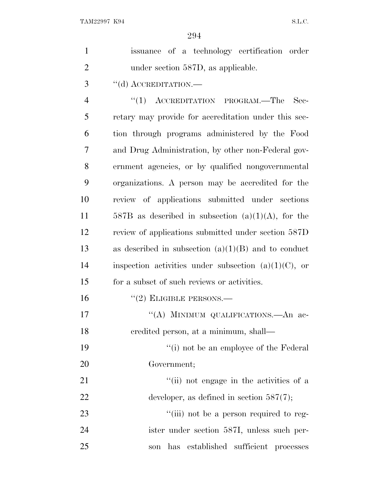| $\mathbf{1}$   | issuance of a technology certification order            |
|----------------|---------------------------------------------------------|
| $\overline{2}$ | under section 587D, as applicable.                      |
| 3              | "(d) ACCREDITATION.—                                    |
| $\overline{4}$ | $(1)$ ACCREDITATION PROGRAM.—The<br>Sec-                |
| 5              | retary may provide for accreditation under this sec-    |
| 6              | tion through programs administered by the Food          |
| 7              | and Drug Administration, by other non-Federal gov-      |
| 8              | ernment agencies, or by qualified nongovernmental       |
| 9              | organizations. A person may be accredited for the       |
| 10             | review of applications submitted under sections         |
| 11             | 587B as described in subsection $(a)(1)(A)$ , for the   |
| 12             | review of applications submitted under section 587D     |
| 13             | as described in subsection $(a)(1)(B)$ and to conduct   |
| 14             | inspection activities under subsection $(a)(1)(C)$ , or |
| 15             | for a subset of such reviews or activities.             |
| 16             | $"(2)$ ELIGIBLE PERSONS.—                               |
| 17             | "(A) MINIMUM QUALIFICATIONS.—An ac-                     |
| 18             | eredited person, at a minimum, shall—                   |
| 19             | "(i) not be an employee of the Federal"                 |
| 20             | Government;                                             |
| 21             | "(ii) not engage in the activities of a                 |
| 22             | developer, as defined in section $587(7)$ ;             |
| 23             | "(iii) not be a person required to reg-                 |
| 24             | ister under section 587I, unless such per-              |
| 25             | established sufficient processes<br>has<br>son          |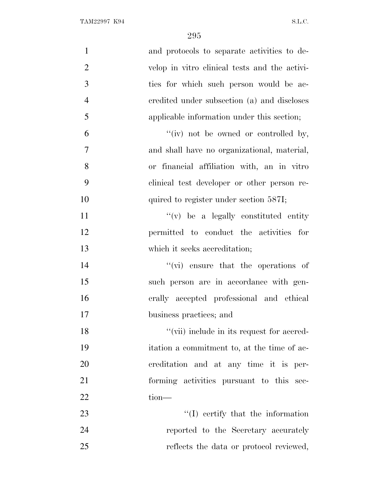| $\mathbf{1}$   | and protocols to separate activities to de-   |
|----------------|-----------------------------------------------|
| $\overline{2}$ | velop in vitro clinical tests and the activi- |
| 3              | ties for which such person would be ac-       |
| $\overline{4}$ | credited under subsection (a) and discloses   |
| 5              | applicable information under this section;    |
| 6              | "(iv) not be owned or controlled by,          |
| 7              | and shall have no organizational, material,   |
| 8              | or financial affiliation with, an in vitro    |
| 9              | clinical test developer or other person re-   |
| 10             | quired to register under section 587I;        |
| 11             | $f'(v)$ be a legally constituted entity       |
| 12             | permitted to conduct the activities for       |
| 13             | which it seeks accreditation;                 |
| 14             | $\lq\lq$ (vi) ensure that the operations of   |
| 15             | such person are in accordance with gen-       |
| 16             | erally accepted professional and ethical      |
| 17             | business practices; and                       |
| 18             | "(vii) include in its request for accred-     |
| 19             | itation a commitment to, at the time of ac-   |
| 20             | creditation and at any time it is per-        |
| 21             | forming activities pursuant to this sec-      |
| 22             | $tion$ —                                      |
| 23             | $\lq\lq$ (I) certify that the information     |
| 24             | reported to the Secretary accurately          |
| 25             | reflects the data or protocol reviewed,       |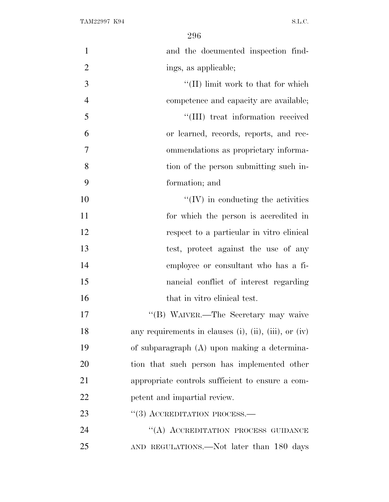| $\mathbf{1}$   | and the documented inspection find-                   |
|----------------|-------------------------------------------------------|
| $\overline{2}$ | ings, as applicable;                                  |
| 3              | $\lq\lq$ (II) limit work to that for which            |
| $\overline{4}$ | competence and capacity are available;                |
| 5              | "(III) treat information received                     |
| 6              | or learned, records, reports, and rec-                |
| 7              | ommendations as proprietary informa-                  |
| 8              | tion of the person submitting such in-                |
| 9              | formation; and                                        |
| 10             | $\lq\lq$ (IV) in conducting the activities            |
| 11             | for which the person is accredited in                 |
| 12             | respect to a particular in vitro clinical             |
| 13             | test, protect against the use of any                  |
| 14             | employee or consultant who has a fi-                  |
| 15             | nancial conflict of interest regarding                |
| 16             | that in vitro clinical test.                          |
| 17             | "(B) WAIVER.—The Secretary may waive                  |
| 18             | any requirements in clauses (i), (ii), (iii), or (iv) |
| 19             | of subparagraph (A) upon making a determina-          |
| 20             | tion that such person has implemented other           |
| 21             | appropriate controls sufficient to ensure a com-      |
| 22             | petent and impartial review.                          |
| 23             | $\cdot$ (3) ACCREDITATION PROCESS.—                   |
| 24             | "(A) ACCREDITATION PROCESS GUIDANCE                   |
| 25             | AND REGULATIONS.—Not later than 180 days              |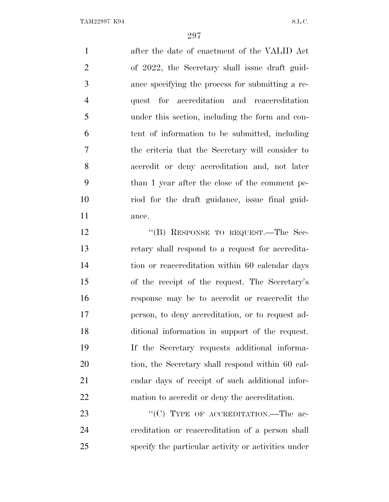after the date of enactment of the VALID Act of 2022, the Secretary shall issue draft guid- ance specifying the process for submitting a re- quest for accreditation and reaccreditation under this section, including the form and con- tent of information to be submitted, including the criteria that the Secretary will consider to accredit or deny accreditation and, not later than 1 year after the close of the comment pe- riod for the draft guidance, issue final guid-ance.

12 "(B) RESPONSE TO REQUEST.—The Sec- retary shall respond to a request for accredita- tion or reaccreditation within 60 calendar days of the receipt of the request. The Secretary's response may be to accredit or reaccredit the person, to deny accreditation, or to request ad- ditional information in support of the request. If the Secretary requests additional informa- tion, the Secretary shall respond within 60 cal- endar days of receipt of such additional infor-mation to accredit or deny the accreditation.

23 "'(C) TYPE OF ACCREDITATION.—The ac- creditation or reaccreditation of a person shall specify the particular activity or activities under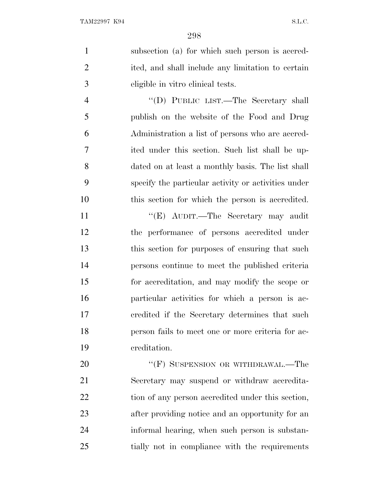subsection (a) for which such person is accred- ited, and shall include any limitation to certain eligible in vitro clinical tests. ''(D) PUBLIC LIST.—The Secretary shall publish on the website of the Food and Drug Administration a list of persons who are accred- ited under this section. Such list shall be up- dated on at least a monthly basis. The list shall specify the particular activity or activities under this section for which the person is accredited. 11 "'(E) AUDIT.—The Secretary may audit the performance of persons accredited under this section for purposes of ensuring that such persons continue to meet the published criteria for accreditation, and may modify the scope or particular activities for which a person is ac- credited if the Secretary determines that such person fails to meet one or more criteria for ac- creditation. 20 "'(F) SUSPENSION OR WITHDRAWAL.—The Secretary may suspend or withdraw accredita-22 tion of any person accredited under this section, after providing notice and an opportunity for an

informal hearing, when such person is substan-

tially not in compliance with the requirements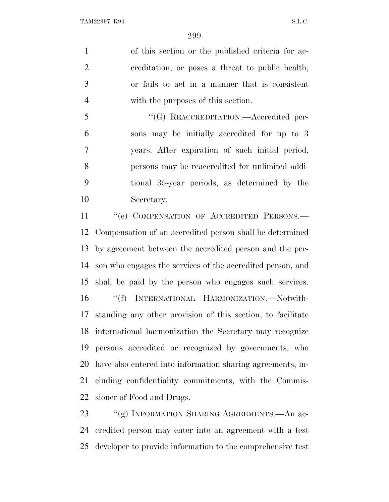of this section or the published criteria for ac- creditation, or poses a threat to public health, or fails to act in a manner that is consistent with the purposes of this section.

 ''(G) REACCREDITATION.—Accredited per- sons may be initially accredited for up to 3 years. After expiration of such initial period, persons may be reaccredited for unlimited addi- tional 35-year periods, as determined by the Secretary.

11 "
"(e) COMPENSATION OF ACCREDITED PERSONS.— Compensation of an accredited person shall be determined by agreement between the accredited person and the per- son who engages the services of the accredited person, and shall be paid by the person who engages such services. ''(f) INTERNATIONAL HARMONIZATION.—Notwith- standing any other provision of this section, to facilitate international harmonization the Secretary may recognize persons accredited or recognized by governments, who have also entered into information sharing agreements, in- cluding confidentiality commitments, with the Commis-sioner of Food and Drugs.

23 ""(g) INFORMATION SHARING AGREEMENTS.—An ac- credited person may enter into an agreement with a test developer to provide information to the comprehensive test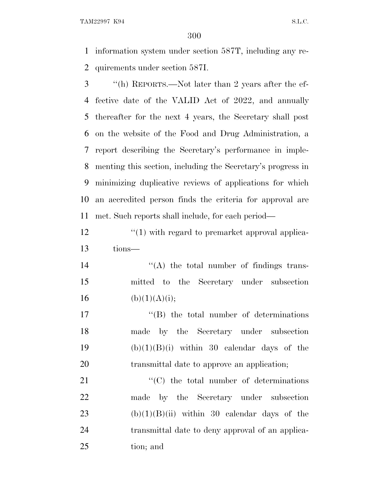TAM22997 K94 S.L.C.

 information system under section 587T, including any re-quirements under section 587I.

 ''(h) REPORTS.—Not later than 2 years after the ef- fective date of the VALID Act of 2022, and annually thereafter for the next 4 years, the Secretary shall post on the website of the Food and Drug Administration, a report describing the Secretary's performance in imple- menting this section, including the Secretary's progress in minimizing duplicative reviews of applications for which an accredited person finds the criteria for approval are met. Such reports shall include, for each period—

12 ''(1) with regard to premarket approval applica-tions—

14 ''(A) the total number of findings trans- mitted to the Secretary under subsection 16 (b)(1)(A)(i);

 $\text{``(B)}$  the total number of determinations made by the Secretary under subsection  $(b)(1)(B)(i)$  within 30 calendar days of the transmittal date to approve an application;

21  $\cdot$  (C) the total number of determinations made by the Secretary under subsection 23 (b) $(1)(B)(ii)$  within 30 calendar days of the transmittal date to deny approval of an applica-tion; and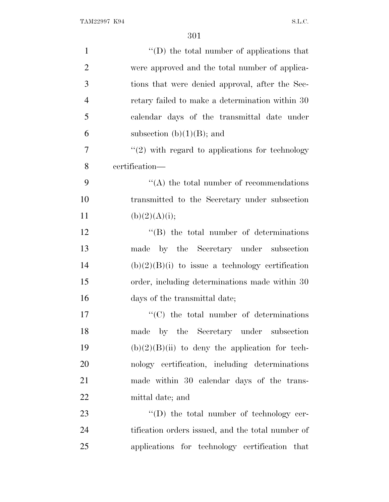| $\mathbf{1}$   | "(D) the total number of applications that          |
|----------------|-----------------------------------------------------|
| $\overline{2}$ | were approved and the total number of applica-      |
| 3              | tions that were denied approval, after the Sec-     |
| $\overline{4}$ | retary failed to make a determination within 30     |
| 5              | calendar days of the transmittal date under         |
| 6              | subsection $(b)(1)(B)$ ; and                        |
| 7              | $\lq(2)$ with regard to applications for technology |
| 8              | certification—                                      |
| 9              | $\lq\lq$ the total number of recommendations        |
| 10             | transmitted to the Secretary under subsection       |
| 11             | (b)(2)(A)(i);                                       |
| 12             | $\lq\lq (B)$ the total number of determinations     |
| 13             | made by the Secretary under subsection              |
| 14             | $(b)(2)(B)(i)$ to issue a technology certification  |
| 15             | order, including determinations made within 30      |
| 16             | days of the transmittal date;                       |
| 17             | $\cdot$ (C) the total number of determinations      |
| 18             | made by the Secretary under subsection              |
| 19             | $(b)(2)(B)(ii)$ to deny the application for tech-   |
| 20             | nology certification, including determinations      |
| 21             | made within 30 calendar days of the trans-          |
| 22             | mittal date; and                                    |
| 23             | "(D) the total number of technology cer-            |
| 24             | tification orders issued, and the total number of   |
| 25             | applications for technology certification that      |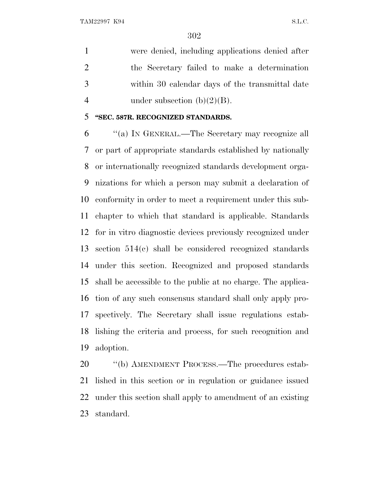were denied, including applications denied after the Secretary failed to make a determination within 30 calendar days of the transmittal date 4 under subsection  $(b)(2)(B)$ .

## **''SEC. 587R. RECOGNIZED STANDARDS.**

 ''(a) I<sup>N</sup> GENERAL.—The Secretary may recognize all or part of appropriate standards established by nationally or internationally recognized standards development orga- nizations for which a person may submit a declaration of conformity in order to meet a requirement under this sub- chapter to which that standard is applicable. Standards for in vitro diagnostic devices previously recognized under section 514(c) shall be considered recognized standards under this section. Recognized and proposed standards shall be accessible to the public at no charge. The applica- tion of any such consensus standard shall only apply pro- spectively. The Secretary shall issue regulations estab- lishing the criteria and process, for such recognition and adoption.

20 "(b) AMENDMENT PROCESS.—The procedures estab- lished in this section or in regulation or guidance issued under this section shall apply to amendment of an existing standard.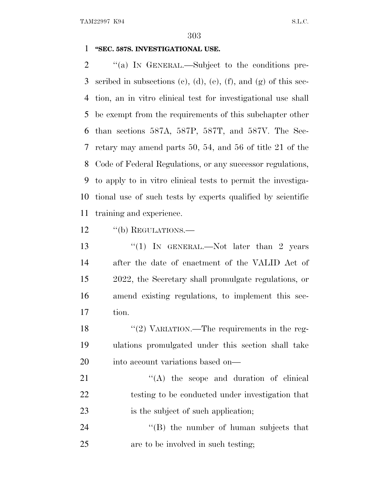## **''SEC. 587S. INVESTIGATIONAL USE.**

2 "(a) In GENERAL.—Subject to the conditions pre-3 scribed in subsections (c), (d), (e), (f), and (g) of this sec- tion, an in vitro clinical test for investigational use shall be exempt from the requirements of this subchapter other than sections 587A, 587P, 587T, and 587V. The Sec- retary may amend parts 50, 54, and 56 of title 21 of the Code of Federal Regulations, or any successor regulations, to apply to in vitro clinical tests to permit the investiga- tional use of such tests by experts qualified by scientific training and experience.

12 "(b) REGULATIONS.

13 "(1) In GENERAL.—Not later than 2 years after the date of enactment of the VALID Act of 2022, the Secretary shall promulgate regulations, or amend existing regulations, to implement this sec-tion.

18 "(2) VARIATION.—The requirements in the reg- ulations promulgated under this section shall take into account variations based on—

21  $\langle (A)$  the scope and duration of clinical testing to be conducted under investigation that 23 is the subject of such application;

24 ''(B) the number of human subjects that are to be involved in such testing;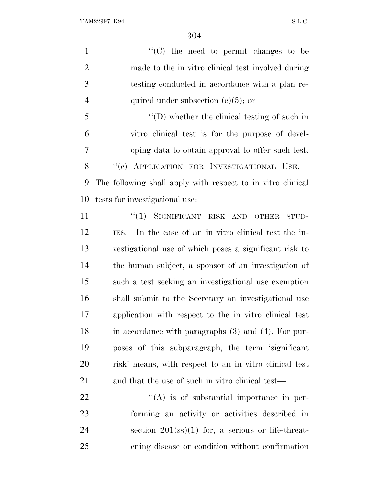$\lq(0)$  the need to permit changes to be made to the in vitro clinical test involved during testing conducted in accordance with a plan re-4 quired under subsection  $(c)(5)$ ; or ''(D) whether the clinical testing of such in vitro clinical test is for the purpose of devel- oping data to obtain approval to offer such test. 8 "(c) APPLICATION FOR INVESTIGATIONAL USE. The following shall apply with respect to in vitro clinical tests for investigational use: 11 "(1) SIGNIFICANT RISK AND OTHER STUD- IES.—In the case of an in vitro clinical test the in- vestigational use of which poses a significant risk to the human subject, a sponsor of an investigation of such a test seeking an investigational use exemption shall submit to the Secretary an investigational use application with respect to the in vitro clinical test in accordance with paragraphs (3) and (4). For pur-poses of this subparagraph, the term 'significant

and that the use of such in vitro clinical test—

risk' means, with respect to an in vitro clinical test

  $\qquad$   $\qquad$   $\qquad$   $\qquad$   $\qquad$   $\qquad$   $\qquad$   $\qquad$   $\qquad$   $\qquad$   $\qquad$   $\qquad$   $\qquad$   $\qquad$   $\qquad$   $\qquad$   $\qquad$   $\qquad$   $\qquad$   $\qquad$   $\qquad$   $\qquad$   $\qquad$   $\qquad$   $\qquad$   $\qquad$   $\qquad$   $\qquad$   $\qquad$   $\qquad$   $\qquad$   $\qquad$   $\qquad$   $\qquad$   $\qquad$   $\qquad$  forming an activity or activities described in 24 section (ss)(1) for, a serious or life-threat-ening disease or condition without confirmation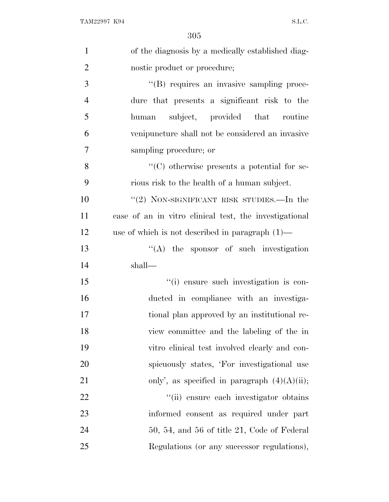| $\mathbf{1}$   | of the diagnosis by a medically established diag-      |
|----------------|--------------------------------------------------------|
| $\overline{2}$ | nostic product or procedure;                           |
| 3              | "(B) requires an invasive sampling proce-              |
| $\overline{4}$ | dure that presents a significant risk to the           |
| 5              | subject, provided that routine<br>human                |
| 6              | venipuncture shall not be considered an invasive       |
| 7              | sampling procedure; or                                 |
| 8              | "(C) otherwise presents a potential for se-            |
| 9              | rious risk to the health of a human subject.           |
| 10             | " $(2)$ NON-SIGNIFICANT RISK STUDIES.—In the           |
| 11             | case of an in vitro clinical test, the investigational |
| 12             | use of which is not described in paragraph $(1)$ —     |
| 13             | $\lq\lq$ the sponsor of such investigation             |
| 14             | shall—                                                 |
| 15             | "(i) ensure such investigation is con-                 |
| 16             | ducted in compliance with an investiga-                |
| 17             | tional plan approved by an institutional re-           |
| 18             | view committee and the labeling of the in              |
| 19             | vitro clinical test involved clearly and con-          |
| 20             | spicuously states, 'For investigational use            |
| 21             | only', as specified in paragraph $(4)(A)(ii)$ ;        |
| 22             | "(ii) ensure each investigator obtains                 |
| 23             | informed consent as required under part                |
| 24             | $50, 54,$ and $56$ of title 21, Code of Federal        |
| 25             | Regulations (or any successor regulations),            |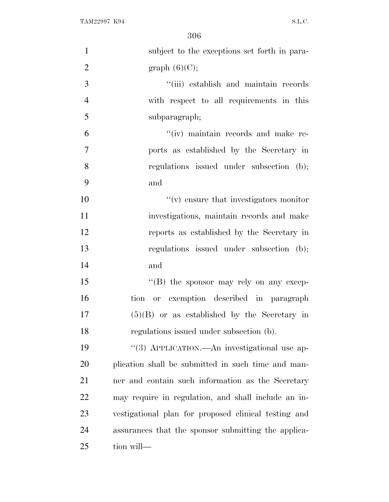| $\mathbf{1}$   | subject to the exceptions set forth in para-         |
|----------------|------------------------------------------------------|
| $\overline{2}$ | graph $(6)(C)$ ;                                     |
| 3              | "(iii) establish and maintain records                |
| $\overline{4}$ | with respect to all requirements in this             |
| 5              | subparagraph;                                        |
| 6              | "(iv) maintain records and make re-                  |
| $\tau$         | ports as established by the Secretary in             |
| 8              | regulations issued under subsection (b);             |
| 9              | and                                                  |
| 10             | $f'(v)$ ensure that investigators monitor            |
| 11             | investigations, maintain records and make            |
| 12             | reports as established by the Secretary in           |
| 13             | regulations issued under subsection (b);             |
| 14             | and                                                  |
| 15             | "(B) the sponsor may rely on any excep-              |
| 16             | tion or exemption described in paragraph             |
| 17             | $(5)(B)$ or as established by the Secretary in       |
| 18             | regulations issued under subsection (b).             |
| 19             | "(3) APPLICATION.—An investigational use ap-         |
| <b>20</b>      | plication shall be submitted in such time and man-   |
| 21             | ner and contain such information as the Secretary    |
| 22             | may require in regulation, and shall include an in-  |
| 23             | vestigational plan for proposed clinical testing and |
| 24             | assurances that the sponsor submitting the applica-  |
| 25             | tion will—                                           |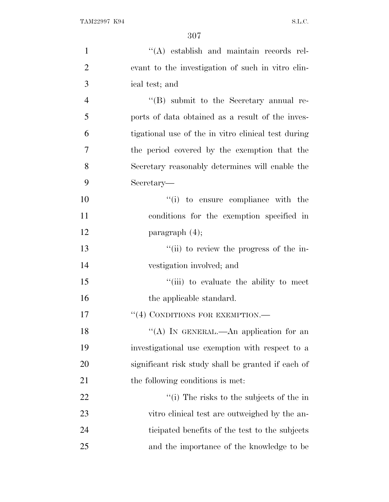| $\mathbf{1}$   | "(A) establish and maintain records rel-            |
|----------------|-----------------------------------------------------|
| $\mathbf{2}$   | evant to the investigation of such in vitro clin-   |
| 3              | ical test; and                                      |
| $\overline{4}$ | $\lq\lq (B)$ submit to the Secretary annual re-     |
| 5              | ports of data obtained as a result of the inves-    |
| 6              | tigational use of the in vitro clinical test during |
| 7              | the period covered by the exemption that the        |
| 8              | Secretary reasonably determines will enable the     |
| 9              | Secretary—                                          |
| 10             | "(i) to ensure compliance with the                  |
| 11             | conditions for the exemption specified in           |
| 12             | paragraph $(4)$ ;                                   |
| 13             | "(ii) to review the progress of the in-             |
| 14             | vestigation involved; and                           |
| 15             | "(iii) to evaluate the ability to meet              |
| 16             | the applicable standard.                            |
| 17             | $``(4)$ CONDITIONS FOR EXEMPTION.—                  |
| 18             | "(A) IN GENERAL.—An application for an              |
| 19             | investigational use exemption with respect to a     |
| 20             | significant risk study shall be granted if each of  |
| 21             | the following conditions is met.                    |
| 22             | "(i) The risks to the subjects of the in            |
| 23             | vitro clinical test are outweighed by the an-       |
| 24             | ticipated benefits of the test to the subjects      |
| 25             | and the importance of the knowledge to be           |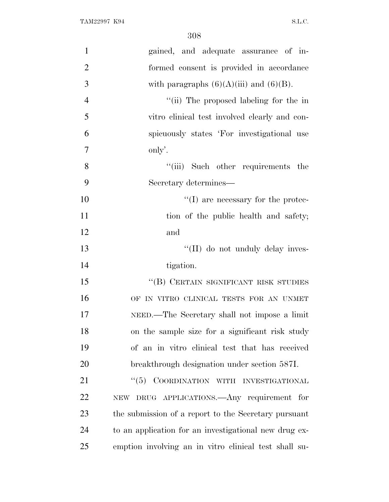| $\mathbf{1}$   | gained, and adequate assurance of in-                 |
|----------------|-------------------------------------------------------|
| $\overline{2}$ | formed consent is provided in accordance              |
| 3              | with paragraphs $(6)(A)(iii)$ and $(6)(B)$ .          |
| $\overline{4}$ | "(ii) The proposed labeling for the in                |
| 5              | vitro clinical test involved clearly and con-         |
| 6              | spicuously states 'For investigational use            |
| $\tau$         | only'.                                                |
| 8              | "(iii) Such other requirements the                    |
| 9              | Secretary determines—                                 |
| 10             | $\lq\lq$ (I) are necessary for the protec-            |
| 11             | tion of the public health and safety;                 |
| 12             | and                                                   |
| 13             | "(II) do not unduly delay inves-                      |
| 14             | tigation.                                             |
| 15             | "(B) CERTAIN SIGNIFICANT RISK STUDIES                 |
| 16             | OF IN VITRO CLINICAL TESTS FOR AN UNMET               |
| 17             | NEED.—The Secretary shall not impose a limit          |
| 18             | on the sample size for a significant risk study       |
| 19             | of an in vitro clinical test that has received        |
| 20             | breakthrough designation under section 587I.          |
| 21             | COORDINATION WITH INVESTIGATIONAL<br>``(5)            |
| 22             | NEW DRUG APPLICATIONS.—Any requirement for            |
| 23             | the submission of a report to the Secretary pursuant  |
| 24             | to an application for an investigational new drug ex- |
| 25             | emption involving an in vitro clinical test shall su- |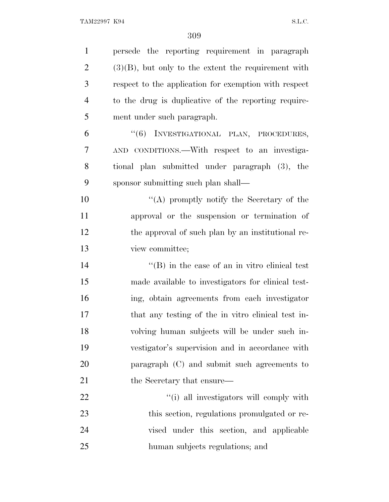| $\mathbf{1}$   | persede the reporting requirement in paragraph         |
|----------------|--------------------------------------------------------|
| $\overline{2}$ | $(3)(B)$ , but only to the extent the requirement with |
| 3              | respect to the application for exemption with respect  |
| $\overline{4}$ | to the drug is duplicative of the reporting require-   |
| 5              | ment under such paragraph.                             |
| 6              | "(6) INVESTIGATIONAL PLAN, PROCEDURES,                 |
| 7              | AND CONDITIONS.—With respect to an investiga-          |
| 8              | tional plan submitted under paragraph (3), the         |
| 9              | sponsor submitting such plan shall—                    |
| 10             | "(A) promptly notify the Secretary of the              |
| 11             | approval or the suspension or termination of           |
| 12             | the approval of such plan by an institutional re-      |
| 13             | view committee;                                        |
| 14             | $\lq\lq$ (B) in the case of an in vitro clinical test  |
| 15             | made available to investigators for clinical test-     |
| 16             | ing, obtain agreements from each investigator          |
| 17             | that any testing of the in vitro clinical test in-     |
| 18             | volving human subjects will be under such in-          |
| 19             | vestigator's supervision and in accordance with        |
| 20             | paragraph $(C)$ and submit such agreements to          |
| 21             | the Secretary that ensure—                             |
| 22             | "(i) all investigators will comply with                |
| 23             | this section, regulations promulgated or re-           |
| 24             | vised under this section, and applicable               |
| 25             | human subjects regulations; and                        |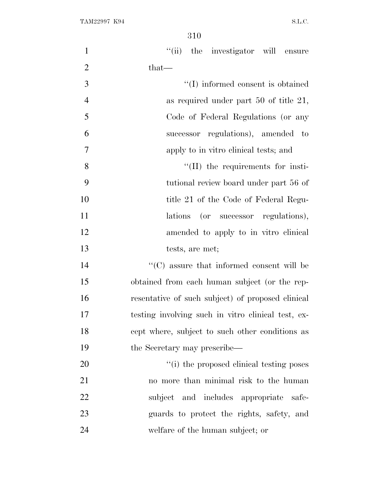| $\mathbf{1}$   | "(ii) the investigator will ensure                 |
|----------------|----------------------------------------------------|
| $\overline{2}$ | $that-$                                            |
| $\mathfrak{Z}$ | "(I) informed consent is obtained                  |
| $\overline{4}$ | as required under part $50$ of title $21$ ,        |
| 5              | Code of Federal Regulations (or any                |
| 6              | successor regulations), amended to                 |
| 7              | apply to in vitro clinical tests; and              |
| 8              | $\lq$ (II) the requirements for insti-             |
| 9              | tutional review board under part 56 of             |
| 10             | title 21 of the Code of Federal Regu-              |
| 11             | lations (or successor regulations),                |
| 12             | amended to apply to in vitro clinical              |
| 13             | tests, are met;                                    |
| 14             | $\lq\lq$ (C) assure that informed consent will be  |
| 15             | obtained from each human subject (or the rep-      |
| 16             | resentative of such subject) of proposed clinical  |
| 17             | testing involving such in vitro clinical test, ex- |
| 18             | cept where, subject to such other conditions as    |
| 19             | the Secretary may prescribe—                       |
| 20             | "(i) the proposed clinical testing poses           |
| 21             | no more than minimal risk to the human             |
| 22             | subject and includes appropriate safe-             |
| 23             | guards to protect the rights, safety, and          |
| 24             | welfare of the human subject; or                   |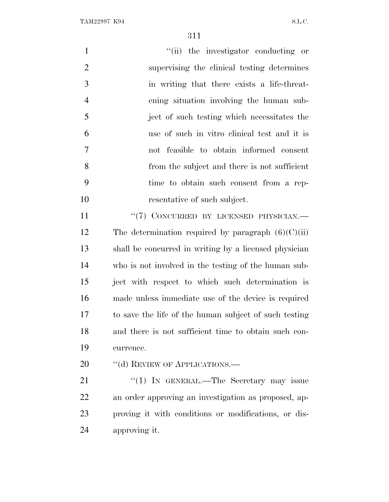TAM22997 K94 S.L.C.

| $\mathbf{1}$   | "(ii) the investigator conducting or                  |
|----------------|-------------------------------------------------------|
| $\overline{2}$ | supervising the clinical testing determines           |
| 3              | in writing that there exists a life-threat-           |
| $\overline{4}$ | ening situation involving the human sub-              |
| 5              | ject of such testing which necessitates the           |
| 6              | use of such in vitro clinical test and it is          |
| $\tau$         | not feasible to obtain informed consent               |
| 8              | from the subject and there is not sufficient          |
| 9              | time to obtain such consent from a rep-               |
| 10             | resentative of such subject.                          |
| 11             | "(7) CONCURRED BY LICENSED PHYSICIAN.-                |
| 12             | The determination required by paragraph $(6)(C)(ii)$  |
| 13             | shall be concurred in writing by a licensed physician |
| 14             | who is not involved in the testing of the human sub-  |
| 15             | ject with respect to which such determination is      |
| 16             | made unless immediate use of the device is required   |
| 17             | to save the life of the human subject of such testing |
| 18             | and there is not sufficient time to obtain such con-  |
| 19             | currence.                                             |
| 20             | "(d) REVIEW OF APPLICATIONS.—                         |
| 21             | "(1) IN GENERAL.—The Secretary may issue              |
| 22             | an order approving an investigation as proposed, ap-  |
| 23             | proving it with conditions or modifications, or dis-  |

approving it.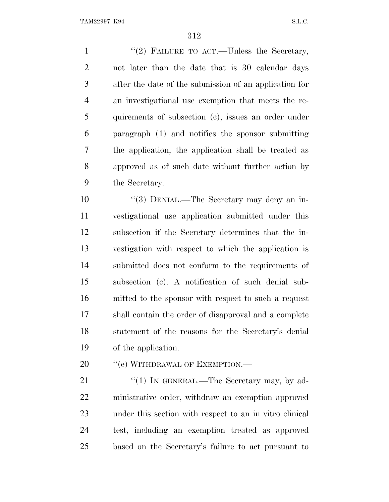1 "(2) FAILURE TO ACT.—Unless the Secretary, not later than the date that is 30 calendar days after the date of the submission of an application for an investigational use exemption that meets the re- quirements of subsection (c), issues an order under paragraph (1) and notifies the sponsor submitting the application, the application shall be treated as approved as of such date without further action by the Secretary.

 ''(3) DENIAL.—The Secretary may deny an in- vestigational use application submitted under this subsection if the Secretary determines that the in- vestigation with respect to which the application is submitted does not conform to the requirements of subsection (c). A notification of such denial sub- mitted to the sponsor with respect to such a request shall contain the order of disapproval and a complete statement of the reasons for the Secretary's denial of the application.

20 <sup>''</sup>(e) WITHDRAWAL OF EXEMPTION.—

21 "(1) IN GENERAL.—The Secretary may, by ad- ministrative order, withdraw an exemption approved under this section with respect to an in vitro clinical test, including an exemption treated as approved based on the Secretary's failure to act pursuant to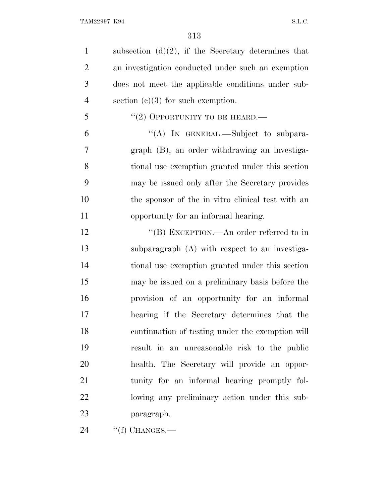1 subsection  $(d)(2)$ , if the Secretary determines that an investigation conducted under such an exemption does not meet the applicable conditions under sub-4 section (c)(3) for such exemption. "(2) OPPORTUNITY TO BE HEARD.— ''(A) IN GENERAL.—Subject to subpara- graph (B), an order withdrawing an investiga- tional use exemption granted under this section may be issued only after the Secretary provides the sponsor of the in vitro clinical test with an opportunity for an informal hearing. 12 "(B) EXCEPTION.—An order referred to in subparagraph (A) with respect to an investiga- tional use exemption granted under this section may be issued on a preliminary basis before the provision of an opportunity for an informal hearing if the Secretary determines that the continuation of testing under the exemption will result in an unreasonable risk to the public health. The Secretary will provide an oppor- tunity for an informal hearing promptly fol- lowing any preliminary action under this sub-paragraph.

''(f) CHANGES.—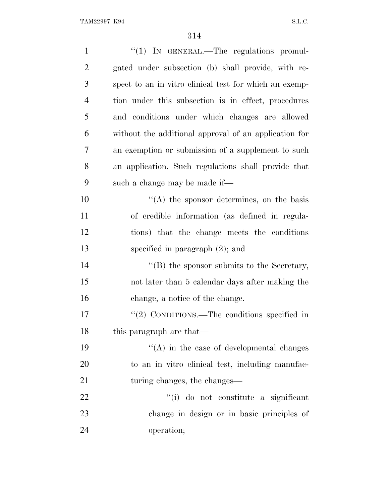| $\mathbf{1}$   | $\lq(1)$ IN GENERAL.—The regulations promul-           |
|----------------|--------------------------------------------------------|
| $\overline{2}$ | gated under subsection (b) shall provide, with re-     |
| 3              | spect to an in vitro clinical test for which an exemp- |
| $\overline{4}$ | tion under this subsection is in effect, procedures    |
| 5              | and conditions under which changes are allowed         |
| 6              | without the additional approval of an application for  |
| $\overline{7}$ | an exemption or submission of a supplement to such     |
| 8              | an application. Such regulations shall provide that    |
| 9              | such a change may be made if—                          |
| 10             | $\lq\lq$ the sponsor determines, on the basis          |
| 11             | of credible information (as defined in regula-         |
| 12             | tions) that the change meets the conditions            |
| 13             | specified in paragraph $(2)$ ; and                     |
| 14             | $\lq\lq$ the sponsor submits to the Secretary,         |
| 15             | not later than 5 calendar days after making the        |
| 16             | change, a notice of the change.                        |
| 17             | "(2) CONDITIONS.—The conditions specified in           |
| 18             | this paragraph are that—                               |
| 19             | $\lq\lq$ in the case of developmental changes          |
| 20             | to an in vitro clinical test, including manufac-       |
| 21             | turing changes, the changes—                           |
| 22             | "(i) do not constitute a significant                   |
| 23             | change in design or in basic principles of             |
| 24             | operation;                                             |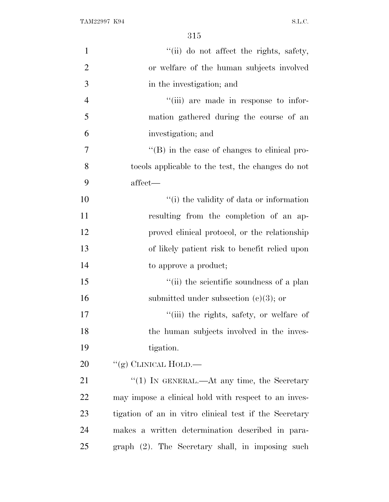| $\mathbf{1}$   | "(ii) do not affect the rights, safety,                |
|----------------|--------------------------------------------------------|
| $\overline{2}$ | or welfare of the human subjects involved              |
| 3              | in the investigation; and                              |
| $\overline{4}$ | "(iii) are made in response to infor-                  |
| 5              | mation gathered during the course of an                |
| 6              | investigation; and                                     |
| 7              | $\lq\lq (B)$ in the case of changes to clinical pro-   |
| 8              | to to the test, the changes do not                     |
| 9              | affect-                                                |
| 10             | "(i) the validity of data or information               |
| 11             | resulting from the completion of an ap-                |
| 12             | proved clinical protocol, or the relationship          |
| 13             | of likely patient risk to benefit relied upon          |
| 14             | to approve a product;                                  |
| 15             | "(ii) the scientific soundness of a plan               |
| 16             | submitted under subsection $(c)(3)$ ; or               |
| 17             | "(iii) the rights, safety, or welfare of               |
| 18             | the human subjects involved in the inves-              |
| 19             | tigation.                                              |
| 20             | "(g) CLINICAL HOLD.—                                   |
| 21             | "(1) IN GENERAL.—At any time, the Secretary            |
| 22             | may impose a clinical hold with respect to an inves-   |
| 23             | tigation of an in vitro clinical test if the Secretary |
| 24             | makes a written determination described in para-       |
| 25             | graph (2). The Secretary shall, in imposing such       |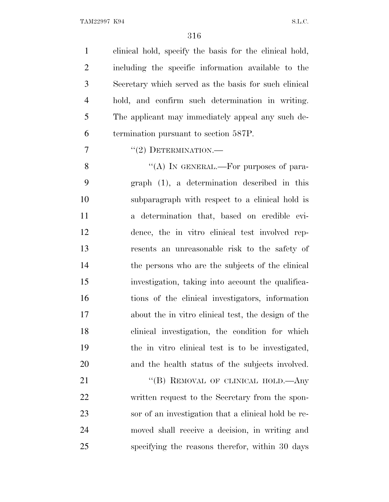clinical hold, specify the basis for the clinical hold, including the specific information available to the Secretary which served as the basis for such clinical hold, and confirm such determination in writing. The applicant may immediately appeal any such de-termination pursuant to section 587P.

 $7 \t\t\t\t\t\t''(2)$  DETERMINATION.—

 $"$ (A) In GENERAL.—For purposes of para- graph (1), a determination described in this subparagraph with respect to a clinical hold is a determination that, based on credible evi- dence, the in vitro clinical test involved rep- resents an unreasonable risk to the safety of the persons who are the subjects of the clinical investigation, taking into account the qualifica- tions of the clinical investigators, information about the in vitro clinical test, the design of the clinical investigation, the condition for which the in vitro clinical test is to be investigated, and the health status of the subjects involved.

21 "(B) REMOVAL OF CLINICAL HOLD.—Any written request to the Secretary from the spon- sor of an investigation that a clinical hold be re- moved shall receive a decision, in writing and specifying the reasons therefor, within 30 days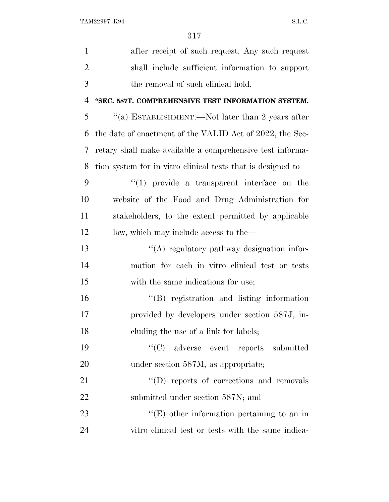| $\mathbf{1}$   | after receipt of such request. Any such request              |
|----------------|--------------------------------------------------------------|
| $\overline{2}$ | shall include sufficient information to support              |
| 3              | the removal of such clinical hold.                           |
| 4              | "SEC. 587T. COMPREHENSIVE TEST INFORMATION SYSTEM.           |
| 5              | "(a) ESTABLISHMENT.—Not later than 2 years after             |
| 6              | the date of enactment of the VALID Act of 2022, the Sec-     |
| 7              | retary shall make available a comprehensive test informa-    |
| 8              | tion system for in vitro clinical tests that is designed to— |
| 9              | $\lq(1)$ provide a transparent interface on the              |
| 10             | website of the Food and Drug Administration for              |
| 11             | stakeholders, to the extent permitted by applicable          |
| 12             | law, which may include access to the—                        |
| 13             | "(A) regulatory pathway designation infor-                   |
| 14             | mation for each in vitro clinical test or tests              |
| 15             | with the same indications for use;                           |
| 16             | $\lq\lq$ registration and listing information                |
| 17             | provided by developers under section 587J, in-               |
| 18             | cluding the use of a link for labels;                        |
| 19             | "(C) adverse event reports submitted                         |
| 20             | under section 587M, as appropriate;                          |
| 21             | $\lq\lq$ reports of corrections and removals                 |
| 22             | submitted under section 587N; and                            |
| 23             | $\lq\lq$ (E) other information pertaining to an in           |
| 24             | vitro clinical test or tests with the same indica-           |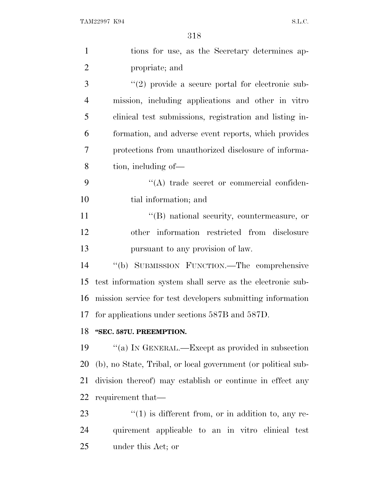| $\mathbf{1}$   | tions for use, as the Secretary determines ap-                |
|----------------|---------------------------------------------------------------|
| $\overline{2}$ | propriate; and                                                |
| 3              | $\lq(2)$ provide a secure portal for electronic sub-          |
| $\overline{4}$ | mission, including applications and other in vitro            |
| 5              | clinical test submissions, registration and listing in-       |
| 6              | formation, and adverse event reports, which provides          |
| 7              | protections from unauthorized disclosure of informa-          |
| 8              | tion, including of—                                           |
| 9              | $\lq\lq$ trade secret or commercial confiden-                 |
| 10             | tial information; and                                         |
| 11             | "(B) national security, countermeasure, or                    |
| 12             | other information restricted from disclosure                  |
| 13             | pursuant to any provision of law.                             |
| 14             | "(b) SUBMISSION FUNCTION.—The comprehensive                   |
| 15             | test information system shall serve as the electronic sub-    |
| 16             | mission service for test developers submitting information    |
| 17             | for applications under sections 587B and 587D.                |
|                | 18 "SEC. 587U. PREEMPTION.                                    |
| 19             | "(a) IN GENERAL.—Except as provided in subsection             |
| 20             | (b), no State, Tribal, or local government (or political sub- |
| 21             | division thereof) may establish or continue in effect any     |
| 22             | requirement that—                                             |
| 23             | $``(1)$ is different from, or in addition to, any re-         |
| 24             | quirement applicable to an in vitro clinical test             |
|                |                                                               |

under this Act; or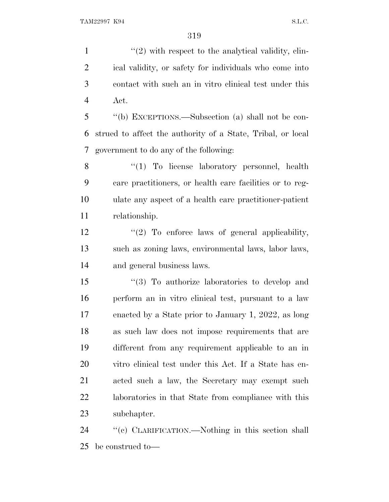$\frac{1}{2}$  with respect to the analytical validity, clin- ical validity, or safety for individuals who come into contact with such an in vitro clinical test under this Act.

 ''(b) EXCEPTIONS.—Subsection (a) shall not be con- strued to affect the authority of a State, Tribal, or local government to do any of the following:

8 "(1) To license laboratory personnel, health care practitioners, or health care facilities or to reg- ulate any aspect of a health care practitioner-patient relationship.

12  $\frac{12}{2}$  To enforce laws of general applicability, such as zoning laws, environmental laws, labor laws, and general business laws.

 ''(3) To authorize laboratories to develop and perform an in vitro clinical test, pursuant to a law enacted by a State prior to January 1, 2022, as long as such law does not impose requirements that are different from any requirement applicable to an in vitro clinical test under this Act. If a State has en- acted such a law, the Secretary may exempt such laboratories in that State from compliance with this subchapter.

 ''(c) CLARIFICATION.—Nothing in this section shall be construed to—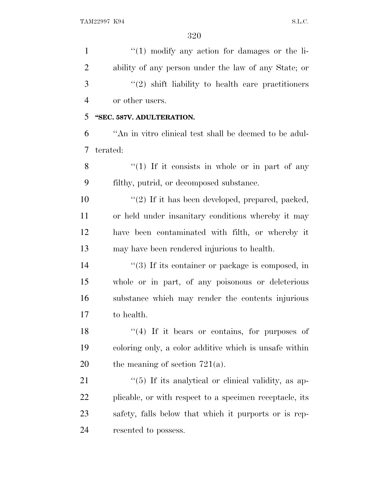| $\mathbf{1}$   | $\lq(1)$ modify any action for damages or the li-       |
|----------------|---------------------------------------------------------|
| $\overline{2}$ | ability of any person under the law of any State; or    |
| 3              | $\lq(2)$ shift liability to health care practitioners   |
| $\overline{4}$ | or other users.                                         |
| 5              | "SEC. 587V. ADULTERATION.                               |
| 6              | "An in vitro clinical test shall be deemed to be adul-  |
| 7              | terated:                                                |
| 8              | $\lq(1)$ If it consists in whole or in part of any      |
| 9              | filthy, putrid, or decomposed substance.                |
| 10             | "(2) If it has been developed, prepared, packed,        |
| 11             | or held under insanitary conditions whereby it may      |
| 12             | have been contaminated with filth, or whereby it        |
| 13             | may have been rendered injurious to health.             |
| 14             | $\lq(3)$ If its container or package is composed, in    |
| 15             | whole or in part, of any poisonous or deleterious       |
| 16             | substance which may render the contents injurious       |
| 17             | to health.                                              |
| 18             | "(4) If it bears or contains, for purposes of           |
| 19             | coloring only, a color additive which is unsafe within  |
| 20             | the meaning of section $721(a)$ .                       |
| 21             | "(5) If its analytical or clinical validity, as ap-     |
| 22             | plicable, or with respect to a specimen receptacle, its |
| 23             | safety, falls below that which it purports or is rep-   |
| 24             | resented to possess.                                    |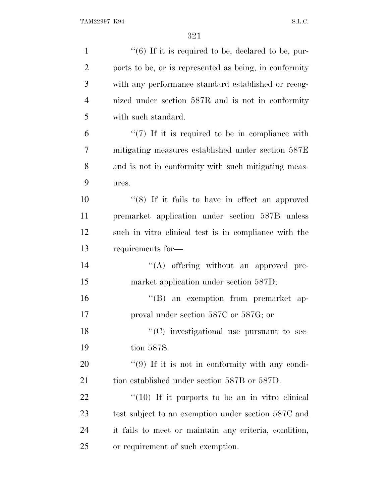| $\mathbf{1}$   | $\lq(6)$ If it is required to be, declared to be, pur- |
|----------------|--------------------------------------------------------|
| $\overline{2}$ | ports to be, or is represented as being, in conformity |
| 3              | with any performance standard established or recog-    |
| $\overline{4}$ | nized under section 587R and is not in conformity      |
| 5              | with such standard.                                    |
| 6              | $\lq(7)$ If it is required to be in compliance with    |
| 7              | mitigating measures established under section 587E     |
| 8              | and is not in conformity with such mitigating meas-    |
| 9              | ures.                                                  |
| 10             | " $(8)$ If it fails to have in effect an approved      |
| 11             | premarket application under section 587B unless        |
| 12             | such in vitro clinical test is in compliance with the  |
| 13             | requirements for-                                      |
| 14             | "(A) offering without an approved pre-                 |
| 15             | market application under section 587D;                 |
| 16             | "(B) an exemption from premarket ap-                   |
| 17             | proval under section 587C or 587G; or                  |
| 18             | $\cdot$ (C) investigational use pursuant to sec-       |
| 19             | tion 587S.                                             |
| 20             | "(9) If it is not in conformity with any condi-        |
| 21             | tion established under section 587B or 587D.           |
| 22             | $\lq(10)$ If it purports to be an in vitro clinical    |
| 23             | test subject to an exemption under section 587C and    |
| 24             | it fails to meet or maintain any criteria, condition,  |
| 25             | or requirement of such exemption.                      |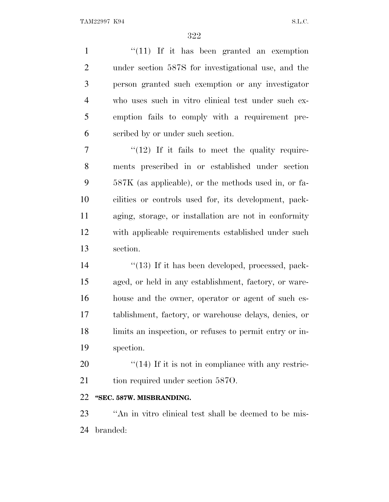1 "(11) If it has been granted an exemption under section 587S for investigational use, and the person granted such exemption or any investigator who uses such in vitro clinical test under such ex- emption fails to comply with a requirement pre-scribed by or under such section.

 $7 \t\t\t\t\t''(12)$  If it fails to meet the quality require- ments prescribed in or established under section 587K (as applicable), or the methods used in, or fa- cilities or controls used for, its development, pack- aging, storage, or installation are not in conformity with applicable requirements established under such section.

 $\frac{1}{2}$  (13) If it has been developed, processed, pack- aged, or held in any establishment, factory, or ware- house and the owner, operator or agent of such es- tablishment, factory, or warehouse delays, denies, or limits an inspection, or refuses to permit entry or in-spection.

 ''(14) If it is not in compliance with any restric-21 tion required under section 5870.

## **''SEC. 587W. MISBRANDING.**

 ''An in vitro clinical test shall be deemed to be mis-branded: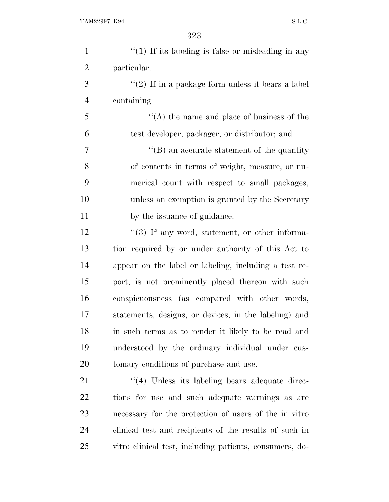| $\mathbf{1}$   | $"(1)$ If its labeling is false or misleading in any    |
|----------------|---------------------------------------------------------|
| $\overline{2}$ | particular.                                             |
| 3              | "(2) If in a package form unless it bears a label       |
| $\overline{4}$ | containing—                                             |
| 5              | $\lq\lq$ the name and place of business of the          |
| 6              | test developer, packager, or distributor; and           |
| 7              | $\lq\lq (B)$ an accurate statement of the quantity      |
| 8              | of contents in terms of weight, measure, or nu-         |
| 9              | merical count with respect to small packages,           |
| 10             | unless an exemption is granted by the Secretary         |
| 11             | by the issuance of guidance.                            |
| 12             | $\lq(3)$ If any word, statement, or other informa-      |
| 13             | tion required by or under authority of this Act to      |
| 14             | appear on the label or labeling, including a test re-   |
| 15             | port, is not prominently placed thereon with such       |
| 16             | conspicuousness (as compared with other words,          |
| 17             | statements, designs, or devices, in the labeling) and   |
| 18             | in such terms as to render it likely to be read and     |
| 19             | understood by the ordinary individual under cus-        |
| 20             | tomary conditions of purchase and use.                  |
| 21             | $\cdot$ (4) Unless its labeling bears adequate direc-   |
| 22             | tions for use and such adequate warnings as are         |
| 23             | necessary for the protection of users of the in vitro   |
| 24             | clinical test and recipients of the results of such in  |
| 25             | vitro clinical test, including patients, consumers, do- |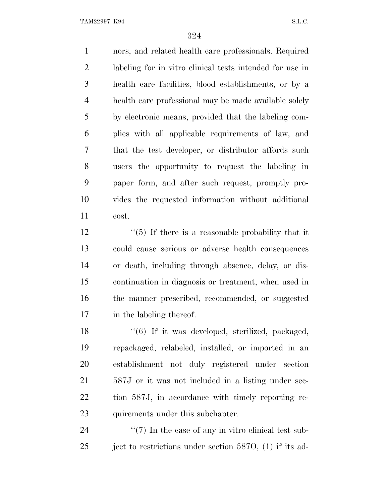TAM22997 K94 S.L.C.

 nors, and related health care professionals. Required labeling for in vitro clinical tests intended for use in health care facilities, blood establishments, or by a health care professional may be made available solely by electronic means, provided that the labeling com- plies with all applicable requirements of law, and that the test developer, or distributor affords such users the opportunity to request the labeling in paper form, and after such request, promptly pro- vides the requested information without additional cost.

 $\frac{12}{12}$  ''(5) If there is a reasonable probability that it could cause serious or adverse health consequences or death, including through absence, delay, or dis- continuation in diagnosis or treatment, when used in the manner prescribed, recommended, or suggested in the labeling thereof.

18 ''(6) If it was developed, sterilized, packaged, repackaged, relabeled, installed, or imported in an establishment not duly registered under section 587J or it was not included in a listing under sec- tion 587J, in accordance with timely reporting re-23 quirements under this subchapter.

24  $\frac{1}{2}$  (7) In the case of any in vitro clinical test sub-25 ject to restrictions under section 587O, (1) if its ad-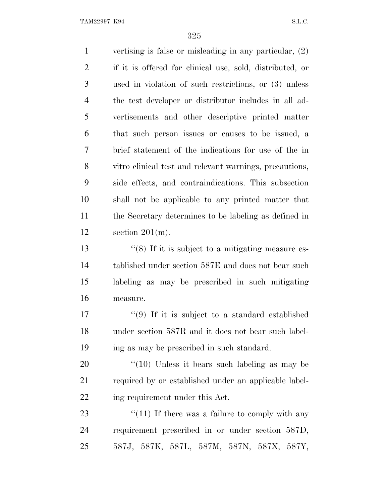vertising is false or misleading in any particular, (2) if it is offered for clinical use, sold, distributed, or used in violation of such restrictions, or (3) unless the test developer or distributor includes in all ad- vertisements and other descriptive printed matter that such person issues or causes to be issued, a brief statement of the indications for use of the in vitro clinical test and relevant warnings, precautions, side effects, and contraindications. This subsection shall not be applicable to any printed matter that the Secretary determines to be labeling as defined in section 201(m). 13 ''(8) If it is subject to a mitigating measure es- tablished under section 587E and does not bear such labeling as may be prescribed in such mitigating measure.  $\frac{17}{2}$   $\frac{17}{2}$  if it is subject to a standard established under section 587R and it does not bear such label- ing as may be prescribed in such standard. ''(10) Unless it bears such labeling as may be required by or established under an applicable label-

ing requirement under this Act.

23 "(11) If there was a failure to comply with any requirement prescribed in or under section 587D, 587J, 587K, 587L, 587M, 587N, 587X, 587Y,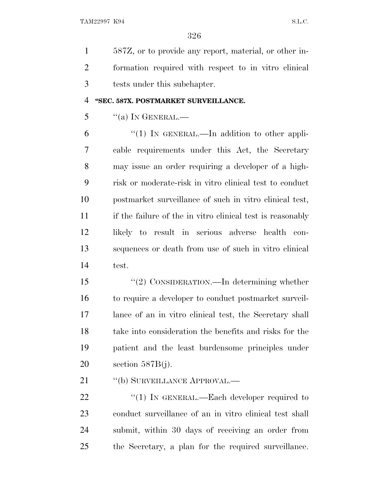587Z, or to provide any report, material, or other in- formation required with respect to in vitro clinical tests under this subchapter.

### **''SEC. 587X. POSTMARKET SURVEILLANCE.**

 $\frac{1}{2}$  ''(a) In GENERAL.—

 $(1)$  In GENERAL.—In addition to other appli- cable requirements under this Act, the Secretary may issue an order requiring a developer of a high- risk or moderate-risk in vitro clinical test to conduct postmarket surveillance of such in vitro clinical test, if the failure of the in vitro clinical test is reasonably likely to result in serious adverse health con- sequences or death from use of such in vitro clinical test.

 ''(2) CONSIDERATION.—In determining whether to require a developer to conduct postmarket surveil- lance of an in vitro clinical test, the Secretary shall take into consideration the benefits and risks for the patient and the least burdensome principles under section 587B(j).

21 "(b) SURVEILLANCE APPROVAL.—

22 "(1) IN GENERAL.—Each developer required to conduct surveillance of an in vitro clinical test shall submit, within 30 days of receiving an order from the Secretary, a plan for the required surveillance.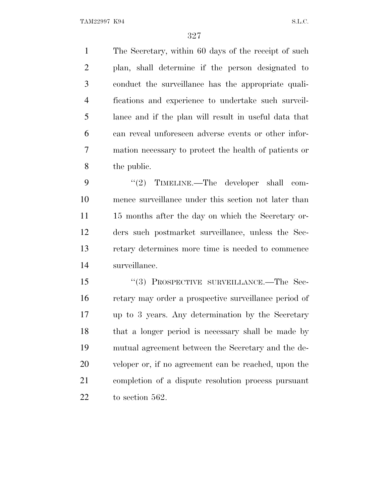The Secretary, within 60 days of the receipt of such plan, shall determine if the person designated to conduct the surveillance has the appropriate quali- fications and experience to undertake such surveil- lance and if the plan will result in useful data that can reveal unforeseen adverse events or other infor- mation necessary to protect the health of patients or the public.

9 "(2) TIMELINE.—The developer shall com- mence surveillance under this section not later than 11 15 months after the day on which the Secretary or- ders such postmarket surveillance, unless the Sec- retary determines more time is needed to commence surveillance.

 ''(3) PROSPECTIVE SURVEILLANCE.—The Sec- retary may order a prospective surveillance period of up to 3 years. Any determination by the Secretary that a longer period is necessary shall be made by mutual agreement between the Secretary and the de- veloper or, if no agreement can be reached, upon the completion of a dispute resolution process pursuant to section 562.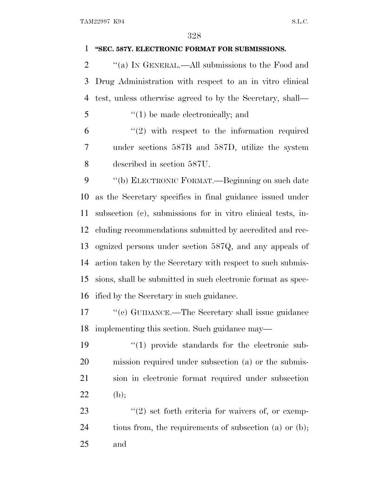## **''SEC. 587Y. ELECTRONIC FORMAT FOR SUBMISSIONS.**

2  $\gamma$  (a) IN GENERAL.—All submissions to the Food and Drug Administration with respect to an in vitro clinical test, unless otherwise agreed to by the Secretary, shall—

''(1) be made electronically; and

 "(2) with respect to the information required under sections 587B and 587D, utilize the system described in section 587U.

9 "(b) ELECTRONIC FORMAT.—Beginning on such date as the Secretary specifies in final guidance issued under subsection (c), submissions for in vitro clinical tests, in- cluding recommendations submitted by accredited and rec- ognized persons under section 587Q, and any appeals of action taken by the Secretary with respect to such submis- sions, shall be submitted in such electronic format as spec-ified by the Secretary in such guidance.

17 ''(c) GUIDANCE.—The Secretary shall issue guidance implementing this section. Such guidance may—

 ''(1) provide standards for the electronic sub- mission required under subsection (a) or the submis- sion in electronic format required under subsection 22 (b);

23  $\frac{1}{2}$  set forth criteria for waivers of, or exemp-24 tions from, the requirements of subsection (a) or (b); and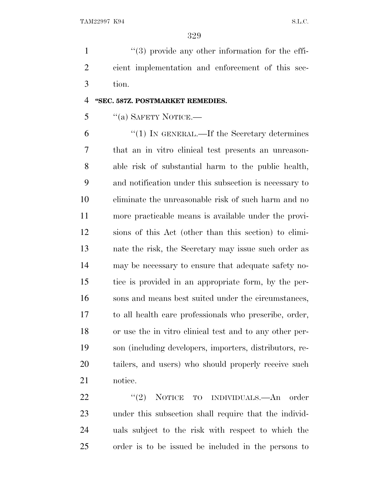1 ''(3) provide any other information for the effi- cient implementation and enforcement of this sec-tion.

## **''SEC. 587Z. POSTMARKET REMEDIES.**

# "(a) SAFETY NOTICE.—

 ''(1) IN GENERAL.—If the Secretary determines that an in vitro clinical test presents an unreason- able risk of substantial harm to the public health, and notification under this subsection is necessary to eliminate the unreasonable risk of such harm and no more practicable means is available under the provi- sions of this Act (other than this section) to elimi- nate the risk, the Secretary may issue such order as may be necessary to ensure that adequate safety no- tice is provided in an appropriate form, by the per- sons and means best suited under the circumstances, to all health care professionals who prescribe, order, or use the in vitro clinical test and to any other per- son (including developers, importers, distributors, re- tailers, and users) who should properly receive such notice.

22 "(2) NOTICE TO INDIVIDUALS.—An order under this subsection shall require that the individ- uals subject to the risk with respect to which the order is to be issued be included in the persons to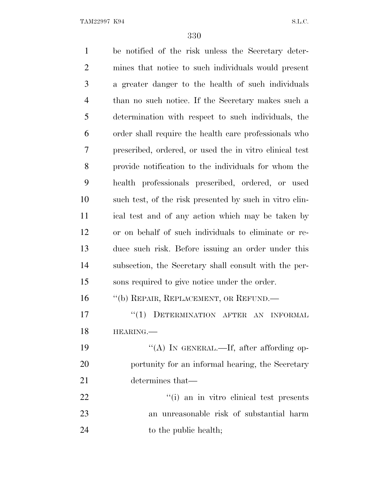be notified of the risk unless the Secretary deter- mines that notice to such individuals would present a greater danger to the health of such individuals than no such notice. If the Secretary makes such a determination with respect to such individuals, the order shall require the health care professionals who prescribed, ordered, or used the in vitro clinical test provide notification to the individuals for whom the health professionals prescribed, ordered, or used such test, of the risk presented by such in vitro clin- ical test and of any action which may be taken by or on behalf of such individuals to eliminate or re- duce such risk. Before issuing an order under this subsection, the Secretary shall consult with the per- sons required to give notice under the order. 16 "(b) REPAIR, REPLACEMENT, OR REFUND.— 17 "(1) DETERMINATION AFTER AN INFORMAL HEARING.— 19 "(A) IN GENERAL.—If, after affording op- portunity for an informal hearing, the Secretary determines that—  $\frac{1}{1}$  an in vitro clinical test presents an unreasonable risk of substantial harm 24 to the public health;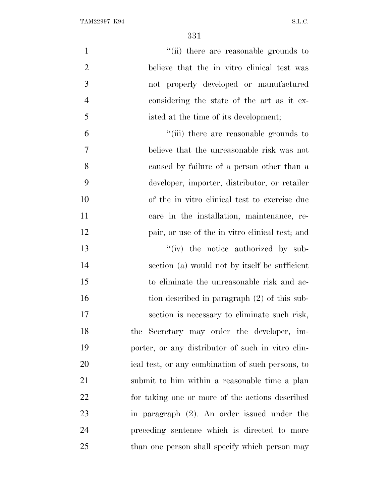| $\mathbf{1}$   | "(ii) there are reasonable grounds to             |
|----------------|---------------------------------------------------|
| $\overline{2}$ | believe that the in vitro clinical test was       |
| 3              | not properly developed or manufactured            |
| $\overline{4}$ | considering the state of the art as it ex-        |
| 5              | isted at the time of its development;             |
| 6              | "(iii) there are reasonable grounds to            |
| 7              | believe that the unreasonable risk was not        |
| 8              | caused by failure of a person other than a        |
| 9              | developer, importer, distributor, or retailer     |
| 10             | of the in vitro clinical test to exercise due     |
| 11             | care in the installation, maintenance, re-        |
| 12             | pair, or use of the in vitro clinical test; and   |
| 13             | $``(iv)$ the notice authorized by sub-            |
| 14             | section (a) would not by itself be sufficient     |
| 15             | to eliminate the unreasonable risk and ac-        |
| 16             | tion described in paragraph (2) of this sub-      |
| 17             | section is necessary to eliminate such risk,      |
| 18             | the Secretary may order the developer, im-        |
| 19             | porter, or any distributor of such in vitro clin- |
| 20             | ical test, or any combination of such persons, to |
| 21             | submit to him within a reasonable time a plan     |
| 22             | for taking one or more of the actions described   |
| 23             | in paragraph $(2)$ . An order issued under the    |
| 24             | preceding sentence which is directed to more      |
| 25             | than one person shall specify which person may    |
|                |                                                   |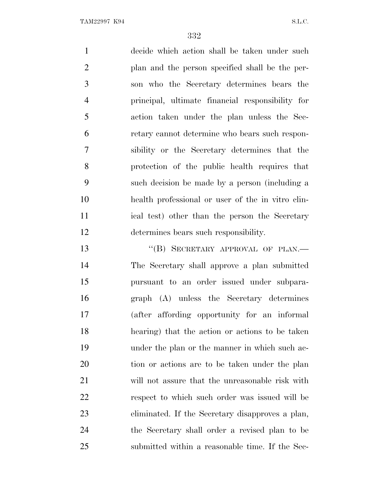decide which action shall be taken under such plan and the person specified shall be the per- son who the Secretary determines bears the principal, ultimate financial responsibility for action taken under the plan unless the Sec- retary cannot determine who bears such respon- sibility or the Secretary determines that the protection of the public health requires that such decision be made by a person (including a health professional or user of the in vitro clin- ical test) other than the person the Secretary determines bears such responsibility.

13 "(B) SECRETARY APPROVAL OF PLAN.— The Secretary shall approve a plan submitted pursuant to an order issued under subpara- graph (A) unless the Secretary determines (after affording opportunity for an informal hearing) that the action or actions to be taken under the plan or the manner in which such ac- tion or actions are to be taken under the plan will not assure that the unreasonable risk with respect to which such order was issued will be eliminated. If the Secretary disapproves a plan, the Secretary shall order a revised plan to be submitted within a reasonable time. If the Sec-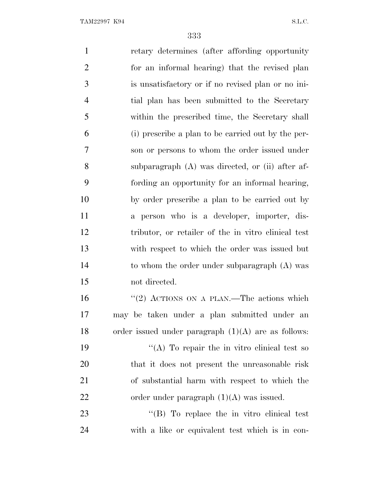retary determines (after affording opportunity for an informal hearing) that the revised plan is unsatisfactory or if no revised plan or no ini- tial plan has been submitted to the Secretary within the prescribed time, the Secretary shall (i) prescribe a plan to be carried out by the per- son or persons to whom the order issued under subparagraph (A) was directed, or (ii) after af- fording an opportunity for an informal hearing, by order prescribe a plan to be carried out by a person who is a developer, importer, dis- tributor, or retailer of the in vitro clinical test with respect to which the order was issued but to whom the order under subparagraph (A) was not directed. 16 "(2) ACTIONS ON A PLAN.—The actions which may be taken under a plan submitted under an order issued under paragraph (1)(A) are as follows:  $((A)$  To repair the in vitro clinical test so that it does not present the unreasonable risk of substantial harm with respect to which the 22 order under paragraph  $(1)(A)$  was issued.

23 "'(B) To replace the in vitro clinical test with a like or equivalent test which is in con-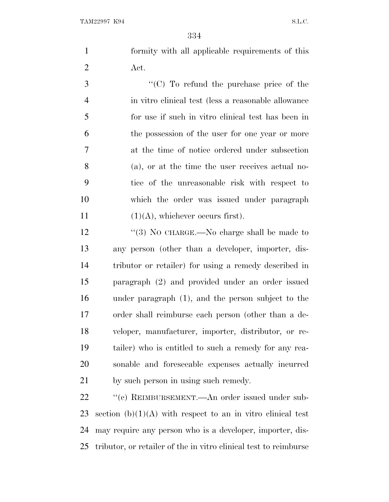formity with all applicable requirements of this Act.

 $\cdot$  (C) To refund the purchase price of the in vitro clinical test (less a reasonable allowance for use if such in vitro clinical test has been in the possession of the user for one year or more at the time of notice ordered under subsection (a), or at the time the user receives actual no- tice of the unreasonable risk with respect to which the order was issued under paragraph  $(1)(A)$ , whichever occurs first).

12 "(3) No CHARGE.—No charge shall be made to any person (other than a developer, importer, dis- tributor or retailer) for using a remedy described in paragraph (2) and provided under an order issued under paragraph (1), and the person subject to the order shall reimburse each person (other than a de- veloper, manufacturer, importer, distributor, or re- tailer) who is entitled to such a remedy for any rea- sonable and foreseeable expenses actually incurred by such person in using such remedy.

22 " (c) REIMBURSEMENT.—An order issued under sub-23 section  $(b)(1)(A)$  with respect to an in vitro clinical test may require any person who is a developer, importer, dis-tributor, or retailer of the in vitro clinical test to reimburse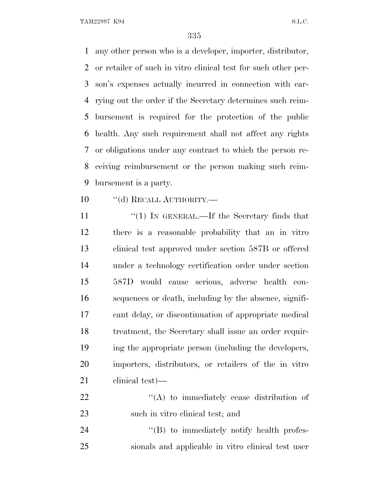any other person who is a developer, importer, distributor, or retailer of such in vitro clinical test for such other per- son's expenses actually incurred in connection with car- rying out the order if the Secretary determines such reim- bursement is required for the protection of the public health. Any such requirement shall not affect any rights or obligations under any contract to which the person re- ceiving reimbursement or the person making such reim-bursement is a party.

10 "(d) RECALL AUTHORITY.—

11 ''(1) IN GENERAL.—If the Secretary finds that there is a reasonable probability that an in vitro clinical test approved under section 587B or offered under a technology certification order under section 587D would cause serious, adverse health con- sequences or death, including by the absence, signifi- cant delay, or discontinuation of appropriate medical treatment, the Secretary shall issue an order requir- ing the appropriate person (including the developers, importers, distributors, or retailers of the in vitro clinical test)—

22  $\langle (A)$  to immediately cease distribution of 23 such in vitro clinical test; and

24 "(B) to immediately notify health profes-sionals and applicable in vitro clinical test user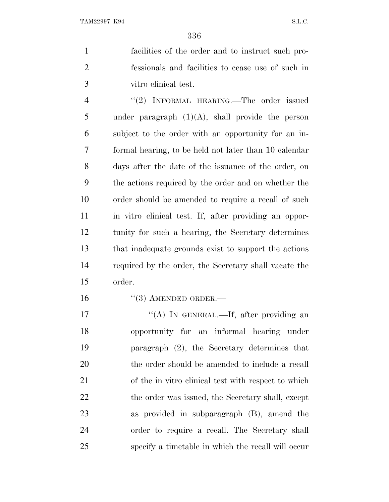facilities of the order and to instruct such pro- fessionals and facilities to cease use of such in vitro clinical test.

4 "(2) INFORMAL HEARING.—The order issued 5 under paragraph  $(1)(A)$ , shall provide the person subject to the order with an opportunity for an in- formal hearing, to be held not later than 10 calendar days after the date of the issuance of the order, on the actions required by the order and on whether the order should be amended to require a recall of such in vitro clinical test. If, after providing an oppor- tunity for such a hearing, the Secretary determines that inadequate grounds exist to support the actions required by the order, the Secretary shall vacate the order.

16 "(3) AMENDED ORDER.—

17 "(A) IN GENERAL.—If, after providing an opportunity for an informal hearing under paragraph (2), the Secretary determines that the order should be amended to include a recall of the in vitro clinical test with respect to which 22 the order was issued, the Secretary shall, except as provided in subparagraph (B), amend the order to require a recall. The Secretary shall specify a timetable in which the recall will occur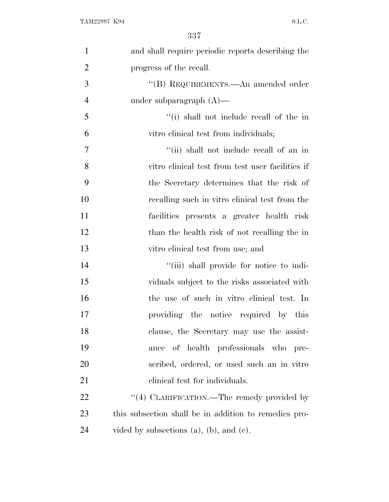| $\mathbf{1}$   | and shall require periodic reports describing the     |
|----------------|-------------------------------------------------------|
| $\overline{2}$ | progress of the recall.                               |
| 3              | "(B) REQUIREMENTS.—An amended order                   |
| $\overline{4}$ | under subparagraph $(A)$ —                            |
| 5              | "(i) shall not include recall of the in               |
| 6              | vitro clinical test from individuals;                 |
| $\overline{7}$ | "(ii) shall not include recall of an in               |
| 8              | vitro clinical test from test user facilities if      |
| 9              | the Secretary determines that the risk of             |
| 10             | recalling such in vitro clinical test from the        |
| 11             | facilities presents a greater health risk             |
| 12             | than the health risk of not recalling the in          |
| 13             | vitro clinical test from use; and                     |
| 14             | "(iii) shall provide for notice to indi-              |
| 15             | viduals subject to the risks associated with          |
| 16             | the use of such in vitro clinical test. In            |
| 17             | providing the notice required by this                 |
| 18             | clause, the Secretary may use the assist-             |
| 19             | of health professionals who pre-<br>ance              |
| 20             | scribed, ordered, or used such an in vitro            |
| 21             | elinical test for individuals.                        |
| 22             | "(4) CLARIFICATION.—The remedy provided by            |
| 23             | this subsection shall be in addition to remedies pro- |
| 24             | vided by subsections $(a)$ , $(b)$ , and $(c)$ .      |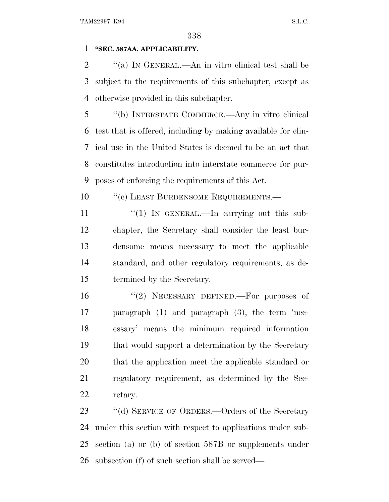## **''SEC. 587AA. APPLICABILITY.**

 ''(a) I<sup>N</sup> GENERAL.—An in vitro clinical test shall be subject to the requirements of this subchapter, except as otherwise provided in this subchapter.

 ''(b) INTERSTATE COMMERCE.—Any in vitro clinical test that is offered, including by making available for clin- ical use in the United States is deemed to be an act that constitutes introduction into interstate commerce for pur-poses of enforcing the requirements of this Act.

10 <sup>''</sup>(c) LEAST BURDENSOME REQUIREMENTS.—

11 "(1) In GENERAL.—In carrying out this sub- chapter, the Secretary shall consider the least bur- densome means necessary to meet the applicable standard, and other regulatory requirements, as de-termined by the Secretary.

 ''(2) NECESSARY DEFINED.—For purposes of paragraph (1) and paragraph (3), the term 'nec- essary' means the minimum required information that would support a determination by the Secretary that the application meet the applicable standard or regulatory requirement, as determined by the Sec-retary.

23 "(d) SERVICE OF ORDERS.—Orders of the Secretary under this section with respect to applications under sub- section (a) or (b) of section 587B or supplements under subsection (f) of such section shall be served—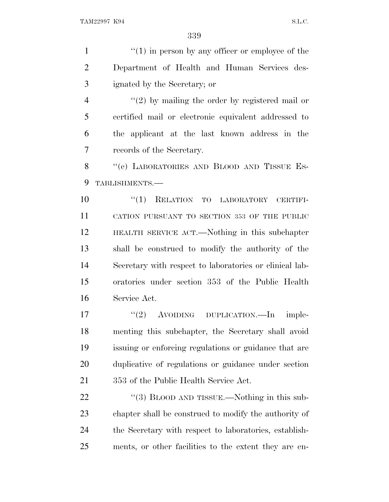1 ''(1) in person by any officer or employee of the Department of Health and Human Services des-ignated by the Secretary; or

4 "(2) by mailing the order by registered mail or certified mail or electronic equivalent addressed to the applicant at the last known address in the records of the Secretary.

8 "(e) LABORATORIES AND BLOOD AND TISSUE ES-TABLISHMENTS.—

 $(1)$  RELATION TO LABORATORY CERTIFI- CATION PURSUANT TO SECTION 353 OF THE PUBLIC HEALTH SERVICE ACT.—Nothing in this subchapter shall be construed to modify the authority of the Secretary with respect to laboratories or clinical lab- oratories under section 353 of the Public Health Service Act.

17 "(2) AVOIDING DUPLICATION.—In imple- menting this subchapter, the Secretary shall avoid issuing or enforcing regulations or guidance that are duplicative of regulations or guidance under section 353 of the Public Health Service Act.

22 "(3) BLOOD AND TISSUE.—Nothing in this sub- chapter shall be construed to modify the authority of the Secretary with respect to laboratories, establish-ments, or other facilities to the extent they are en-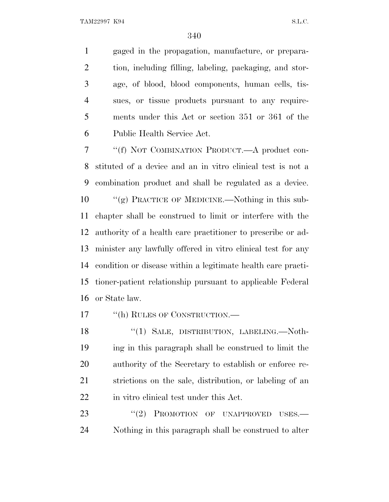gaged in the propagation, manufacture, or prepara- tion, including filling, labeling, packaging, and stor- age, of blood, blood components, human cells, tis- sues, or tissue products pursuant to any require- ments under this Act or section 351 or 361 of the Public Health Service Act.

 ''(f) NOT COMBINATION PRODUCT.—A product con- stituted of a device and an in vitro clinical test is not a combination product and shall be regulated as a device. 10 "(g) PRACTICE OF MEDICINE.—Nothing in this sub- chapter shall be construed to limit or interfere with the authority of a health care practitioner to prescribe or ad- minister any lawfully offered in vitro clinical test for any condition or disease within a legitimate health care practi- tioner-patient relationship pursuant to applicable Federal or State law.

17 "(h) RULES OF CONSTRUCTION.—

18 "(1) SALE, DISTRIBUTION, LABELING.—Noth- ing in this paragraph shall be construed to limit the authority of the Secretary to establish or enforce re- strictions on the sale, distribution, or labeling of an in vitro clinical test under this Act.

23 "(2) PROMOTION OF UNAPPROVED USES.— Nothing in this paragraph shall be construed to alter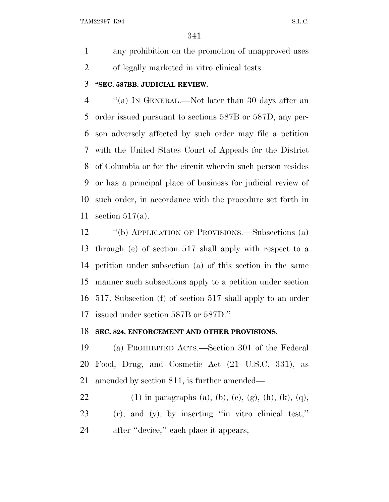any prohibition on the promotion of unapproved uses of legally marketed in vitro clinical tests.

### **''SEC. 587BB. JUDICIAL REVIEW.**

 ''(a) I<sup>N</sup> GENERAL.—Not later than 30 days after an order issued pursuant to sections 587B or 587D, any per- son adversely affected by such order may file a petition with the United States Court of Appeals for the District of Columbia or for the circuit wherein such person resides or has a principal place of business for judicial review of such order, in accordance with the procedure set forth in section 517(a).

 ''(b) APPLICATION OF PROVISIONS.—Subsections (a) through (e) of section 517 shall apply with respect to a petition under subsection (a) of this section in the same manner such subsections apply to a petition under section 517. Subsection (f) of section 517 shall apply to an order issued under section 587B or 587D.''.

#### **SEC. 824. ENFORCEMENT AND OTHER PROVISIONS.**

 (a) PROHIBITED ACTS.—Section 301 of the Federal Food, Drug, and Cosmetic Act (21 U.S.C. 331), as amended by section 811, is further amended—

22 (1) in paragraphs (a), (b), (c), (g), (h), (k), (q), (r), and (y), by inserting ''in vitro clinical test,'' 24 after "device," each place it appears;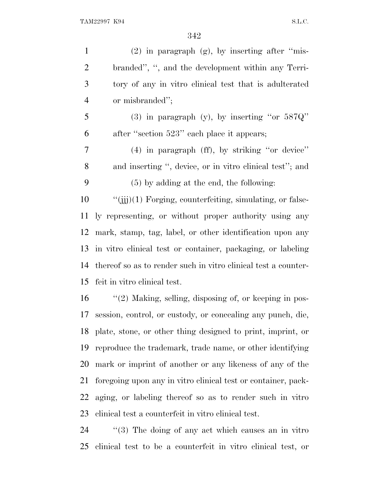| $\mathbf{1}$   | $(2)$ in paragraph $(g)$ , by inserting after "mis-            |
|----------------|----------------------------------------------------------------|
| $\overline{2}$ | branded", ", and the development within any Terri-             |
| 3              | tory of any in vitro clinical test that is adulterated         |
| $\overline{4}$ | or misbranded";                                                |
| 5              | (3) in paragraph (y), by inserting "or $587Q"$                 |
| 6              | after "section 523" each place it appears;                     |
| 7              | $(4)$ in paragraph $(ff)$ , by striking "or device"            |
| $8\,$          | and inserting ", device, or in vitro clinical test"; and       |
| 9              | $(5)$ by adding at the end, the following:                     |
| 10             | $``(iii)(1)$ Forging, counterfeiting, simulating, or false-    |
| 11             | ly representing, or without proper authority using any         |
| 12             | mark, stamp, tag, label, or other identification upon any      |
|                | 13 in vitro clinical test or container, packaging, or labeling |
| 14             | thereof so as to render such in vitro clinical test a counter- |
| 15             | feit in vitro clinical test.                                   |
| 16             | $\lq(2)$ Making, selling, disposing of, or keeping in pos-     |
| 17             | session, control, or custody, or concealing any punch, die,    |
|                | 18 plate, stone, or other thing designed to print, imprint, or |
| 19             | reproduce the trademark, trademane, or other identifying       |
| 20             | mark or imprint of another or any likeness of any of the       |
| 21             | foregoing upon any in vitro clinical test or container, pack-  |
| 22             | aging, or labeling thereof so as to render such in vitro       |
| 23             | clinical test a counterfeit in vitro clinical test.            |
|                |                                                                |

24 ''(3) The doing of any act which causes an in vitro clinical test to be a counterfeit in vitro clinical test, or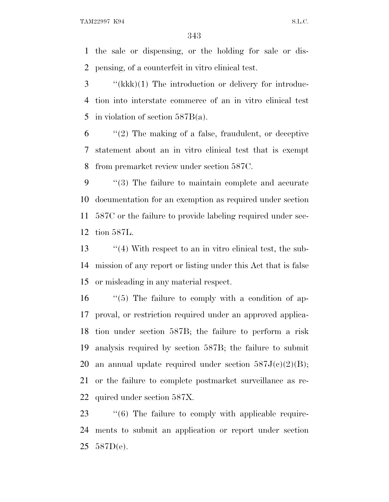the sale or dispensing, or the holding for sale or dis-pensing, of a counterfeit in vitro clinical test.

 ''(kkk)(1) The introduction or delivery for introduc- tion into interstate commerce of an in vitro clinical test in violation of section 587B(a).

 ''(2) The making of a false, fraudulent, or deceptive statement about an in vitro clinical test that is exempt from premarket review under section 587C.

 ''(3) The failure to maintain complete and accurate documentation for an exemption as required under section 587C or the failure to provide labeling required under sec-tion 587L.

13 ''(4) With respect to an in vitro clinical test, the sub- mission of any report or listing under this Act that is false or misleading in any material respect.

 ''(5) The failure to comply with a condition of ap- proval, or restriction required under an approved applica- tion under section 587B; the failure to perform a risk analysis required by section 587B; the failure to submit 20 an annual update required under section  $587J(c)(2)(B)$ ; or the failure to complete postmarket surveillance as re-quired under section 587X.

23  $\frac{1}{6}$  The failure to comply with applicable require- ments to submit an application or report under section 587D(e).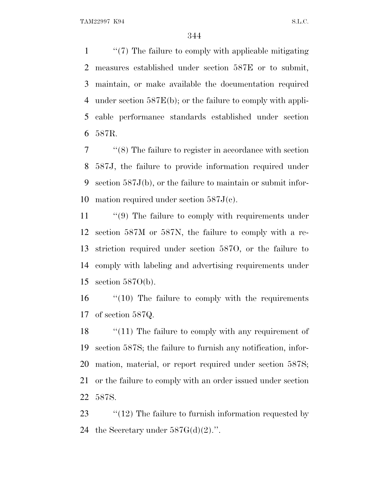''(7) The failure to comply with applicable mitigating measures established under section 587E or to submit, maintain, or make available the documentation required under section 587E(b); or the failure to comply with appli- cable performance standards established under section 587R.

 ''(8) The failure to register in accordance with section 587J, the failure to provide information required under section 587J(b), or the failure to maintain or submit infor-mation required under section 587J(c).

11 "(9) The failure to comply with requirements under section 587M or 587N, the failure to comply with a re- striction required under section 587O, or the failure to comply with labeling and advertising requirements under section 587O(b).

16 "(10) The failure to comply with the requirements of section 587Q.

18 "(11) The failure to comply with any requirement of section 587S; the failure to furnish any notification, infor- mation, material, or report required under section 587S; or the failure to comply with an order issued under section 587S.

23  $\frac{1}{2}$  (12) The failure to furnish information requested by 24 the Secretary under  $587G(d)(2)$ .".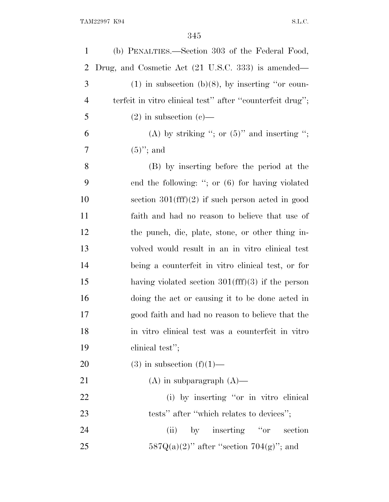| $\mathbf{1}$   | (b) PENALTIES.—Section 303 of the Federal Food,           |
|----------------|-----------------------------------------------------------|
| $\overline{2}$ | Drug, and Cosmetic Act (21 U.S.C. 333) is amended—        |
| 3              | $(1)$ in subsection (b)(8), by inserting "or coun-        |
| $\overline{4}$ | terfeit in vitro clinical test" after "counterfeit drug"; |
| 5              | $(2)$ in subsection $(e)$ —                               |
| 6              | (A) by striking "; or $(5)$ " and inserting ";            |
| 7              | $(5)$ "; and                                              |
| 8              | (B) by inserting before the period at the                 |
| 9              | end the following: "; or $(6)$ for having violated        |
| 10             | section $301(fff)(2)$ if such person acted in good        |
| 11             | faith and had no reason to believe that use of            |
| 12             | the punch, die, plate, stone, or other thing in-          |
| 13             | volved would result in an in vitro clinical test          |
| 14             | being a counterfeit in vitro clinical test, or for        |
| 15             | having violated section $301(fff)(3)$ if the person       |
| 16             | doing the act or causing it to be done acted in           |
| 17             | good faith and had no reason to believe that the          |
| 18             | in vitro clinical test was a counterfeit in vitro         |
| 19             | clinical test";                                           |
| 20             | $(3)$ in subsection $(f)(1)$ —                            |
| 21             | $(A)$ in subparagraph $(A)$ —                             |
| 22             | (i) by inserting "or in vitro clinical                    |
| 23             | tests" after "which relates to devices";                  |
| 24             | by inserting "or section"<br>(ii)                         |
| 25             | $587Q(a)(2)$ " after "section $704(g)$ "; and             |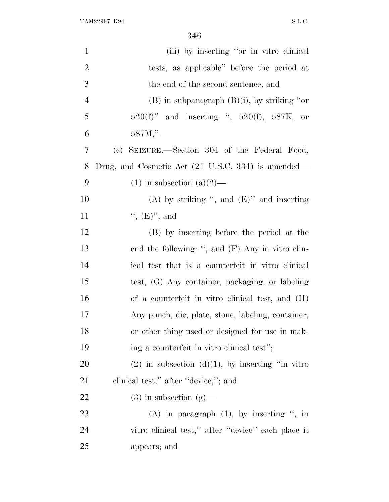| $\mathbf{1}$   | (iii) by inserting "or in vitro clinical                      |  |
|----------------|---------------------------------------------------------------|--|
| $\overline{2}$ | tests, as applicable" before the period at                    |  |
| 3              | the end of the second sentence; and                           |  |
| 4              | $(B)$ in subparagraph $(B)(i)$ , by striking "or              |  |
| 5              | $520(f)$ " and inserting ", $520(f)$ , $587K$ , or            |  |
| 6              | 587M,".                                                       |  |
| 7              | SEIZURE.—Section 304 of the Federal Food,<br>(e)              |  |
| 8              | Drug, and Cosmetic Act $(21 \text{ U.S.C. } 334)$ is amended— |  |
| 9              | $(1)$ in subsection $(a)(2)$ —                                |  |
| 10             | (A) by striking ", and $(E)$ " and inserting                  |  |
| 11             | ", $(E)$ "; and                                               |  |
| 12             | (B) by inserting before the period at the                     |  |
| 13             | end the following: ", and $(F)$ Any in vitro clin-            |  |
| 14             | ical test that is a counterfeit in vitro clinical             |  |
| 15             | test, (G) Any container, packaging, or labeling               |  |
| 16             | of a counterfeit in vitro clinical test, and (H)              |  |
| 17             | Any punch, die, plate, stone, labeling, container,            |  |
| 18             | or other thing used or designed for use in mak-               |  |
| 19             | ing a counterfeit in vitro clinical test";                    |  |
| 20             | $(2)$ in subsection $(d)(1)$ , by inserting "in vitro"        |  |
| 21             | clinical test," after "device,"; and                          |  |
| <u>22</u>      | $(3)$ in subsection $(g)$ —                                   |  |
| 23             | (A) in paragraph $(1)$ , by inserting ", in                   |  |
| 24             | vitro clinical test," after "device" each place it            |  |
| 25             | appears; and                                                  |  |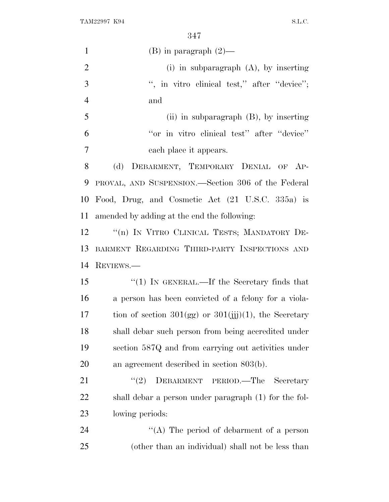| $\mathbf{1}$   | (B) in paragraph $(2)$ —                                   |  |
|----------------|------------------------------------------------------------|--|
| $\overline{2}$ | (i) in subparagraph $(A)$ , by inserting                   |  |
| 3              | ", in vitro clinical test," after "device";                |  |
| $\overline{4}$ | and                                                        |  |
| 5              | (ii) in subparagraph $(B)$ , by inserting                  |  |
| 6              | "or in vitro clinical test" after "device"                 |  |
| 7              | each place it appears.                                     |  |
| 8              | (d)<br>DEBARMENT, TEMPORARY DENIAL OF AP-                  |  |
| 9              | PROVAL, AND SUSPENSION.—Section 306 of the Federal         |  |
| 10             | Food, Drug, and Cosmetic Act (21 U.S.C. 335a) is           |  |
| 11             | amended by adding at the end the following:                |  |
| 12             | "(n) IN VITRO CLINICAL TESTS; MANDATORY DE-                |  |
| 13             | BARMENT REGARDING THIRD-PARTY INSPECTIONS AND              |  |
| 14             | REVIEWS.                                                   |  |
| 15             | " $(1)$ IN GENERAL.—If the Secretary finds that            |  |
| 16             | a person has been convicted of a felony for a viola-       |  |
| 17             | tion of section $301(gg)$ or $301(jjj)(1)$ , the Secretary |  |
| 18             | shall debar such person from being accredited under        |  |
| 19             | section 587Q and from carrying out activities under        |  |
| 20             | an agreement described in section $803(b)$ .               |  |
| 21             | DEBARMENT PERIOD.-The Secretary<br>(2)                     |  |
| 22             | shall debar a person under paragraph (1) for the fol-      |  |
| 23             | lowing periods:                                            |  |
| 24             | "(A) The period of debarment of a person                   |  |
| 25             | (other than an individual) shall not be less than          |  |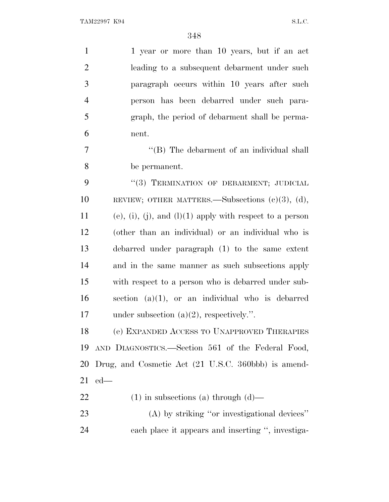| $\mathbf{1}$   | 1 year or more than 10 years, but if an act              |
|----------------|----------------------------------------------------------|
| $\overline{2}$ | leading to a subsequent debarment under such             |
| 3              | paragraph occurs within 10 years after such              |
| $\overline{4}$ | person has been debarred under such para-                |
| 5              | graph, the period of debarment shall be perma-           |
| 6              | nent.                                                    |
| 7              | "(B) The debarment of an individual shall                |
| 8              | be permanent.                                            |
| 9              | "(3) TERMINATION OF DEBARMENT; JUDICIAL                  |
| 10             | REVIEW; OTHER MATTERS.—Subsections $(e)(3)$ , $(d)$ ,    |
| 11             | (e), (i), (j), and (l)(1) apply with respect to a person |
| 12             | (other than an individual) or an individual who is       |
| 13             | debarred under paragraph (1) to the same extent          |
| 14             | and in the same manner as such subsections apply         |
| 15             | with respect to a person who is debarred under sub-      |
| 16             | section $(a)(1)$ , or an individual who is debarred      |
| 17             | under subsection $(a)(2)$ , respectively.".              |
| 18             | (e) EXPANDED ACCESS TO UNAPPROVED THERAPIES              |
| 19             | AND DIAGNOSTICS.—Section 561 of the Federal Food,        |
| 20             | Drug, and Cosmetic Act (21 U.S.C. 360bbb) is amend-      |
| 21             | $ed$ —                                                   |
| 22             | $(1)$ in subsections (a) through $(d)$ —                 |
| 23             | (A) by striking "or investigational devices"             |
| 24             | each place it appears and inserting ", investiga-        |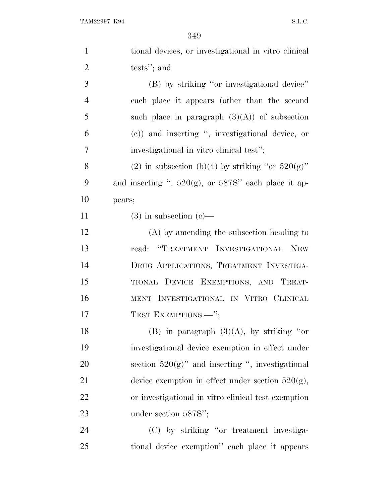| $\mathbf{1}$   | tional devices, or investigational in vitro clinical      |
|----------------|-----------------------------------------------------------|
| $\overline{2}$ | tests"; and                                               |
| 3              | (B) by striking "or investigational device"               |
| $\overline{4}$ | each place it appears (other than the second              |
| 5              | such place in paragraph $(3)(A)$ of subsection            |
| 6              | (c)) and inserting ", investigational device, or          |
| 7              | investigational in vitro clinical test";                  |
| 8              | (2) in subsection (b)(4) by striking "or $520(g)$ "       |
| 9              | and inserting ", $520(g)$ , or $587S$ " each place it ap- |
| 10             | pears;                                                    |
| 11             | $(3)$ in subsection $(e)$ —                               |
| 12             | $(A)$ by amending the subsection heading to               |
| 13             | read: "TREATMENT INVESTIGATIONAL<br><b>NEW</b>            |
| 14             | DRUG APPLICATIONS, TREATMENT INVESTIGA-                   |
| 15             | TIONAL DEVICE EXEMPTIONS, AND TREAT-                      |
| 16             | MENT INVESTIGATIONAL IN VITRO CLINICAL                    |
| 17             | TEST EXEMPTIONS.-";                                       |
| 18             | (B) in paragraph $(3)(A)$ , by striking "or               |
| 19             | investigational device exemption in effect under          |
| 20             | section $520(g)$ " and inserting ", investigational       |
| 21             | device exemption in effect under section $520(g)$ ,       |
| 22             | or investigational in vitro clinical test exemption       |
| 23             | under section 587S";                                      |
| 24             | (C) by striking "or treatment investiga-                  |
| 25             | tional device exemption" each place it appears            |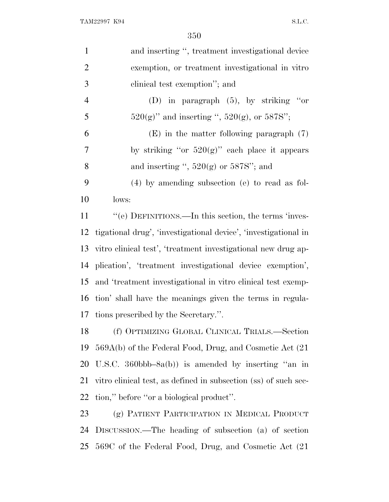| $\mathbf{1}$   | and inserting ", treatment investigational device               |
|----------------|-----------------------------------------------------------------|
| $\overline{2}$ | exemption, or treatment investigational in vitro                |
| 3              | clinical test exemption"; and                                   |
| $\overline{4}$ | (D) in paragraph $(5)$ , by striking "or                        |
| 5              | $520(g)$ " and inserting ", $520(g)$ , or $587S$ ";             |
| 6              | $(E)$ in the matter following paragraph $(7)$                   |
| $\overline{7}$ | by striking "or $520(g)$ " each place it appears                |
| 8              | and inserting ", $520(g)$ or $587S$ "; and                      |
| 9              | $(4)$ by amending subsection (e) to read as fol-                |
| 10             | lows:                                                           |
| 11             | "(e) DEFINITIONS.—In this section, the terms 'inves-            |
| 12             | tigational drug', 'investigational device', 'investigational in |
| 13             | vitro clinical test', 'treatment investigational new drug ap-   |
| 14             | plication', 'treatment investigational device exemption',       |
| 15             | and 'treatment investigational in vitro clinical test exemp-    |
| 16             | tion' shall have the meanings given the terms in regula-        |
| 17             | tions prescribed by the Secretary.".                            |
| 18             | (f) OPTIMIZING GLOBAL CLINICAL TRIALS.-Section                  |
| 19             | 569A(b) of the Federal Food, Drug, and Cosmetic Act (21         |
| 20             | U.S.C. 360bbb-8a(b)) is amended by inserting "an in             |
| 21             | vitro clinical test, as defined in subsection (ss) of such sec- |
| <u>22</u>      | tion," before "or a biological product".                        |
| 23             | (g) PATIENT PARTICIPATION IN MEDICAL PRODUCT                    |
| 24             | DISCUSSION.—The heading of subsection (a) of section            |
| 25             | 569C of the Federal Food, Drug, and Cosmetic Act (21)           |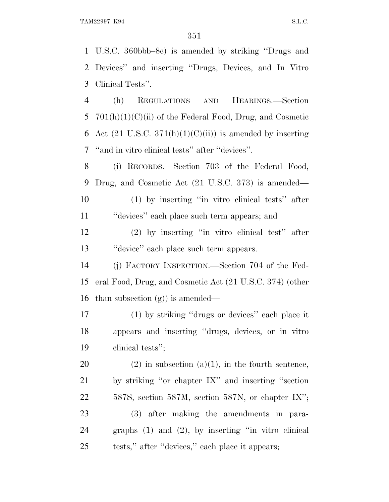U.S.C. 360bbb–8c) is amended by striking ''Drugs and Devices'' and inserting ''Drugs, Devices, and In Vitro Clinical Tests''. (h) REGULATIONS AND HEARINGS.—Section 5 701(h)(1)(C)(ii) of the Federal Food, Drug, and Cosmetic 6 Act  $(21 \text{ U.S.C. } 371(h)(1)(C(ii))$  is amended by inserting ''and in vitro clinical tests'' after ''devices''. (i) RECORDS.—Section 703 of the Federal Food, Drug, and Cosmetic Act (21 U.S.C. 373) is amended— (1) by inserting ''in vitro clinical tests'' after ''devices'' each place such term appears; and

 (2) by inserting ''in vitro clinical test'' after ''device'' each place such term appears.

 (j) FACTORY INSPECTION.—Section 704 of the Fed- eral Food, Drug, and Cosmetic Act (21 U.S.C. 374) (other than subsection (g)) is amended—

 (1) by striking ''drugs or devices'' each place it appears and inserting ''drugs, devices, or in vitro clinical tests'';

20 (2) in subsection (a)(1), in the fourth sentence, by striking ''or chapter IX'' and inserting ''section 587S, section 587M, section 587N, or chapter IX''; (3) after making the amendments in para- graphs (1) and (2), by inserting ''in vitro clinical tests,'' after ''devices,'' each place it appears;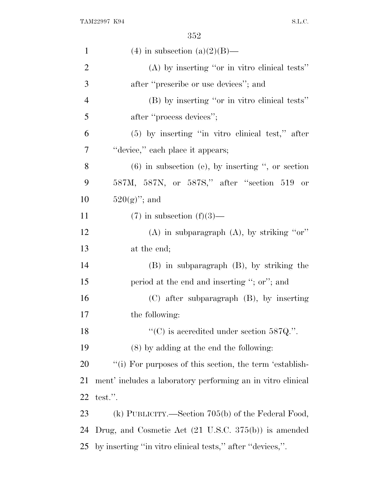| $\mathbf{1}$   | (4) in subsection (a)(2)(B)—                                    |
|----------------|-----------------------------------------------------------------|
| $\overline{2}$ | (A) by inserting "or in vitro clinical tests"                   |
| 3              | after "prescribe or use devices"; and                           |
| $\overline{4}$ | (B) by inserting "or in vitro clinical tests"                   |
| 5              | after "process devices";                                        |
| 6              | $(5)$ by inserting "in vitro clinical test," after              |
| 7              | "device," each place it appears;                                |
| 8              | $(6)$ in subsection (e), by inserting ", or section             |
| 9              | 587M, 587N, or 587S," after "section 519 or                     |
| 10             | $520(g)$ "; and                                                 |
| 11             | $(7)$ in subsection $(f)(3)$ —                                  |
| 12             | (A) in subparagraph $(A)$ , by striking "or"                    |
| 13             | at the end;                                                     |
| 14             | $(B)$ in subparagraph $(B)$ , by striking the                   |
| 15             | period at the end and inserting "; or"; and                     |
| 16             | $(C)$ after subparagraph $(B)$ , by inserting                   |
| 17             | the following:                                                  |
| 18             | "(C) is accredited under section $587Q$ .".                     |
| 19             | $(8)$ by adding at the end the following:                       |
| 20             | "(i) For purposes of this section, the term 'establish-         |
| 21             | ment' includes a laboratory performing an in vitro clinical     |
| 22             | test.".                                                         |
| 23             | (k) PUBLICITY.—Section $705(b)$ of the Federal Food,            |
| 24             | Drug, and Cosmetic Act $(21 \text{ U.S.C. } 375(b))$ is amended |
| 25             | by inserting "in vitro clinical tests," after "devices,".       |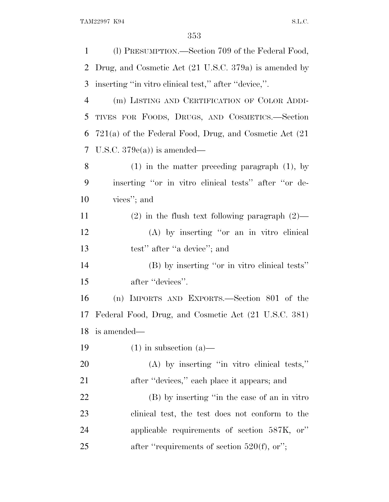| 1         | (1) PRESUMPTION.—Section 709 of the Federal Food,           |
|-----------|-------------------------------------------------------------|
| 2         | Drug, and Cosmetic Act (21 U.S.C. 379a) is amended by       |
| 3         | inserting "in vitro clinical test," after "device,".        |
| 4         | (m) LISTING AND CERTIFICATION OF COLOR ADDI-                |
| 5         | TIVES FOR FOODS, DRUGS, AND COSMETICS.-Section              |
| 6         | $721(a)$ of the Federal Food, Drug, and Cosmetic Act $(21)$ |
| 7         | U.S.C. $379e(a)$ is amended—                                |
| 8         | $(1)$ in the matter preceding paragraph $(1)$ , by          |
| 9         | inserting "or in vitro clinical tests" after "or de-        |
| 10        | vices"; and                                                 |
| 11        | $(2)$ in the flush text following paragraph $(2)$ —         |
| 12        | (A) by inserting "or an in vitro clinical                   |
| 13        | test" after "a device"; and                                 |
| 14        | (B) by inserting "or in vitro clinical tests"               |
| 15        | after "devices".                                            |
| 16        | (n) IMPORTS AND EXPORTS.—Section 801 of the                 |
| 17        | Federal Food, Drug, and Cosmetic Act (21 U.S.C. 381)        |
| 18        | is amended—                                                 |
| 19        | $(1)$ in subsection $(a)$ —                                 |
| <b>20</b> | $(A)$ by inserting "in vitro clinical tests,"               |
| 21        | after "devices," each place it appears; and                 |
| 22        | (B) by inserting "in the case of an in vitro"               |
| 23        | clinical test, the test does not conform to the             |
| 24        | applicable requirements of section 587K, or"                |
| 25        | after "requirements of section $520(f)$ , or";              |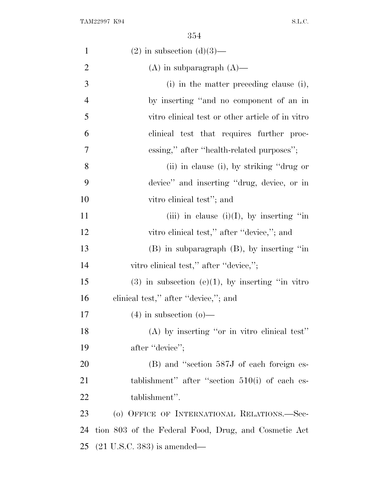| ٧<br>v |  |
|--------|--|
|--------|--|

| $\mathbf{1}$   | $(2)$ in subsection $(d)(3)$ —                         |
|----------------|--------------------------------------------------------|
| $\overline{2}$ | $(A)$ in subparagraph $(A)$ —                          |
| 3              | (i) in the matter preceding clause (i),                |
| $\overline{4}$ | by inserting "and no component of an in                |
| 5              | vitro elinical test or other article of in vitro       |
| 6              | clinical test that requires further proc-              |
| 7              | essing," after "health-related purposes";              |
| 8              | (ii) in clause (i), by striking "drug or               |
| 9              | device" and inserting "drug, device, or in             |
| 10             | vitro clinical test"; and                              |
| 11             | (iii) in clause (i)(I), by inserting "in               |
| 12             | vitro clinical test," after "device,"; and             |
| 13             | $(B)$ in subparagraph $(B)$ , by inserting "in         |
| 14             | vitro clinical test," after "device,";                 |
| 15             | $(3)$ in subsection $(e)(1)$ , by inserting "in vitro" |
| 16             | clinical test," after "device,"; and                   |
| 17             | $(4)$ in subsection $(o)$ —                            |
| 18             | (A) by inserting "or in vitro clinical test"           |
| 19             | after "device";                                        |
| 20             | (B) and "section 587J of each foreign es-              |
| 21             | tablishment" after "section $510(i)$ of each es-       |
| 22             | tablishment".                                          |
| 23             | (o) OFFICE OF INTERNATIONAL RELATIONS.—Sec-            |
| 24             | tion 803 of the Federal Food, Drug, and Cosmetic Act   |
| 25             | $(21 \text{ U.S.C. } 383)$ is amended—                 |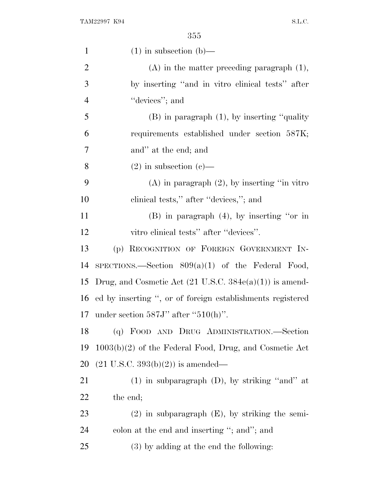| $\mathbf{1}$   | $(1)$ in subsection $(b)$ —                                        |
|----------------|--------------------------------------------------------------------|
| $\overline{2}$ | $(A)$ in the matter preceding paragraph $(1)$ ,                    |
| 3              | by inserting "and in vitro clinical tests" after                   |
| $\overline{4}$ | "devices"; and                                                     |
| 5              | $(B)$ in paragraph $(1)$ , by inserting "quality"                  |
| 6              | requirements established under section 587K;                       |
| 7              | and" at the end; and                                               |
| 8              | $(2)$ in subsection $(e)$ —                                        |
| 9              | $(A)$ in paragraph $(2)$ , by inserting "in vitro"                 |
| 10             | clinical tests," after "devices,"; and                             |
| 11             | $(B)$ in paragraph $(4)$ , by inserting "or in                     |
| 12             | vitro clinical tests" after "devices".                             |
| 13             | (p) RECOGNITION OF FOREIGN GOVERNMENT IN-                          |
| 14             | SPECTIONS.—Section $809(a)(1)$ of the Federal Food,                |
| 15             | Drug, and Cosmetic Act $(21 \text{ U.S.C. } 384e(a)(1))$ is amend- |
| 16             | ed by inserting ", or of foreign establishments registered         |
| 17             | under section $587J'$ after " $510(h)$ ".                          |
| 18             | (q) FOOD AND DRUG ADMINISTRATION.-Section                          |
| 19             | $1003(b)(2)$ of the Federal Food, Drug, and Cosmetic Act           |
| 20             | $(21 \text{ U.S.C. } 393(b)(2))$ is amended—                       |
| 21             | $(1)$ in subparagraph $(D)$ , by striking "and" at                 |
| 22             | the end;                                                           |
| 23             | $(2)$ in subparagraph $(E)$ , by striking the semi-                |
| 24             | colon at the end and inserting "; and"; and                        |
| 25             | $(3)$ by adding at the end the following:                          |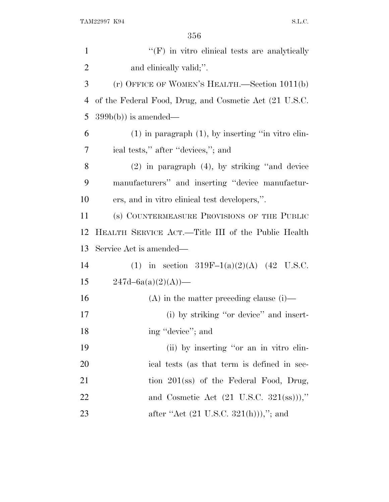| $\mathbf{1}$   | $\lq\lq(F)$ in vitro clinical tests are analytically       |
|----------------|------------------------------------------------------------|
| $\overline{c}$ | and clinically valid;".                                    |
| 3              | (r) OFFICE OF WOMEN'S HEALTH.—Section 1011(b)              |
| 4              | of the Federal Food, Drug, and Cosmetic Act (21 U.S.C.     |
| 5              | $399b(b)$ is amended—                                      |
| 6              | $(1)$ in paragraph $(1)$ , by inserting "in vitro clin-    |
| 7              | ical tests," after "devices,"; and                         |
| 8              | $(2)$ in paragraph $(4)$ , by striking "and device         |
| 9              | manufacturers" and inserting "device manufactur-           |
| 10             | ers, and in vitro clinical test developers,".              |
| 11             | (s) COUNTERMEASURE PROVISIONS OF THE PUBLIC                |
| 12             | HEALTH SERVICE ACT.—Title III of the Public Health         |
| 13             | Service Act is amended—                                    |
| 14             | (1) in section 319F-1(a)(2)(A) (42 U.S.C.                  |
| 15             | $247d - 6a(a)(2)(A)$ —                                     |
| 16             | (A) in the matter preceding clause $(i)$ —                 |
| 17             | (i) by striking "or device" and insert-                    |
| 18             | ing "device"; and                                          |
| 19             | (ii) by inserting "or an in vitro clin-                    |
| 20             | ical tests (as that term is defined in sec-                |
| 21             | tion $201$ (ss) of the Federal Food, Drug,                 |
| 22             | and Cosmetic Act $(21 \text{ U.S.C. } 321(\text{ss}))),$ " |
| 23             | after "Act $(21 \text{ U.S.C. } 321(h))$ ),"; and          |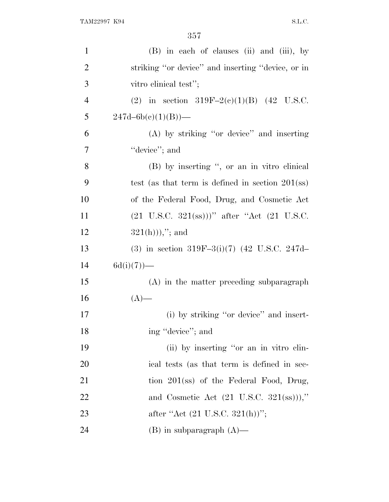| $\mathbf{1}$   | (B) in each of clauses (ii) and (iii), by                                                  |
|----------------|--------------------------------------------------------------------------------------------|
| $\overline{2}$ | striking "or device" and inserting "device, or in                                          |
| 3              | vitro clinical test";                                                                      |
| $\overline{4}$ | (2) in section 319F-2(c)(1)(B) (42 U.S.C.                                                  |
| 5              | $247d - 6b(c)(1)(B)$ —                                                                     |
| 6              | (A) by striking "or device" and inserting                                                  |
| 7              | "device"; and                                                                              |
| 8              | (B) by inserting ", or an in vitro clinical                                                |
| 9              | test (as that term is defined in section $201$ (ss)                                        |
| 10             | of the Federal Food, Drug, and Cosmetic Act                                                |
| <sup>11</sup>  | $(21 \text{ U.S.C. } 321(\text{ss}))$ " after "Act $(21 \text{ U.S.C. } 321(\text{ss}))$ " |
| 12             | $321(h))$ ,"; and                                                                          |
| 13             | (3) in section 319F-3(i)(7) (42 U.S.C. 247d-                                               |
| 14             | $6d(i)(7)$ —                                                                               |
| 15             | (A) in the matter preceding subparagraph                                                   |
| 16             | $(A)$ —                                                                                    |
| 17             | (i) by striking "or device" and insert-                                                    |
| 18             | ing "device"; and                                                                          |
| 19             | (ii) by inserting "or an in vitro clin-                                                    |
| 20             | ical tests (as that term is defined in sec-                                                |
| 21             | tion $201$ (ss) of the Federal Food, Drug,                                                 |
| 22             | and Cosmetic Act $(21 \text{ U.S.C. } 321(\text{ss}))),$ "                                 |
| 23             | after "Act (21 U.S.C. 321(h))";                                                            |
| 24             | $(B)$ in subparagraph $(A)$ —                                                              |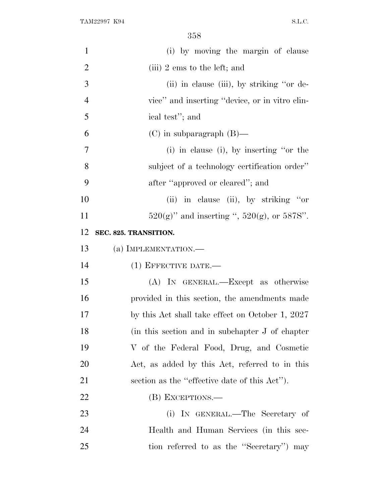| $\mathbf{1}$   | (i) by moving the margin of clause                  |
|----------------|-----------------------------------------------------|
| $\overline{2}$ | (iii) $2 \text{ ems}$ to the left; and              |
| 3              | (ii) in clause (iii), by striking "or de-           |
| $\overline{4}$ | vice" and inserting "device, or in vitro clin-      |
| 5              | ical test"; and                                     |
| 6              | $(C)$ in subparagraph $(B)$ —                       |
| 7              | $(i)$ in clause $(i)$ , by inserting "or the        |
| 8              | subject of a technology certification order"        |
| 9              | after "approved or cleared"; and                    |
| 10             | (ii) in clause (ii), by striking "or                |
| 11             | $520(g)$ " and inserting ", $520(g)$ , or $587S$ ". |
| 12             | SEC. 825. TRANSITION.                               |
| 13             | (a) IMPLEMENTATION.—                                |
| 14             | $(1)$ EFFECTIVE DATE.—                              |
| 15             | (A) IN GENERAL.—Except as otherwise                 |
| 16             | provided in this section, the amendments made       |
| 17             | by this Act shall take effect on October 1, 2027    |
| 18             | (in this section and in subchapter J of chapter)    |
| 19             | V of the Federal Food, Drug, and Cosmetic           |
| 20             | Act, as added by this Act, referred to in this      |
| 21             | section as the "effective date of this Act").       |
| 22             | (B) EXCEPTIONS.—                                    |
| 23             | (i) IN GENERAL.—The Secretary of                    |
| 24             | Health and Human Services (in this sec-             |
| 25             | tion referred to as the "Secretary" may             |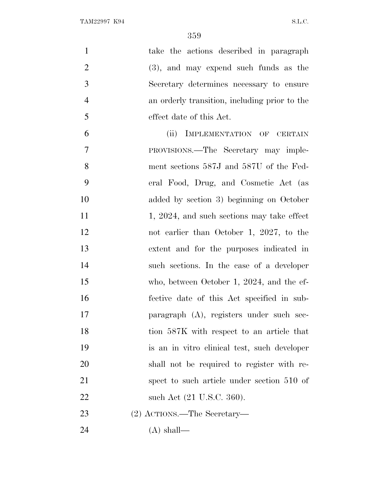| $\mathbf{1}$   | take the actions described in paragraph       |
|----------------|-----------------------------------------------|
| $\overline{2}$ | $(3)$ , and may expend such funds as the      |
| 3              | Secretary determines necessary to ensure      |
| $\overline{4}$ | an orderly transition, including prior to the |
| 5              | effect date of this Act.                      |
| 6              | (ii)<br>IMPLEMENTATION OF CERTAIN             |
| $\overline{7}$ | PROVISIONS.—The Secretary may imple-          |
| 8              | ment sections 587J and 587U of the Fed-       |
| 9              | eral Food, Drug, and Cosmetic Act (as         |
| 10             | added by section 3) beginning on October      |
| 11             | 1, 2024, and such sections may take effect    |
| 12             | not earlier than October 1, 2027, to the      |
| 13             | extent and for the purposes indicated in      |
| 14             | such sections. In the case of a developer     |
| 15             | who, between October 1, 2024, and the ef-     |
| 16             | fective date of this Act specified in sub-    |
| 17             | paragraph (A), registers under such sec-      |
| 18             | tion 587K with respect to an article that     |
| 19             | is an in vitro clinical test, such developer  |
| 20             | shall not be required to register with re-    |
| 21             | spect to such article under section 510 of    |
| 22             | such Act (21 U.S.C. 360).                     |
| 23             | (2) ACTIONS.—The Secretary—                   |
| 24             | $(A)$ shall—                                  |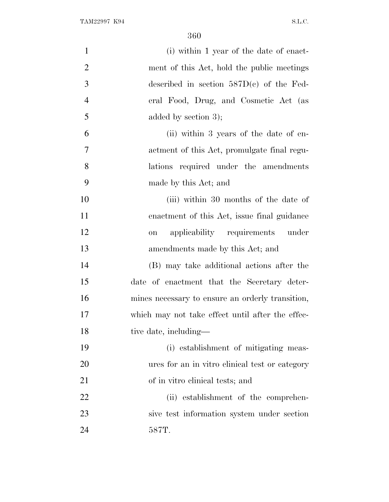| $\mathbf{1}$   | (i) within 1 year of the date of enact-          |
|----------------|--------------------------------------------------|
| $\overline{2}$ | ment of this Act, hold the public meetings       |
| 3              | described in section $587D(c)$ of the Fed-       |
| $\overline{4}$ | eral Food, Drug, and Cosmetic Act (as            |
| 5              | added by section $3$ ;                           |
| 6              | (ii) within 3 years of the date of en-           |
| $\overline{7}$ | actment of this Act, promulgate final regu-      |
| 8              | lations required under the amendments            |
| 9              | made by this Act; and                            |
| 10             | (iii) within 30 months of the date of            |
| 11             | enactment of this Act, issue final guidance      |
| 12             | applicability requirements under<br>on           |
| 13             | amendments made by this Act; and                 |
| 14             | (B) may take additional actions after the        |
| 15             | date of enactment that the Secretary deter-      |
| 16             | mines necessary to ensure an orderly transition, |
| 17             | which may not take effect until after the effec- |
| 18             | tive date, including—                            |
| 19             | (i) establishment of mitigating meas-            |
| 20             | ures for an in vitro clinical test or category   |
| 21             | of in vitro clinical tests; and                  |
| 22             | (ii) establishment of the comprehen-             |
| 23             | sive test information system under section       |
| 24             | 587T.                                            |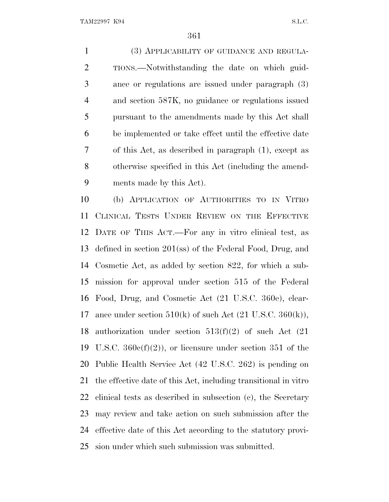(3) APPLICABILITY OF GUIDANCE AND REGULA- TIONS.—Notwithstanding the date on which guid- ance or regulations are issued under paragraph (3) and section 587K, no guidance or regulations issued pursuant to the amendments made by this Act shall be implemented or take effect until the effective date of this Act, as described in paragraph (1), except as otherwise specified in this Act (including the amend-ments made by this Act).

 (b) APPLICATION OF AUTHORITIES TO IN VITRO CLINICAL TESTS UNDER REVIEW ON THE EFFECTIVE DATE OF THIS ACT.—For any in vitro clinical test, as defined in section 201(ss) of the Federal Food, Drug, and Cosmetic Act, as added by section 822, for which a sub- mission for approval under section 515 of the Federal Food, Drug, and Cosmetic Act (21 U.S.C. 360e), clear-17 ance under section  $510(k)$  of such Act  $(21 \text{ U.S.C. } 360(k)),$  authorization under section 513(f)(2) of such Act (21 19 U.S.C.  $360e(f)(2)$ , or licensure under section 351 of the Public Health Service Act (42 U.S.C. 262) is pending on the effective date of this Act, including transitional in vitro clinical tests as described in subsection (c), the Secretary may review and take action on such submission after the effective date of this Act according to the statutory provi-sion under which such submission was submitted.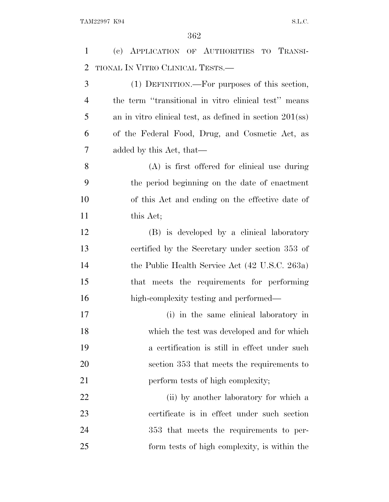(c) APPLICATION OF AUTHORITIES TO TRANSI- TIONAL I<sup>N</sup> VITRO CLINICAL TESTS.— (1) DEFINITION.—For purposes of this section, the term ''transitional in vitro clinical test'' means an in vitro clinical test, as defined in section 201(ss) of the Federal Food, Drug, and Cosmetic Act, as added by this Act, that— (A) is first offered for clinical use during the period beginning on the date of enactment of this Act and ending on the effective date of 11 this Act; (B) is developed by a clinical laboratory certified by the Secretary under section 353 of the Public Health Service Act (42 U.S.C. 263a) that meets the requirements for performing high-complexity testing and performed— (i) in the same clinical laboratory in which the test was developed and for which a certification is still in effect under such section 353 that meets the requirements to 21 perform tests of high complexity; 22 (ii) by another laboratory for which a certificate is in effect under such section 353 that meets the requirements to per-form tests of high complexity, is within the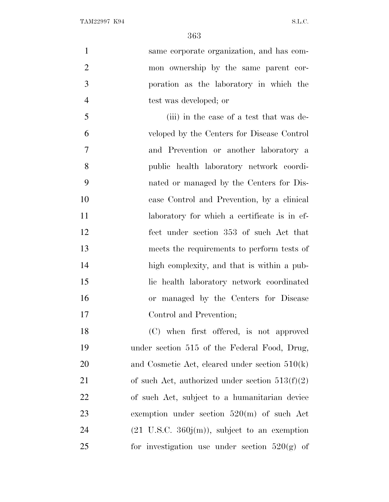same corporate organization, and has com- mon ownership by the same parent cor- poration as the laboratory in which the test was developed; or (iii) in the case of a test that was de- veloped by the Centers for Disease Control and Prevention or another laboratory a public health laboratory network coordi-nated or managed by the Centers for Dis-

 ease Control and Prevention, by a clinical 11 laboratory for which a certificate is in ef- fect under section 353 of such Act that meets the requirements to perform tests of high complexity, and that is within a pub- lic health laboratory network coordinated or managed by the Centers for Disease Control and Prevention;

 (C) when first offered, is not approved under section 515 of the Federal Food, Drug, and Cosmetic Act, cleared under section 510(k) 21 of such Act, authorized under section  $513(f)(2)$  of such Act, subject to a humanitarian device exemption under section 520(m) of such Act  $(21 \text{ U.S.C. } 360j(m))$ , subject to an exemption 25 for investigation use under section  $520(g)$  of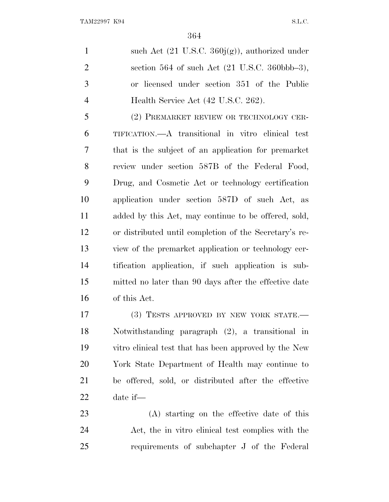1 such Act (21 U.S.C. 360j(g)), authorized under section 564 of such Act (21 U.S.C. 360bbb–3), or licensed under section 351 of the Public 4 Health Service Act (42 U.S.C. 262).

 (2) PREMARKET REVIEW OR TECHNOLOGY CER- TIFICATION.—A transitional in vitro clinical test that is the subject of an application for premarket review under section 587B of the Federal Food, Drug, and Cosmetic Act or technology certification application under section 587D of such Act, as added by this Act, may continue to be offered, sold, or distributed until completion of the Secretary's re- view of the premarket application or technology cer- tification application, if such application is sub- mitted no later than 90 days after the effective date of this Act.

17 (3) TESTS APPROVED BY NEW YORK STATE. Notwithstanding paragraph (2), a transitional in vitro clinical test that has been approved by the New York State Department of Health may continue to be offered, sold, or distributed after the effective date if—

 (A) starting on the effective date of this Act, the in vitro clinical test complies with the requirements of subchapter J of the Federal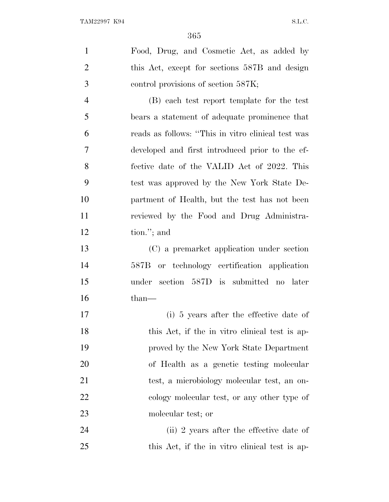| $\mathbf{1}$   | Food, Drug, and Cosmetic Act, as added by          |
|----------------|----------------------------------------------------|
| $\overline{2}$ | this Act, except for sections 587B and design      |
| 3              | control provisions of section 587K;                |
| $\overline{4}$ | (B) each test report template for the test         |
| 5              | bears a statement of adequate prominence that      |
| 6              | reads as follows: "This in vitro clinical test was |
| 7              | developed and first introduced prior to the ef-    |
| 8              | fective date of the VALID Act of 2022. This        |
| 9              | test was approved by the New York State De-        |
| 10             | partment of Health, but the test has not been      |
| 11             | reviewed by the Food and Drug Administra-          |
| 12             | tion."; and                                        |
| 13             | (C) a premarket application under section          |
| 14             | 587B or technology certification application       |
| 15             | under<br>section 587D is submitted no later        |
| 16             | $than-$                                            |
| 17             | (i) 5 years after the effective date of            |
| 18             | this Act, if the in vitro clinical test is ap-     |
| 19             | proved by the New York State Department            |
| 20             | of Health as a genetic testing molecular           |
| 21             | test, a microbiology molecular test, an on-        |
| 22             | cology molecular test, or any other type of        |
| 23             | molecular test; or                                 |
| 24             | (ii) 2 years after the effective date of           |
| 25             | this Act, if the in vitro clinical test is ap-     |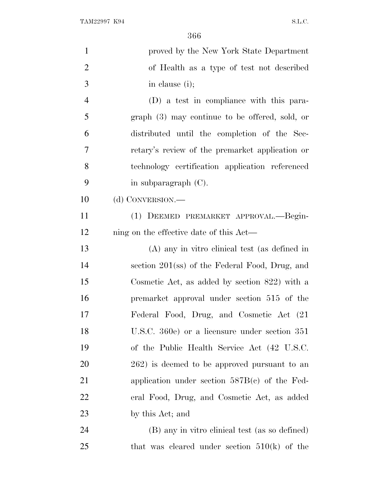| $\mathbf{1}$   | proved by the New York State Department          |
|----------------|--------------------------------------------------|
| $\overline{2}$ | of Health as a type of test not described        |
| 3              | in clause (i);                                   |
| $\overline{4}$ | (D) a test in compliance with this para-         |
| 5              | graph (3) may continue to be offered, sold, or   |
| 6              | distributed until the completion of the Sec-     |
| 7              | retary's review of the premarket application or  |
| 8              | technology certification application referenced  |
| 9              | in subparagraph $(C)$ .                          |
| 10             | (d) CONVERSION.—                                 |
| 11             | (1) DEEMED PREMARKET APPROVAL.—Begin-            |
| 12             | ning on the effective date of this Act—          |
| 13             | (A) any in vitro clinical test (as defined in    |
| 14             | section 201(ss) of the Federal Food, Drug, and   |
| 15             | Cosmetic Act, as added by section $822$ ) with a |
| 16             | premarket approval under section 515 of the      |
| 17             | Federal Food, Drug, and Cosmetic Act (21)        |
| 18             | U.S.C. 360e) or a licensure under section 351    |
| 19             | of the Public Health Service Act (42 U.S.C.      |
| 20             | 262) is deemed to be approved pursuant to an     |
| 21             | application under section $587B(c)$ of the Fed-  |
| 22             | eral Food, Drug, and Cosmetic Act, as added      |
| 23             | by this Act; and                                 |
| 24             | (B) any in vitro clinical test (as so defined)   |
| 25             | that was cleared under section $510(k)$ of the   |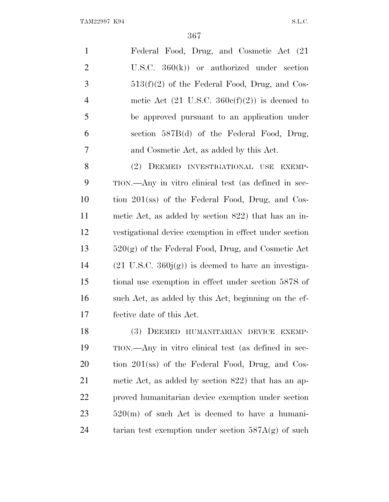| -1             | Federal Food, Drug, and Cosmetic Act (21)                |
|----------------|----------------------------------------------------------|
| 2              | U.S.C. $360(k)$ or authorized under section              |
| 3              | $513(f)(2)$ of the Federal Food, Drug, and Cos-          |
| $\overline{4}$ | metic Act $(21 \text{ U.S.C. } 360c(f)(2))$ is deemed to |
| 5              | be approved pursuant to an application under             |
| 6              | section 587B(d) of the Federal Food, Drug,               |
| 7              | and Cosmetic Act, as added by this Act.                  |

 (2) DEEMED INVESTIGATIONAL USE EXEMP- TION.—Any in vitro clinical test (as defined in sec- tion 201(ss) of the Federal Food, Drug, and Cos- metic Act, as added by section 822) that has an in- vestigational device exemption in effect under section 520(g) of the Federal Food, Drug, and Cosmetic Act 14 (21 U.S.C.  $360<sub>i</sub>(g)$ ) is deemed to have an investiga- tional use exemption in effect under section 587S of such Act, as added by this Act, beginning on the ef-fective date of this Act.

 (3) DEEMED HUMANITARIAN DEVICE EXEMP- TION.—Any in vitro clinical test (as defined in sec- tion 201(ss) of the Federal Food, Drug, and Cos- metic Act, as added by section 822) that has an ap- proved humanitarian device exemption under section 520(m) of such Act is deemed to have a humani-24 tarian test exemption under section  $587A(g)$  of such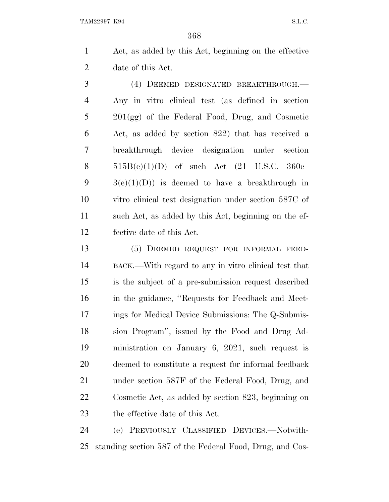Act, as added by this Act, beginning on the effective date of this Act.

 (4) DEEMED DESIGNATED BREAKTHROUGH.— Any in vitro clinical test (as defined in section 201(gg) of the Federal Food, Drug, and Cosmetic Act, as added by section 822) that has received a breakthrough device designation under section  $515B(e)(1)(D)$  of such Act  $(21 \text{ U.S.C. } 360e 9 \qquad 3(e)(1)(D)$  is deemed to have a breakthrough in vitro clinical test designation under section 587C of such Act, as added by this Act, beginning on the ef-fective date of this Act.

 (5) DEEMED REQUEST FOR INFORMAL FEED- BACK.—With regard to any in vitro clinical test that is the subject of a pre-submission request described in the guidance, ''Requests for Feedback and Meet- ings for Medical Device Submissions: The Q-Submis- sion Program'', issued by the Food and Drug Ad- ministration on January 6, 2021, such request is deemed to constitute a request for informal feedback under section 587F of the Federal Food, Drug, and Cosmetic Act, as added by section 823, beginning on the effective date of this Act.

 (e) PREVIOUSLY CLASSIFIED DEVICES.—Notwith-standing section 587 of the Federal Food, Drug, and Cos-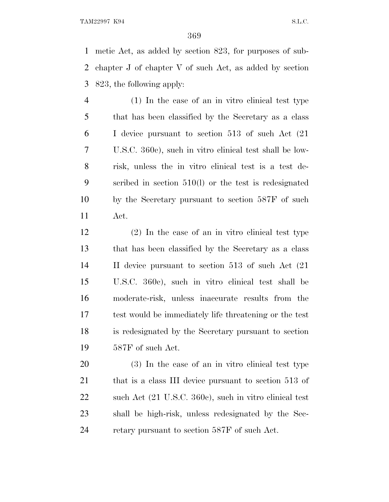metic Act, as added by section 823, for purposes of sub- chapter J of chapter V of such Act, as added by section 823, the following apply:

 (1) In the case of an in vitro clinical test type that has been classified by the Secretary as a class I device pursuant to section 513 of such Act (21 U.S.C. 360c), such in vitro clinical test shall be low- risk, unless the in vitro clinical test is a test de- scribed in section 510(l) or the test is redesignated by the Secretary pursuant to section 587F of such Act.

 (2) In the case of an in vitro clinical test type that has been classified by the Secretary as a class II device pursuant to section 513 of such Act (21 U.S.C. 360c), such in vitro clinical test shall be moderate-risk, unless inaccurate results from the test would be immediately life threatening or the test is redesignated by the Secretary pursuant to section 587F of such Act.

 (3) In the case of an in vitro clinical test type 21 that is a class III device pursuant to section 513 of 22 such Act (21 U.S.C. 360c), such in vitro clinical test shall be high-risk, unless redesignated by the Sec-retary pursuant to section 587F of such Act.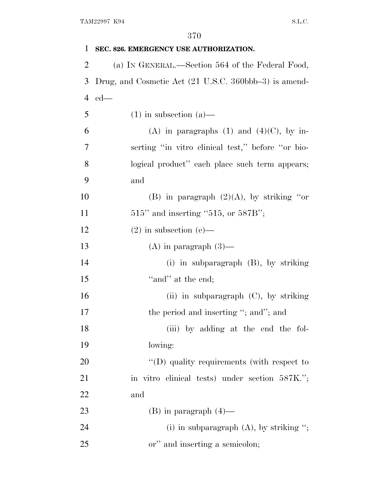| 1              | SEC. 826. EMERGENCY USE AUTHORIZATION.                |
|----------------|-------------------------------------------------------|
| $\overline{2}$ | (a) IN GENERAL.—Section 564 of the Federal Food,      |
| 3              | Drug, and Cosmetic Act (21 U.S.C. 360bbb–3) is amend- |
| $\overline{4}$ | $ed$ —                                                |
| 5              | $(1)$ in subsection $(a)$ —                           |
| 6              | (A) in paragraphs (1) and (4)(C), by in-              |
| 7              | serting "in vitro clinical test," before "or bio-     |
| 8              | logical product" each place such term appears;        |
| 9              | and                                                   |
| 10             | (B) in paragraph $(2)(A)$ , by striking "or           |
| 11             | $515"$ and inserting "515, or 587B";                  |
| 12             | $(2)$ in subsection $(e)$ —                           |
| 13             | $(A)$ in paragraph $(3)$ —                            |
| 14             | (i) in subparagraph $(B)$ , by striking               |
| 15             | "and" at the end;                                     |
| 16             | (ii) in subparagraph $(C)$ , by striking              |
| 17             | the period and inserting "; and"; and                 |
| 18             | (iii) by adding at the end the fol-                   |
| 19             | lowing:                                               |
| 20             | $\lq\lq$ (D) quality requirements (with respect to    |
| 21             | in vitro clinical tests) under section 587K.";        |
| 22             | and                                                   |
| 23             | $(B)$ in paragraph $(4)$ —                            |
| 24             | (i) in subparagraph $(A)$ , by striking ";            |
| 25             | or" and inserting a semicolon;                        |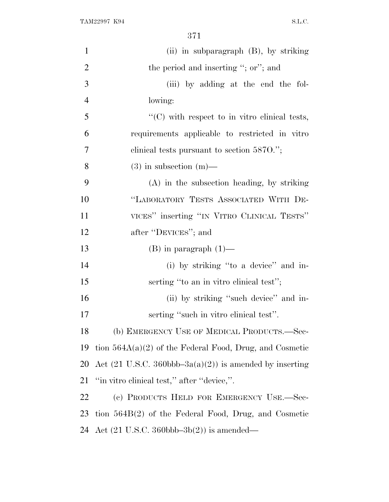TAM22997 K94 S.L.C.

| $\mathbf{1}$   | (ii) in subparagraph (B), by striking                                        |
|----------------|------------------------------------------------------------------------------|
| $\overline{2}$ | the period and inserting "; or"; and                                         |
| 3              | (iii) by adding at the end the fol-                                          |
| $\overline{4}$ | lowing:                                                                      |
| 5              | $\lq\lq$ (C) with respect to in vitro clinical tests,                        |
| 6              | requirements applicable to restricted in vitro                               |
| $\tau$         | elinical tests pursuant to section $5870$ .";                                |
| 8              | $(3)$ in subsection $(m)$ —                                                  |
| 9              | (A) in the subsection heading, by striking                                   |
| 10             | "LABORATORY TESTS ASSOCIATED WITH DE-                                        |
| 11             | VICES" inserting "IN VITRO CLINICAL TESTS"                                   |
| 12             | after "DEVICES"; and                                                         |
| 13             | $(B)$ in paragraph $(1)$ —                                                   |
| 14             | (i) by striking "to a device" and in-                                        |
| 15             | serting "to an in vitro clinical test";                                      |
| 16             | (ii) by striking "such device" and in-                                       |
| 17             | serting "such in vitro clinical test".                                       |
| 18             | (b) EMERGENCY USE OF MEDICAL PRODUCTS.—Sec-                                  |
| 19             | tion $564A(a)(2)$ of the Federal Food, Drug, and Cosmetic                    |
| 20             | Act $(21 \text{ U.S.C. } 360 \text{bbb} - 3a(a)(2))$ is amended by inserting |
| 21             | "in vitro clinical test," after "device,".                                   |
| 22             | (c) PRODUCTS HELD FOR EMERGENCY USE.—Sec-                                    |
| 23             | tion $564B(2)$ of the Federal Food, Drug, and Cosmetic                       |
| 24             | Act $(21 \text{ U.S.C. } 360 \text{bbb} -3b(2))$ is amended—                 |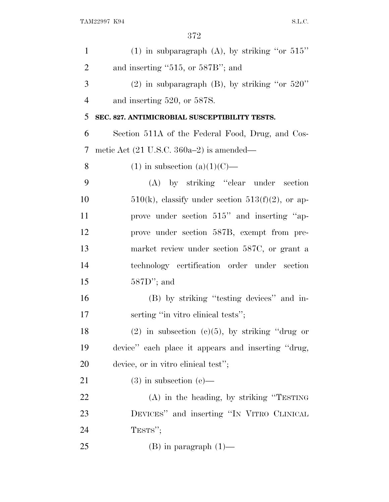| $\mathbf{1}$   | (1) in subparagraph (A), by striking "or $515"$        |
|----------------|--------------------------------------------------------|
| $\overline{2}$ | and inserting " $515$ , or $587B$ "; and               |
| 3              | $(2)$ in subparagraph $(B)$ , by striking "or 520"     |
| $\overline{4}$ | and inserting 520, or 587S.                            |
| 5              | SEC. 827. ANTIMICROBIAL SUSCEPTIBILITY TESTS.          |
| 6              | Section 511A of the Federal Food, Drug, and Cos-       |
| 7              | metic Act $(21 \text{ U.S.C. } 360a-2)$ is amended—    |
| 8              | $(1)$ in subsection $(a)(1)(C)$ —                      |
| 9              | (A) by striking "clear under section                   |
| 10             | $510(k)$ , classify under section $513(f)(2)$ , or ap- |
| 11             | prove under section 515" and inserting "ap-            |
| 12             | prove under section 587B, exempt from pre-             |
| 13             | market review under section 587C, or grant a           |
| 14             | technology certification order under section           |
| 15             | $587D$ "; and                                          |
| 16             | (B) by striking "testing devices" and in-              |
| 17             | serting "in vitro clinical tests";                     |
| 18             | $(2)$ in subsection $(e)(5)$ , by striking "drug or    |
| 19             | device" each place it appears and inserting "drug,     |
| 20             | device, or in vitro clinical test";                    |
| 21             | $(3)$ in subsection $(e)$ —                            |
| 22             | $(A)$ in the heading, by striking "TESTING"            |
| 23             | DEVICES" and inserting "IN VITRO CLINICAL              |
| 24             | TESTS";                                                |
| 25             | $(B)$ in paragraph $(1)$ —                             |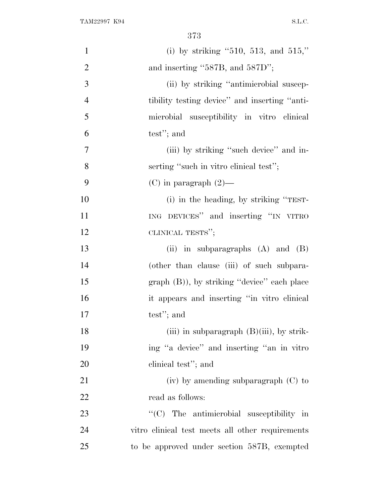| $\mathbf{1}$   | (i) by striking "510, 513, and 515,"             |
|----------------|--------------------------------------------------|
| $\overline{2}$ | and inserting "587B, and 587D";                  |
| 3              | (ii) by striking "antimicrobial suscep-          |
| $\overline{4}$ | tibility testing device" and inserting "anti-    |
| 5              | microbial susceptibility in vitro clinical       |
| 6              | test"; and                                       |
| $\overline{7}$ | (iii) by striking "such device" and in-          |
| 8              | serting "such in vitro clinical test";           |
| 9              | $(C)$ in paragraph $(2)$ —                       |
| 10             | (i) in the heading, by striking "TEST-           |
| 11             | ING DEVICES" and inserting "IN VITRO             |
| 12             | CLINICAL TESTS";                                 |
| 13             | (ii) in subparagraphs $(A)$ and $(B)$            |
| 14             | (other than clause (iii) of such subpara-        |
| 15             | $graph (B)$ , by striking "device" each place    |
| 16             | it appears and inserting "in vitro clinical      |
| 17             | test"; and                                       |
| 18             | (iii) in subparagraph $(B)(iii)$ , by strik-     |
| 19             | ing "a device" and inserting "an in vitro"       |
| 20             | clinical test"; and                              |
| 21             | $(iv)$ by amending subparagraph $(C)$ to         |
| 22             | read as follows:                                 |
| 23             | $\lq\lq$ The antimicrobial susceptibility in     |
| 24             | vitro clinical test meets all other requirements |
| 25             | to be approved under section 587B, exempted      |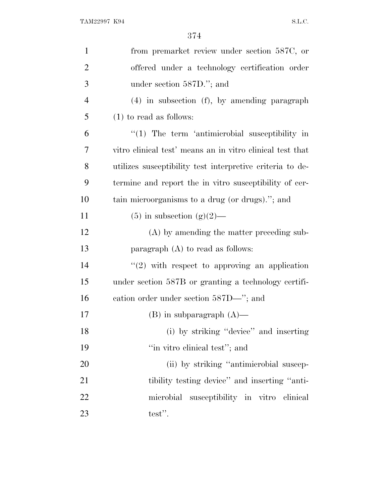| $\mathbf{1}$   | from premarket review under section 587C, or              |
|----------------|-----------------------------------------------------------|
| $\overline{2}$ | offered under a technology certification order            |
| 3              | under section $587D$ ."; and                              |
| $\overline{4}$ | $(4)$ in subsection $(f)$ , by amending paragraph         |
| 5              | $(1)$ to read as follows:                                 |
| 6              | $\lq(1)$ The term 'antimicrobial susceptibility in        |
| 7              | vitro clinical test' means an in vitro clinical test that |
| 8              | utilizes susceptibility test interpretive criteria to de- |
| 9              | termine and report the in vitro susceptibility of cer-    |
| 10             | tain microorganisms to a drug (or drugs)."; and           |
| 11             | $(5)$ in subsection $(g)(2)$ —                            |
| 12             | (A) by amending the matter preceding sub-                 |
| 13             | paragraph $(A)$ to read as follows:                       |
| 14             | $\lq(2)$ with respect to approving an application         |
| 15             | under section 587B or granting a technology certifi-      |
| 16             | eation order under section 587D—"; and                    |
| 17             | $(B)$ in subparagraph $(A)$ —                             |
| 18             | (i) by striking "device" and inserting                    |
| 19             | "in vitro clinical test"; and                             |
| 20             | (ii) by striking "antimicrobial suscep-                   |
| 21             | tibility testing device" and inserting "anti-             |
| 22             | microbial susceptibility in vitro clinical                |
| 23             | test".                                                    |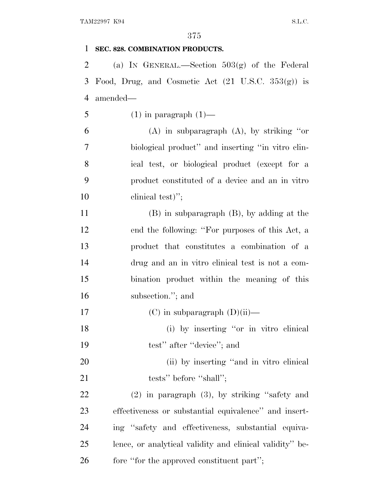## **SEC. 828. COMBINATION PRODUCTS.**

 (a) I<sup>N</sup> GENERAL.—Section 503(g) of the Federal 3 Food, Drug, and Cosmetic Act  $(21 \text{ U.S.C. } 353(g))$  is amended—

5 (1) in paragraph  $(1)$ —

 (A) in subparagraph (A), by striking ''or biological product'' and inserting ''in vitro clin- ical test, or biological product (except for a product constituted of a device and an in vitro 10 clinical test)";

 (B) in subparagraph (B), by adding at the end the following: ''For purposes of this Act, a product that constitutes a combination of a drug and an in vitro clinical test is not a com- bination product within the meaning of this subsection.''; and

- 17 (C) in subparagraph  $(D)(ii)$ —
- (i) by inserting ''or in vitro clinical 19 test'' after "device"; and

20 (ii) by inserting "and in vitro clinical 21 tests'' before "shall";

 (2) in paragraph (3), by striking ''safety and effectiveness or substantial equivalence'' and insert- ing ''safety and effectiveness, substantial equiva- lence, or analytical validity and clinical validity'' be-26 fore "for the approved constituent part";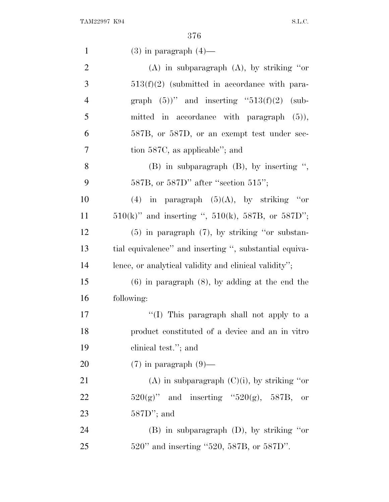| $\mathbf{1}$   | $(3)$ in paragraph $(4)$ —                                   |
|----------------|--------------------------------------------------------------|
| $\overline{2}$ | $(A)$ in subparagraph $(A)$ , by striking "or                |
| 3              | $513(f)(2)$ (submitted in accordance with para-              |
| $\overline{4}$ | graph $(5)$ " and inserting "513(f)(2) (sub-                 |
| 5              | mitted in accordance with paragraph $(5)$ ),                 |
| 6              | 587B, or 587D, or an exempt test under sec-                  |
| 7              | tion 587C, as applicable"; and                               |
| 8              | $(B)$ in subparagraph $(B)$ , by inserting ",                |
| 9              | $587B$ , or $587D$ " after "section $515$ ";                 |
| 10             | (4) in paragraph $(5)(A)$ , by striking "or                  |
| 11             | $510(k)$ " and inserting ", $510(k)$ , $587B$ , or $587D$ "; |
| 12             | $(5)$ in paragraph $(7)$ , by striking "or substan-          |
| 13             | tial equivalence" and inserting ", substantial equiva-       |
| 14             | lence, or analytical validity and clinical validity";        |
| 15             | $(6)$ in paragraph $(8)$ , by adding at the end the          |
| 16             | following:                                                   |
| 17             | "(I) This paragraph shall not apply to a                     |
| 18             | product constituted of a device and an in vitro              |
| 19             | clinical test."; and                                         |
| 20             | $(7)$ in paragraph $(9)$ —                                   |
| 21             | (A) in subparagraph $(C)(i)$ , by striking "or               |
| 22             | $520(g)$ " and inserting " $520(g)$ , $587B$ ,<br>or         |
| 23             | $587D$ "; and                                                |
| 24             | $(B)$ in subparagraph $(D)$ , by striking "or                |
| 25             | 520" and inserting "520, 587B, or 587D".                     |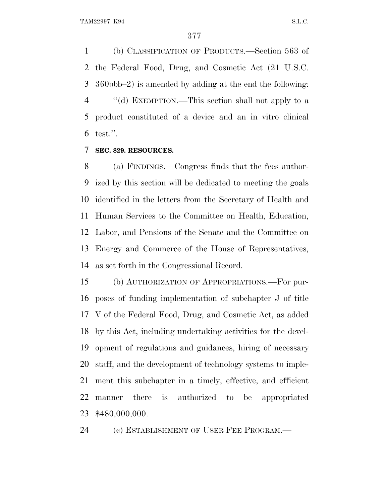(b) CLASSIFICATION OF PRODUCTS.—Section 563 of the Federal Food, Drug, and Cosmetic Act (21 U.S.C. 360bbb–2) is amended by adding at the end the following: ''(d) EXEMPTION.—This section shall not apply to a product constituted of a device and an in vitro clinical test.''.

## **SEC. 829. RESOURCES.**

 (a) FINDINGS.—Congress finds that the fees author- ized by this section will be dedicated to meeting the goals identified in the letters from the Secretary of Health and Human Services to the Committee on Health, Education, Labor, and Pensions of the Senate and the Committee on Energy and Commerce of the House of Representatives, as set forth in the Congressional Record.

 (b) AUTHORIZATION OF APPROPRIATIONS.—For pur- poses of funding implementation of subchapter J of title V of the Federal Food, Drug, and Cosmetic Act, as added by this Act, including undertaking activities for the devel- opment of regulations and guidances, hiring of necessary staff, and the development of technology systems to imple- ment this subchapter in a timely, effective, and efficient manner there is authorized to be appropriated \$480,000,000.

(c) ESTABLISHMENT OF USER FEE PROGRAM.—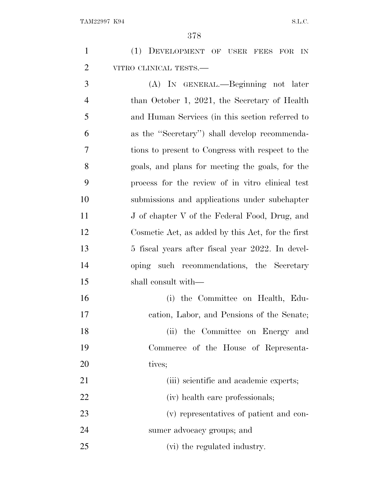| $\mathbf{1}$   | (1) DEVELOPMENT OF USER FEES FOR IN               |
|----------------|---------------------------------------------------|
| $\overline{2}$ | VITRO CLINICAL TESTS.-                            |
| 3              | (A) IN GENERAL.—Beginning not later               |
| $\overline{4}$ | than October 1, 2021, the Secretary of Health     |
| 5              | and Human Services (in this section referred to   |
| 6              | as the "Secretary") shall develop recommenda-     |
| 7              | tions to present to Congress with respect to the  |
| 8              | goals, and plans for meeting the goals, for the   |
| 9              | process for the review of in vitro clinical test  |
| 10             | submissions and applications under subchapter     |
| 11             | J of chapter V of the Federal Food, Drug, and     |
| 12             | Cosmetic Act, as added by this Act, for the first |
| 13             | 5 fiscal years after fiscal year 2022. In devel-  |
| 14             | oping such recommendations, the Secretary         |
| 15             | shall consult with—                               |
| 16             | (i) the Committee on Health, Edu-                 |
| 17             | cation, Labor, and Pensions of the Senate;        |
| 18             | (ii) the Committee on Energy and                  |
| 19             | Commerce of the House of Representa-              |
| 20             | tives;                                            |
| 21             | (iii) scientific and academic experts;            |
| 22             | (iv) health care professionals;                   |
| 23             | (v) representatives of patient and con-           |
| 24             | sumer advocacy groups; and                        |
| 25             | (vi) the regulated industry.                      |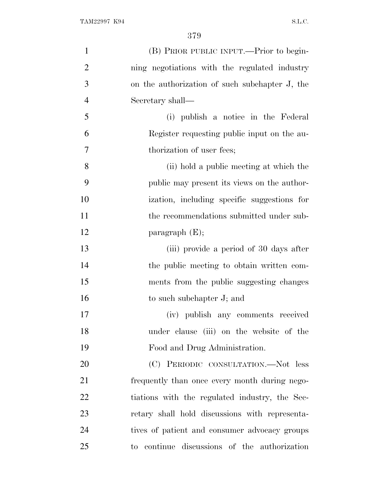| $\mathbf{1}$   | (B) PRIOR PUBLIC INPUT.—Prior to begin-        |
|----------------|------------------------------------------------|
| $\overline{2}$ | ning negotiations with the regulated industry  |
| 3              | on the authorization of such subchapter J, the |
| $\overline{4}$ | Secretary shall—                               |
| 5              | (i) publish a notice in the Federal            |
| 6              | Register requesting public input on the au-    |
| $\overline{7}$ | thorization of user fees;                      |
| 8              | (ii) hold a public meeting at which the        |
| 9              | public may present its views on the author-    |
| 10             | ization, including specific suggestions for    |
| 11             | the recommendations submitted under sub-       |
| 12             | paragraph $(E);$                               |
| 13             | (iii) provide a period of 30 days after        |
| 14             | the public meeting to obtain written com-      |
| 15             | ments from the public suggesting changes       |
| 16             | to such subchapter J; and                      |
| 17             | (iv) publish any comments received             |
| 18             | under clause (iii) on the website of the       |
| 19             | Food and Drug Administration.                  |
| 20             | (C) PERIODIC CONSULTATION.-Not less            |
| 21             | frequently than once every month during nego-  |
| 22             | tiations with the regulated industry, the Sec- |
| 23             | retary shall hold discussions with representa- |
| 24             | tives of patient and consumer advocacy groups  |
| 25             | to continue discussions of the authorization   |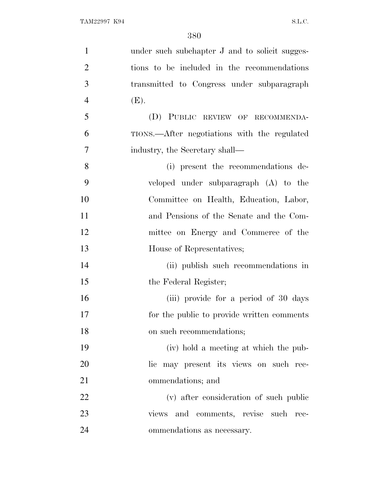| $\mathbf{1}$   | under such subchapter J and to solicit sugges- |
|----------------|------------------------------------------------|
| $\overline{2}$ | tions to be included in the recommendations    |
| 3              | transmitted to Congress under subparagraph     |
| $\overline{4}$ | (E).                                           |
| 5              | (D) PUBLIC REVIEW OF RECOMMENDA-               |
| 6              | TIONS.—After negotiations with the regulated   |
| 7              | industry, the Secretary shall—                 |
| 8              | (i) present the recommendations de-            |
| 9              | veloped under subparagraph (A) to the          |
| 10             | Committee on Health, Education, Labor,         |
| 11             | and Pensions of the Senate and the Com-        |
| 12             | mittee on Energy and Commerce of the           |
| 13             | House of Representatives;                      |
| 14             | (ii) publish such recommendations in           |
| 15             | the Federal Register;                          |
| 16             | (iii) provide for a period of 30 days          |
| 17             | for the public to provide written comments     |
| 18             | on such recommendations;                       |
| 19             | (iv) hold a meeting at which the pub-          |
| 20             | lic may present its views on such rec-         |
| 21             | ommendations; and                              |
| 22             | (v) after consideration of such public         |
| 23             | views and comments, revise such rec-           |
| 24             | ommendations as necessary.                     |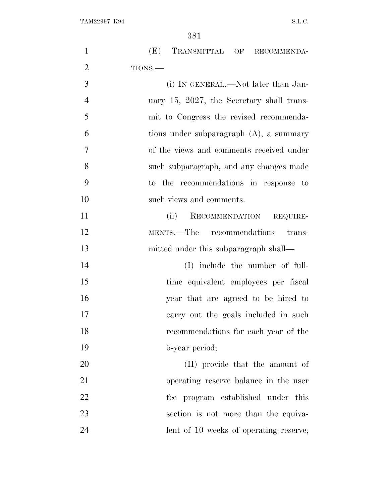TAM22997 K94 S.L.C.

| $\mathbf{1}$   | (E) TRANSMITTAL OF RECOMMENDA-             |
|----------------|--------------------------------------------|
| $\overline{2}$ | TIONS.-                                    |
| 3              | (i) IN GENERAL.—Not later than Jan-        |
| $\overline{4}$ | uary 15, 2027, the Secretary shall trans-  |
| 5              | mit to Congress the revised recommenda-    |
| 6              | tions under subparagraph $(A)$ , a summary |
| $\overline{7}$ | of the views and comments received under   |
| 8              | such subparagraph, and any changes made    |
| 9              | to the recommendations in response to      |
| 10             | such views and comments.                   |
| 11             | RECOMMENDATION<br>(ii)<br>REQUIRE-         |
| 12             | recommendations<br>MENTS.—The<br>trans-    |
| 13             | mitted under this subparagraph shall—      |
| 14             | (I) include the number of full-            |
| 15             | time equivalent employees per fiscal       |
| 16             | year that are agreed to be hired to        |
| 17             | carry out the goals included in such       |
| 18             | recommendations for each year of the       |
| 19             | 5-year period;                             |
| 20             | (II) provide that the amount of            |
| 21             | operating reserve balance in the user      |
| 22             | fee program established under this         |
| 23             | section is not more than the equiva-       |
| 24             | lent of 10 weeks of operating reserve;     |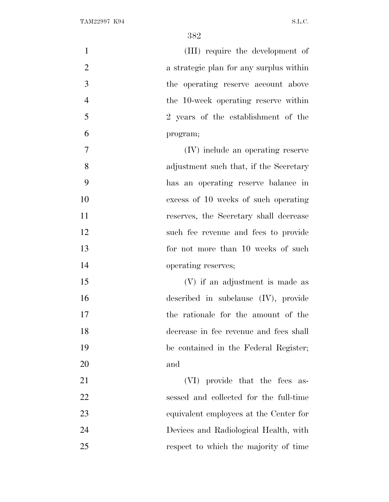| $\mathbf{1}$   | (III) require the development of        |
|----------------|-----------------------------------------|
| $\overline{2}$ | a strategic plan for any surplus within |
| 3              | the operating reserve account above     |
| $\overline{4}$ | the 10-week operating reserve within    |
| 5              | 2 years of the establishment of the     |
| 6              | program;                                |
| $\overline{7}$ | (IV) include an operating reserve       |
| 8              | adjustment such that, if the Secretary  |
| 9              | has an operating reserve balance in     |
| 10             | excess of 10 weeks of such operating    |
| 11             | reserves, the Secretary shall decrease  |
| 12             | such fee revenue and fees to provide    |
| 13             | for not more than 10 weeks of such      |
| 14             | operating reserves;                     |
| 15             | (V) if an adjustment is made as         |
| 16             | described in subclause $(IV)$ , provide |
| 17             | the rationale for the amount of the     |
| 18             | decrease in fee revenue and fees shall  |
| 19             | be contained in the Federal Register;   |
| 20             | and                                     |
| 21             | (VI) provide that the fees as-          |
| 22             | sessed and collected for the full-time  |
| 23             | equivalent employees at the Center for  |
| 24             | Devices and Radiological Health, with   |
| 25             | respect to which the majority of time   |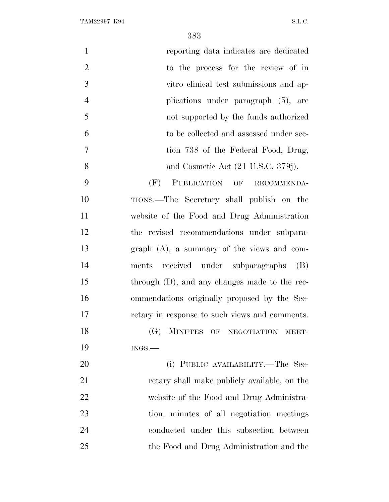| $\mathbf{1}$<br>reporting data indicates are dedicated     |    |
|------------------------------------------------------------|----|
| $\overline{2}$<br>to the process for the review of in      |    |
| 3<br>vitro clinical test submissions and ap-               |    |
| $\overline{4}$<br>plications under paragraph (5), are      |    |
| 5<br>not supported by the funds authorized                 |    |
| 6<br>to be collected and assessed under sec-               |    |
| $\overline{7}$<br>tion 738 of the Federal Food, Drug,      |    |
| 8<br>and Cosmetic Act $(21 \text{ U.S.C. } 379 \text{j}).$ |    |
| 9<br>PUBLICATION OF RECOMMENDA-<br>(F)                     |    |
| TIONS.—The Secretary shall publish on the                  | 10 |
| website of the Food and Drug Administration                | 11 |
| the revised recommendations under subpara-                 | 12 |
| $graph$ $(A)$ , a summary of the views and com-            | 13 |
| ments received under subparagraphs (B)                     | 14 |
| through $(D)$ , and any changes made to the rec-           | 15 |
| ommendations originally proposed by the Sec-               | 16 |
| retary in response to such views and comments.             | 17 |
| MINUTES OF NEGOTIATION MEET-<br>(G)                        | 18 |
| $INGS$ .                                                   | 19 |
| (i) PUBLIC AVAILABILITY.—The Sec-                          | 20 |
| retary shall make publicly available, on the               | 21 |
| website of the Food and Drug Administra-                   | 22 |
| tion, minutes of all negotiation meetings                  | 23 |
| conducted under this subsection between                    | 24 |
| the Food and Drug Administration and the                   | 25 |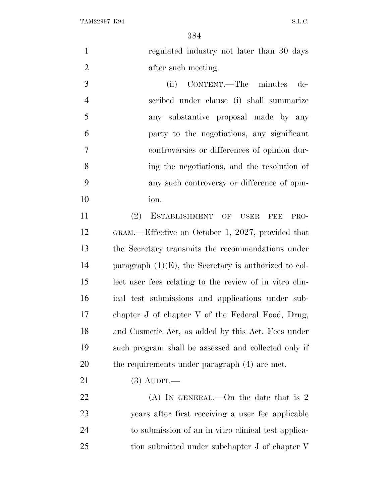TAM22997 K94 S.L.C.

 regulated industry not later than 30 days 2 after such meeting. (ii) CONTENT.—The minutes de- scribed under clause (i) shall summarize any substantive proposal made by any party to the negotiations, any significant

 controversies or differences of opinion dur- ing the negotiations, and the resolution of any such controversy or difference of opin-ion.

 (2) ESTABLISHMENT OF USER FEE PRO- GRAM.—Effective on October 1, 2027, provided that the Secretary transmits the recommendations under paragraph (1)(E), the Secretary is authorized to col- lect user fees relating to the review of in vitro clin- ical test submissions and applications under sub- chapter J of chapter V of the Federal Food, Drug, and Cosmetic Act, as added by this Act. Fees under such program shall be assessed and collected only if the requirements under paragraph (4) are met.

(3) AUDIT.—

22 (A) In GENERAL.—On the date that is 2 years after first receiving a user fee applicable to submission of an in vitro clinical test applica-tion submitted under subchapter J of chapter V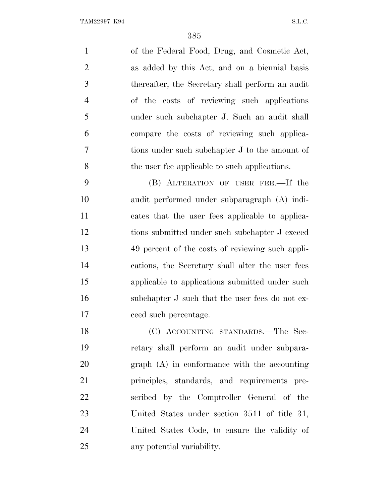of the Federal Food, Drug, and Cosmetic Act, as added by this Act, and on a biennial basis thereafter, the Secretary shall perform an audit of the costs of reviewing such applications under such subchapter J. Such an audit shall compare the costs of reviewing such applica- tions under such subchapter J to the amount of the user fee applicable to such applications.

 (B) ALTERATION OF USER FEE.—If the audit performed under subparagraph (A) indi- cates that the user fees applicable to applica- tions submitted under such subchapter J exceed 49 percent of the costs of reviewing such appli- cations, the Secretary shall alter the user fees applicable to applications submitted under such 16 subchapter J such that the user fees do not ex-ceed such percentage.

 (C) ACCOUNTING STANDARDS.—The Sec- retary shall perform an audit under subpara- graph (A) in conformance with the accounting principles, standards, and requirements pre- scribed by the Comptroller General of the United States under section 3511 of title 31, United States Code, to ensure the validity of any potential variability.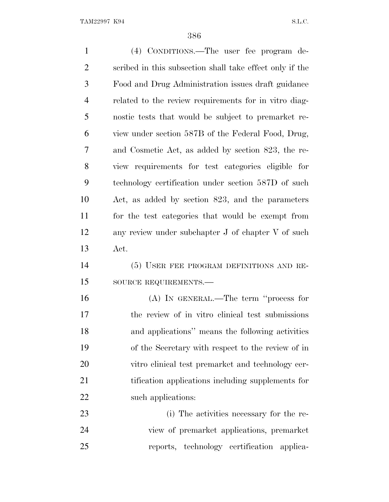| $\mathbf{1}$   | (4) CONDITIONS.—The user fee program de-                 |
|----------------|----------------------------------------------------------|
| $\overline{2}$ | scribed in this subsection shall take effect only if the |
| 3              | Food and Drug Administration issues draft guidance       |
| $\overline{4}$ | related to the review requirements for in vitro diag-    |
| 5              | nostic tests that would be subject to premarket re-      |
| 6              | view under section 587B of the Federal Food, Drug,       |
| 7              | and Cosmetic Act, as added by section 823, the re-       |
| 8              | view requirements for test categories eligible for       |
| 9              | technology certification under section 587D of such      |
| 10             | Act, as added by section 823, and the parameters         |
| 11             | for the test categories that would be exempt from        |
| 12             | any review under subchapter J of chapter V of such       |
| 13             | Act.                                                     |
| 14             | (5) USER FEE PROGRAM DEFINITIONS AND RE-                 |
| 15             | SOURCE REQUIREMENTS.-                                    |
| 16             | $(A)$ In GENERAL.—The term "process for                  |
| $17\,$         | the review of in vitro clinical test submissions         |
| 18             | and applications" means the following activities         |
| 19             | of the Secretary with respect to the review of in        |
| 20             | vitro clinical test premarket and technology cer-        |
| 21             | tification applications including supplements for        |
| 22             | such applications:                                       |
| 23             | (i) The activities necessary for the re-                 |
| 24             | view of premarket applications, premarket                |
| 25             | reports, technology certification applica-               |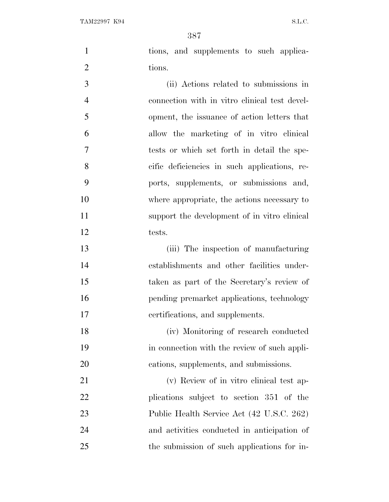tions, and supplements to such applica-2 tions.

 (ii) Actions related to submissions in connection with in vitro clinical test devel- opment, the issuance of action letters that allow the marketing of in vitro clinical tests or which set forth in detail the spe- cific deficiencies in such applications, re- ports, supplements, or submissions and, where appropriate, the actions necessary to support the development of in vitro clinical tests.

 (iii) The inspection of manufacturing establishments and other facilities under- taken as part of the Secretary's review of pending premarket applications, technology certifications, and supplements.

 (iv) Monitoring of research conducted in connection with the review of such appli-cations, supplements, and submissions.

 (v) Review of in vitro clinical test ap- plications subject to section 351 of the Public Health Service Act (42 U.S.C. 262) and activities conducted in anticipation of the submission of such applications for in-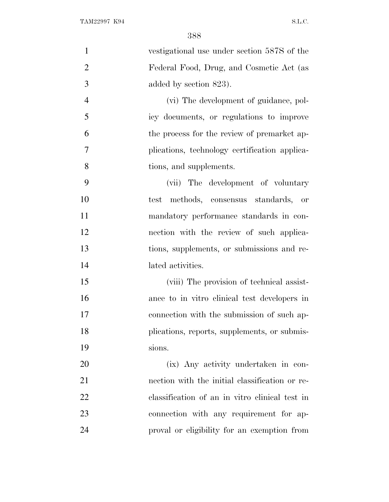| $\mathbf{1}$   | vestigational use under section 587S of the    |
|----------------|------------------------------------------------|
| $\overline{2}$ | Federal Food, Drug, and Cosmetic Act (as       |
| 3              | added by section 823).                         |
| $\overline{4}$ | (vi) The development of guidance, pol-         |
| 5              | icy documents, or regulations to improve       |
| 6              | the process for the review of premarket ap-    |
| 7              | plications, technology certification applica-  |
| 8              | tions, and supplements.                        |
| 9              | (vii) The development of voluntary             |
| 10             | methods, consensus standards, or<br>test       |
| 11             | mandatory performance standards in con-        |
| 12             | nection with the review of such applica-       |
| 13             | tions, supplements, or submissions and re-     |
| 14             | lated activities.                              |
| 15             | (viii) The provision of technical assist-      |
| 16             | ance to in vitro clinical test developers in   |
| 17             | connection with the submission of such ap-     |
| 18             | plications, reports, supplements, or submis-   |
| 19             | sions.                                         |
| 20             | (ix) Any activity undertaken in con-           |
| 21             | nection with the initial classification or re- |
| 22             | classification of an in vitro clinical test in |
| 23             | connection with any requirement for ap-        |
| 24             | proval or eligibility for an exemption from    |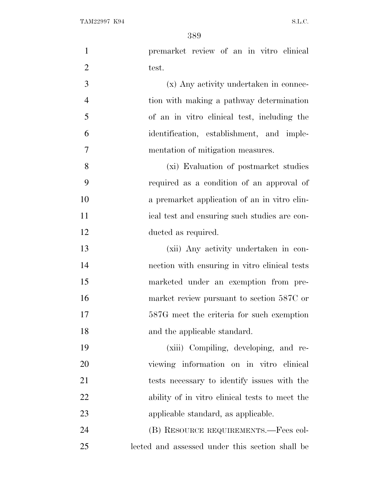TAM22997 K94 S.L.C.

| $\mathbf{1}$   | premarket review of an in vitro clinical        |
|----------------|-------------------------------------------------|
| $\overline{2}$ | test.                                           |
| 3              | (x) Any activity undertaken in connec-          |
| $\overline{4}$ | tion with making a pathway determination        |
| 5              | of an in vitro clinical test, including the     |
| 6              | identification, establishment, and imple-       |
| $\overline{7}$ | mentation of mitigation measures.               |
| 8              | (xi) Evaluation of postmarket studies           |
| 9              | required as a condition of an approval of       |
| 10             | a premarket application of an in vitro clin-    |
| 11             | ical test and ensuring such studies are con-    |
| 12             | ducted as required.                             |
| 13             | (xii) Any activity undertaken in con-           |
| 14             | nection with ensuring in vitro clinical tests   |
| 15             | marketed under an exemption from pre-           |
| 16             | market review pursuant to section 587C or       |
| 17             | 587G meet the criteria for such exemption       |
| 18             | and the applicable standard.                    |
| 19             | (xiii) Compiling, developing, and re-           |
| 20             | viewing information on in vitro clinical        |
| 21             | tests necessary to identify issues with the     |
| 22             | ability of in vitro clinical tests to meet the  |
| 23             | applicable standard, as applicable.             |
| 24             | (B) RESOURCE REQUIREMENTS.—Fees col-            |
| 25             | lected and assessed under this section shall be |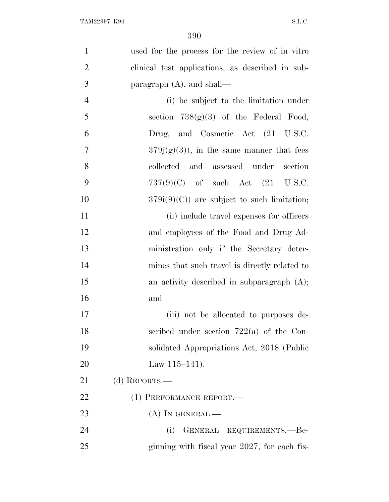| $\mathbf{1}$   | used for the process for the review of in vitro  |
|----------------|--------------------------------------------------|
| $\overline{2}$ | clinical test applications, as described in sub- |
| 3              | paragraph $(A)$ , and shall—                     |
| $\overline{4}$ | (i) be subject to the limitation under           |
| 5              | section $738(g)(3)$ of the Federal Food,         |
| 6              | Drug, and Cosmetic Act (21 U.S.C.                |
| 7              | $379j(g)(3)$ , in the same manner that fees      |
| 8              | collected and assessed under<br>section          |
| 9              | $737(9)(C)$ of such Act $(21 \text{ U.S.C.})$    |
| 10             | $379i(9)(C)$ are subject to such limitation;     |
| 11             | (ii) include travel expenses for officers        |
| 12             | and employees of the Food and Drug Ad-           |
| 13             | ministration only if the Secretary deter-        |
| 14             | mines that such travel is directly related to    |
| 15             | an activity described in subparagraph $(A)$ ;    |
| 16             | and                                              |
| 17             | (iii) not be allocated to purposes de-           |
| 18             | scribed under section $722(a)$ of the Con-       |
| 19             | solidated Appropriations Act, 2018 (Public       |
| 20             | Law $115-141$ .                                  |
| 21             | (d) REPORTS.—                                    |
| 22             | (1) PERFORMANCE REPORT.                          |
| 23             | $(A)$ In GENERAL.—                               |
| 24             | GENERAL REQUIREMENTS.-Be-<br>(i)                 |
| 25             | ginning with fiscal year 2027, for each fis-     |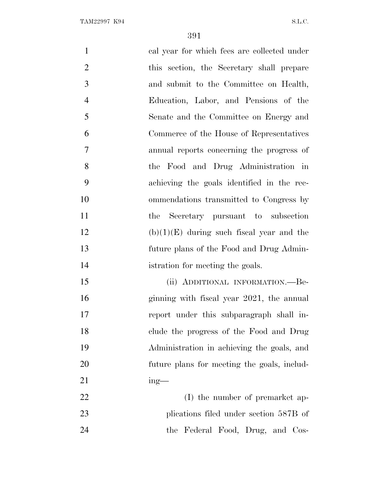| $\mathbf{1}$   | cal year for which fees are collected under |
|----------------|---------------------------------------------|
| $\overline{2}$ | this section, the Secretary shall prepare   |
| 3              | and submit to the Committee on Health,      |
| $\overline{4}$ | Education, Labor, and Pensions of the       |
| 5              | Senate and the Committee on Energy and      |
| 6              | Commerce of the House of Representatives    |
| 7              | annual reports concerning the progress of   |
| 8              | the Food and Drug Administration in         |
| 9              | achieving the goals identified in the rec-  |
| 10             | ommendations transmitted to Congress by     |
| 11             | Secretary pursuant to subsection<br>the     |
| 12             | $(b)(1)(E)$ during such fiscal year and the |
| 13             | future plans of the Food and Drug Admin-    |
| 14             | istration for meeting the goals.            |
| 15             | (ii) ADDITIONAL INFORMATION.—Be-            |
| 16             | ginning with fiscal year 2021, the annual   |
| 17             | report under this subparagraph shall in-    |
| 18             | clude the progress of the Food and Drug     |
| 19             | Administration in achieving the goals, and  |
| 20             | future plans for meeting the goals, includ- |
| 21             | $ing$ —                                     |
| 22             | (I) the number of premarket ap-             |
| 23             | plications filed under section 587B of      |
| 24             | the Federal Food, Drug, and Cos-            |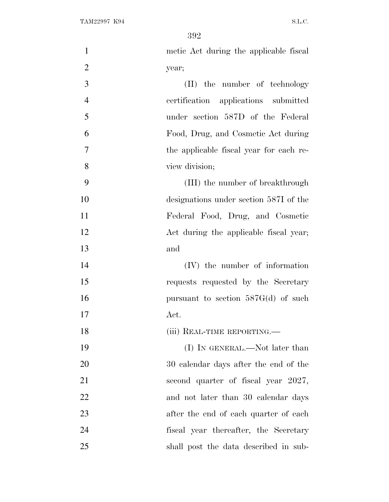metic Act during the applicable fiscal year; (II) the number of technology certification applications submitted under section 587D of the Federal Food, Drug, and Cosmetic Act during the applicable fiscal year for each re- view division; (III) the number of breakthrough designations under section 587I of the Federal Food, Drug, and Cosmetic 12 Act during the applicable fiscal year; and (IV) the number of information requests requested by the Secretary 16 pursuant to section 587G(d) of such Act. 18 (iii) REAL-TIME REPORTING.— 19 (I) IN GENERAL.—Not later than 30 calendar days after the end of the 21 second quarter of fiscal year 2027, 22 and not later than 30 calendar days after the end of each quarter of each fiscal year thereafter, the Secretary shall post the data described in sub-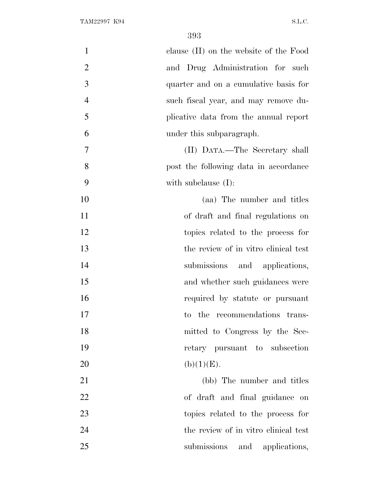| $\mathbf{1}$   | clause (II) on the website of the Food |
|----------------|----------------------------------------|
| $\overline{2}$ | and Drug Administration for such       |
| 3              | quarter and on a cumulative basis for  |
| $\overline{4}$ | such fiscal year, and may remove du-   |
| 5              | plicative data from the annual report  |
| 6              | under this subparagraph.               |
| 7              | (II) DATA.—The Secretary shall         |
| 8              | post the following data in accordance  |
| 9              | with subclause $(I)$ :                 |
| 10             | (aa) The number and titles             |
| 11             | of draft and final regulations on      |
| 12             | topics related to the process for      |
| 13             | the review of in vitro clinical test   |
| 14             | submissions and applications,          |
| 15             | and whether such guidances were        |
| 16             | required by statute or pursuant        |
| 17             | to the recommendations trans-          |
| 18             | mitted to Congress by the Sec-         |
| 19             | retary pursuant to subsection          |
| 20             | (b)(1)(E).                             |
| 21             | (bb) The number and titles             |
| 22             | of draft and final guidance on         |
| 23             | topics related to the process for      |
| 24             | the review of in vitro clinical test   |
| 25             | submissions and applications,          |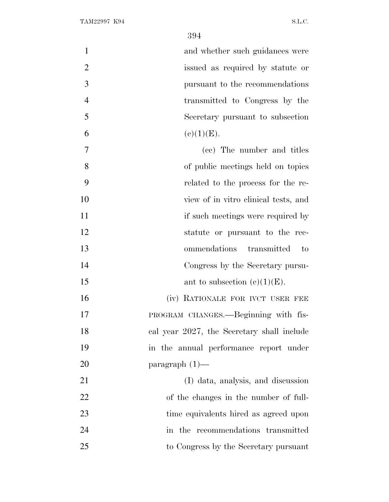1 and whether such guidances were issued as required by statute or pursuant to the recommendations transmitted to Congress by the Secretary pursuant to subsection 6 (e)(1)(E). (cc) The number and titles of public meetings held on topics

 related to the process for the re- view of in vitro clinical tests, and 11 if such meetings were required by

- statute or pursuant to the rec-ommendations transmitted to
- Congress by the Secretary pursu-
- 15 ant to subsection  $(c)(1)(E)$ .

16 (iv) RATIONALE FOR IVCT USER FEE PROGRAM CHANGES.—Beginning with fis- cal year 2027, the Secretary shall include in the annual performance report under paragraph (1)—

 (I) data, analysis, and discussion of the changes in the number of full- time equivalents hired as agreed upon 24 in the recommendations transmitted to Congress by the Secretary pursuant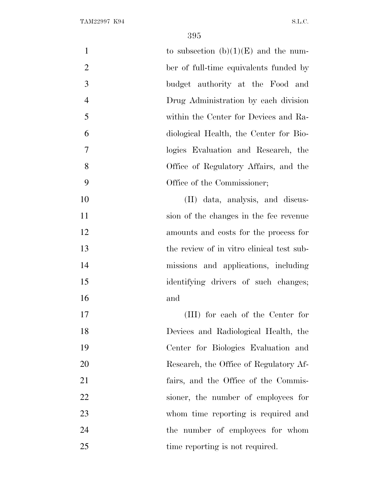| $\mathbf{1}$   | to subsection $(b)(1)(E)$ and the num-    |
|----------------|-------------------------------------------|
| $\overline{2}$ | ber of full-time equivalents funded by    |
| 3              | budget authority at the Food and          |
| $\overline{4}$ | Drug Administration by each division      |
| 5              | within the Center for Devices and Ra-     |
| 6              | diological Health, the Center for Bio-    |
| $\overline{7}$ | logics Evaluation and Research, the       |
| 8              | Office of Regulatory Affairs, and the     |
| 9              | Office of the Commissioner;               |
| 10             | (II) data, analysis, and discus-          |
| 11             | sion of the changes in the fee revenue    |
| 12             | amounts and costs for the process for     |
| 13             | the review of in vitro clinical test sub- |
| 14             | missions and applications, including      |
| 15             | identifying drivers of such changes;      |
| 16             | and                                       |
| 17             | (III) for each of the Center for          |
| 18             | Devices and Radiological Health, the      |
| 19             | Center for Biologies Evaluation and       |
| 20             | Research, the Office of Regulatory Af-    |
| 21             | fairs, and the Office of the Commis-      |
| 22             | sioner, the number of employees for       |
| 23             | whom time reporting is required and       |
| 24             | the number of employees for whom          |
| 25             | time reporting is not required.           |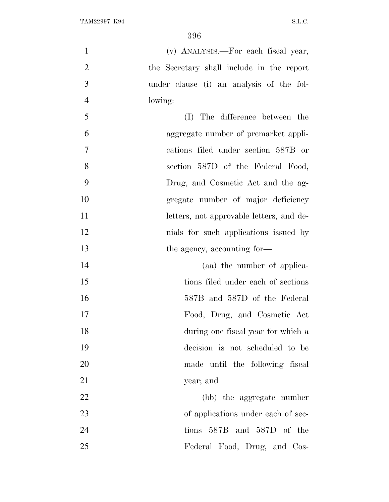| $\mathbf{1}$   | (v) ANALYSIS.—For each fiscal year,       |
|----------------|-------------------------------------------|
| $\overline{2}$ | the Secretary shall include in the report |
| 3              | under clause (i) an analysis of the fol-  |
| $\overline{4}$ | lowing:                                   |
| 5              | (I) The difference between the            |
| 6              | aggregate number of premarket appli-      |
| $\overline{7}$ | cations filed under section 587B or       |
| 8              | section 587D of the Federal Food,         |
| 9              | Drug, and Cosmetic Act and the ag-        |
| 10             | gregate number of major deficiency        |
| 11             | letters, not approvable letters, and de-  |
| 12             | mials for such applications issued by     |
| 13             | the agency, accounting for-               |
| 14             | (aa) the number of applica-               |
| 15             | tions filed under each of sections        |
| 16             | 587B and 587D of the Federal              |
| 17             | Food, Drug, and Cosmetic Act              |
| 18             | during one fiscal year for which a        |
| 19             | decision is not scheduled to be           |
| 20             | made until the following fiscal           |
| 21             | year; and                                 |
| 22             | (bb) the aggregate number                 |
| 23             | of applications under each of sec-        |
| 24             | tions 587B and 587D of the                |
| 25             | Federal Food, Drug, and Cos-              |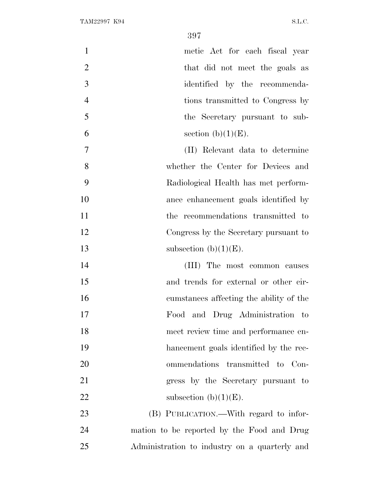| $\mathbf{1}$   | metic Act for each fiscal year          |
|----------------|-----------------------------------------|
| $\overline{2}$ | that did not meet the goals as          |
| 3              | identified by the recommenda-           |
| $\overline{4}$ | tions transmitted to Congress by        |
| 5              | the Secretary pursuant to sub-          |
| 6              | section $(b)(1)(E)$ .                   |
| $\overline{7}$ | (II) Relevant data to determine         |
| 8              | whether the Center for Devices and      |
| 9              | Radiological Health has met perform-    |
| 10             | ance enhancement goals identified by    |
| 11             | the recommendations transmitted to      |
| 12             | Congress by the Secretary pursuant to   |
| 13             | subsection $(b)(1)(E)$ .                |
| 14             | (III) The most common causes            |
| 15             | and trends for external or other cir-   |
| 16             | cumstances affecting the ability of the |
| 17             | Food and Drug Administration to         |
| 18             | meet review time and performance en-    |
| 19             | hancement goals identified by the rec-  |
| 20             | ommendations transmitted to Con-        |

 gress by the Secretary pursuant to 22 subsection  $(b)(1)(E)$ .

 (B) PUBLICATION.—With regard to infor- mation to be reported by the Food and Drug Administration to industry on a quarterly and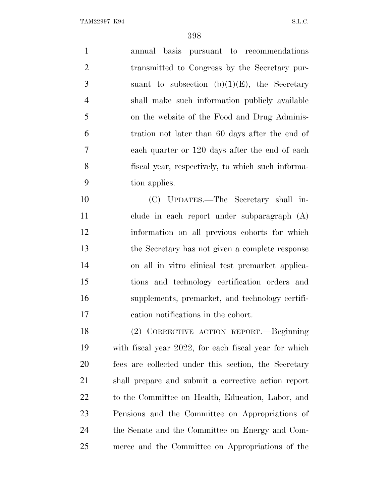annual basis pursuant to recommendations transmitted to Congress by the Secretary pur-3 suant to subsection  $(b)(1)(E)$ , the Secretary shall make such information publicly available on the website of the Food and Drug Adminis- tration not later than 60 days after the end of each quarter or 120 days after the end of each fiscal year, respectively, to which such informa-tion applies.

 (C) UPDATES.—The Secretary shall in- clude in each report under subparagraph (A) information on all previous cohorts for which the Secretary has not given a complete response on all in vitro clinical test premarket applica- tions and technology certification orders and supplements, premarket, and technology certifi-cation notifications in the cohort.

 (2) CORRECTIVE ACTION REPORT.—Beginning with fiscal year 2022, for each fiscal year for which fees are collected under this section, the Secretary shall prepare and submit a corrective action report to the Committee on Health, Education, Labor, and Pensions and the Committee on Appropriations of the Senate and the Committee on Energy and Com-merce and the Committee on Appropriations of the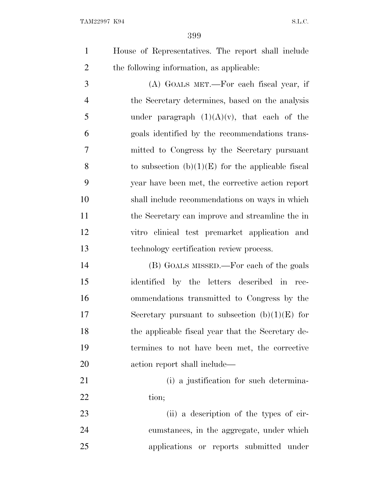House of Representatives. The report shall include the following information, as applicable:

 (A) GOALS MET.—For each fiscal year, if the Secretary determines, based on the analysis 5 under paragraph  $(1)(A)(v)$ , that each of the goals identified by the recommendations trans- mitted to Congress by the Secretary pursuant 8 to subsection  $(b)(1)(E)$  for the applicable fiscal year have been met, the corrective action report shall include recommendations on ways in which the Secretary can improve and streamline the in vitro clinical test premarket application and technology certification review process.

 (B) GOALS MISSED.—For each of the goals identified by the letters described in rec- ommendations transmitted to Congress by the 17 Secretary pursuant to subsection  $(b)(1)(E)$  for the applicable fiscal year that the Secretary de- termines to not have been met, the corrective action report shall include—

 (i) a justification for such determina-22 tion;

 (ii) a description of the types of cir- cumstances, in the aggregate, under which applications or reports submitted under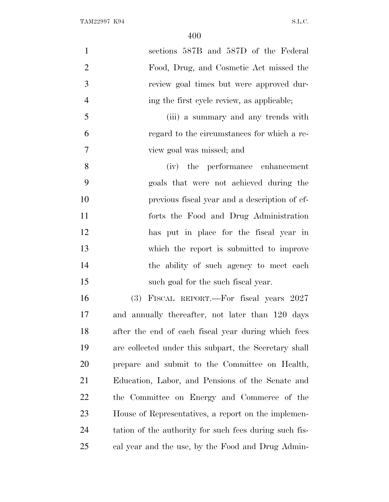| $\mathbf{1}$   | sections 587B and 587D of the Federal                  |
|----------------|--------------------------------------------------------|
| $\overline{2}$ | Food, Drug, and Cosmetic Act missed the                |
| 3              | review goal times but were approved dur-               |
| $\overline{4}$ | ing the first cycle review, as applicable;             |
| 5              | (iii) a summary and any trends with                    |
| 6              | regard to the circumstances for which a re-            |
| $\tau$         | view goal was missed; and                              |
| 8              | (iv) the performance enhancement                       |
| 9              | goals that were not achieved during the                |
| 10             | previous fiscal year and a description of ef-          |
| 11             | forts the Food and Drug Administration                 |
| 12             | has put in place for the fiscal year in                |
| 13             | which the report is submitted to improve               |
| 14             | the ability of such agency to meet each                |
| 15             | such goal for the such fiscal year.                    |
| 16             | (3) FISCAL REPORT.—For fiscal years 2027               |
| 17             | and annually thereafter, not later than 120 days       |
| 18             | after the end of each fiscal year during which fees    |
| 19             | are collected under this subpart, the Secretary shall  |
| 20             | prepare and submit to the Committee on Health,         |
| 21             | Education, Labor, and Pensions of the Senate and       |
| 22             | the Committee on Energy and Commerce of the            |
| 23             | House of Representatives, a report on the implemen-    |
| 24             | tation of the authority for such fees during such fis- |
| 25             | cal year and the use, by the Food and Drug Admin-      |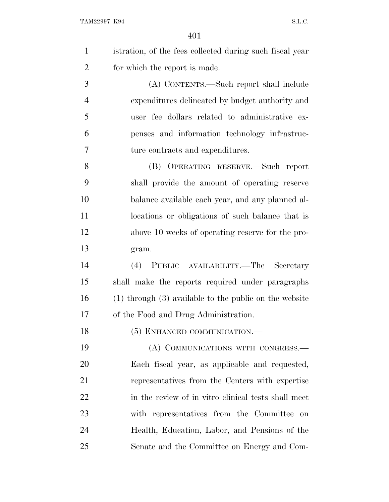|   | istration, of the fees collected during such fiscal year |
|---|----------------------------------------------------------|
| 2 | for which the report is made.                            |
| 3 | (A) CONTENTS.—Such report shall include                  |
|   | expenditures delineated by budget authority and          |

 user fee dollars related to administrative ex- penses and information technology infrastruc-ture contracts and expenditures.

 (B) OPERATING RESERVE.—Such report shall provide the amount of operating reserve balance available each year, and any planned al- locations or obligations of such balance that is above 10 weeks of operating reserve for the pro-gram.

 (4) PUBLIC AVAILABILITY.—The Secretary shall make the reports required under paragraphs (1) through (3) available to the public on the website of the Food and Drug Administration.

18 (5) ENHANCED COMMUNICATION.—

 (A) COMMUNICATIONS WITH CONGRESS.— Each fiscal year, as applicable and requested, representatives from the Centers with expertise in the review of in vitro clinical tests shall meet with representatives from the Committee on Health, Education, Labor, and Pensions of the Senate and the Committee on Energy and Com-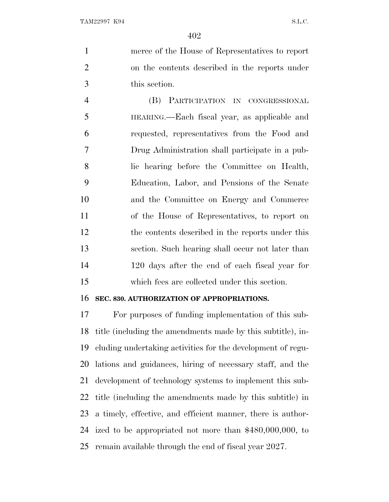merce of the House of Representatives to report on the contents described in the reports under this section.

 (B) PARTICIPATION IN CONGRESSIONAL HEARING.—Each fiscal year, as applicable and requested, representatives from the Food and Drug Administration shall participate in a pub- lic hearing before the Committee on Health, Education, Labor, and Pensions of the Senate and the Committee on Energy and Commerce of the House of Representatives, to report on the contents described in the reports under this section. Such hearing shall occur not later than 120 days after the end of each fiscal year for which fees are collected under this section.

## **SEC. 830. AUTHORIZATION OF APPROPRIATIONS.**

 For purposes of funding implementation of this sub- title (including the amendments made by this subtitle), in- cluding undertaking activities for the development of regu- lations and guidances, hiring of necessary staff, and the development of technology systems to implement this sub- title (including the amendments made by this subtitle) in a timely, effective, and efficient manner, there is author- ized to be appropriated not more than \$480,000,000, to remain available through the end of fiscal year 2027.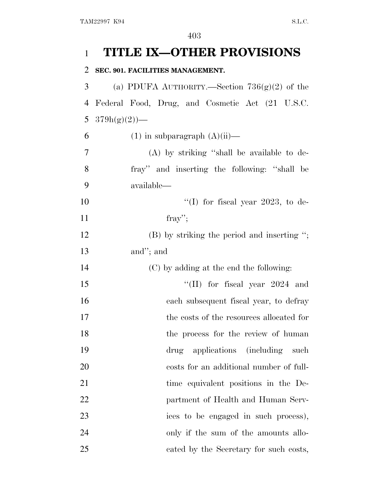## 1 **TITLE IX—OTHER PROVISIONS**

## 2 **SEC. 901. FACILITIES MANAGEMENT.**

3 (a) PDUFA AUTHORITY.—Section  $736(g)(2)$  of the 4 Federal Food, Drug, and Cosmetic Act (21 U.S.C. 5  $379h(g)(2)$ —

6 (1) in subparagraph  $(A)(ii)$ —

7 (A) by striking ''shall be available to de-8 fray'' and inserting the following: ''shall be 9 available—

10  $\text{``(I)}$  for fiscal year 2023, to de- $11$  fray'';

12 (B) by striking the period and inserting "; 13 and''; and

14 (C) by adding at the end the following:

15 ''(II) for fiscal year 2024 and 16 each subsequent fiscal year, to defray 17 the costs of the resources allocated for 18 the process for the review of human 19 drug applications (including such 20 costs for an additional number of full-21 time equivalent positions in the De-22 partment of Health and Human Serv-23 ices to be engaged in such process), 24 only if the sum of the amounts allo-25 cated by the Secretary for such costs,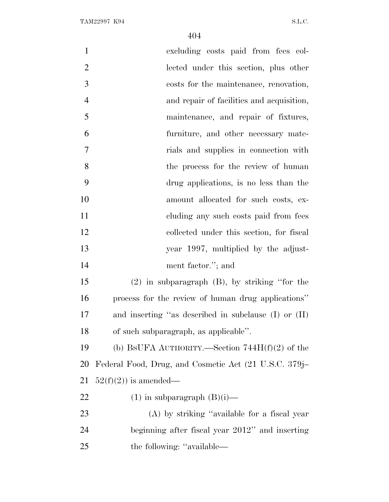| $\mathbf{1}$   | excluding costs paid from fees col-                      |
|----------------|----------------------------------------------------------|
| $\overline{2}$ | lected under this section, plus other                    |
| 3              | costs for the maintenance, renovation,                   |
| $\overline{4}$ | and repair of facilities and acquisition,                |
| 5              | maintenance, and repair of fixtures,                     |
| 6              | furniture, and other necessary mate-                     |
| $\overline{7}$ | rials and supplies in connection with                    |
| 8              | the process for the review of human                      |
| 9              | drug applications, is no less than the                   |
| 10             | amount allocated for such costs, ex-                     |
| 11             | eluding any such costs paid from fees                    |
| 12             | collected under this section, for fiscal                 |
| 13             | year 1997, multiplied by the adjust-                     |
| 14             | ment factor."; and                                       |
| 15             | $(2)$ in subparagraph $(B)$ , by striking "for the       |
| 16             | process for the review of human drug applications"       |
| 17             | and inserting "as described in subclause $(I)$ or $(II)$ |
| 18             | of such subparagraph, as applicable".                    |
| 19             | (b) BSUFA AUTHORITY.—Section $744H(f)(2)$ of the         |
| 20             | Federal Food, Drug, and Cosmetic Act (21 U.S.C. 379j–    |
| 21             | $52(f)(2)$ is amended—                                   |
| 22             | $(1)$ in subparagraph $(B)(i)$ —                         |
| 23             | $(A)$ by striking "available for a fiscal year           |
| 24             | beginning after fiscal year 2012" and inserting          |
| 25             | the following: "available—                               |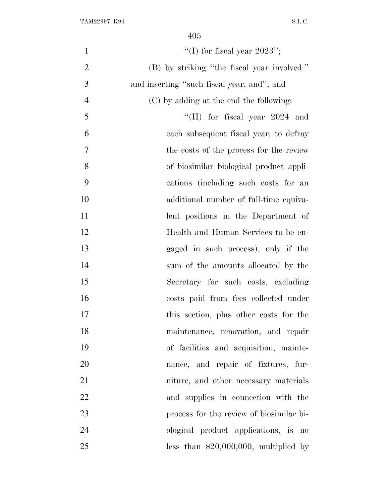| $\mathbf{1}$   | "(I) for fiscal year $2023"$ ;              |
|----------------|---------------------------------------------|
| $\overline{2}$ | (B) by striking "the fiscal year involved." |
| 3              | and inserting "such fiscal year; and"; and  |
| $\overline{4}$ | (C) by adding at the end the following:     |
| 5              | "(II) for fiscal year $2024$ and            |
| 6              | each subsequent fiscal year, to defray      |
| 7              | the costs of the process for the review     |
| 8              | of biosimilar biological product appli-     |
| 9              | cations (including such costs for an        |
| 10             | additional number of full-time equiva-      |
| 11             | lent positions in the Department of         |
| 12             | Health and Human Services to be en-         |
| 13             | gaged in such process), only if the         |
| 14             | sum of the amounts allocated by the         |
| 15             | Secretary for such costs, excluding         |
| 16             | costs paid from fees collected under        |
| 17             | this section, plus other costs for the      |
| 18             | maintenance, renovation, and repair         |
| 19             | of facilities and acquisition, mainte-      |
| 20             | nance, and repair of fixtures, fur-         |
| 21             | niture, and other necessary materials       |
| 22             | and supplies in connection with the         |
| 23             | process for the review of biosimilar bi-    |
| 24             | ological product applications, is no        |
| 25             | less than $$20,000,000$ , multiplied by     |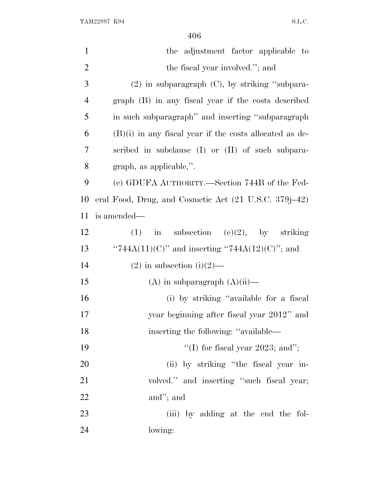TAM22997 K94 S.L.C.

| $\mathbf{1}$   | the adjustment factor applicable to                       |
|----------------|-----------------------------------------------------------|
| $\overline{2}$ | the fiscal year involved."; and                           |
| 3              | $(2)$ in subparagraph $(C)$ , by striking "subpara-       |
| 4              | graph (B) in any fiscal year if the costs described       |
| 5              | in such subparagraph" and inserting "subparagraph"        |
| 6              | $(B)(i)$ in any fiscal year if the costs allocated as de- |
| 7              | scribed in subclause (I) or (II) of such subpara-         |
| 8              | graph, as applicable,".                                   |
| 9              | (c) GDUFA AUTHORITY.—Section 744B of the Fed-             |
| 10             | eral Food, Drug, and Cosmetic Act (21 U.S.C. 379j–42)     |
| 11             | is amended—                                               |
| 12             | in subsection (e)(2), by striking<br>(1)                  |
| 13             | "744A(11)(C)" and inserting "744A(12)(C)"; and            |
| 14             | $(2)$ in subsection $(i)(2)$ —                            |
| 15             | $(A)$ in subparagraph $(A)(ii)$ —                         |
| 16             | (i) by striking "available for a fiscal                   |
| 17             | year beginning after fiscal year 2012" and                |
| 18             | inserting the following: "available—                      |
| 19             | "(I) for fiscal year 2023; and";                          |
| 20             | (ii) by striking "the fiscal year in-                     |
| 21             | volved." and inserting "such fiscal year;                 |
| 22             | and"; and                                                 |
| 23             | (iii) by adding at the end the fol-                       |
| 24             | lowing:                                                   |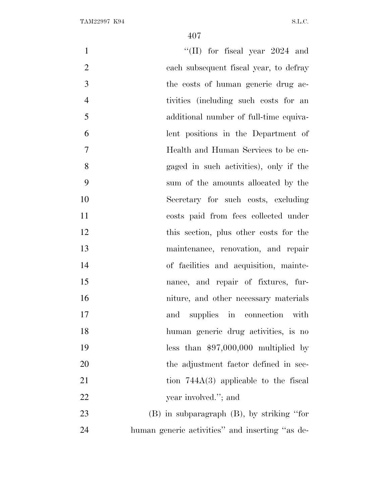$\text{``(II)}$  for fiscal year 2024 and each subsequent fiscal year, to defray the costs of human generic drug ac- tivities (including such costs for an additional number of full-time equiva- lent positions in the Department of Health and Human Services to be en- gaged in such activities), only if the sum of the amounts allocated by the Secretary for such costs, excluding costs paid from fees collected under this section, plus other costs for the maintenance, renovation, and repair of facilities and acquisition, mainte- nance, and repair of fixtures, fur- niture, and other necessary materials and supplies in connection with human generic drug activities, is no less than \$97,000,000 multiplied by the adjustment factor defined in sec-21 tion 744A(3) applicable to the fiscal 22 year involved."; and (B) in subparagraph (B), by striking ''for human generic activities'' and inserting ''as de-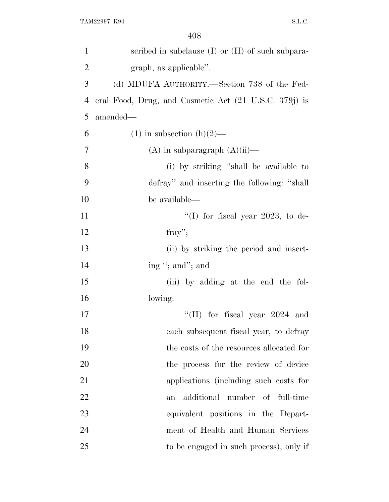| $\mathbf{1}$   | scribed in subclause (I) or (II) of such subpara-     |
|----------------|-------------------------------------------------------|
| $\overline{2}$ | graph, as applicable".                                |
| 3              | (d) MDUFA AUTHORITY.—Section 738 of the Fed-          |
| $\overline{4}$ | eral Food, Drug, and Cosmetic Act (21 U.S.C. 379j) is |
| 5              | amended—                                              |
| 6              | $(1)$ in subsection $(h)(2)$ —                        |
| 7              | $(A)$ in subparagraph $(A)(ii)$ —                     |
| 8              | (i) by striking "shall be available to                |
| 9              | defray" and inserting the following: "shall           |
| 10             | be available—                                         |
| 11             | "(I) for fiscal year 2023, to de-                     |
| 12             | fray";                                                |
| 13             | (ii) by striking the period and insert-               |
| 14             | ing "; and"; and                                      |
| 15             | (iii) by adding at the end the fol-                   |
| 16             | lowing:                                               |
| 17             | $\text{``(II)}$ for fiscal year 2024 and              |
| 18             | each subsequent fiscal year, to defray                |
| 19             | the costs of the resources allocated for              |
| 20             | the process for the review of device                  |
| 21             | applications (including such costs for                |
| 22             | additional number of full-time<br>an                  |
| 23             | equivalent positions in the Depart-                   |
| 24             | ment of Health and Human Services                     |
| 25             | to be engaged in such process), only if               |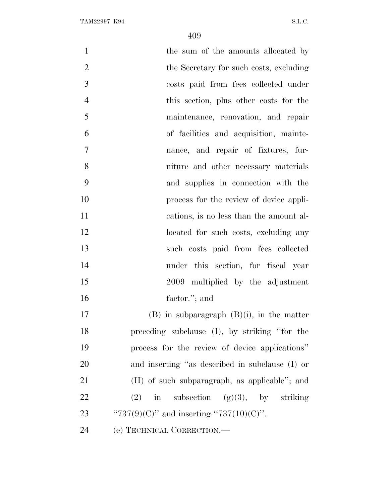| $\mathbf{1}$   | the sum of the amounts allocated by             |
|----------------|-------------------------------------------------|
| $\overline{2}$ | the Secretary for such costs, excluding         |
| 3              | costs paid from fees collected under            |
| $\overline{4}$ | this section, plus other costs for the          |
| 5              | maintenance, renovation, and repair             |
| 6              | of facilities and acquisition, mainte-          |
| 7              | nance, and repair of fixtures, fur-             |
| 8              | niture and other necessary materials            |
| 9              | and supplies in connection with the             |
| 10             | process for the review of device appli-         |
| 11             | cations, is no less than the amount al-         |
| 12             | located for such costs, excluding any           |
| 13             | such costs paid from fees collected             |
| 14             | under this section, for fiscal year             |
| 15             | 2009 multiplied by the adjustment               |
| 16             | factor."; and                                   |
| 17             | $(B)$ in subparagraph $(B)(i)$ , in the matter  |
| 18             | preceding subclause (I), by striking "for the   |
| 19             | process for the review of device applications"  |
| 20             | and inserting "as described in subclause (I) or |
| 21             | (II) of such subparagraph, as applicable"; and  |
| 22             | in subsection $(g)(3)$ , by striking<br>(2)     |
| 23             | " $737(9)(C)$ " and inserting " $737(10)(C)$ ". |
| 24             | (e) TECHNICAL CORRECTION.                       |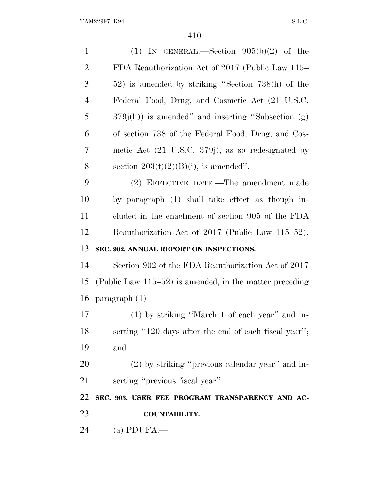| $\mathbf{1}$                     | (1) IN GENERAL.—Section $905(b)(2)$ of the                    |
|----------------------------------|---------------------------------------------------------------|
| $\overline{2}$                   | FDA Reauthorization Act of 2017 (Public Law 115–              |
| 3                                | 52) is amended by striking "Section 738(h) of the             |
| $\overline{4}$                   | Federal Food, Drug, and Cosmetic Act (21 U.S.C.               |
| 5                                | $379j(h)$ is amended" and inserting "Subsection (g)           |
| 6                                | of section 738 of the Federal Food, Drug, and Cos-            |
| 7                                | metic Act $(21 \text{ U.S.C. } 379j)$ , as so redesignated by |
| 8                                | section $203(f)(2)(B)(i)$ , is amended".                      |
| 9                                | (2) EFFECTIVE DATE.—The amendment made                        |
| 10                               | by paragraph (1) shall take effect as though in-              |
| 11                               | cluded in the enactment of section 905 of the FDA             |
| 12                               | Reauthorization Act of 2017 (Public Law 115–52).              |
|                                  |                                                               |
| 13                               | SEC. 902. ANNUAL REPORT ON INSPECTIONS.                       |
|                                  | Section 902 of the FDA Reauthorization Act of 2017            |
|                                  | (Public Law $115-52$ ) is amended, in the matter preceding    |
|                                  | paragraph $(1)$ —                                             |
|                                  | (1) by striking "March 1 of each year" and in-                |
|                                  | serting "120 days after the end of each fiscal year";         |
| 14<br>15<br>16<br>17<br>18<br>19 | and                                                           |
| 20                               | $(2)$ by striking "previous calendar year" and in-            |
| 21                               | serting "previous fiscal year".                               |
| 22                               | SEC. 903. USER FEE PROGRAM TRANSPARENCY AND AC-               |
| 23                               | <b>COUNTABILITY.</b>                                          |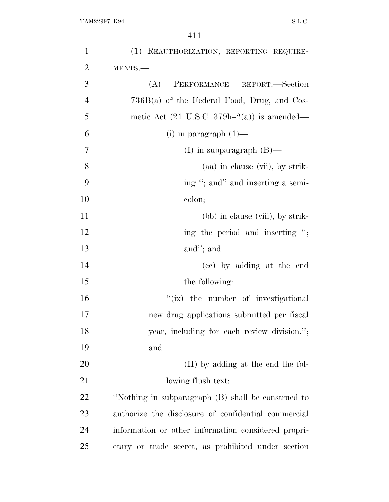| $\mathbf{1}$   | (1) REAUTHORIZATION; REPORTING REQUIRE-                |
|----------------|--------------------------------------------------------|
| $\overline{2}$ | MENTS.                                                 |
| 3              | PERFORMANCE REPORT.-Section<br>(A)                     |
| $\overline{4}$ | $736B(a)$ of the Federal Food, Drug, and Cos-          |
| 5              | metic Act $(21 \text{ U.S.C. } 379h-2(a))$ is amended— |
| 6              | $(i)$ in paragraph $(1)$ —                             |
| 7              | (I) in subparagraph $(B)$ —                            |
| 8              | (aa) in clause (vii), by strik-                        |
| 9              | ing "; and" and inserting a semi-                      |
| 10             | colon;                                                 |
| 11             | (bb) in clause (viii), by strik-                       |
| 12             | ing the period and inserting ";                        |
| 13             | and"; and                                              |
| 14             | (cc) by adding at the end                              |
| 15             | the following:                                         |
| 16             | "(ix) the number of investigational                    |
| 17             | new drug applications submitted per fiscal             |
| 18             | year, including for each review division.";            |
| 19             | and                                                    |
| 20             | (II) by adding at the end the fol-                     |
| 21             | lowing flush text:                                     |
| 22             | "Nothing in subparagraph (B) shall be construed to     |
| 23             | authorize the disclosure of confidential commercial    |
| 24             | information or other information considered propri-    |
| 25             | etary or trade secret, as prohibited under section     |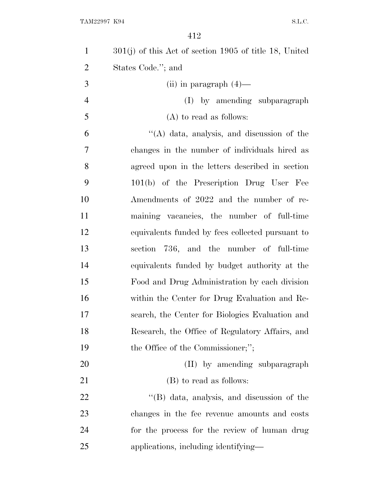| $\mathbf{1}$   | $301(j)$ of this Act of section 1905 of title 18, United |
|----------------|----------------------------------------------------------|
| $\overline{2}$ | States Code."; and                                       |
| 3              | (ii) in paragraph $(4)$ —                                |
| $\overline{4}$ | (I) by amending subparagraph                             |
| 5              | $(A)$ to read as follows:                                |
| 6              | $\lq\lq$ data, analysis, and discussion of the           |
| 7              | changes in the number of individuals hired as            |
| 8              | agreed upon in the letters described in section          |
| 9              | 101(b) of the Prescription Drug User Fee                 |
| 10             | Amendments of 2022 and the number of re-                 |
| 11             | maining vacancies, the number of full-time               |
| 12             | equivalents funded by fees collected pursuant to         |
| 13             | section 736, and the number of full-time                 |
| 14             | equivalents funded by budget authority at the            |
| 15             | Food and Drug Administration by each division            |
| 16             | within the Center for Drug Evaluation and Re-            |
| 17             | search, the Center for Biologics Evaluation and          |
| 18             | Research, the Office of Regulatory Affairs, and          |
| 19             | the Office of the Commissioner;";                        |
| 20             | (II) by amending subparagraph                            |
| 21             | (B) to read as follows:                                  |
| 22             | "(B) data, analysis, and discussion of the               |
| 23             | changes in the fee revenue amounts and costs             |
| 24             | for the process for the review of human drug             |
| 25             | applications, including identifying—                     |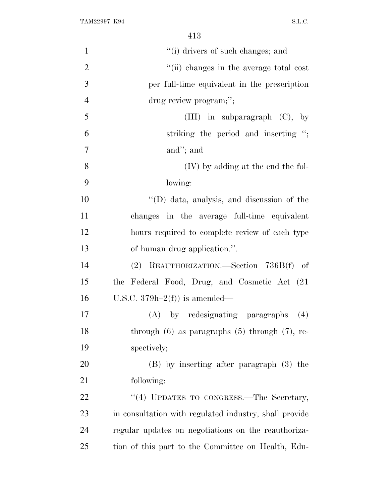| $\mathbf{1}$   | "(i) drivers of such changes; and                      |
|----------------|--------------------------------------------------------|
| $\overline{2}$ | "(ii) changes in the average total cost                |
| 3              | per full-time equivalent in the prescription           |
| $\overline{4}$ | drug review program;";                                 |
| 5              | (III) in subparagraph $(C)$ , by                       |
| 6              | striking the period and inserting ";                   |
| 7              | and"; and                                              |
| 8              | (IV) by adding at the end the fol-                     |
| 9              | lowing:                                                |
| 10             | $\lq\lq$ (D) data, analysis, and discussion of the     |
| 11             | changes in the average full-time equivalent            |
| 12             | hours required to complete review of each type         |
| 13             | of human drug application.".                           |
| 14             | (2) REAUTHORIZATION.—Section 736B(f) of                |
| 15             | the Federal Food, Drug, and Cosmetic Act (21)          |
| 16             | U.S.C. $379h-2(f)$ is amended—                         |
| 17             | (A) by redesignating paragraphs<br>(4)                 |
| 18             | through $(6)$ as paragraphs $(5)$ through $(7)$ , re-  |
| 19             | spectively;                                            |
| 20             | (B) by inserting after paragraph (3) the               |
| 21             | following:                                             |
| 22             | "(4) UPDATES TO CONGRESS.-The Secretary,               |
| 23             | in consultation with regulated industry, shall provide |
| 24             | regular updates on negotiations on the reauthoriza-    |
| 25             | tion of this part to the Committee on Health, Edu-     |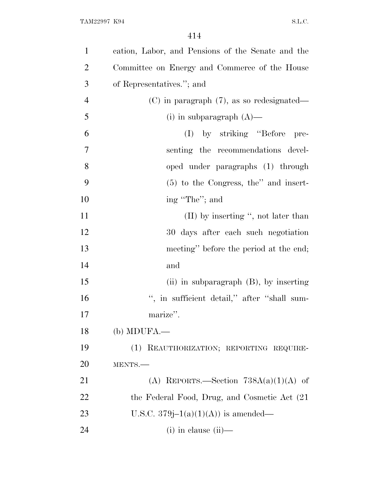| $\mathbf{1}$   | cation, Labor, and Pensions of the Senate and the |
|----------------|---------------------------------------------------|
| $\overline{2}$ | Committee on Energy and Commerce of the House     |
| 3              | of Representatives."; and                         |
| $\overline{4}$ | $(C)$ in paragraph $(7)$ , as so redesignated—    |
| 5              | (i) in subparagraph $(A)$ —                       |
| 6              | (I) by striking "Before"<br>pre-                  |
| 7              | senting the recommendations devel-                |
| 8              | oped under paragraphs (1) through                 |
| 9              | $(5)$ to the Congress, the'' and insert-          |
| 10             | ing "The"; and                                    |
| 11             | $(II)$ by inserting ", not later than             |
| 12             | 30 days after each such negotiation               |
| 13             | meeting" before the period at the end;            |
| 14             | and                                               |
| 15             | (ii) in subparagraph (B), by inserting            |
| 16             | ", in sufficient detail," after "shall sum-       |
| 17             | marize".                                          |
| 18             | $(b)$ MDUFA.—                                     |
| 19             | (1) REAUTHORIZATION; REPORTING REQUIRE-           |
| 20             | MENTS.-                                           |
| 21             | (A) REPORTS.—Section $738A(a)(1)(A)$ of           |
| 22             | the Federal Food, Drug, and Cosmetic Act (21)     |
| 23             | U.S.C. 379 $j-1(a)(1)(A)$ is amended—             |
| 24             | $(i)$ in clause $(ii)$ —                          |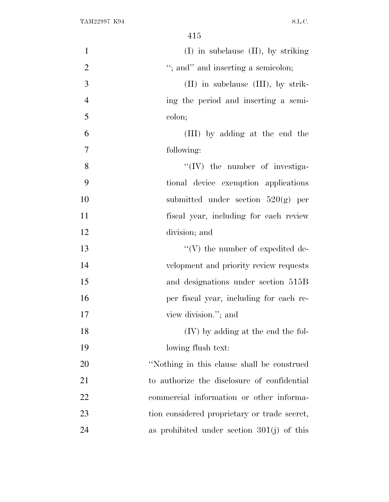| $\mathbf{1}$   | $(I)$ in subclause $(II)$ , by striking      |
|----------------|----------------------------------------------|
| $\overline{2}$ | "; and" and inserting a semicolon;           |
| 3              | $(II)$ in subclause $(III)$ , by strik-      |
| $\overline{4}$ | ing the period and inserting a semi-         |
| 5              | colon;                                       |
| 6              | (III) by adding at the end the               |
| 7              | following:                                   |
| 8              | $\lq\lq$ (IV) the number of investiga-       |
| 9              | tional device exemption applications         |
| 10             | submitted under section $520(g)$ per         |
| 11             | fiscal year, including for each review       |
| 12             | division; and                                |
| 13             | $\lq\lq(V)$ the number of expedited de-      |
| 14             | velopment and priority review requests       |
| 15             | and designations under section 515B          |
| 16             | per fiscal year, including for each re-      |
| 17             | view division."; and                         |
| 18             | (IV) by adding at the end the fol-           |
| 19             | lowing flush text:                           |
| 20             | "Nothing in this clause shall be construed   |
| 21             | to authorize the disclosure of confidential  |
| 22             | commercial information or other informa-     |
| 23             | tion considered proprietary or trade secret, |
| 24             | as prohibited under section $301(j)$ of this |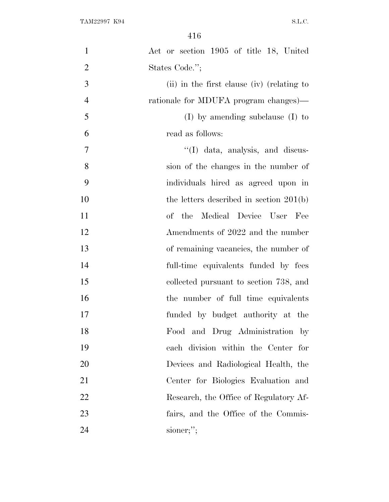| $\mathbf{1}$   | Act or section 1905 of title 18, United    |
|----------------|--------------------------------------------|
| $\overline{2}$ | States Code.";                             |
| 3              | (ii) in the first clause (iv) (relating to |
| $\overline{4}$ | rationale for MDUFA program changes)—      |
| 5              | $(I)$ by amending subclause $(I)$ to       |
| 6              | read as follows:                           |
| $\overline{7}$ | $\lq$ (I) data, analysis, and discus-      |
| 8              | sion of the changes in the number of       |
| 9              | individuals hired as agreed upon in        |
| 10             | the letters described in section $201(b)$  |
| 11             | of the Medical Device User Fee             |
| 12             | Amendments of 2022 and the number          |
| 13             | of remaining vacancies, the number of      |
| 14             | full-time equivalents funded by fees       |
| 15             | collected pursuant to section 738, and     |
| 16             | the number of full time equivalents        |
| 17             | funded by budget authority at the          |
| 18             | Food and Drug Administration by            |
| 19             | each division within the Center for        |
| 20             | Devices and Radiological Health, the       |
| 21             | Center for Biologies Evaluation and        |
| 22             | Research, the Office of Regulatory Af-     |
| 23             | fairs, and the Office of the Commis-       |
| 24             | sioner;";                                  |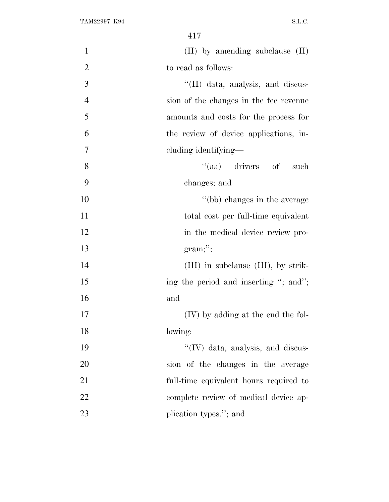| $\mathbf{1}$   | $(II)$ by amending subclause $(II)$    |
|----------------|----------------------------------------|
| $\overline{2}$ | to read as follows:                    |
| 3              | "(II) data, analysis, and discus-      |
| $\overline{4}$ | sion of the changes in the fee revenue |
| 5              | amounts and costs for the process for  |
| 6              | the review of device applications, in- |
| $\tau$         | cluding identifying—                   |
| 8              | "(aa) drivers of such                  |
| 9              | changes; and                           |
| 10             | "(bb) changes in the average           |
| 11             | total cost per full-time equivalent    |
| 12             | in the medical device review pro-      |
| 13             | gram;                                  |
| 14             | (III) in subclause (III), by strik-    |
| 15             | ing the period and inserting "; and";  |
| 16             | and                                    |
| 17             | (IV) by adding at the end the fol-     |
| 18             | lowing:                                |
| 19             | "(IV) data, analysis, and discus-      |
| 20             | sion of the changes in the average     |
| 21             | full-time equivalent hours required to |
| 22             | complete review of medical device ap-  |
| 23             | plication types."; and                 |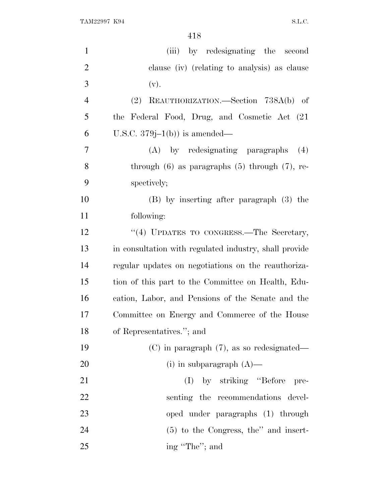TAM22997 K94 S.L.C.

| $\mathbf{1}$   | by redesignating the second<br>(iii)                   |
|----------------|--------------------------------------------------------|
| $\overline{2}$ | clause (iv) (relating to analysis) as clause           |
| 3              | (v).                                                   |
| $\overline{4}$ | REAUTHORIZATION.—Section 738A(b) of<br>(2)             |
| 5              | the Federal Food, Drug, and Cosmetic Act (21)          |
| 6              | U.S.C. $379j-1(b)$ is amended—                         |
| $\overline{7}$ | (A) by redesignating paragraphs<br>(4)                 |
| 8              | through $(6)$ as paragraphs $(5)$ through $(7)$ , re-  |
| 9              | spectively;                                            |
| 10             | $(B)$ by inserting after paragraph $(3)$ the           |
| 11             | following:                                             |
| 12             | "(4) UPDATES TO CONGRESS.—The Secretary,               |
| 13             | in consultation with regulated industry, shall provide |
| 14             | regular updates on negotiations on the reauthoriza-    |
| 15             | tion of this part to the Committee on Health, Edu-     |
| 16             | cation, Labor, and Pensions of the Senate and the      |
| 17             | Committee on Energy and Commerce of the House          |
| 18             | of Representatives."; and                              |
| 19             | $(C)$ in paragraph $(7)$ , as so redesignated—         |
| 20             | (i) in subparagraph $(A)$ —                            |
| 21             | (I) by striking "Before"<br>pre-                       |
| 22             | senting the recommendations devel-                     |
| 23             | oped under paragraphs (1) through                      |
| 24             | $(5)$ to the Congress, the" and insert-                |
| 25             | ing "The"; and                                         |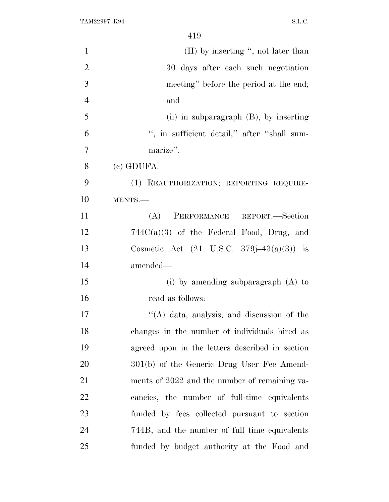| $\mathbf{1}$   | $(II)$ by inserting ", not later than                |
|----------------|------------------------------------------------------|
| $\overline{2}$ | 30 days after each such negotiation                  |
| 3              | meeting" before the period at the end;               |
| $\overline{4}$ | and                                                  |
| 5              | (ii) in subparagraph $(B)$ , by inserting            |
| 6              | ", in sufficient detail," after "shall sum-          |
| $\overline{7}$ | marize".                                             |
| 8              | $(c)$ GDUFA.—                                        |
| 9              | (1) REAUTHORIZATION; REPORTING REQUIRE-              |
| 10             | MENTS.-                                              |
| 11             | PERFORMANCE REPORT.-Section<br>(A)                   |
| 12             | $744C(a)(3)$ of the Federal Food, Drug, and          |
| 13             | Cosmetic Act $(21 \text{ U.S.C. } 379j-43(a)(3))$ is |
| 14             | amended—                                             |
| 15             | (i) by amending subparagraph $(A)$ to                |
| 16             | read as follows:                                     |
| 17             | "(A) data, analysis, and discussion of the           |
| 18             | changes in the number of individuals hired as        |
| 19             | agreed upon in the letters described in section      |
| 20             | 301(b) of the Generic Drug User Fee Amend-           |
| 21             | ments of 2022 and the number of remaining va-        |
| 22             | cancies, the number of full-time equivalents         |
| 23             | funded by fees collected pursuant to section         |
| 24             | 744B, and the number of full time equivalents        |
| 25             | funded by budget authority at the Food and           |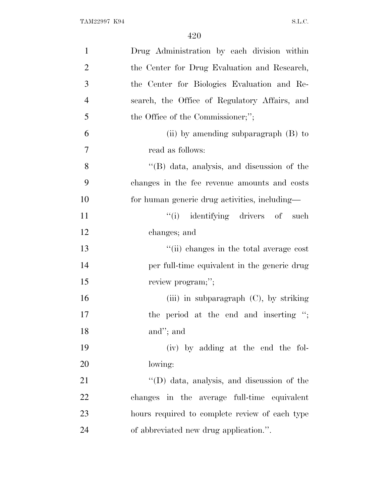| $\mathbf{1}$   | Drug Administration by each division within        |
|----------------|----------------------------------------------------|
| $\overline{2}$ | the Center for Drug Evaluation and Research,       |
| 3              | the Center for Biologies Evaluation and Re-        |
| $\overline{4}$ | search, the Office of Regulatory Affairs, and      |
| 5              | the Office of the Commissioner;";                  |
| 6              | (ii) by amending subparagraph $(B)$ to             |
| $\overline{7}$ | read as follows:                                   |
| 8              | "(B) data, analysis, and discussion of the         |
| 9              | changes in the fee revenue amounts and costs       |
| 10             | for human generic drug activities, including-      |
| 11             | "(i) identifying drivers of such                   |
| 12             | changes; and                                       |
| 13             | "(ii) changes in the total average cost            |
| 14             | per full-time equivalent in the generic drug       |
| 15             | review program;";                                  |
| 16             | (iii) in subparagraph $(C)$ , by striking          |
| 17             | the period at the end and inserting ";             |
| 18             | and"; and                                          |
| 19             | (iv) by adding at the end the fol-                 |
| 20             | lowing:                                            |
| 21             | $\lq\lq$ (D) data, analysis, and discussion of the |
| 22             | changes in the average full-time equivalent        |
| 23             | hours required to complete review of each type     |
| 24             | of abbreviated new drug application.".             |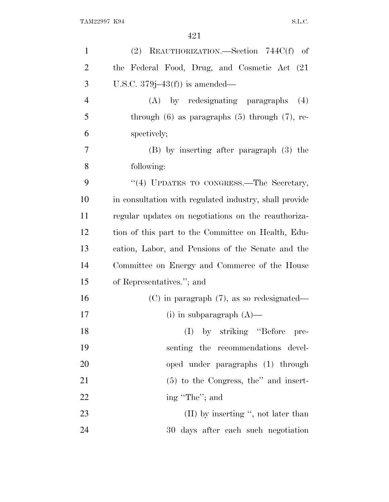| $\mathbf{1}$   | (2) REAUTHORIZATION. Section $744C(f)$ of              |
|----------------|--------------------------------------------------------|
| $\overline{2}$ | the Federal Food, Drug, and Cosmetic Act (21)          |
| 3              | U.S.C. $379j-43(f)$ is amended—                        |
| $\overline{4}$ | (A) by redesignating paragraphs<br>(4)                 |
| 5              | through $(6)$ as paragraphs $(5)$ through $(7)$ , re-  |
| 6              | spectively;                                            |
| $\overline{7}$ | (B) by inserting after paragraph (3) the               |
| 8              | following:                                             |
| 9              | "(4) UPDATES TO CONGRESS.—The Secretary,               |
| 10             | in consultation with regulated industry, shall provide |
| 11             | regular updates on negotiations on the reauthoriza-    |
| 12             | tion of this part to the Committee on Health, Edu-     |
| 13             | cation, Labor, and Pensions of the Senate and the      |
| 14             | Committee on Energy and Commerce of the House          |
| 15             | of Representatives."; and                              |
| 16             | $(C)$ in paragraph $(7)$ , as so redesignated—         |
| 17             | (i) in subparagraph $(A)$ —                            |
| 18             | (I) by striking "Before pre-                           |
| 19             | senting the recommendations devel-                     |
| 20             | oped under paragraphs (1) through                      |
| 21             | $(5)$ to the Congress, the'' and insert-               |
| 22             | ing "The"; and                                         |
| 23             | $(II)$ by inserting ", not later than                  |
| 24             | 30 days after each such negotiation                    |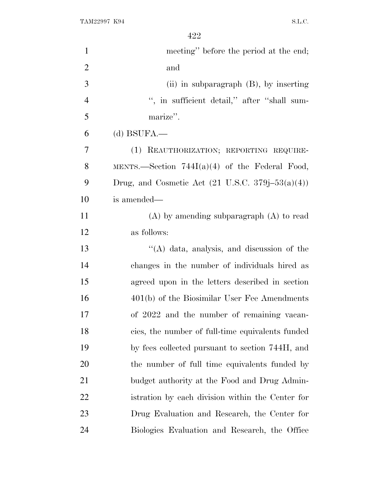TAM22997 K94 S.L.C.

| $\mathbf{1}$   | meeting" before the period at the end;                                        |
|----------------|-------------------------------------------------------------------------------|
| $\overline{2}$ | and                                                                           |
| 3              | (ii) in subparagraph $(B)$ , by inserting                                     |
| $\overline{4}$ | ", in sufficient detail," after "shall sum-                                   |
| 5              | marize".                                                                      |
| 6              | $(d)$ BSUFA.—                                                                 |
| 7              | (1) REAUTHORIZATION; REPORTING REQUIRE-                                       |
| 8              | MENTS.—Section $744I(a)(4)$ of the Federal Food,                              |
| 9              | Drug, and Cosmetic Act $(21 \text{ U.S.C. } 379 \text{j} - 53 \text{(a)}(4))$ |
| 10             | is amended—                                                                   |
| 11             | $(A)$ by amending subparagraph $(A)$ to read                                  |
| 12             | as follows:                                                                   |
| 13             | "(A) data, analysis, and discussion of the                                    |
| 14             | changes in the number of individuals hired as                                 |
| 15             | agreed upon in the letters described in section                               |
| 16             | $401(b)$ of the Biosimilar User Fee Amendments                                |
| 17             | of 2022 and the number of remaining vacan-                                    |
| 18             | cies, the number of full-time equivalents funded                              |
| 19             | by fees collected pursuant to section 744H, and                               |
| 20             | the number of full time equivalents funded by                                 |
| 21             | budget authority at the Food and Drug Admin-                                  |
| 22             | istration by each division within the Center for                              |
| 23             | Drug Evaluation and Research, the Center for                                  |
| 24             | Biologics Evaluation and Research, the Office                                 |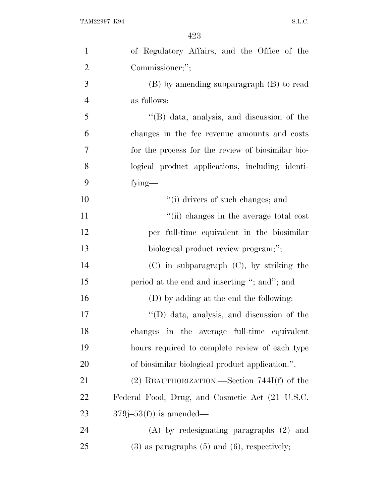| $\mathbf{1}$   | of Regulatory Affairs, and the Office of the        |
|----------------|-----------------------------------------------------|
| $\overline{2}$ | Commissioner;";                                     |
| 3              | $(B)$ by amending subparagraph $(B)$ to read        |
| $\overline{4}$ | as follows:                                         |
| 5              | "(B) data, analysis, and discussion of the          |
| 6              | changes in the fee revenue amounts and costs        |
| 7              | for the process for the review of biosimilar bio-   |
| 8              | logical product applications, including identi-     |
| 9              | fying-                                              |
| 10             | "(i) drivers of such changes; and                   |
| 11             | "(ii) changes in the average total cost             |
| 12             | per full-time equivalent in the biosimilar          |
| 13             | biological product review program;";                |
| 14             | $(C)$ in subparagraph $(C)$ , by striking the       |
| 15             | period at the end and inserting "; and"; and        |
| 16             | (D) by adding at the end the following:             |
| 17             | $\lq\lq$ (D) data, analysis, and discussion of the  |
| 18             | changes in the average full-time equivalent         |
| 19             | hours required to complete review of each type      |
| 20             | of biosimilar biological product application.".     |
| 21             | $(2)$ REAUTHORIZATION.—Section 744I(f) of the       |
| 22             | Federal Food, Drug, and Cosmetic Act (21 U.S.C.     |
| 23             | $379j-53(f)$ is amended—                            |
| 24             | $(A)$ by redesignating paragraphs $(2)$ and         |
| 25             | $(3)$ as paragraphs $(5)$ and $(6)$ , respectively; |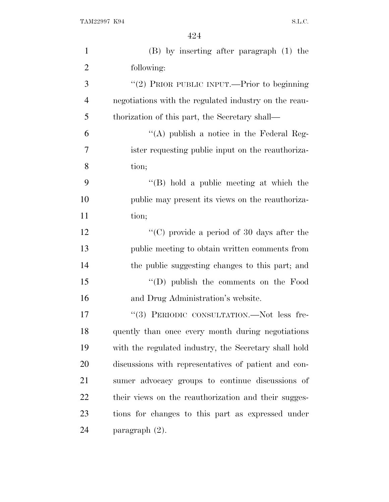| $\mathbf{1}$   | $(B)$ by inserting after paragraph $(1)$ the          |
|----------------|-------------------------------------------------------|
| $\overline{2}$ | following:                                            |
| 3              | "(2) PRIOR PUBLIC INPUT.—Prior to beginning           |
| $\overline{4}$ | negotiations with the regulated industry on the reau- |
| 5              | thorization of this part, the Secretary shall—        |
| 6              | "(A) publish a notice in the Federal Reg-             |
| 7              | ister requesting public input on the reauthoriza-     |
| 8              | tion;                                                 |
| 9              | $\lq\lq$ (B) hold a public meeting at which the       |
| 10             | public may present its views on the reauthoriza-      |
| 11             | tion;                                                 |
| 12             | $\lq\lq$ (C) provide a period of 30 days after the    |
| 13             | public meeting to obtain written comments from        |
| 14             | the public suggesting changes to this part; and       |
| 15             | "(D) publish the comments on the Food                 |
| 16             | and Drug Administration's website.                    |
| 17             | "(3) PERIODIC CONSULTATION.—Not less fre-             |
| 18             | quently than once every month during negotiations     |
| 19             | with the regulated industry, the Secretary shall hold |
| 20             | discussions with representatives of patient and con-  |
| 21             | sumer advocacy groups to continue discussions of      |
| 22             | their views on the reauthorization and their sugges-  |
| 23             | tions for changes to this part as expressed under     |
| 24             | paragraph $(2)$ .                                     |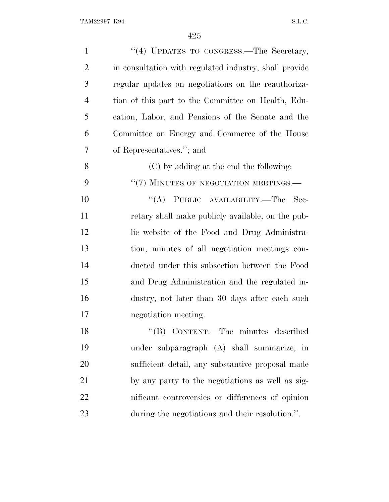| $\mathbf{1}$   | "(4) UPDATES TO CONGRESS.—The Secretary,               |
|----------------|--------------------------------------------------------|
| $\overline{2}$ | in consultation with regulated industry, shall provide |
| 3              | regular updates on negotiations on the reauthoriza-    |
| $\overline{4}$ | tion of this part to the Committee on Health, Edu-     |
| 5              | cation, Labor, and Pensions of the Senate and the      |
| 6              | Committee on Energy and Commerce of the House          |
| 7              | of Representatives."; and                              |
| 8              | (C) by adding at the end the following:                |
| 9              | "(7) MINUTES OF NEGOTIATION MEETINGS.-                 |
| 10             | "(A) PUBLIC AVAILABILITY.—The Sec-                     |
| 11             | retary shall make publicly available, on the pub-      |
| 12             | lic website of the Food and Drug Administra-           |
| 13             | tion, minutes of all negotiation meetings con-         |
| 14             | ducted under this subsection between the Food          |
| 15             | and Drug Administration and the regulated in-          |
| 16             | dustry, not later than 30 days after each such         |
| 17             | negotiation meeting.                                   |
| 18             | "(B) CONTENT.—The minutes described                    |
| 19             | under subparagraph (A) shall summarize, in             |
| 20             | sufficient detail, any substantive proposal made       |
| 21             | by any party to the negotiations as well as sig-       |
| 22             | nificant controversies or differences of opinion       |
| 23             | during the negotiations and their resolution.".        |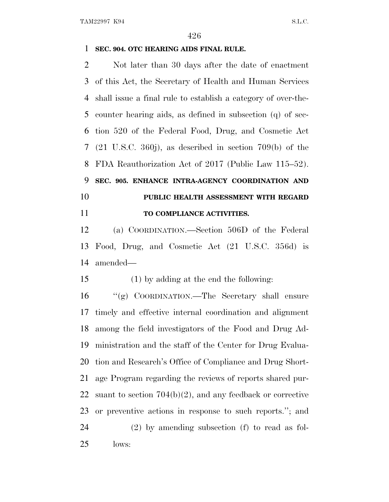## **SEC. 904. OTC HEARING AIDS FINAL RULE.**

 Not later than 30 days after the date of enactment of this Act, the Secretary of Health and Human Services shall issue a final rule to establish a category of over-the- counter hearing aids, as defined in subsection (q) of sec- tion 520 of the Federal Food, Drug, and Cosmetic Act (21 U.S.C. 360j), as described in section 709(b) of the FDA Reauthorization Act of 2017 (Public Law 115–52). **SEC. 905. ENHANCE INTRA-AGENCY COORDINATION AND PUBLIC HEALTH ASSESSMENT WITH REGARD TO COMPLIANCE ACTIVITIES.**

 (a) COORDINATION.—Section 506D of the Federal Food, Drug, and Cosmetic Act (21 U.S.C. 356d) is

amended—

(1) by adding at the end the following:

 ''(g) COORDINATION.—The Secretary shall ensure timely and effective internal coordination and alignment among the field investigators of the Food and Drug Ad- ministration and the staff of the Center for Drug Evalua- tion and Research's Office of Compliance and Drug Short- age Program regarding the reviews of reports shared pur- suant to section 704(b)(2), and any feedback or corrective or preventive actions in response to such reports.''; and (2) by amending subsection (f) to read as fol-lows: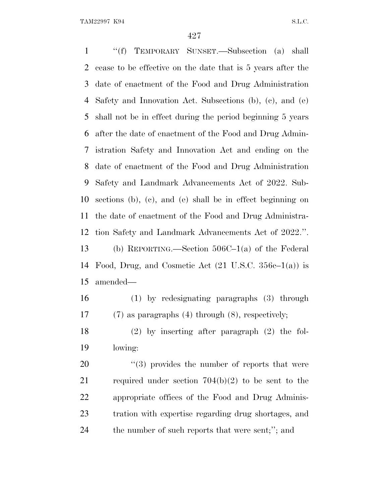''(f) TEMPORARY SUNSET.—Subsection (a) shall cease to be effective on the date that is 5 years after the date of enactment of the Food and Drug Administration Safety and Innovation Act. Subsections (b), (c), and (e) shall not be in effect during the period beginning 5 years after the date of enactment of the Food and Drug Admin- istration Safety and Innovation Act and ending on the date of enactment of the Food and Drug Administration Safety and Landmark Advancements Act of 2022. Sub- sections (b), (c), and (e) shall be in effect beginning on the date of enactment of the Food and Drug Administra- tion Safety and Landmark Advancements Act of 2022.''. (b) REPORTING.—Section 506C–1(a) of the Federal 14 Food, Drug, and Cosmetic Act  $(21 \text{ U.S.C. } 356c-1(a))$  is amended— (1) by redesignating paragraphs (3) through

(7) as paragraphs (4) through (8), respectively;

 (2) by inserting after paragraph (2) the fol-lowing:

 ''(3) provides the number of reports that were required under section 704(b)(2) to be sent to the appropriate offices of the Food and Drug Adminis- tration with expertise regarding drug shortages, and the number of such reports that were sent;''; and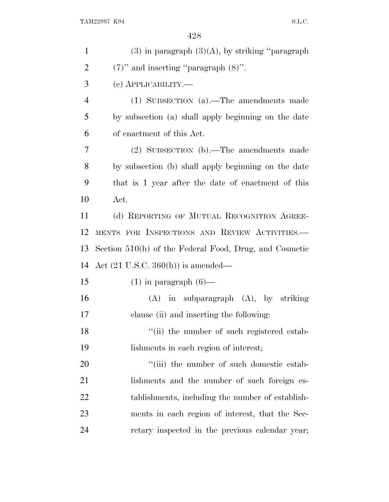| $\mathbf{1}$   | $(3)$ in paragraph $(3)(A)$ , by striking "paragraph"  |
|----------------|--------------------------------------------------------|
| $\overline{2}$ | $(7)$ " and inserting "paragraph $(8)$ ".              |
| 3              | (с) АРРЫСАВШІТҮ.—                                      |
| $\overline{4}$ | (1) SUBSECTION (a).—The amendments made                |
| 5              | by subsection (a) shall apply beginning on the date    |
| 6              | of enactment of this Act.                              |
| 7              | (2) SUBSECTION (b).—The amendments made                |
| 8              | by subsection (b) shall apply beginning on the date    |
| 9              | that is 1 year after the date of enactment of this     |
| 10             | Act.                                                   |
| 11             | (d) REPORTING OF MUTUAL RECOGNITION AGREE-             |
| 12             | MENTS FOR INSPECTIONS AND REVIEW ACTIVITIES.           |
| 13             | Section 510(h) of the Federal Food, Drug, and Cosmetic |
| 14             | Act $(21 \text{ U.S.C. } 360(\text{h}))$ is amended—   |
| 15             | $(1)$ in paragraph $(6)$ —                             |
| 16             | $(A)$ in subparagraph $(A)$ , by striking              |
| 17             | clause (ii) and inserting the following:               |
| 18             | "(ii) the number of such registered estab-             |
| 19             | lishments in each region of interest;                  |
| 20             | "(iii) the number of such domestic estab-              |
| 21             | lishments and the number of such foreign es-           |
| <u>22</u>      | tablishments, including the number of establish-       |
| 23             | ments in each region of interest, that the Sec-        |
| 24             | retary inspected in the previous calendar year;        |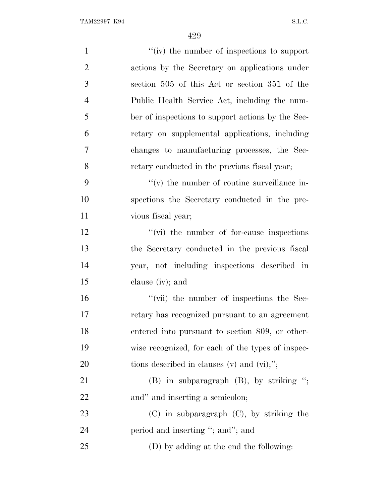| $\mathbf{1}$   | "(iv) the number of inspections to support        |
|----------------|---------------------------------------------------|
| $\overline{2}$ | actions by the Secretary on applications under    |
| 3              | section 505 of this Act or section 351 of the     |
| $\overline{4}$ | Public Health Service Act, including the num-     |
| 5              | ber of inspections to support actions by the Sec- |
| 6              | retary on supplemental applications, including    |
| 7              | changes to manufacturing processes, the Sec-      |
| 8              | retary conducted in the previous fiscal year;     |
| 9              | $f'(v)$ the number of routine surveillance in-    |
| 10             | spections the Secretary conducted in the pre-     |
| 11             | vious fiscal year;                                |
| 12             | $\lq\lq$ (vi) the number of for-cause inspections |
| 13             | the Secretary conducted in the previous fiscal    |
| 14             | year, not including inspections described in      |
| 15             | clause (iv); and                                  |
| 16             | "(vii) the number of inspections the Sec-         |
| 17             | retary has recognized pursuant to an agreement    |
| 18             | entered into pursuant to section 809, or other-   |
| 19             | wise recognized, for each of the types of inspec- |
| 20             | tions described in clauses $(v)$ and $(vi);$ ";   |
| 21             | $(B)$ in subparagraph $(B)$ , by striking ";      |
| 22             | and" and inserting a semicolon;                   |
| 23             | $(C)$ in subparagraph $(C)$ , by striking the     |
| 24             | period and inserting "; and"; and                 |
| 25             | (D) by adding at the end the following:           |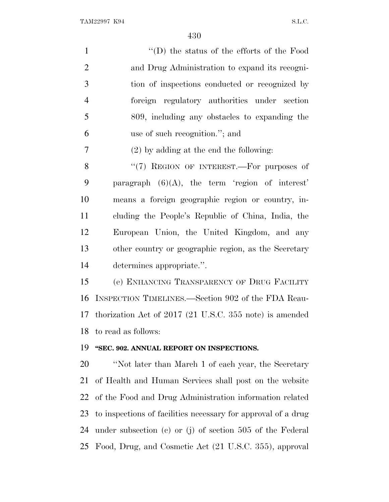TAM22997 K94 S.L.C.

| $\mathbf{1}$   | $\lq\lq$ the status of the efforts of the Food                |
|----------------|---------------------------------------------------------------|
| $\overline{2}$ | and Drug Administration to expand its recogni-                |
| 3              | tion of inspections conducted or recognized by                |
| $\overline{4}$ | foreign regulatory authorities under section                  |
| 5              | 809, including any obstacles to expanding the                 |
| 6              | use of such recognition."; and                                |
| 7              | $(2)$ by adding at the end the following:                     |
| 8              | "(7) REGION OF INTEREST.—For purposes of                      |
| 9              | paragraph $(6)(A)$ , the term 'region of interest'            |
| 10             | means a foreign geographic region or country, in-             |
| 11             | cluding the People's Republic of China, India, the            |
| 12             | European Union, the United Kingdom, and any                   |
| 13             | other country or geographic region, as the Secretary          |
| 14             | determines appropriate.".                                     |
| 15             | (e) ENHANCING TRANSPARENCY OF DRUG FACILITY                   |
| 16             | INSPECTION TIMELINES.—Section 902 of the FDA Reau-            |
| 17             | thorization Act of 2017 (21 U.S.C. 355 note) is amended       |
| 18             | to read as follows:                                           |
| 19             | "SEC. 902. ANNUAL REPORT ON INSPECTIONS.                      |
| 20             | "Not later than March 1 of each year, the Secretary           |
| 21             | of Health and Human Services shall post on the website        |
| 22             | of the Food and Drug Administration information related       |
| 23             | to inspections of facilities necessary for approval of a drug |
| 24             | under subsection (c) or (j) of section $505$ of the Federal   |
| 25             | Food, Drug, and Cosmetic Act (21 U.S.C. 355), approval        |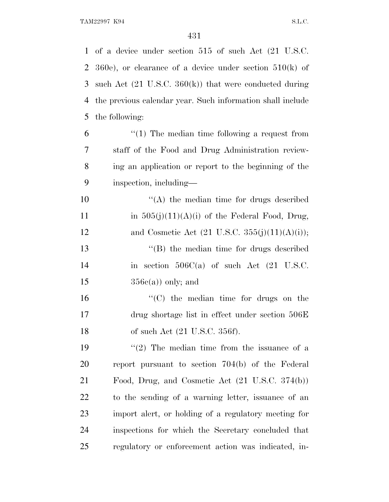of a device under section 515 of such Act (21 U.S.C. 360e), or clearance of a device under section 510(k) of such Act (21 U.S.C. 360(k)) that were conducted during the previous calendar year. Such information shall include the following: "(1) The median time following a request from staff of the Food and Drug Administration review-

 ing an application or report to the beginning of the inspection, including—

10  $\langle (A)$  the median time for drugs described 11 in  $505(j)(11)(A)(i)$  of the Federal Food, Drug, 12 and Cosmetic Act  $(21 \text{ U.S.C. } 355(j)(11)(\text{A})(i));$ ''(B) the median time for drugs described

 in section 506C(a) of such Act (21 U.S.C.  $356e(a)$  only; and

16  $\frac{16}{10}$  the median time for drugs on the drug shortage list in effect under section 506E 18 of such Act (21 U.S.C. 356f).

 $(2)$  The median time from the issuance of a report pursuant to section 704(b) of the Federal Food, Drug, and Cosmetic Act (21 U.S.C. 374(b)) to the sending of a warning letter, issuance of an import alert, or holding of a regulatory meeting for inspections for which the Secretary concluded that regulatory or enforcement action was indicated, in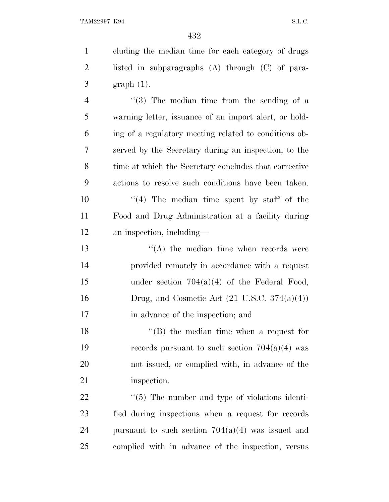TAM22997 K94 S.L.C.

 cluding the median time for each category of drugs listed in subparagraphs (A) through (C) of para- graph (1). ''(3) The median time from the sending of a warning letter, issuance of an import alert, or hold- ing of a regulatory meeting related to conditions ob- served by the Secretary during an inspection, to the time at which the Secretary concludes that corrective actions to resolve such conditions have been taken.

10  $\frac{10}{10}$  The median time spent by staff of the Food and Drug Administration at a facility during an inspection, including—

13 ''(A) the median time when records were provided remotely in accordance with a request under section 704(a)(4) of the Federal Food, 16 Drug, and Cosmetic Act  $(21 \text{ U.S.C. } 374(a)(4))$ 17 in advance of the inspection; and

18 ''(B) the median time when a request for 19 records pursuant to such section  $704(a)(4)$  was not issued, or complied with, in advance of the 21 inspection.

 $\frac{4}{5}$  The number and type of violations identi- fied during inspections when a request for records 24 pursuant to such section  $704(a)(4)$  was issued and complied with in advance of the inspection, versus